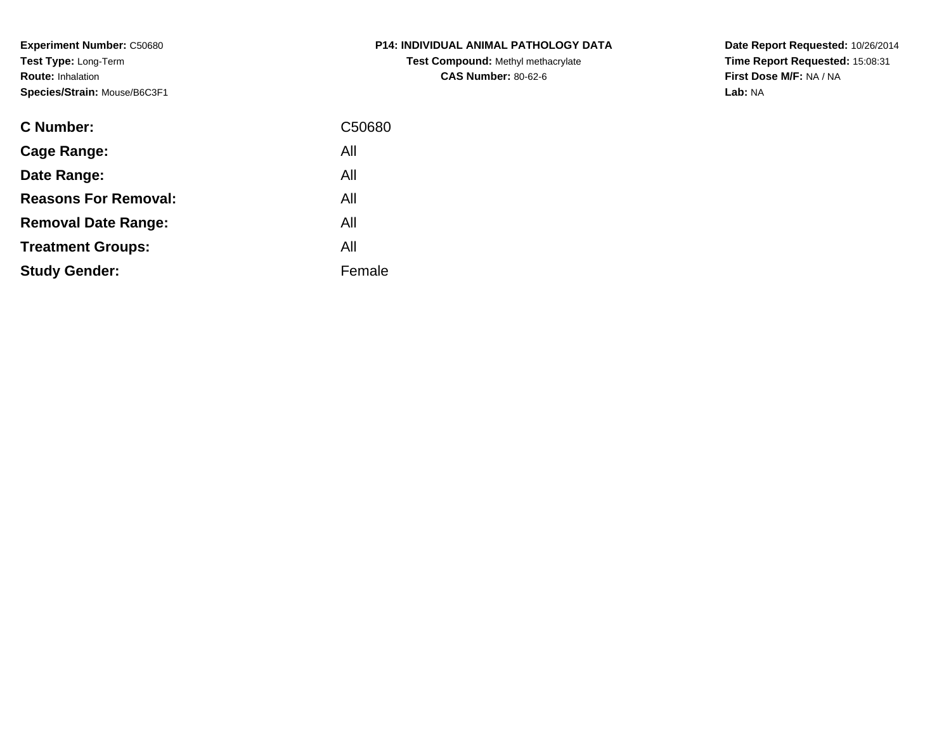**Experiment Number:** C50680**Test Type:** Long-Term**Route:** Inhalation**Species/Strain:** Mouse/B6C3F1

| C Number:                   | C50680 |
|-----------------------------|--------|
| <b>Cage Range:</b>          | All    |
| Date Range:                 | All    |
| <b>Reasons For Removal:</b> | All    |
| <b>Removal Date Range:</b>  | All    |
| <b>Treatment Groups:</b>    | All    |
| <b>Study Gender:</b>        | Female |
|                             |        |

## **P14: INDIVIDUAL ANIMAL PATHOLOGY DATATest Compound:** Methyl methacrylate**CAS Number:** 80-62-6

**Date Report Requested:** 10/26/2014 **Time Report Requested:** 15:08:31**First Dose M/F:** NA / NA**Lab:** NA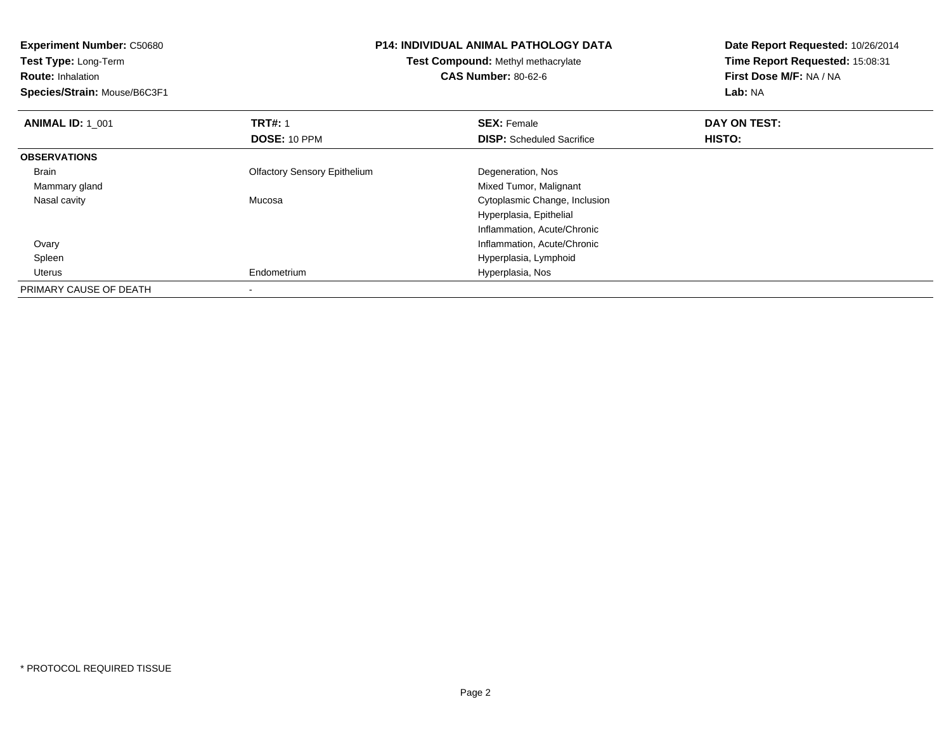| <b>Experiment Number: C50680</b>                           | <b>P14: INDIVIDUAL ANIMAL PATHOLOGY DATA</b> |                                  |                         |  | Date Report Requested: 10/26/2014 |
|------------------------------------------------------------|----------------------------------------------|----------------------------------|-------------------------|--|-----------------------------------|
| Test Type: Long-Term<br>Test Compound: Methyl methacrylate |                                              | Time Report Requested: 15:08:31  |                         |  |                                   |
| <b>Route: Inhalation</b>                                   |                                              | <b>CAS Number: 80-62-6</b>       | First Dose M/F: NA / NA |  |                                   |
| Species/Strain: Mouse/B6C3F1                               |                                              |                                  | Lab: NA                 |  |                                   |
| <b>ANIMAL ID: 1 001</b>                                    | <b>TRT#: 1</b>                               | <b>SEX: Female</b>               | DAY ON TEST:            |  |                                   |
|                                                            | <b>DOSE: 10 PPM</b>                          | <b>DISP:</b> Scheduled Sacrifice | HISTO:                  |  |                                   |
| <b>OBSERVATIONS</b>                                        |                                              |                                  |                         |  |                                   |
| Brain                                                      | <b>Olfactory Sensory Epithelium</b>          | Degeneration, Nos                |                         |  |                                   |
| Mammary gland                                              |                                              | Mixed Tumor, Malignant           |                         |  |                                   |
| Nasal cavity                                               | Mucosa                                       | Cytoplasmic Change, Inclusion    |                         |  |                                   |
|                                                            |                                              | Hyperplasia, Epithelial          |                         |  |                                   |
|                                                            |                                              | Inflammation, Acute/Chronic      |                         |  |                                   |
| Ovary                                                      |                                              | Inflammation, Acute/Chronic      |                         |  |                                   |
| Spleen                                                     |                                              | Hyperplasia, Lymphoid            |                         |  |                                   |
| Uterus                                                     | Endometrium                                  | Hyperplasia, Nos                 |                         |  |                                   |
| PRIMARY CAUSE OF DEATH                                     |                                              |                                  |                         |  |                                   |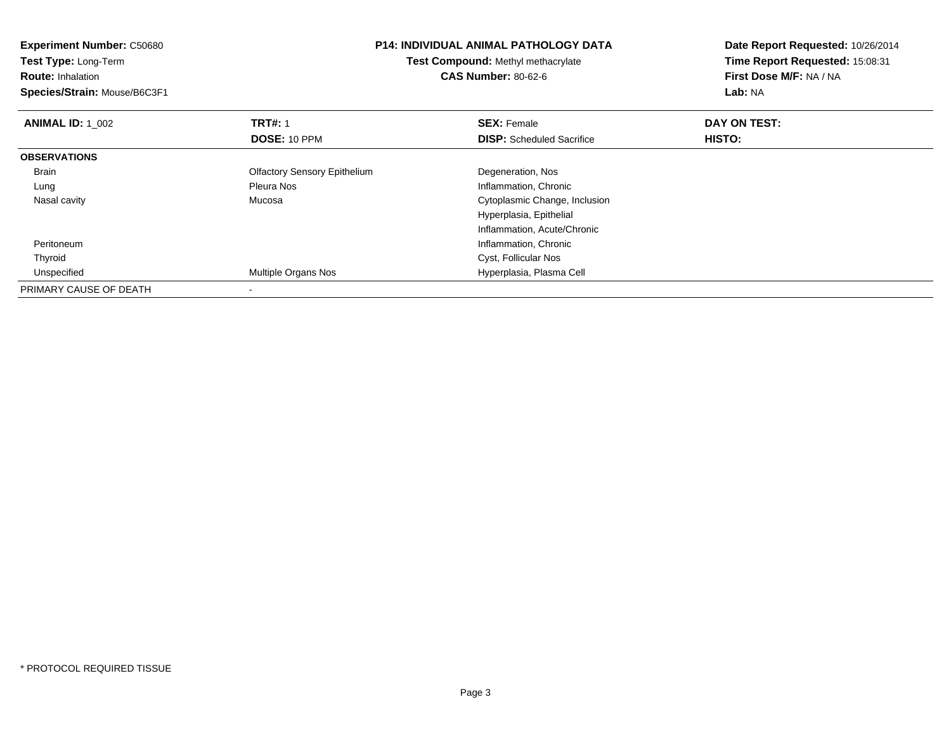| <b>Experiment Number: C50680</b> | <b>P14: INDIVIDUAL ANIMAL PATHOLOGY DATA</b><br>Test Compound: Methyl methacrylate |                                  | Date Report Requested: 10/26/2014 |  |  |
|----------------------------------|------------------------------------------------------------------------------------|----------------------------------|-----------------------------------|--|--|
| Test Type: Long-Term             |                                                                                    |                                  | Time Report Requested: 15:08:31   |  |  |
| <b>Route: Inhalation</b>         |                                                                                    | <b>CAS Number: 80-62-6</b>       | First Dose M/F: NA / NA           |  |  |
| Species/Strain: Mouse/B6C3F1     |                                                                                    |                                  | Lab: NA                           |  |  |
| <b>ANIMAL ID: 1 002</b>          | <b>TRT#: 1</b>                                                                     | <b>SEX: Female</b>               | DAY ON TEST:                      |  |  |
|                                  | DOSE: 10 PPM                                                                       | <b>DISP:</b> Scheduled Sacrifice | HISTO:                            |  |  |
| <b>OBSERVATIONS</b>              |                                                                                    |                                  |                                   |  |  |
| Brain                            | <b>Olfactory Sensory Epithelium</b>                                                | Degeneration, Nos                |                                   |  |  |
| Lung                             | Pleura Nos                                                                         | Inflammation, Chronic            |                                   |  |  |
| Nasal cavity                     | Mucosa                                                                             | Cytoplasmic Change, Inclusion    |                                   |  |  |
|                                  |                                                                                    | Hyperplasia, Epithelial          |                                   |  |  |
|                                  |                                                                                    | Inflammation, Acute/Chronic      |                                   |  |  |
| Peritoneum                       |                                                                                    | Inflammation, Chronic            |                                   |  |  |
| Thyroid                          |                                                                                    | Cyst, Follicular Nos             |                                   |  |  |
| Unspecified                      | Multiple Organs Nos                                                                | Hyperplasia, Plasma Cell         |                                   |  |  |
| PRIMARY CAUSE OF DEATH           |                                                                                    |                                  |                                   |  |  |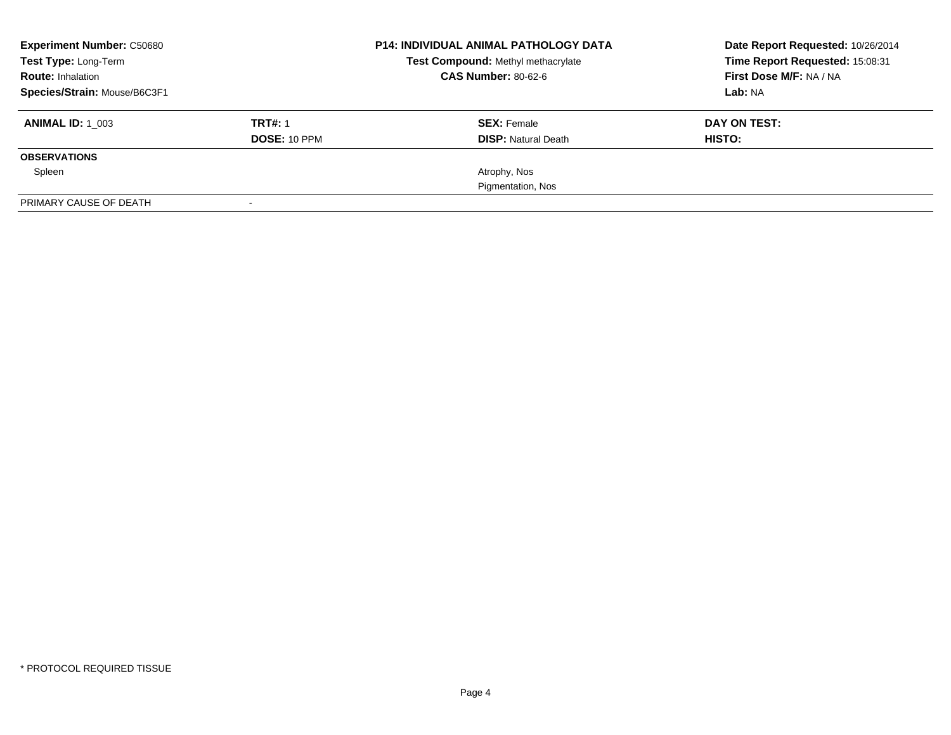| <b>Experiment Number: C50680</b><br>Test Type: Long-Term |                     | <b>P14: INDIVIDUAL ANIMAL PATHOLOGY DATA</b><br>Test Compound: Methyl methacrylate | Date Report Requested: 10/26/2014<br>Time Report Requested: 15:08:31 |  |
|----------------------------------------------------------|---------------------|------------------------------------------------------------------------------------|----------------------------------------------------------------------|--|
| <b>Route: Inhalation</b>                                 |                     | <b>CAS Number: 80-62-6</b>                                                         | First Dose M/F: NA / NA                                              |  |
| Species/Strain: Mouse/B6C3F1                             |                     |                                                                                    | Lab: NA                                                              |  |
| <b>ANIMAL ID:</b> 1 003                                  | <b>TRT#: 1</b>      | <b>SEX: Female</b>                                                                 | DAY ON TEST:                                                         |  |
|                                                          | <b>DOSE: 10 PPM</b> | <b>DISP:</b> Natural Death                                                         | HISTO:                                                               |  |
| <b>OBSERVATIONS</b>                                      |                     |                                                                                    |                                                                      |  |
| Spleen                                                   |                     | Atrophy, Nos                                                                       |                                                                      |  |
|                                                          |                     | Pigmentation, Nos                                                                  |                                                                      |  |
| PRIMARY CAUSE OF DEATH                                   |                     |                                                                                    |                                                                      |  |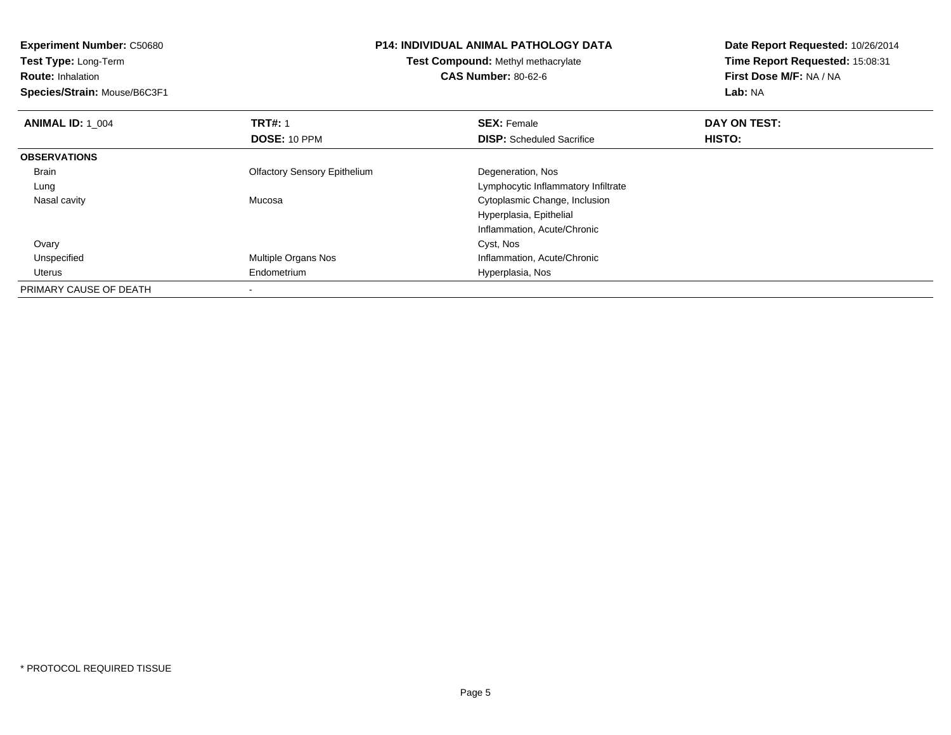| <b>Experiment Number: C50680</b> | <b>P14: INDIVIDUAL ANIMAL PATHOLOGY DATA</b><br>Test Compound: Methyl methacrylate |                                     | Date Report Requested: 10/26/2014 |  |  |
|----------------------------------|------------------------------------------------------------------------------------|-------------------------------------|-----------------------------------|--|--|
| Test Type: Long-Term             |                                                                                    |                                     | Time Report Requested: 15:08:31   |  |  |
| <b>Route: Inhalation</b>         |                                                                                    | <b>CAS Number: 80-62-6</b>          | First Dose M/F: NA / NA           |  |  |
| Species/Strain: Mouse/B6C3F1     |                                                                                    |                                     | Lab: NA                           |  |  |
| <b>ANIMAL ID: 1_004</b>          | <b>TRT#: 1</b>                                                                     | <b>SEX: Female</b>                  | DAY ON TEST:                      |  |  |
|                                  | DOSE: 10 PPM                                                                       | <b>DISP:</b> Scheduled Sacrifice    | HISTO:                            |  |  |
| <b>OBSERVATIONS</b>              |                                                                                    |                                     |                                   |  |  |
| Brain                            | <b>Olfactory Sensory Epithelium</b>                                                | Degeneration, Nos                   |                                   |  |  |
| Lung                             |                                                                                    | Lymphocytic Inflammatory Infiltrate |                                   |  |  |
| Nasal cavity                     | Mucosa                                                                             | Cytoplasmic Change, Inclusion       |                                   |  |  |
|                                  |                                                                                    | Hyperplasia, Epithelial             |                                   |  |  |
|                                  |                                                                                    | Inflammation, Acute/Chronic         |                                   |  |  |
| Ovary                            |                                                                                    | Cyst, Nos                           |                                   |  |  |
| Unspecified                      | Multiple Organs Nos                                                                | Inflammation, Acute/Chronic         |                                   |  |  |
| Uterus                           | Endometrium                                                                        | Hyperplasia, Nos                    |                                   |  |  |
| PRIMARY CAUSE OF DEATH           |                                                                                    |                                     |                                   |  |  |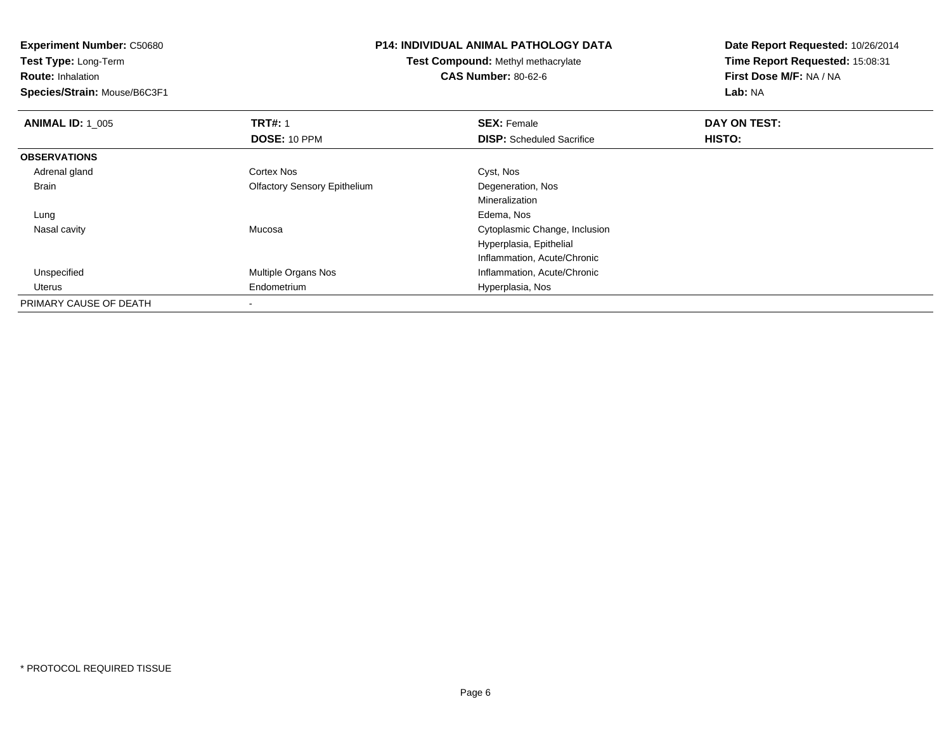**Experiment Number:** C50680**Test Type:** Long-Term**Route:** Inhalation **Species/Strain:** Mouse/B6C3F1**P14: INDIVIDUAL ANIMAL PATHOLOGY DATATest Compound:** Methyl methacrylate**CAS Number:** 80-62-6**Date Report Requested:** 10/26/2014**Time Report Requested:** 15:08:31**First Dose M/F:** NA / NA**Lab:** NA**ANIMAL ID: 1\_005 TRT#:** 1 **SEX:** Female **DAY ON TEST: DOSE:** 10 PPM**DISP:** Scheduled Sacrifice **HISTO: OBSERVATIONS** Adrenal glandd Cortex Nos Cortex Nos Cyst, Nos Brain Olfactory Sensory Epithelium Degeneration, Nos MineralizationEdema, Nos Lungg and the state of the state of the state of the state of the state of the state of the state of the state of the state of the state of the state of the state of the state of the state of the state of the state of the stat Nasal cavity Mucosa Cytoplasmic Change, Inclusion Hyperplasia, EpithelialInflammation, Acute/Chronicd **Multiple Organs Nos Inflammation, Acute/Chronic**  Unspecified Uterus Endometrium Hyperplasia, Nos PRIMARY CAUSE OF DEATH-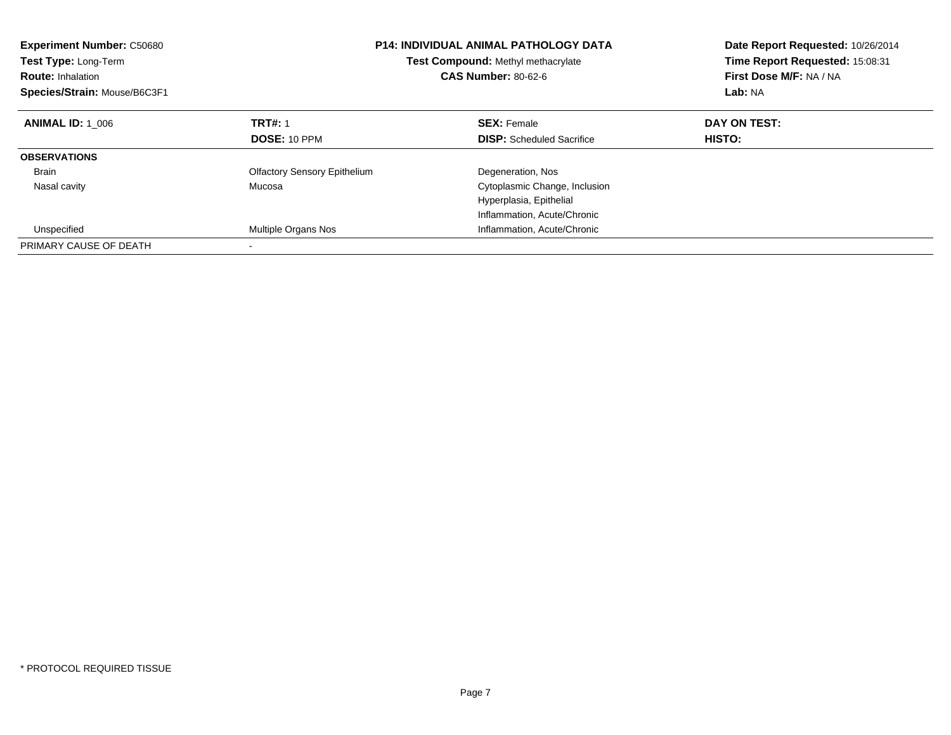| <b>Experiment Number: C50680</b><br><b>Test Type: Long-Term</b><br><b>Route: Inhalation</b><br>Species/Strain: Mouse/B6C3F1 |                                     | <b>P14: INDIVIDUAL ANIMAL PATHOLOGY DATA</b><br>Test Compound: Methyl methacrylate<br><b>CAS Number: 80-62-6</b> | Date Report Requested: 10/26/2014<br>Time Report Requested: 15:08:31<br>First Dose M/F: NA / NA<br>Lab: NA |
|-----------------------------------------------------------------------------------------------------------------------------|-------------------------------------|------------------------------------------------------------------------------------------------------------------|------------------------------------------------------------------------------------------------------------|
| <b>ANIMAL ID: 1 006</b>                                                                                                     | <b>TRT#: 1</b>                      | <b>SEX: Female</b>                                                                                               | DAY ON TEST:                                                                                               |
|                                                                                                                             | DOSE: 10 PPM                        | <b>DISP:</b> Scheduled Sacrifice                                                                                 | HISTO:                                                                                                     |
| <b>OBSERVATIONS</b>                                                                                                         |                                     |                                                                                                                  |                                                                                                            |
| <b>Brain</b>                                                                                                                | <b>Olfactory Sensory Epithelium</b> | Degeneration, Nos                                                                                                |                                                                                                            |
| Nasal cavity                                                                                                                | Mucosa                              | Cytoplasmic Change, Inclusion                                                                                    |                                                                                                            |
|                                                                                                                             |                                     | Hyperplasia, Epithelial                                                                                          |                                                                                                            |
|                                                                                                                             |                                     | Inflammation, Acute/Chronic                                                                                      |                                                                                                            |
| Unspecified                                                                                                                 | Multiple Organs Nos                 | Inflammation, Acute/Chronic                                                                                      |                                                                                                            |
| PRIMARY CAUSE OF DEATH                                                                                                      |                                     |                                                                                                                  |                                                                                                            |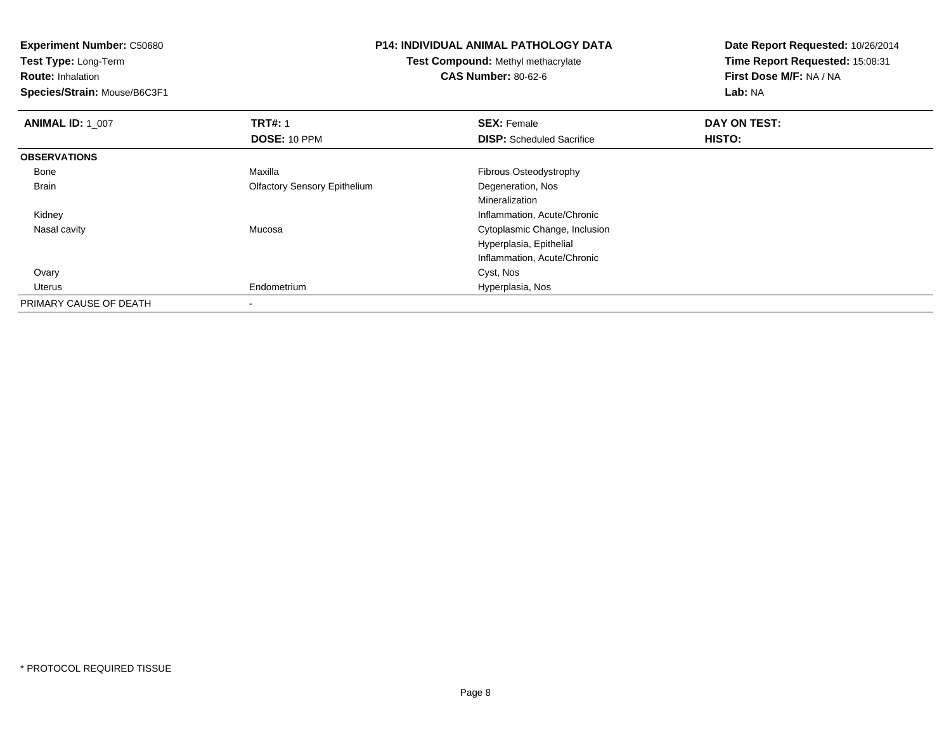**Experiment Number:** C50680**Test Type:** Long-Term**Route:** Inhalation **Species/Strain:** Mouse/B6C3F1**P14: INDIVIDUAL ANIMAL PATHOLOGY DATATest Compound:** Methyl methacrylate**CAS Number:** 80-62-6**Date Report Requested:** 10/26/2014**Time Report Requested:** 15:08:31**First Dose M/F:** NA / NA**Lab:** NA**ANIMAL ID: 1\_007 TRT#:** 1 **SEX:** Female **DAY ON TEST: DOSE:** 10 PPM**DISP:** Scheduled Sacrifice **HISTO: OBSERVATIONS** BoneMaxilla **Fibrous Osteodystrophy**  Brain Olfactory Sensory Epithelium Degeneration, Nos Mineralization Inflammation, Acute/Chronic Kidney Nasal cavity Mucosa Cytoplasmic Change, Inclusion Hyperplasia, EpithelialInflammation, Acute/Chronic Ovaryy and the control of the control of the control of the control of the control of the control of the control of the control of the control of the control of the control of the control of the control of the control of the co Uterus Endometrium Hyperplasia, Nos PRIMARY CAUSE OF DEATH-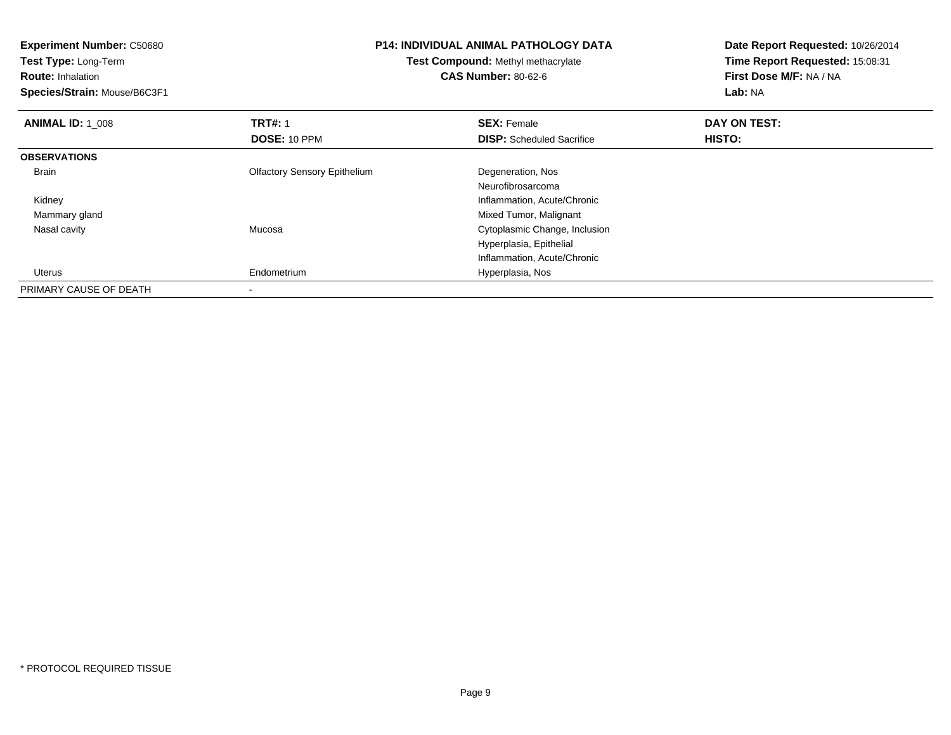| <b>P14: INDIVIDUAL ANIMAL PATHOLOGY DATA</b><br><b>Experiment Number: C50680</b> |                                     | Date Report Requested: 10/26/2014 |                                 |
|----------------------------------------------------------------------------------|-------------------------------------|-----------------------------------|---------------------------------|
| Test Type: Long-Term                                                             | Test Compound: Methyl methacrylate  |                                   | Time Report Requested: 15:08:31 |
| <b>Route: Inhalation</b>                                                         |                                     | <b>CAS Number: 80-62-6</b>        | First Dose M/F: NA / NA         |
| Species/Strain: Mouse/B6C3F1                                                     |                                     |                                   | Lab: NA                         |
| <b>ANIMAL ID: 1_008</b>                                                          | <b>TRT#: 1</b>                      | <b>SEX: Female</b>                | DAY ON TEST:                    |
|                                                                                  | DOSE: 10 PPM                        | <b>DISP:</b> Scheduled Sacrifice  | HISTO:                          |
| <b>OBSERVATIONS</b>                                                              |                                     |                                   |                                 |
| Brain                                                                            | <b>Olfactory Sensory Epithelium</b> | Degeneration, Nos                 |                                 |
|                                                                                  |                                     | Neurofibrosarcoma                 |                                 |
| Kidney                                                                           |                                     | Inflammation, Acute/Chronic       |                                 |
| Mammary gland                                                                    |                                     | Mixed Tumor, Malignant            |                                 |
| Nasal cavity                                                                     | Mucosa                              | Cytoplasmic Change, Inclusion     |                                 |
|                                                                                  |                                     | Hyperplasia, Epithelial           |                                 |
|                                                                                  |                                     | Inflammation, Acute/Chronic       |                                 |
| Uterus                                                                           | Endometrium                         | Hyperplasia, Nos                  |                                 |
| PRIMARY CAUSE OF DEATH                                                           |                                     |                                   |                                 |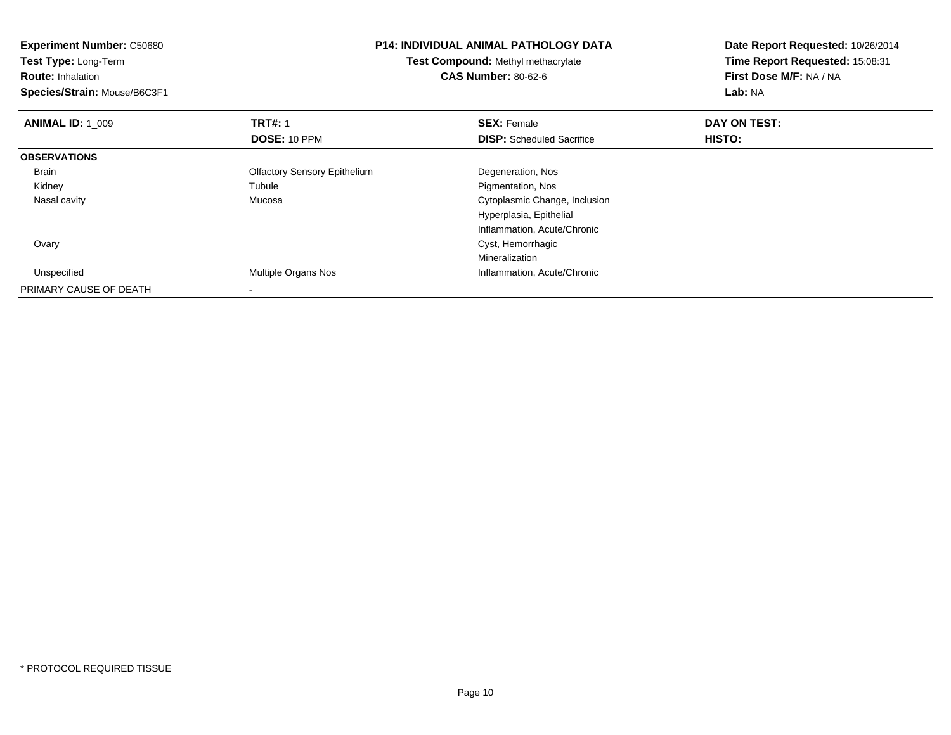| <b>Experiment Number: C50680</b> | <b>P14: INDIVIDUAL ANIMAL PATHOLOGY DATA</b><br>Test Compound: Methyl methacrylate |                                  | Date Report Requested: 10/26/2014 |  |
|----------------------------------|------------------------------------------------------------------------------------|----------------------------------|-----------------------------------|--|
| Test Type: Long-Term             |                                                                                    |                                  | Time Report Requested: 15:08:31   |  |
| <b>Route: Inhalation</b>         |                                                                                    | <b>CAS Number: 80-62-6</b>       | First Dose M/F: NA / NA           |  |
| Species/Strain: Mouse/B6C3F1     |                                                                                    |                                  | Lab: NA                           |  |
| <b>ANIMAL ID: 1 009</b>          | <b>TRT#: 1</b>                                                                     | <b>SEX: Female</b>               | DAY ON TEST:                      |  |
|                                  | DOSE: 10 PPM                                                                       | <b>DISP:</b> Scheduled Sacrifice | HISTO:                            |  |
| <b>OBSERVATIONS</b>              |                                                                                    |                                  |                                   |  |
| Brain                            | <b>Olfactory Sensory Epithelium</b>                                                | Degeneration, Nos                |                                   |  |
| Kidney                           | Tubule                                                                             | Pigmentation, Nos                |                                   |  |
| Nasal cavity                     | Mucosa                                                                             | Cytoplasmic Change, Inclusion    |                                   |  |
|                                  |                                                                                    | Hyperplasia, Epithelial          |                                   |  |
|                                  |                                                                                    | Inflammation, Acute/Chronic      |                                   |  |
| Ovary                            |                                                                                    | Cyst, Hemorrhagic                |                                   |  |
|                                  |                                                                                    | Mineralization                   |                                   |  |
| Unspecified                      | <b>Multiple Organs Nos</b>                                                         | Inflammation, Acute/Chronic      |                                   |  |
| PRIMARY CAUSE OF DEATH           |                                                                                    |                                  |                                   |  |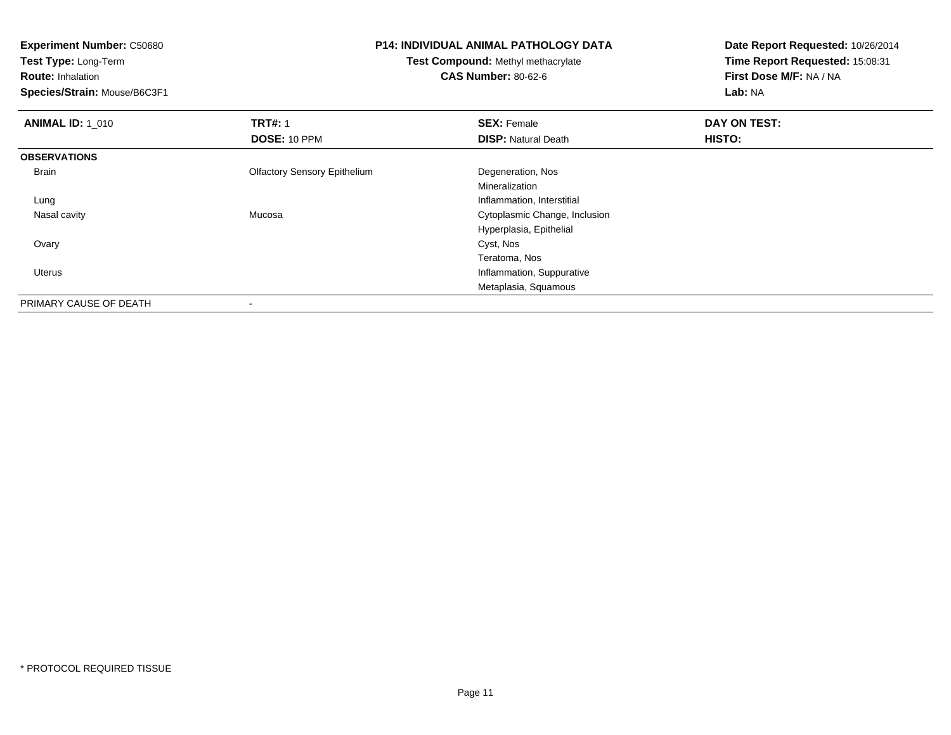**Experiment Number:** C50680**Test Type:** Long-Term**Route:** Inhalation **Species/Strain:** Mouse/B6C3F1**P14: INDIVIDUAL ANIMAL PATHOLOGY DATATest Compound:** Methyl methacrylate**CAS Number:** 80-62-6**Date Report Requested:** 10/26/2014**Time Report Requested:** 15:08:31**First Dose M/F:** NA / NA**Lab:** NA**ANIMAL ID: 1\_010 C TRT#:** 1 **SEX:** Female **DAY ON TEST: DOSE:** 10 PPM**DISP:** Natural Death **HISTO: OBSERVATIONS** Brain Olfactory Sensory Epithelium Degeneration, Nos Mineralizationg and the state of the state of the state of the state of the state of the state of the state of the state of the state of the state of the state of the state of the state of the state of the state of the state of the stat Lung Nasal cavity Mucosa Cytoplasmic Change, Inclusion Hyperplasia, Epithelial Ovaryy and the control of the control of the control of the control of the control of the control of the control of the control of the control of the control of the control of the control of the control of the control of the co Teratoma, Nos**Inflammation, Suppurative**  UterusMetaplasia, SquamousPRIMARY CAUSE OF DEATH-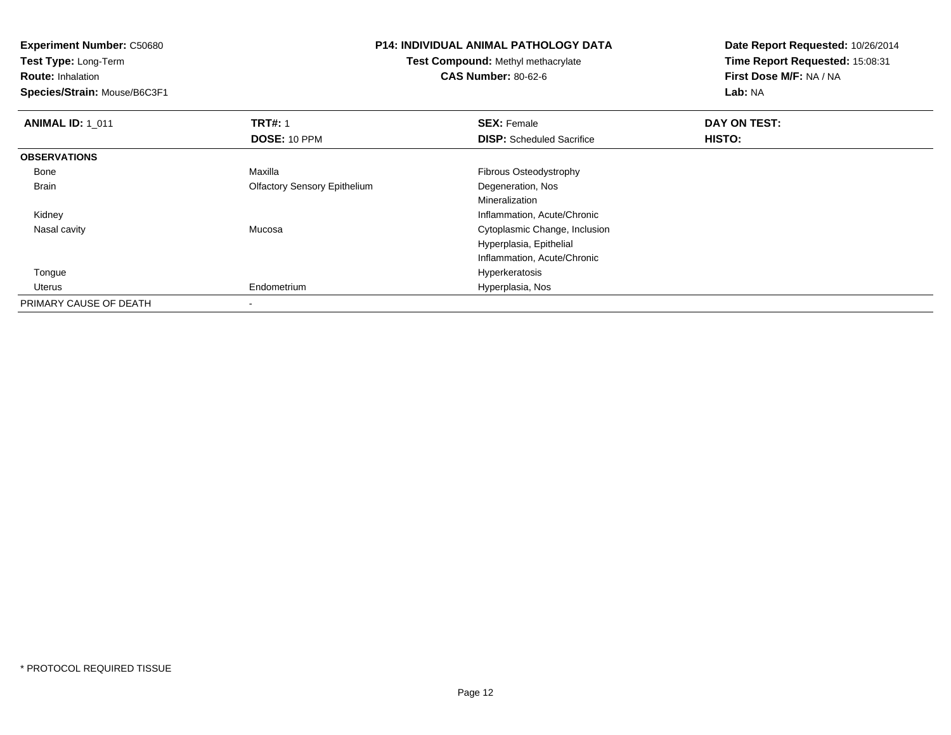**Experiment Number:** C50680**Test Type:** Long-Term**Route:** Inhalation **Species/Strain:** Mouse/B6C3F1**P14: INDIVIDUAL ANIMAL PATHOLOGY DATATest Compound:** Methyl methacrylate**CAS Number:** 80-62-6**Date Report Requested:** 10/26/2014**Time Report Requested:** 15:08:31**First Dose M/F:** NA / NA**Lab:** NA**ANIMAL ID: 1\_011 TRT#:** 1 **SEX:** Female **DAY ON TEST: DOSE:** 10 PPM**DISP:** Scheduled Sacrifice **HISTO: OBSERVATIONS** BoneMaxilla **Fibrous Osteodystrophy**  Brain Olfactory Sensory Epithelium Degeneration, Nos Mineralization Inflammation, Acute/Chronic Kidney Nasal cavity Mucosa Cytoplasmic Change, Inclusion Hyperplasia, EpithelialInflammation, Acute/Chronic Tonguee de la construction de la construction de la construction de la construction de la construction de la construction de la construction de la construction de la construction de la construction de la construction de la const Uterus Endometrium Hyperplasia, Nos PRIMARY CAUSE OF DEATH-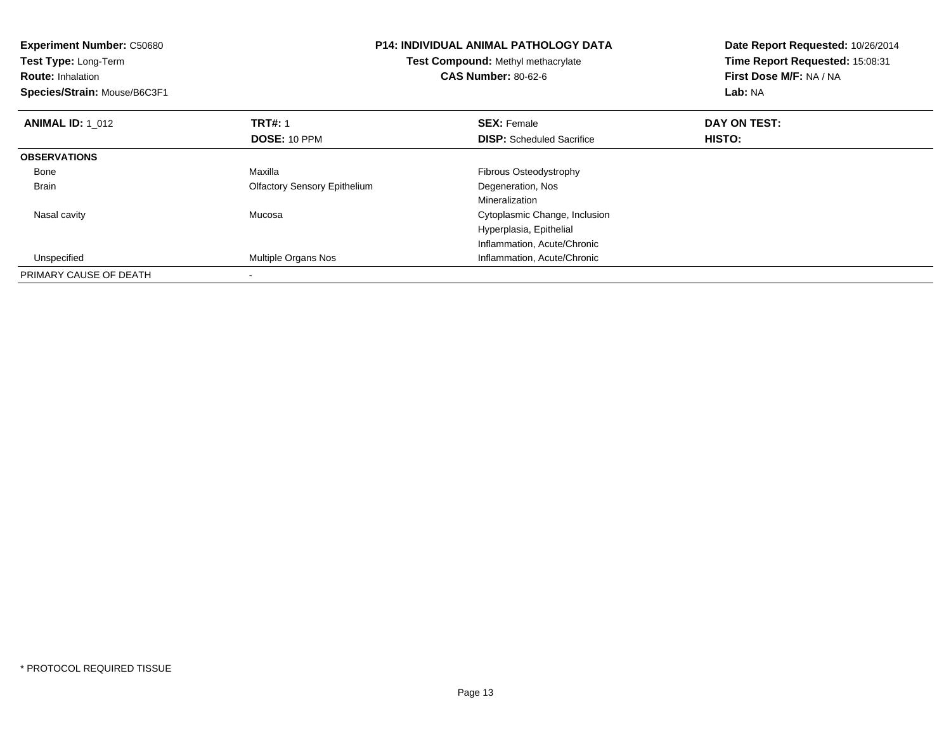| <b>Experiment Number: C50680</b><br><b>Test Type: Long-Term</b><br><b>Route: Inhalation</b><br>Species/Strain: Mouse/B6C3F1 |                                     | <b>P14: INDIVIDUAL ANIMAL PATHOLOGY DATA</b><br>Test Compound: Methyl methacrylate<br><b>CAS Number: 80-62-6</b> | Date Report Requested: 10/26/2014<br>Time Report Requested: 15:08:31<br>First Dose M/F: NA / NA<br>Lab: NA |
|-----------------------------------------------------------------------------------------------------------------------------|-------------------------------------|------------------------------------------------------------------------------------------------------------------|------------------------------------------------------------------------------------------------------------|
| <b>ANIMAL ID: 1_012</b>                                                                                                     | <b>TRT#:</b> 1                      | <b>SEX: Female</b>                                                                                               | DAY ON TEST:                                                                                               |
|                                                                                                                             | DOSE: 10 PPM                        | <b>DISP:</b> Scheduled Sacrifice                                                                                 | HISTO:                                                                                                     |
| <b>OBSERVATIONS</b>                                                                                                         |                                     |                                                                                                                  |                                                                                                            |
| Bone                                                                                                                        | Maxilla                             | Fibrous Osteodystrophy                                                                                           |                                                                                                            |
| <b>Brain</b>                                                                                                                | <b>Olfactory Sensory Epithelium</b> | Degeneration, Nos                                                                                                |                                                                                                            |
|                                                                                                                             |                                     | Mineralization                                                                                                   |                                                                                                            |
| Nasal cavity                                                                                                                | Mucosa                              | Cytoplasmic Change, Inclusion                                                                                    |                                                                                                            |
|                                                                                                                             |                                     | Hyperplasia, Epithelial                                                                                          |                                                                                                            |
|                                                                                                                             |                                     | Inflammation, Acute/Chronic                                                                                      |                                                                                                            |
| Unspecified                                                                                                                 | Multiple Organs Nos                 | Inflammation, Acute/Chronic                                                                                      |                                                                                                            |
| PRIMARY CAUSE OF DEATH                                                                                                      |                                     |                                                                                                                  |                                                                                                            |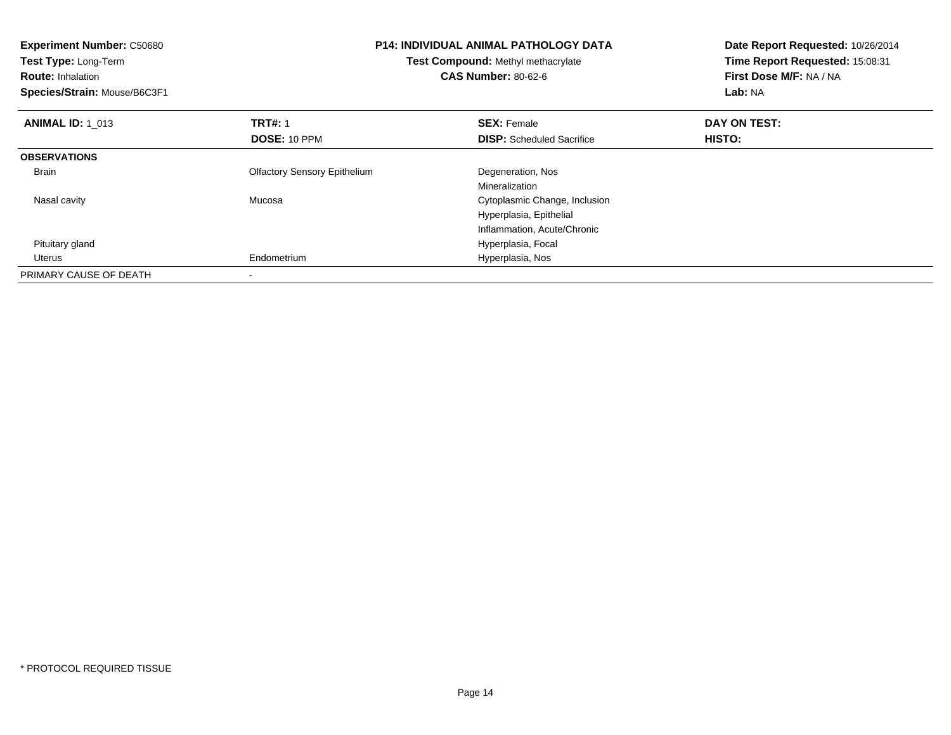| <b>Experiment Number: C50680</b><br>Test Type: Long-Term<br><b>Route: Inhalation</b><br>Species/Strain: Mouse/B6C3F1 | <b>P14: INDIVIDUAL ANIMAL PATHOLOGY DATA</b><br>Test Compound: Methyl methacrylate<br><b>CAS Number: 80-62-6</b> |                                  | Date Report Requested: 10/26/2014<br>Time Report Requested: 15:08:31<br>First Dose M/F: NA / NA<br>Lab: NA |
|----------------------------------------------------------------------------------------------------------------------|------------------------------------------------------------------------------------------------------------------|----------------------------------|------------------------------------------------------------------------------------------------------------|
| <b>ANIMAL ID: 1 013</b>                                                                                              | <b>TRT#: 1</b>                                                                                                   | <b>SEX: Female</b>               | DAY ON TEST:                                                                                               |
|                                                                                                                      | DOSE: 10 PPM                                                                                                     | <b>DISP:</b> Scheduled Sacrifice | HISTO:                                                                                                     |
| <b>OBSERVATIONS</b>                                                                                                  |                                                                                                                  |                                  |                                                                                                            |
| Brain                                                                                                                | <b>Olfactory Sensory Epithelium</b>                                                                              | Degeneration, Nos                |                                                                                                            |
|                                                                                                                      |                                                                                                                  | Mineralization                   |                                                                                                            |
| Nasal cavity                                                                                                         | Mucosa                                                                                                           | Cytoplasmic Change, Inclusion    |                                                                                                            |
|                                                                                                                      |                                                                                                                  | Hyperplasia, Epithelial          |                                                                                                            |
|                                                                                                                      |                                                                                                                  | Inflammation, Acute/Chronic      |                                                                                                            |
| Pituitary gland                                                                                                      |                                                                                                                  | Hyperplasia, Focal               |                                                                                                            |
| Uterus                                                                                                               | Endometrium                                                                                                      | Hyperplasia, Nos                 |                                                                                                            |
| PRIMARY CAUSE OF DEATH                                                                                               |                                                                                                                  |                                  |                                                                                                            |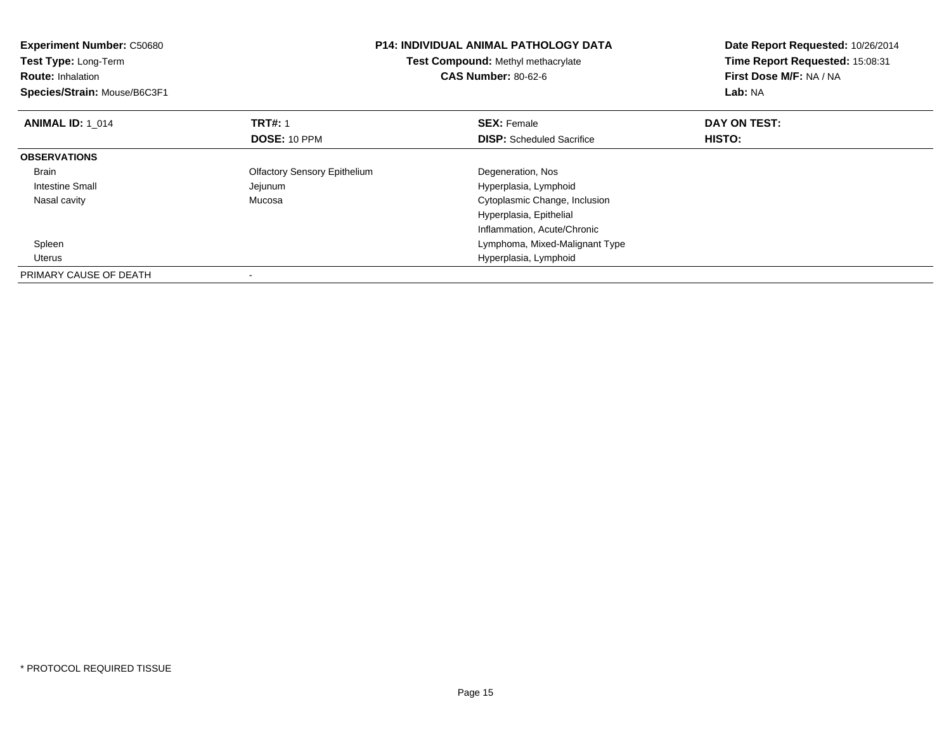| <b>Experiment Number: C50680</b><br>Test Type: Long-Term<br><b>Route: Inhalation</b><br>Species/Strain: Mouse/B6C3F1 | P14: INDIVIDUAL ANIMAL PATHOLOGY DATA<br>Test Compound: Methyl methacrylate<br><b>CAS Number: 80-62-6</b> |                                  | Date Report Requested: 10/26/2014<br>Time Report Requested: 15:08:31<br>First Dose M/F: NA / NA<br>Lab: NA |
|----------------------------------------------------------------------------------------------------------------------|-----------------------------------------------------------------------------------------------------------|----------------------------------|------------------------------------------------------------------------------------------------------------|
| <b>ANIMAL ID: 1 014</b>                                                                                              | <b>TRT#: 1</b>                                                                                            | <b>SEX: Female</b>               | DAY ON TEST:                                                                                               |
|                                                                                                                      | DOSE: 10 PPM                                                                                              | <b>DISP:</b> Scheduled Sacrifice | HISTO:                                                                                                     |
| <b>OBSERVATIONS</b>                                                                                                  |                                                                                                           |                                  |                                                                                                            |
| <b>Brain</b>                                                                                                         | <b>Olfactory Sensory Epithelium</b>                                                                       | Degeneration, Nos                |                                                                                                            |
| Intestine Small                                                                                                      | Jejunum                                                                                                   | Hyperplasia, Lymphoid            |                                                                                                            |
| Nasal cavity                                                                                                         | Mucosa                                                                                                    | Cytoplasmic Change, Inclusion    |                                                                                                            |
|                                                                                                                      |                                                                                                           | Hyperplasia, Epithelial          |                                                                                                            |
|                                                                                                                      |                                                                                                           | Inflammation, Acute/Chronic      |                                                                                                            |
| Spleen                                                                                                               |                                                                                                           | Lymphoma, Mixed-Malignant Type   |                                                                                                            |
| Uterus                                                                                                               |                                                                                                           | Hyperplasia, Lymphoid            |                                                                                                            |
| PRIMARY CAUSE OF DEATH                                                                                               |                                                                                                           |                                  |                                                                                                            |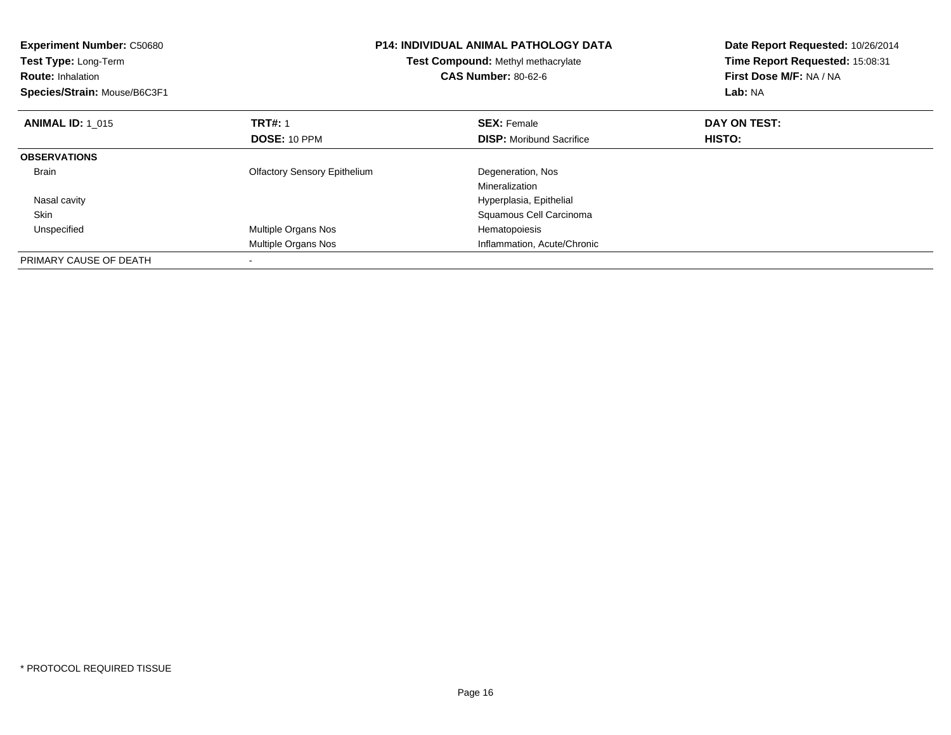| <b>Experiment Number: C50680</b><br>Test Type: Long-Term<br><b>Route: Inhalation</b><br>Species/Strain: Mouse/B6C3F1 |                                     | <b>P14: INDIVIDUAL ANIMAL PATHOLOGY DATA</b><br><b>Test Compound: Methyl methacrylate</b><br><b>CAS Number: 80-62-6</b> | Date Report Requested: 10/26/2014<br>Time Report Requested: 15:08:31<br>First Dose M/F: NA / NA<br>Lab: NA |
|----------------------------------------------------------------------------------------------------------------------|-------------------------------------|-------------------------------------------------------------------------------------------------------------------------|------------------------------------------------------------------------------------------------------------|
| <b>ANIMAL ID: 1_015</b>                                                                                              | <b>TRT#: 1</b>                      | <b>SEX: Female</b>                                                                                                      | DAY ON TEST:                                                                                               |
|                                                                                                                      | <b>DOSE: 10 PPM</b>                 | <b>DISP:</b> Moribund Sacrifice                                                                                         | <b>HISTO:</b>                                                                                              |
| <b>OBSERVATIONS</b>                                                                                                  |                                     |                                                                                                                         |                                                                                                            |
| <b>Brain</b>                                                                                                         | <b>Olfactory Sensory Epithelium</b> | Degeneration, Nos                                                                                                       |                                                                                                            |
|                                                                                                                      |                                     | Mineralization                                                                                                          |                                                                                                            |
| Nasal cavity                                                                                                         |                                     | Hyperplasia, Epithelial                                                                                                 |                                                                                                            |
| <b>Skin</b>                                                                                                          |                                     | Squamous Cell Carcinoma                                                                                                 |                                                                                                            |
| Unspecified                                                                                                          | Multiple Organs Nos                 | Hematopoiesis                                                                                                           |                                                                                                            |
|                                                                                                                      | Multiple Organs Nos                 | Inflammation, Acute/Chronic                                                                                             |                                                                                                            |
| PRIMARY CAUSE OF DEATH                                                                                               |                                     |                                                                                                                         |                                                                                                            |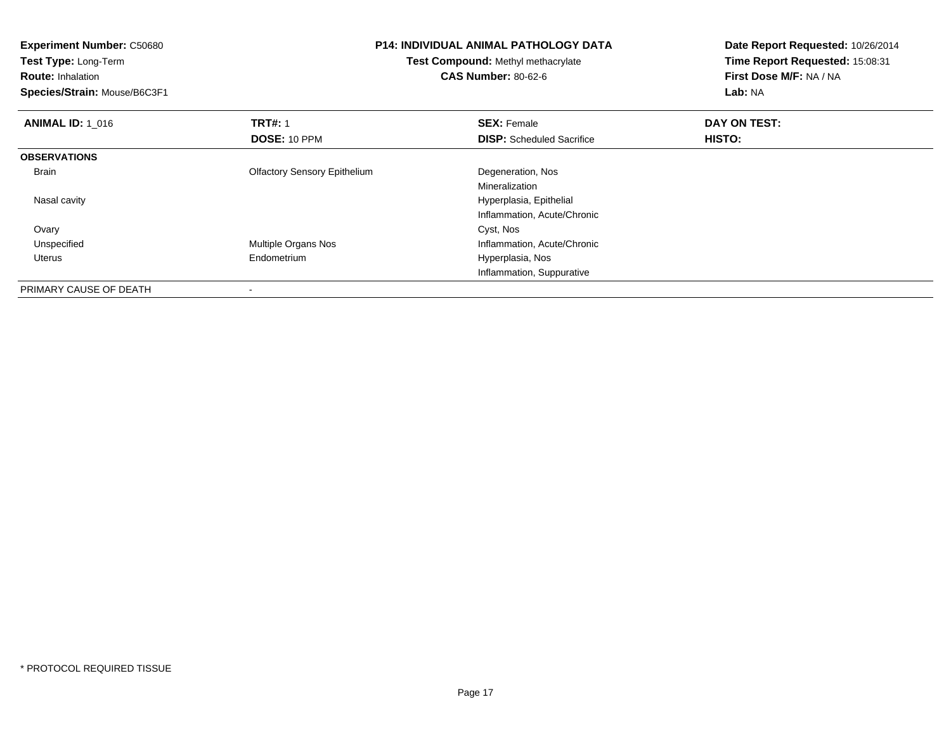| <b>Experiment Number: C50680</b> |                                     | <b>P14: INDIVIDUAL ANIMAL PATHOLOGY DATA</b> | Date Report Requested: 10/26/2014 |  |
|----------------------------------|-------------------------------------|----------------------------------------------|-----------------------------------|--|
| Test Type: Long-Term             |                                     | Test Compound: Methyl methacrylate           |                                   |  |
| <b>Route: Inhalation</b>         |                                     | <b>CAS Number: 80-62-6</b>                   | First Dose M/F: NA / NA           |  |
| Species/Strain: Mouse/B6C3F1     |                                     |                                              | Lab: NA                           |  |
| <b>ANIMAL ID: 1 016</b>          | <b>TRT#: 1</b>                      | <b>SEX: Female</b>                           | DAY ON TEST:                      |  |
|                                  | DOSE: 10 PPM                        | <b>DISP:</b> Scheduled Sacrifice             | <b>HISTO:</b>                     |  |
| <b>OBSERVATIONS</b>              |                                     |                                              |                                   |  |
| Brain                            | <b>Olfactory Sensory Epithelium</b> | Degeneration, Nos                            |                                   |  |
|                                  |                                     | Mineralization                               |                                   |  |
| Nasal cavity                     |                                     | Hyperplasia, Epithelial                      |                                   |  |
|                                  |                                     | Inflammation, Acute/Chronic                  |                                   |  |
| Ovary                            |                                     | Cyst, Nos                                    |                                   |  |
| Unspecified                      | <b>Multiple Organs Nos</b>          | Inflammation, Acute/Chronic                  |                                   |  |
| Uterus                           | Endometrium                         | Hyperplasia, Nos                             |                                   |  |
|                                  |                                     | Inflammation, Suppurative                    |                                   |  |
| PRIMARY CAUSE OF DEATH           |                                     |                                              |                                   |  |

-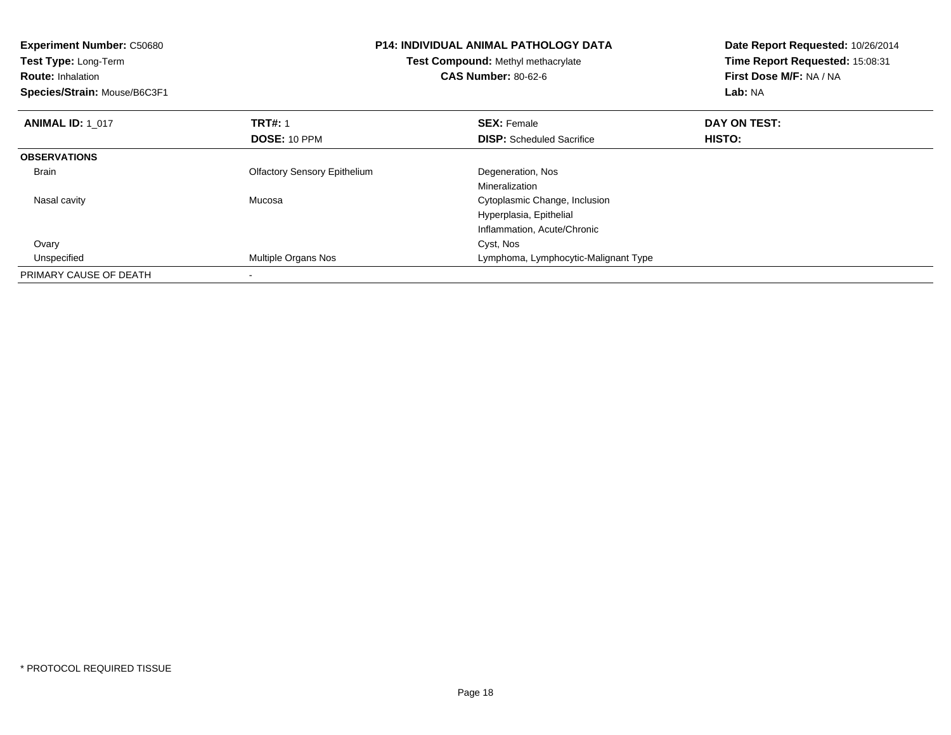| <b>Experiment Number: C50680</b><br>Test Type: Long-Term<br><b>Route: Inhalation</b><br>Species/Strain: Mouse/B6C3F1 | <b>P14: INDIVIDUAL ANIMAL PATHOLOGY DATA</b><br>Test Compound: Methyl methacrylate<br><b>CAS Number: 80-62-6</b> |                                      | Date Report Requested: 10/26/2014<br>Time Report Requested: 15:08:31<br>First Dose M/F: NA / NA<br>Lab: NA |  |
|----------------------------------------------------------------------------------------------------------------------|------------------------------------------------------------------------------------------------------------------|--------------------------------------|------------------------------------------------------------------------------------------------------------|--|
| <b>ANIMAL ID: 1 017</b>                                                                                              | <b>TRT#:</b> 1                                                                                                   | <b>SEX: Female</b>                   | DAY ON TEST:                                                                                               |  |
|                                                                                                                      | DOSE: 10 PPM                                                                                                     | <b>DISP:</b> Scheduled Sacrifice     | HISTO:                                                                                                     |  |
| <b>OBSERVATIONS</b>                                                                                                  |                                                                                                                  |                                      |                                                                                                            |  |
| <b>Brain</b>                                                                                                         | <b>Olfactory Sensory Epithelium</b>                                                                              | Degeneration, Nos                    |                                                                                                            |  |
|                                                                                                                      |                                                                                                                  | Mineralization                       |                                                                                                            |  |
| Nasal cavity                                                                                                         | Mucosa                                                                                                           | Cytoplasmic Change, Inclusion        |                                                                                                            |  |
|                                                                                                                      |                                                                                                                  | Hyperplasia, Epithelial              |                                                                                                            |  |
|                                                                                                                      |                                                                                                                  | Inflammation, Acute/Chronic          |                                                                                                            |  |
| Ovary                                                                                                                |                                                                                                                  | Cyst, Nos                            |                                                                                                            |  |
| Unspecified                                                                                                          | Multiple Organs Nos                                                                                              | Lymphoma, Lymphocytic-Malignant Type |                                                                                                            |  |
| PRIMARY CAUSE OF DEATH                                                                                               |                                                                                                                  |                                      |                                                                                                            |  |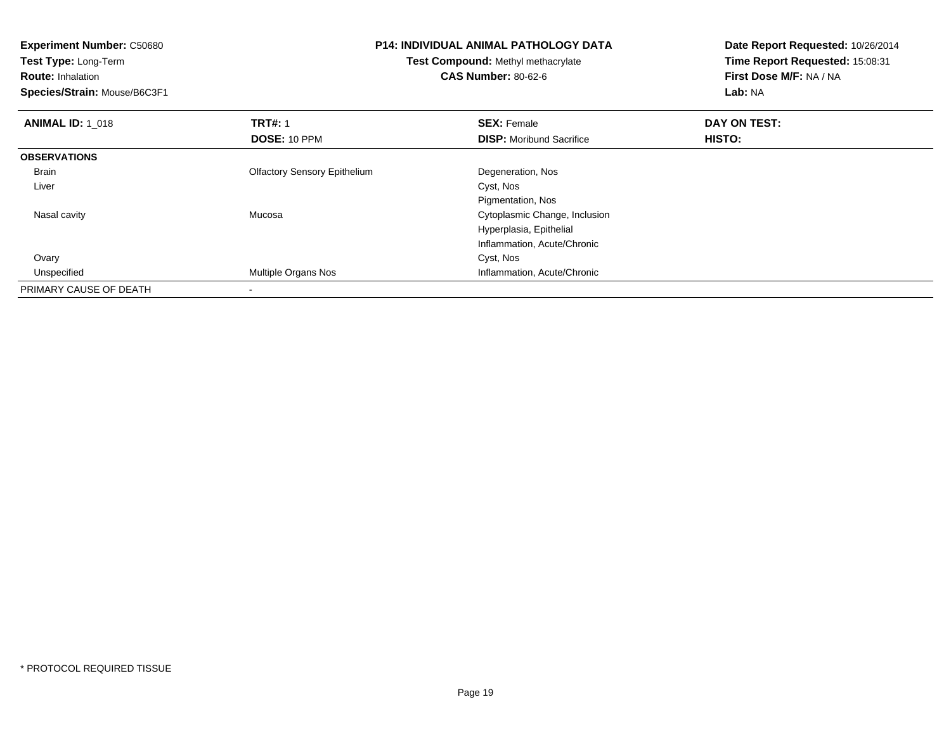| <b>Experiment Number: C50680</b>                           | <b>P14: INDIVIDUAL ANIMAL PATHOLOGY DATA</b> |                                 | Date Report Requested: 10/26/2014 |  |
|------------------------------------------------------------|----------------------------------------------|---------------------------------|-----------------------------------|--|
| Test Type: Long-Term<br>Test Compound: Methyl methacrylate |                                              | Time Report Requested: 15:08:31 |                                   |  |
| <b>Route: Inhalation</b>                                   |                                              | <b>CAS Number: 80-62-6</b>      | First Dose M/F: NA / NA           |  |
| Species/Strain: Mouse/B6C3F1                               |                                              |                                 | Lab: NA                           |  |
| <b>ANIMAL ID: 1 018</b>                                    | <b>TRT#: 1</b>                               | <b>SEX: Female</b>              | DAY ON TEST:                      |  |
|                                                            | DOSE: 10 PPM                                 | <b>DISP:</b> Moribund Sacrifice | HISTO:                            |  |
| <b>OBSERVATIONS</b>                                        |                                              |                                 |                                   |  |
| Brain                                                      | <b>Olfactory Sensory Epithelium</b>          | Degeneration, Nos               |                                   |  |
| Liver                                                      |                                              | Cyst, Nos                       |                                   |  |
|                                                            |                                              | Pigmentation, Nos               |                                   |  |
| Nasal cavity                                               | Mucosa                                       | Cytoplasmic Change, Inclusion   |                                   |  |
|                                                            |                                              | Hyperplasia, Epithelial         |                                   |  |
|                                                            |                                              | Inflammation, Acute/Chronic     |                                   |  |
| Ovary                                                      |                                              | Cyst, Nos                       |                                   |  |
| Unspecified                                                | Multiple Organs Nos                          | Inflammation, Acute/Chronic     |                                   |  |
| PRIMARY CAUSE OF DEATH                                     |                                              |                                 |                                   |  |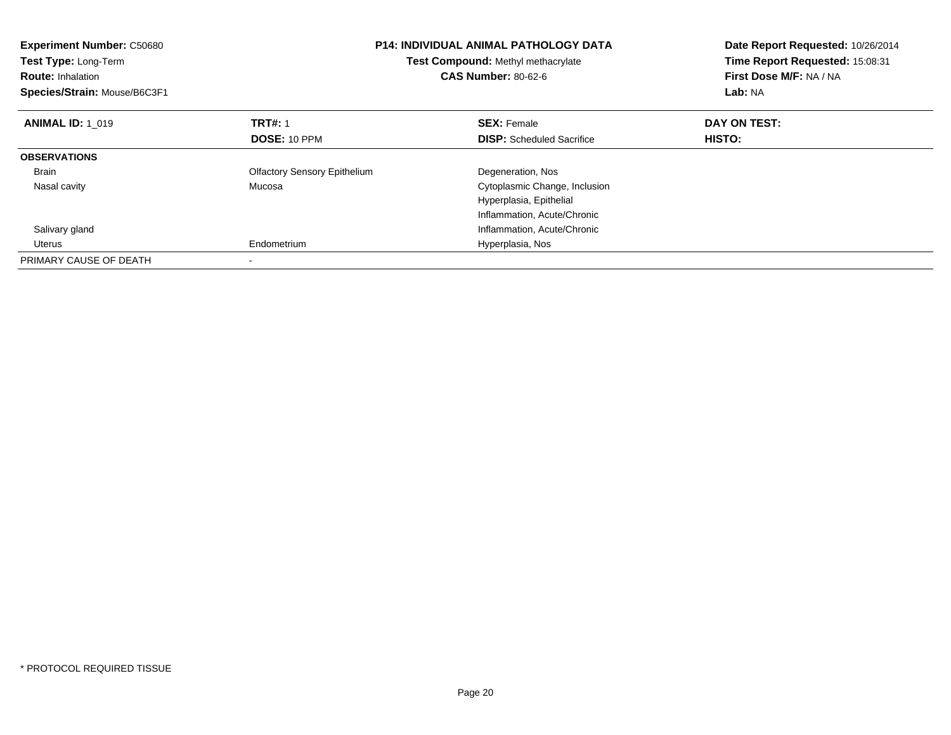| <b>Experiment Number: C50680</b><br><b>Test Type: Long-Term</b><br><b>Route: Inhalation</b><br>Species/Strain: Mouse/B6C3F1 |                                     | <b>P14: INDIVIDUAL ANIMAL PATHOLOGY DATA</b><br>Test Compound: Methyl methacrylate<br><b>CAS Number: 80-62-6</b> | Date Report Requested: 10/26/2014<br>Time Report Requested: 15:08:31<br>First Dose M/F: NA / NA<br>Lab: NA |  |
|-----------------------------------------------------------------------------------------------------------------------------|-------------------------------------|------------------------------------------------------------------------------------------------------------------|------------------------------------------------------------------------------------------------------------|--|
| <b>ANIMAL ID: 1 019</b>                                                                                                     | <b>TRT#: 1</b>                      | <b>SEX: Female</b>                                                                                               | DAY ON TEST:                                                                                               |  |
|                                                                                                                             | DOSE: 10 PPM                        | <b>DISP:</b> Scheduled Sacrifice                                                                                 | HISTO:                                                                                                     |  |
| <b>OBSERVATIONS</b>                                                                                                         |                                     |                                                                                                                  |                                                                                                            |  |
| <b>Brain</b>                                                                                                                | <b>Olfactory Sensory Epithelium</b> | Degeneration, Nos                                                                                                |                                                                                                            |  |
| Nasal cavity                                                                                                                | Mucosa                              | Cytoplasmic Change, Inclusion                                                                                    |                                                                                                            |  |
|                                                                                                                             |                                     | Hyperplasia, Epithelial                                                                                          |                                                                                                            |  |
|                                                                                                                             |                                     | Inflammation, Acute/Chronic                                                                                      |                                                                                                            |  |
| Salivary gland                                                                                                              |                                     | Inflammation, Acute/Chronic                                                                                      |                                                                                                            |  |
| Uterus                                                                                                                      | Endometrium                         | Hyperplasia, Nos                                                                                                 |                                                                                                            |  |
| PRIMARY CAUSE OF DEATH                                                                                                      |                                     |                                                                                                                  |                                                                                                            |  |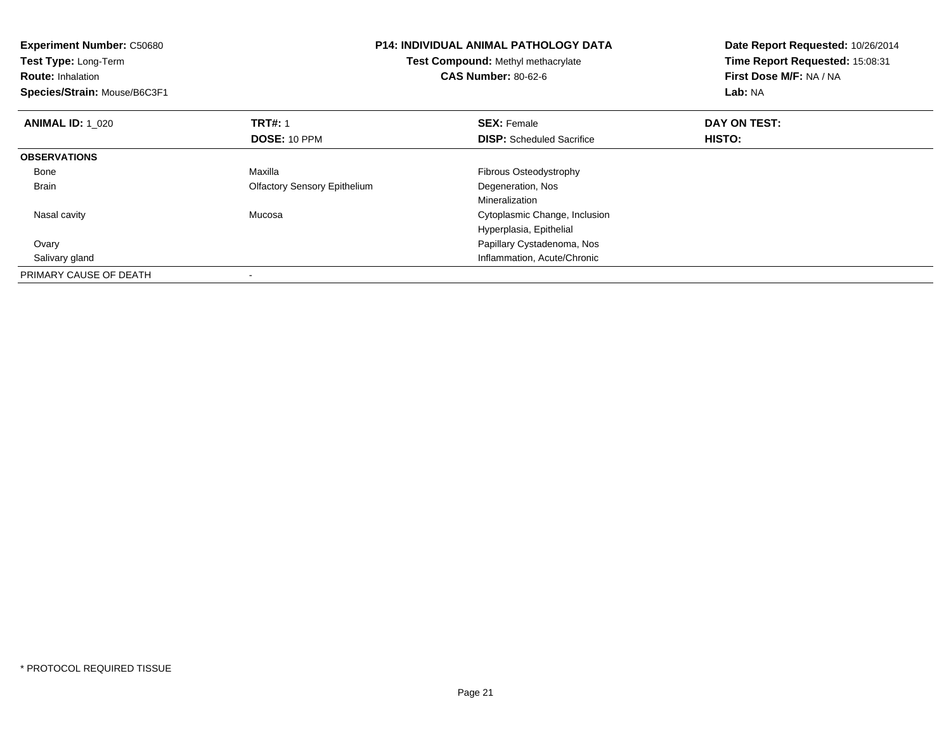| <b>Experiment Number: C50680</b><br><b>Test Type: Long-Term</b><br><b>Route: Inhalation</b><br>Species/Strain: Mouse/B6C3F1 | <b>P14: INDIVIDUAL ANIMAL PATHOLOGY DATA</b><br>Test Compound: Methyl methacrylate<br><b>CAS Number: 80-62-6</b> |                                  | Date Report Requested: 10/26/2014<br>Time Report Requested: 15:08:31<br>First Dose M/F: NA / NA<br>Lab: NA |
|-----------------------------------------------------------------------------------------------------------------------------|------------------------------------------------------------------------------------------------------------------|----------------------------------|------------------------------------------------------------------------------------------------------------|
| <b>ANIMAL ID: 1 020</b>                                                                                                     | <b>TRT#: 1</b>                                                                                                   | <b>SEX: Female</b>               | DAY ON TEST:                                                                                               |
|                                                                                                                             | DOSE: 10 PPM                                                                                                     | <b>DISP:</b> Scheduled Sacrifice | HISTO:                                                                                                     |
| <b>OBSERVATIONS</b>                                                                                                         |                                                                                                                  |                                  |                                                                                                            |
| Bone                                                                                                                        | Maxilla                                                                                                          | Fibrous Osteodystrophy           |                                                                                                            |
| Brain                                                                                                                       | <b>Olfactory Sensory Epithelium</b>                                                                              | Degeneration, Nos                |                                                                                                            |
|                                                                                                                             |                                                                                                                  | Mineralization                   |                                                                                                            |
| Nasal cavity                                                                                                                | Mucosa                                                                                                           | Cytoplasmic Change, Inclusion    |                                                                                                            |
|                                                                                                                             |                                                                                                                  | Hyperplasia, Epithelial          |                                                                                                            |
| Ovary                                                                                                                       |                                                                                                                  | Papillary Cystadenoma, Nos       |                                                                                                            |
| Salivary gland                                                                                                              |                                                                                                                  | Inflammation, Acute/Chronic      |                                                                                                            |
| PRIMARY CAUSE OF DEATH                                                                                                      |                                                                                                                  |                                  |                                                                                                            |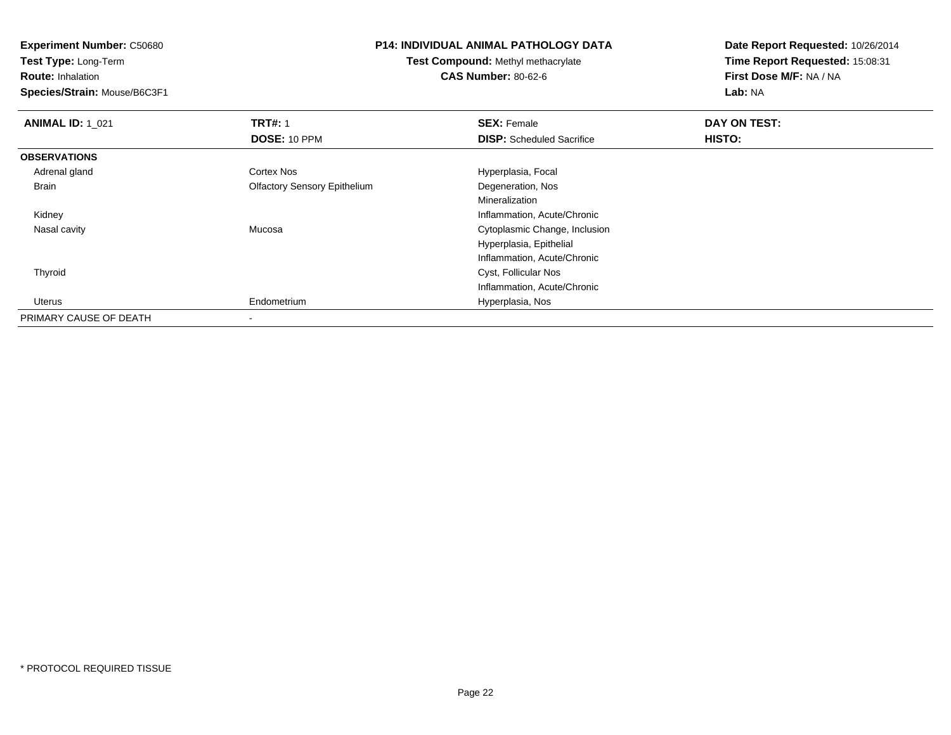**Experiment Number:** C50680

**Test Type:** Long-Term

**Route:** Inhalation

**Species/Strain:** Mouse/B6C3F1

## **P14: INDIVIDUAL ANIMAL PATHOLOGY DATA**

**Test Compound:** Methyl methacrylate**CAS Number:** 80-62-6

**Date Report Requested:** 10/26/2014**Time Report Requested:** 15:08:31**First Dose M/F:** NA / NA**Lab:** NA

| <b>ANIMAL ID: 1_021</b> | <b>TRT#: 1</b>                      | <b>SEX: Female</b>               | DAY ON TEST: |  |
|-------------------------|-------------------------------------|----------------------------------|--------------|--|
|                         | <b>DOSE: 10 PPM</b>                 | <b>DISP:</b> Scheduled Sacrifice | HISTO:       |  |
| <b>OBSERVATIONS</b>     |                                     |                                  |              |  |
| Adrenal gland           | <b>Cortex Nos</b>                   | Hyperplasia, Focal               |              |  |
| Brain                   | <b>Olfactory Sensory Epithelium</b> | Degeneration, Nos                |              |  |
|                         |                                     | Mineralization                   |              |  |
| Kidney                  |                                     | Inflammation, Acute/Chronic      |              |  |
| Nasal cavity            | Mucosa                              | Cytoplasmic Change, Inclusion    |              |  |
|                         |                                     | Hyperplasia, Epithelial          |              |  |
|                         |                                     | Inflammation, Acute/Chronic      |              |  |
| Thyroid                 |                                     | Cyst, Follicular Nos             |              |  |
|                         |                                     | Inflammation, Acute/Chronic      |              |  |
| Uterus                  | Endometrium                         | Hyperplasia, Nos                 |              |  |
| PRIMARY CAUSE OF DEATH  |                                     |                                  |              |  |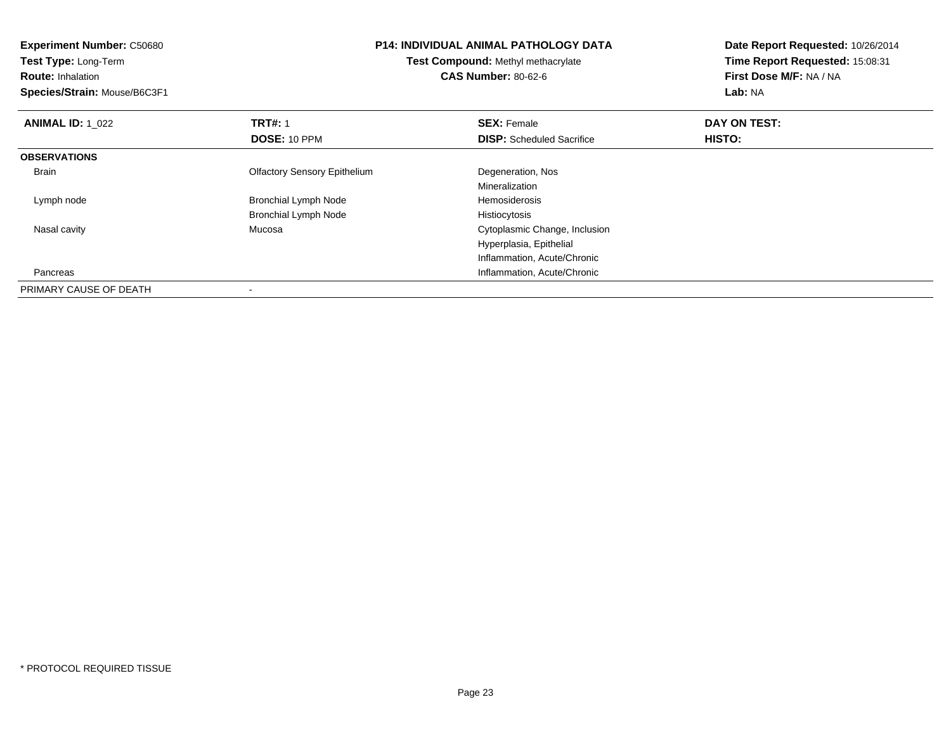**Experiment Number:** C50680**Test Type:** Long-Term**Route:** Inhalation **Species/Strain:** Mouse/B6C3F1**P14: INDIVIDUAL ANIMAL PATHOLOGY DATATest Compound:** Methyl methacrylate**CAS Number:** 80-62-6**Date Report Requested:** 10/26/2014**Time Report Requested:** 15:08:31**First Dose M/F:** NA / NA**Lab:** NA**ANIMAL ID: 1\_022 TRT#:** 1 **SEX:** Female **DAY ON TEST: DOSE:** 10 PPM**DISP:** Scheduled Sacrifice **HISTO: OBSERVATIONS** Brain Olfactory Sensory Epithelium Degeneration, Nos MineralizationHemosiderosis Lymph nodeBronchial Lymph Node Bronchial Lymph Node Histiocytosis Nasal cavity Mucosa Cytoplasmic Change, Inclusion Hyperplasia, EpithelialInflammation, Acute/Chronic**Inflammation, Acute/Chronic**  PancreasPRIMARY CAUSE OF DEATH-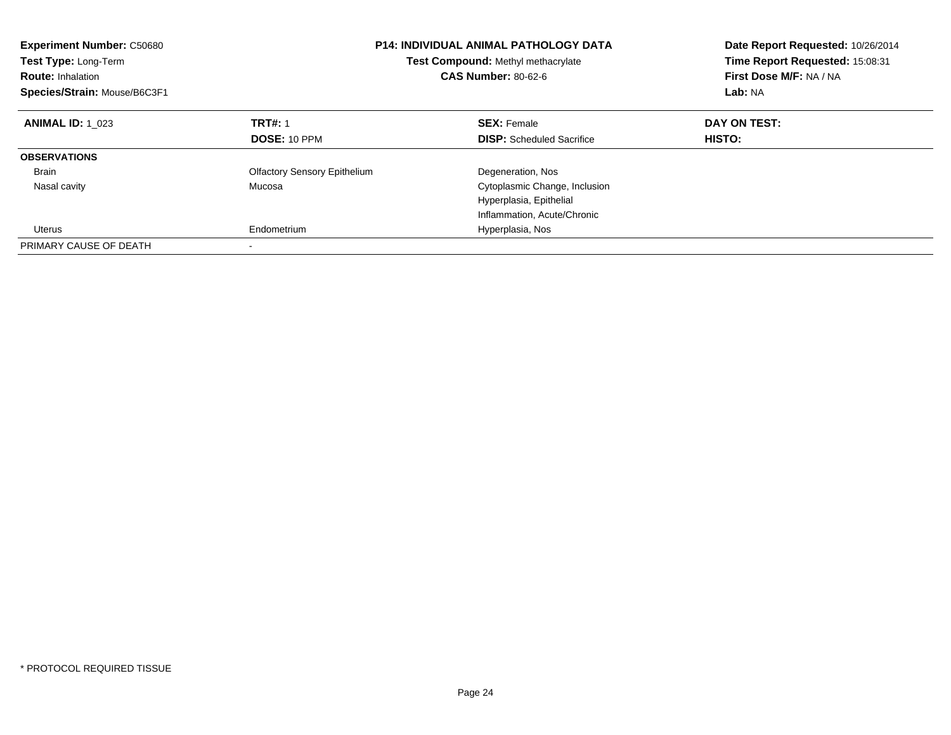| <b>Experiment Number: C50680</b><br><b>Test Type: Long-Term</b><br><b>Route: Inhalation</b><br>Species/Strain: Mouse/B6C3F1 | <b>P14: INDIVIDUAL ANIMAL PATHOLOGY DATA</b><br>Test Compound: Methyl methacrylate<br><b>CAS Number: 80-62-6</b> |                                  | Date Report Requested: 10/26/2014<br>Time Report Requested: 15:08:31<br>First Dose M/F: NA / NA<br>Lab: NA |
|-----------------------------------------------------------------------------------------------------------------------------|------------------------------------------------------------------------------------------------------------------|----------------------------------|------------------------------------------------------------------------------------------------------------|
| <b>ANIMAL ID: 1 023</b>                                                                                                     | <b>TRT#: 1</b>                                                                                                   | <b>SEX: Female</b>               | DAY ON TEST:                                                                                               |
|                                                                                                                             | <b>DOSE: 10 PPM</b>                                                                                              | <b>DISP:</b> Scheduled Sacrifice | <b>HISTO:</b>                                                                                              |
| <b>OBSERVATIONS</b>                                                                                                         |                                                                                                                  |                                  |                                                                                                            |
| <b>Brain</b>                                                                                                                | <b>Olfactory Sensory Epithelium</b>                                                                              | Degeneration, Nos                |                                                                                                            |
| Nasal cavity                                                                                                                | Mucosa                                                                                                           | Cytoplasmic Change, Inclusion    |                                                                                                            |
|                                                                                                                             |                                                                                                                  | Hyperplasia, Epithelial          |                                                                                                            |
|                                                                                                                             |                                                                                                                  | Inflammation, Acute/Chronic      |                                                                                                            |
| Uterus                                                                                                                      | Endometrium                                                                                                      | Hyperplasia, Nos                 |                                                                                                            |
| PRIMARY CAUSE OF DEATH                                                                                                      |                                                                                                                  |                                  |                                                                                                            |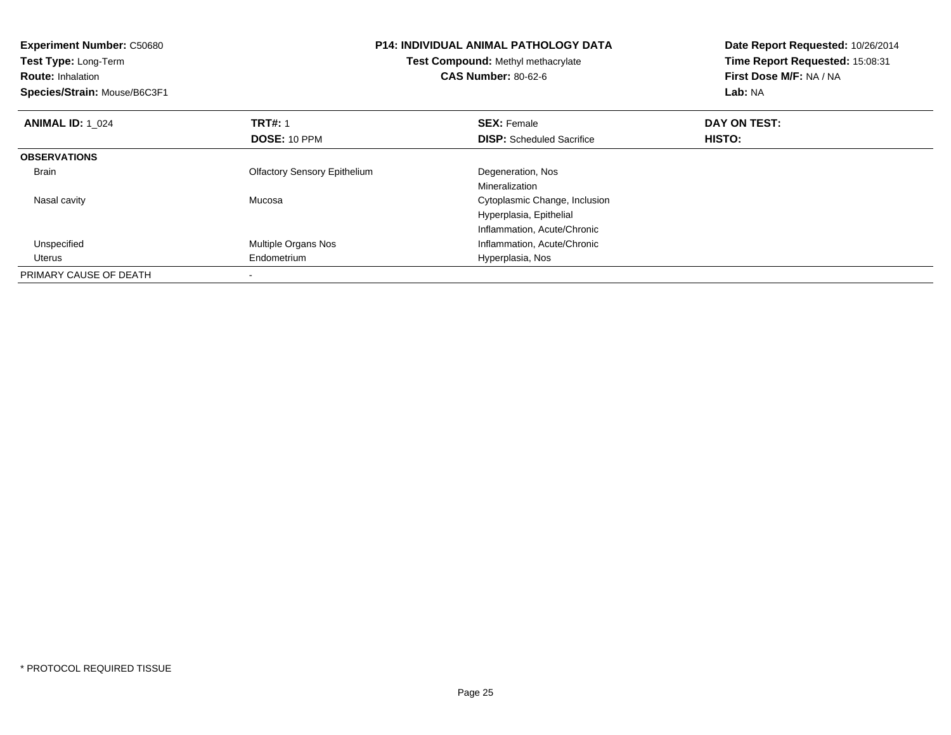| <b>Experiment Number: C50680</b><br>Test Type: Long-Term<br><b>Route: Inhalation</b><br>Species/Strain: Mouse/B6C3F1 | <b>P14: INDIVIDUAL ANIMAL PATHOLOGY DATA</b><br>Test Compound: Methyl methacrylate<br><b>CAS Number: 80-62-6</b> |                                  | Date Report Requested: 10/26/2014<br>Time Report Requested: 15:08:31<br>First Dose M/F: NA / NA<br>Lab: NA |
|----------------------------------------------------------------------------------------------------------------------|------------------------------------------------------------------------------------------------------------------|----------------------------------|------------------------------------------------------------------------------------------------------------|
| <b>ANIMAL ID: 1 024</b>                                                                                              | <b>TRT#: 1</b>                                                                                                   | <b>SEX: Female</b>               | DAY ON TEST:                                                                                               |
|                                                                                                                      | <b>DOSE: 10 PPM</b>                                                                                              | <b>DISP:</b> Scheduled Sacrifice | HISTO:                                                                                                     |
| <b>OBSERVATIONS</b>                                                                                                  |                                                                                                                  |                                  |                                                                                                            |
| <b>Brain</b>                                                                                                         | <b>Olfactory Sensory Epithelium</b>                                                                              | Degeneration, Nos                |                                                                                                            |
|                                                                                                                      |                                                                                                                  | Mineralization                   |                                                                                                            |
| Nasal cavity                                                                                                         | Mucosa                                                                                                           | Cytoplasmic Change, Inclusion    |                                                                                                            |
|                                                                                                                      |                                                                                                                  | Hyperplasia, Epithelial          |                                                                                                            |
|                                                                                                                      |                                                                                                                  | Inflammation, Acute/Chronic      |                                                                                                            |
| Unspecified                                                                                                          | Multiple Organs Nos                                                                                              | Inflammation, Acute/Chronic      |                                                                                                            |
| Uterus                                                                                                               | Endometrium                                                                                                      | Hyperplasia, Nos                 |                                                                                                            |
| PRIMARY CAUSE OF DEATH                                                                                               |                                                                                                                  |                                  |                                                                                                            |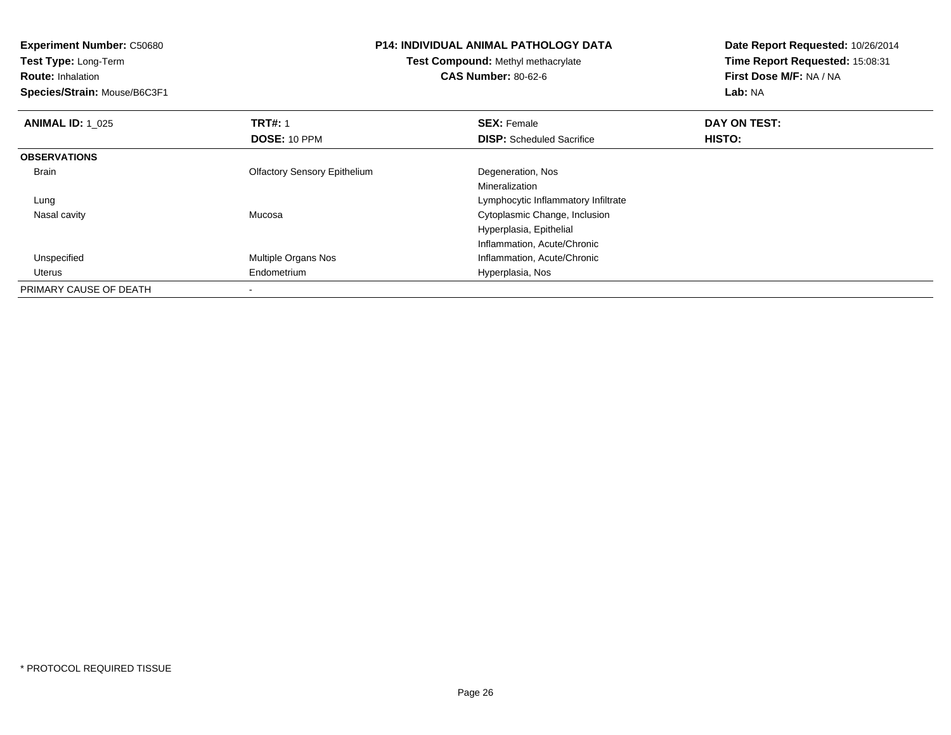**Experiment Number:** C50680**Test Type:** Long-Term**Route:** Inhalation **Species/Strain:** Mouse/B6C3F1**P14: INDIVIDUAL ANIMAL PATHOLOGY DATATest Compound:** Methyl methacrylate**CAS Number:** 80-62-6**Date Report Requested:** 10/26/2014**Time Report Requested:** 15:08:31**First Dose M/F:** NA / NA**Lab:** NA**ANIMAL ID: 1\_025 TRT#:** 1 **SEX:** Female **DAY ON TEST: DOSE:** 10 PPM**DISP:** Scheduled Sacrifice **HISTO: OBSERVATIONS** Brain Olfactory Sensory Epithelium Degeneration, Nos Mineralizationg and the state of the state of the state of the state of the state of the Lymphocytic Inflammatory Infiltrate Lung Nasal cavity Mucosa Cytoplasmic Change, Inclusion Hyperplasia, EpithelialInflammation, Acute/Chronicd **Multiple Organs Nos Inflammation, Acute/Chronic**  Unspecified Uterus Endometrium Hyperplasia, Nos PRIMARY CAUSE OF DEATH-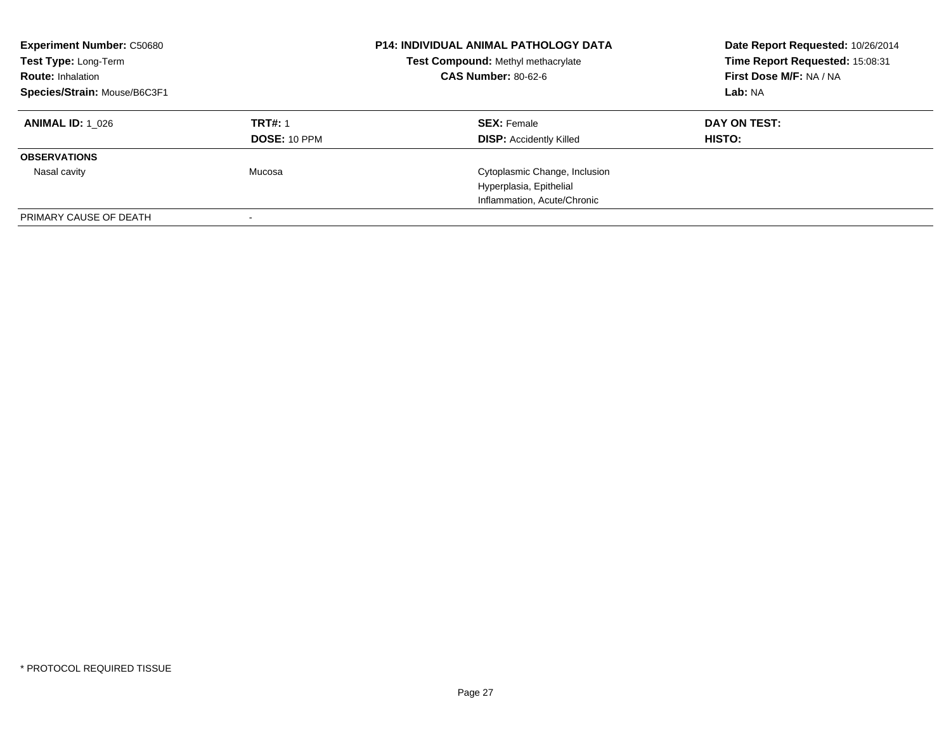| <b>Experiment Number: C50680</b><br>Test Type: Long-Term<br><b>Route: Inhalation</b><br>Species/Strain: Mouse/B6C3F1 |                                | <b>P14: INDIVIDUAL ANIMAL PATHOLOGY DATA</b><br>Test Compound: Methyl methacrylate<br><b>CAS Number: 80-62-6</b> | Date Report Requested: 10/26/2014<br>Time Report Requested: 15:08:31<br>First Dose M/F: NA / NA<br>Lab: NA |
|----------------------------------------------------------------------------------------------------------------------|--------------------------------|------------------------------------------------------------------------------------------------------------------|------------------------------------------------------------------------------------------------------------|
| <b>ANIMAL ID: 1 026</b>                                                                                              | <b>TRT#: 1</b><br>DOSE: 10 PPM | <b>SEX:</b> Female<br><b>DISP:</b> Accidently Killed                                                             | DAY ON TEST:<br>HISTO:                                                                                     |
| <b>OBSERVATIONS</b>                                                                                                  |                                |                                                                                                                  |                                                                                                            |
| Nasal cavity                                                                                                         | Mucosa                         | Cytoplasmic Change, Inclusion                                                                                    |                                                                                                            |
|                                                                                                                      |                                | Hyperplasia, Epithelial                                                                                          |                                                                                                            |
|                                                                                                                      |                                | Inflammation, Acute/Chronic                                                                                      |                                                                                                            |
| PRIMARY CAUSE OF DEATH                                                                                               |                                |                                                                                                                  |                                                                                                            |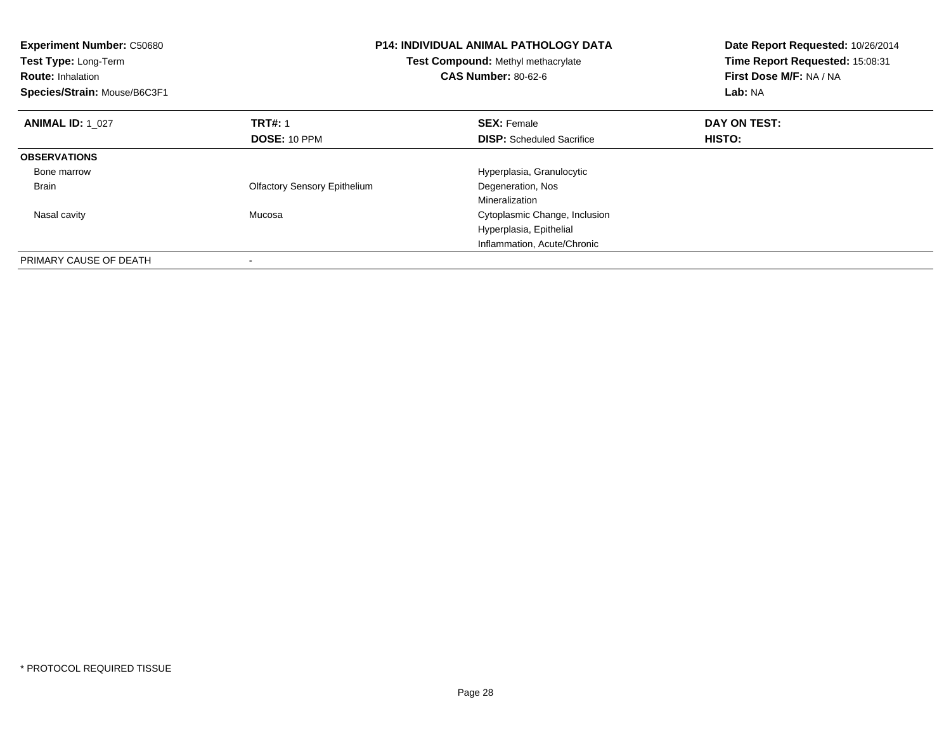| <b>Experiment Number: C50680</b><br>Test Type: Long-Term<br><b>Route: Inhalation</b><br>Species/Strain: Mouse/B6C3F1 |                                     | <b>P14: INDIVIDUAL ANIMAL PATHOLOGY DATA</b><br>Test Compound: Methyl methacrylate<br><b>CAS Number: 80-62-6</b> | Date Report Requested: 10/26/2014<br>Time Report Requested: 15:08:31<br>First Dose M/F: NA / NA<br>Lab: NA |
|----------------------------------------------------------------------------------------------------------------------|-------------------------------------|------------------------------------------------------------------------------------------------------------------|------------------------------------------------------------------------------------------------------------|
| <b>ANIMAL ID: 1 027</b>                                                                                              | <b>TRT#: 1</b>                      | <b>SEX: Female</b>                                                                                               | DAY ON TEST:                                                                                               |
|                                                                                                                      | <b>DOSE: 10 PPM</b>                 | <b>DISP:</b> Scheduled Sacrifice                                                                                 | HISTO:                                                                                                     |
| <b>OBSERVATIONS</b>                                                                                                  |                                     |                                                                                                                  |                                                                                                            |
| Bone marrow                                                                                                          |                                     | Hyperplasia, Granulocytic                                                                                        |                                                                                                            |
| <b>Brain</b>                                                                                                         | <b>Olfactory Sensory Epithelium</b> | Degeneration, Nos                                                                                                |                                                                                                            |
|                                                                                                                      |                                     | Mineralization                                                                                                   |                                                                                                            |
| Nasal cavity                                                                                                         | Mucosa                              | Cytoplasmic Change, Inclusion                                                                                    |                                                                                                            |
|                                                                                                                      |                                     | Hyperplasia, Epithelial                                                                                          |                                                                                                            |
|                                                                                                                      |                                     | Inflammation, Acute/Chronic                                                                                      |                                                                                                            |
| PRIMARY CAUSE OF DEATH                                                                                               |                                     |                                                                                                                  |                                                                                                            |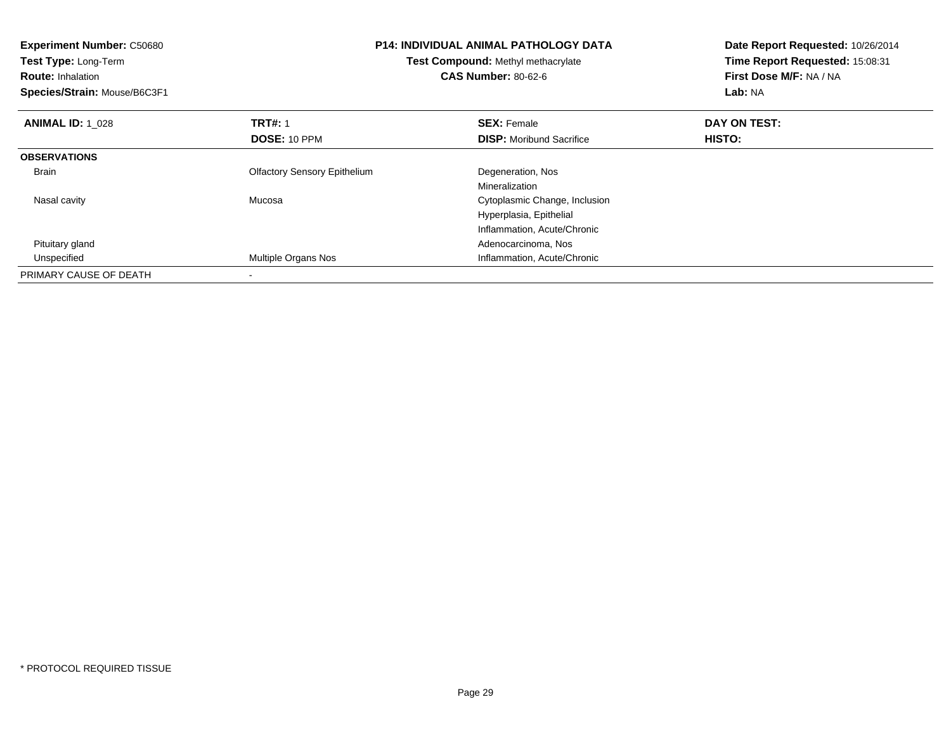| <b>Experiment Number: C50680</b><br>Test Type: Long-Term<br><b>Route: Inhalation</b><br>Species/Strain: Mouse/B6C3F1 | <b>P14: INDIVIDUAL ANIMAL PATHOLOGY DATA</b><br>Test Compound: Methyl methacrylate<br><b>CAS Number: 80-62-6</b> |                                 | Date Report Requested: 10/26/2014<br>Time Report Requested: 15:08:31<br>First Dose M/F: NA / NA<br>Lab: NA |
|----------------------------------------------------------------------------------------------------------------------|------------------------------------------------------------------------------------------------------------------|---------------------------------|------------------------------------------------------------------------------------------------------------|
| <b>ANIMAL ID: 1 028</b>                                                                                              | <b>TRT#: 1</b>                                                                                                   | <b>SEX: Female</b>              | DAY ON TEST:                                                                                               |
|                                                                                                                      | DOSE: 10 PPM                                                                                                     | <b>DISP:</b> Moribund Sacrifice | HISTO:                                                                                                     |
| <b>OBSERVATIONS</b>                                                                                                  |                                                                                                                  |                                 |                                                                                                            |
| Brain                                                                                                                | <b>Olfactory Sensory Epithelium</b>                                                                              | Degeneration, Nos               |                                                                                                            |
|                                                                                                                      |                                                                                                                  | Mineralization                  |                                                                                                            |
| Nasal cavity                                                                                                         | Mucosa                                                                                                           | Cytoplasmic Change, Inclusion   |                                                                                                            |
|                                                                                                                      |                                                                                                                  | Hyperplasia, Epithelial         |                                                                                                            |
|                                                                                                                      |                                                                                                                  | Inflammation, Acute/Chronic     |                                                                                                            |
| Pituitary gland                                                                                                      |                                                                                                                  | Adenocarcinoma, Nos             |                                                                                                            |
| Unspecified                                                                                                          | Multiple Organs Nos                                                                                              | Inflammation, Acute/Chronic     |                                                                                                            |
| PRIMARY CAUSE OF DEATH                                                                                               |                                                                                                                  |                                 |                                                                                                            |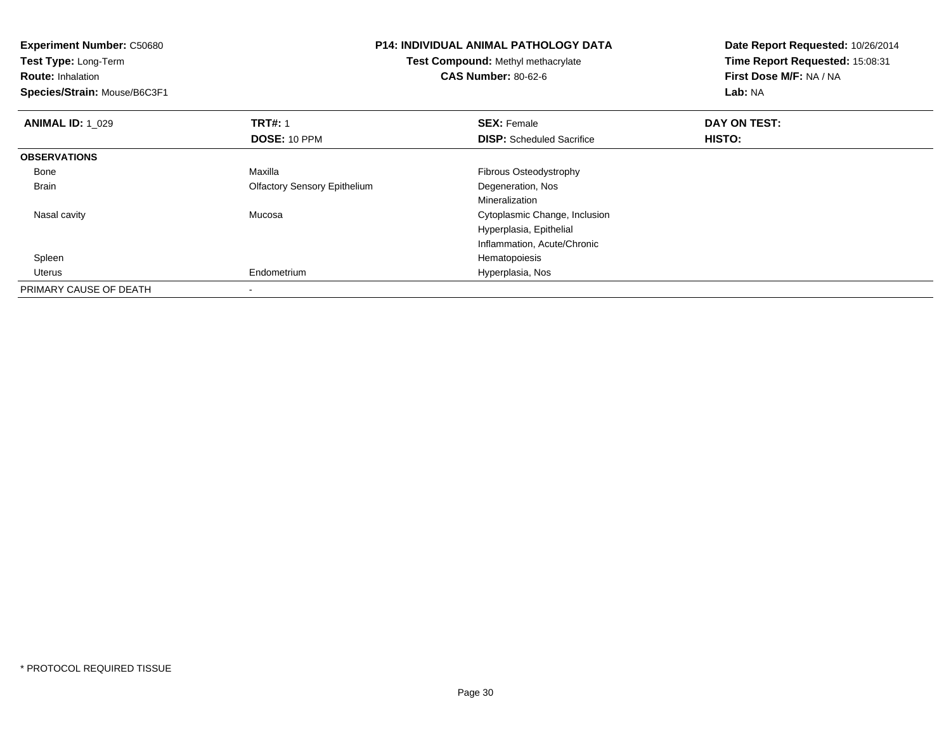| <b>Experiment Number: C50680</b><br>Test Type: Long-Term<br><b>Route: Inhalation</b><br>Species/Strain: Mouse/B6C3F1 |                                     | <b>P14: INDIVIDUAL ANIMAL PATHOLOGY DATA</b><br><b>Test Compound: Methyl methacrylate</b><br><b>CAS Number: 80-62-6</b> | Date Report Requested: 10/26/2014<br>Time Report Requested: 15:08:31<br>First Dose M/F: NA / NA<br>Lab: NA |  |
|----------------------------------------------------------------------------------------------------------------------|-------------------------------------|-------------------------------------------------------------------------------------------------------------------------|------------------------------------------------------------------------------------------------------------|--|
| <b>ANIMAL ID: 1 029</b>                                                                                              | <b>TRT#: 1</b>                      | <b>SEX: Female</b>                                                                                                      | DAY ON TEST:                                                                                               |  |
|                                                                                                                      | DOSE: 10 PPM                        | <b>DISP:</b> Scheduled Sacrifice                                                                                        | HISTO:                                                                                                     |  |
| <b>OBSERVATIONS</b>                                                                                                  |                                     |                                                                                                                         |                                                                                                            |  |
| Bone                                                                                                                 | Maxilla                             | Fibrous Osteodystrophy                                                                                                  |                                                                                                            |  |
| Brain                                                                                                                | <b>Olfactory Sensory Epithelium</b> | Degeneration, Nos                                                                                                       |                                                                                                            |  |
|                                                                                                                      |                                     | Mineralization                                                                                                          |                                                                                                            |  |
| Nasal cavity                                                                                                         | Mucosa                              | Cytoplasmic Change, Inclusion                                                                                           |                                                                                                            |  |
|                                                                                                                      |                                     | Hyperplasia, Epithelial                                                                                                 |                                                                                                            |  |
|                                                                                                                      |                                     | Inflammation, Acute/Chronic                                                                                             |                                                                                                            |  |
| Spleen                                                                                                               |                                     | Hematopoiesis                                                                                                           |                                                                                                            |  |
| Uterus                                                                                                               | Endometrium                         | Hyperplasia, Nos                                                                                                        |                                                                                                            |  |
| PRIMARY CAUSE OF DEATH                                                                                               |                                     |                                                                                                                         |                                                                                                            |  |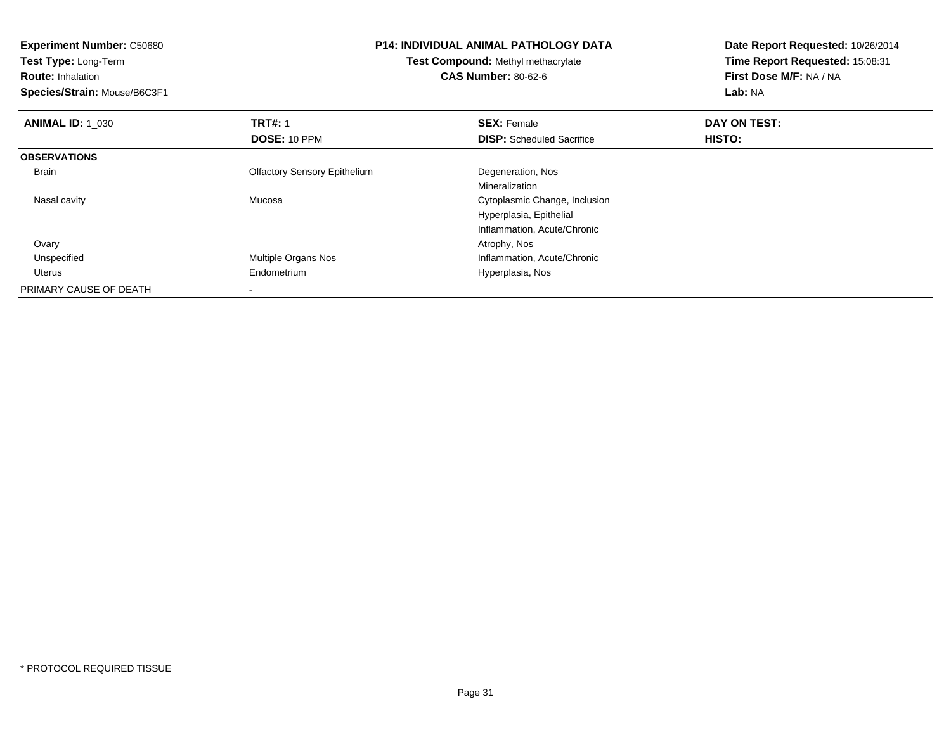**Experiment Number:** C50680**Test Type:** Long-Term**Route:** Inhalation **Species/Strain:** Mouse/B6C3F1**P14: INDIVIDUAL ANIMAL PATHOLOGY DATATest Compound:** Methyl methacrylate**CAS Number:** 80-62-6**Date Report Requested:** 10/26/2014**Time Report Requested:** 15:08:31**First Dose M/F:** NA / NA**Lab:** NA**ANIMAL ID: 1\_030 C TRT#:** 1 **SEX:** Female **DAY ON TEST: DOSE:** 10 PPM**DISP:** Scheduled Sacrifice **HISTO: OBSERVATIONS** Brain Olfactory Sensory Epithelium Degeneration, Nos Mineralization Cytoplasmic Change, Inclusion Nasal cavity MucosaHyperplasia, EpithelialInflammation, Acute/Chronic**Ovary** y and the control of the control of the control of the control of the control of the control of the control of the control of the control of the control of the control of the control of the control of the control of the co UnspecifiedMultiple Organs Nos **Inflammation**, Acute/Chronic Uterus Endometrium Hyperplasia, Nos PRIMARY CAUSE OF DEATH-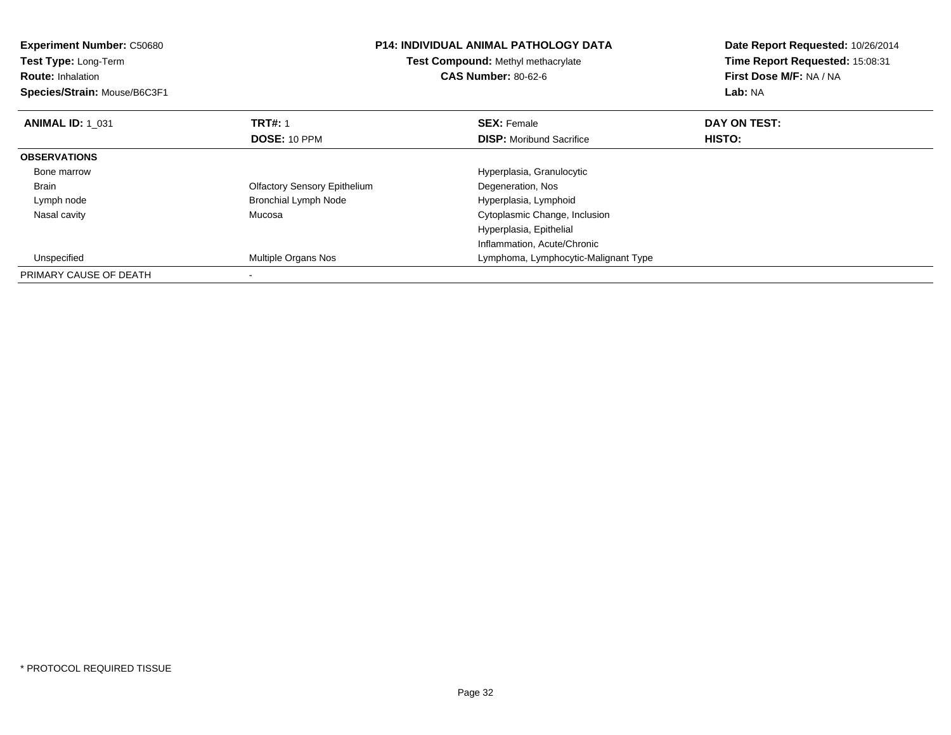| <b>Experiment Number: C50680</b><br><b>Test Type: Long-Term</b><br><b>Route: Inhalation</b><br>Species/Strain: Mouse/B6C3F1 |                                     | <b>P14: INDIVIDUAL ANIMAL PATHOLOGY DATA</b><br>Test Compound: Methyl methacrylate<br><b>CAS Number: 80-62-6</b> | Date Report Requested: 10/26/2014<br>Time Report Requested: 15:08:31<br>First Dose M/F: NA / NA<br>Lab: NA |  |
|-----------------------------------------------------------------------------------------------------------------------------|-------------------------------------|------------------------------------------------------------------------------------------------------------------|------------------------------------------------------------------------------------------------------------|--|
| <b>ANIMAL ID: 1 031</b>                                                                                                     | <b>TRT#: 1</b>                      | <b>SEX: Female</b>                                                                                               | DAY ON TEST:                                                                                               |  |
|                                                                                                                             | DOSE: 10 PPM                        | <b>DISP:</b> Moribund Sacrifice                                                                                  | HISTO:                                                                                                     |  |
| <b>OBSERVATIONS</b>                                                                                                         |                                     |                                                                                                                  |                                                                                                            |  |
| Bone marrow                                                                                                                 |                                     | Hyperplasia, Granulocytic                                                                                        |                                                                                                            |  |
| <b>Brain</b>                                                                                                                | <b>Olfactory Sensory Epithelium</b> | Degeneration, Nos                                                                                                |                                                                                                            |  |
| Lymph node                                                                                                                  | <b>Bronchial Lymph Node</b>         | Hyperplasia, Lymphoid                                                                                            |                                                                                                            |  |
| Nasal cavity                                                                                                                | Mucosa                              | Cytoplasmic Change, Inclusion                                                                                    |                                                                                                            |  |
|                                                                                                                             |                                     | Hyperplasia, Epithelial                                                                                          |                                                                                                            |  |
|                                                                                                                             |                                     | Inflammation, Acute/Chronic                                                                                      |                                                                                                            |  |
| Unspecified                                                                                                                 | <b>Multiple Organs Nos</b>          | Lymphoma, Lymphocytic-Malignant Type                                                                             |                                                                                                            |  |
| PRIMARY CAUSE OF DEATH                                                                                                      |                                     |                                                                                                                  |                                                                                                            |  |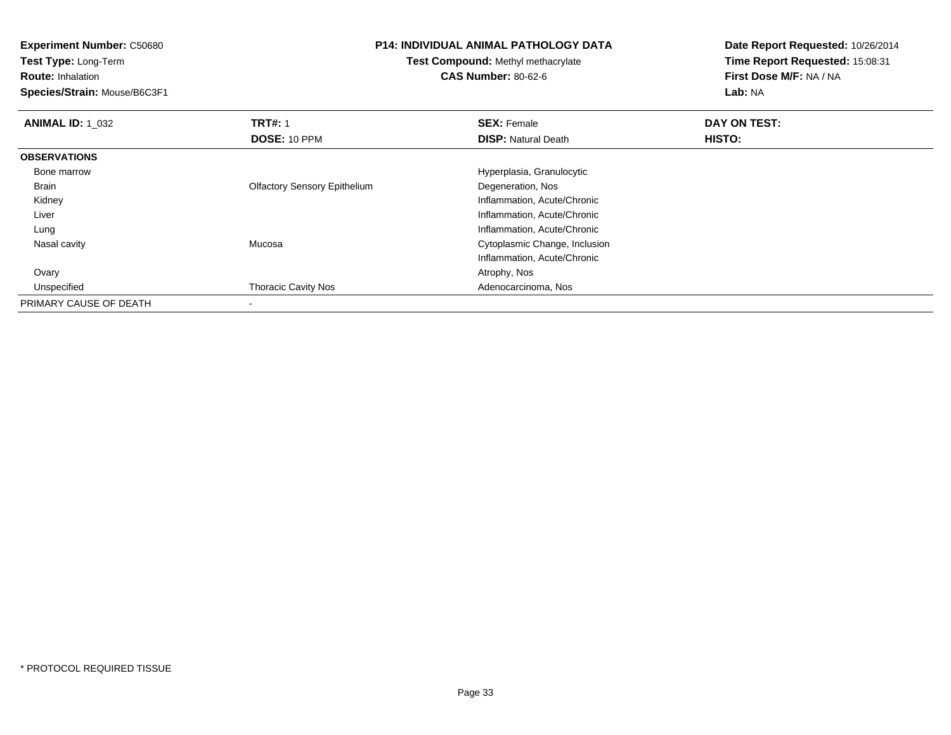**Experiment Number:** C50680**Test Type:** Long-Term**Route:** Inhalation **Species/Strain:** Mouse/B6C3F1**P14: INDIVIDUAL ANIMAL PATHOLOGY DATATest Compound:** Methyl methacrylate**CAS Number:** 80-62-6**Date Report Requested:** 10/26/2014**Time Report Requested:** 15:08:31**First Dose M/F:** NA / NA**Lab:** NA**ANIMAL ID: 1\_032 TRT#:** 1 **SEX:** Female **DAY ON TEST: DOSE:** 10 PPM**DISP:** Natural Death **HISTO: OBSERVATIONS** Bone marrow Hyperplasia, Granulocytic Brain Olfactory Sensory Epithelium Degeneration, Nos Kidney Inflammation, Acute/Chronic Liver Inflammation, Acute/Chronic Inflammation, Acute/Chronic Lung Nasal cavity Mucosa Cytoplasmic Change, Inclusion Inflammation, Acute/Chronic Ovaryy and the control of the control of the control of the control of the control of the control of the control of the control of the control of the control of the control of the control of the control of the control of the co UnspecifiedThoracic Cavity Nos **Adenocarcinoma**, Nos PRIMARY CAUSE OF DEATH

-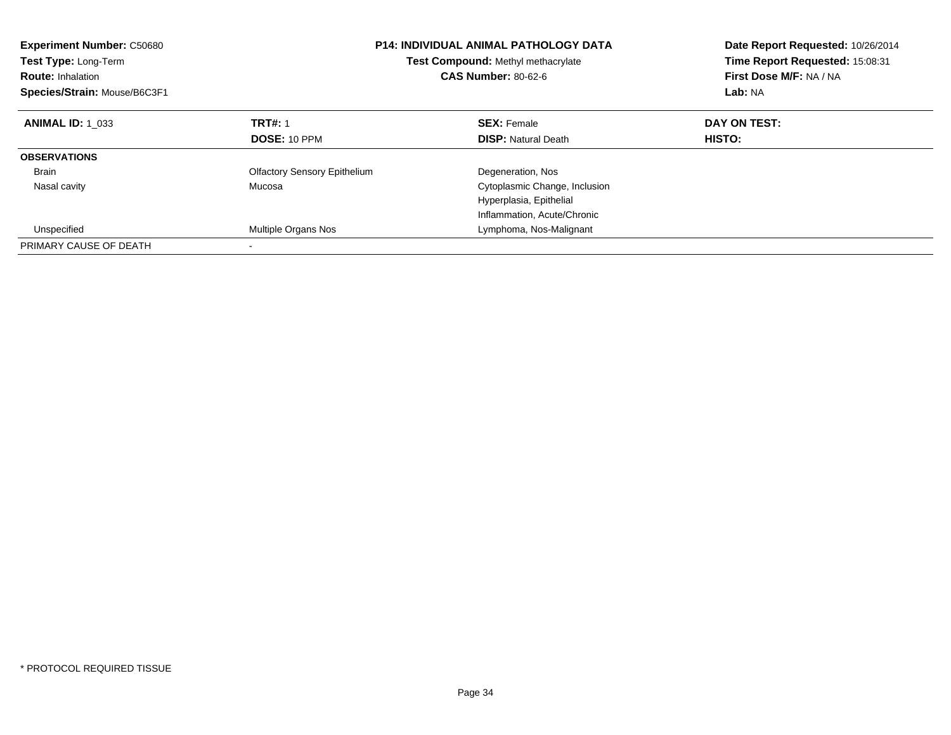| <b>Experiment Number: C50680</b><br><b>Test Type: Long-Term</b><br><b>Route: Inhalation</b><br>Species/Strain: Mouse/B6C3F1 | <b>P14: INDIVIDUAL ANIMAL PATHOLOGY DATA</b><br>Test Compound: Methyl methacrylate<br><b>CAS Number: 80-62-6</b> |                               | Date Report Requested: 10/26/2014<br>Time Report Requested: 15:08:31<br>First Dose M/F: NA / NA<br>Lab: NA |  |
|-----------------------------------------------------------------------------------------------------------------------------|------------------------------------------------------------------------------------------------------------------|-------------------------------|------------------------------------------------------------------------------------------------------------|--|
| <b>ANIMAL ID: 1 033</b>                                                                                                     | <b>TRT#: 1</b>                                                                                                   | <b>SEX: Female</b>            | DAY ON TEST:                                                                                               |  |
|                                                                                                                             | DOSE: 10 PPM                                                                                                     | <b>DISP:</b> Natural Death    | HISTO:                                                                                                     |  |
| <b>OBSERVATIONS</b>                                                                                                         |                                                                                                                  |                               |                                                                                                            |  |
| <b>Brain</b>                                                                                                                | <b>Olfactory Sensory Epithelium</b>                                                                              | Degeneration, Nos             |                                                                                                            |  |
| Nasal cavity                                                                                                                | Mucosa                                                                                                           | Cytoplasmic Change, Inclusion |                                                                                                            |  |
|                                                                                                                             |                                                                                                                  | Hyperplasia, Epithelial       |                                                                                                            |  |
|                                                                                                                             |                                                                                                                  | Inflammation, Acute/Chronic   |                                                                                                            |  |
| Unspecified                                                                                                                 | Multiple Organs Nos                                                                                              | Lymphoma, Nos-Malignant       |                                                                                                            |  |
| PRIMARY CAUSE OF DEATH                                                                                                      |                                                                                                                  |                               |                                                                                                            |  |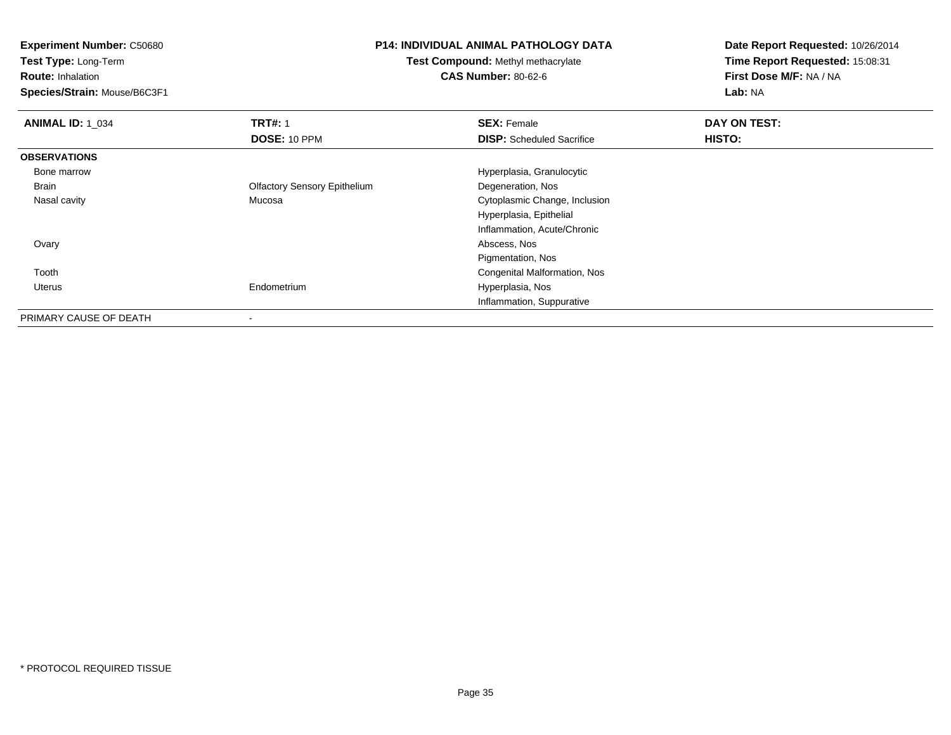**Experiment Number:** C50680

**Test Type:** Long-Term

**Route:** Inhalation

**Species/Strain:** Mouse/B6C3F1

## **P14: INDIVIDUAL ANIMAL PATHOLOGY DATA**

**Test Compound:** Methyl methacrylate**CAS Number:** 80-62-6

**Date Report Requested:** 10/26/2014**Time Report Requested:** 15:08:31**First Dose M/F:** NA / NA**Lab:** NA

| <b>ANIMAL ID: 1 034</b> | <b>TRT#: 1</b>                      | <b>SEX: Female</b>               | DAY ON TEST: |  |
|-------------------------|-------------------------------------|----------------------------------|--------------|--|
|                         | DOSE: 10 PPM                        | <b>DISP:</b> Scheduled Sacrifice | HISTO:       |  |
| <b>OBSERVATIONS</b>     |                                     |                                  |              |  |
| Bone marrow             |                                     | Hyperplasia, Granulocytic        |              |  |
| Brain                   | <b>Olfactory Sensory Epithelium</b> | Degeneration, Nos                |              |  |
| Nasal cavity            | Mucosa                              | Cytoplasmic Change, Inclusion    |              |  |
|                         |                                     | Hyperplasia, Epithelial          |              |  |
|                         |                                     | Inflammation, Acute/Chronic      |              |  |
| Ovary                   |                                     | Abscess, Nos                     |              |  |
|                         |                                     | Pigmentation, Nos                |              |  |
| Tooth                   |                                     | Congenital Malformation, Nos     |              |  |
| Uterus                  | Endometrium                         | Hyperplasia, Nos                 |              |  |
|                         |                                     | Inflammation, Suppurative        |              |  |
| PRIMARY CAUSE OF DEATH  |                                     |                                  |              |  |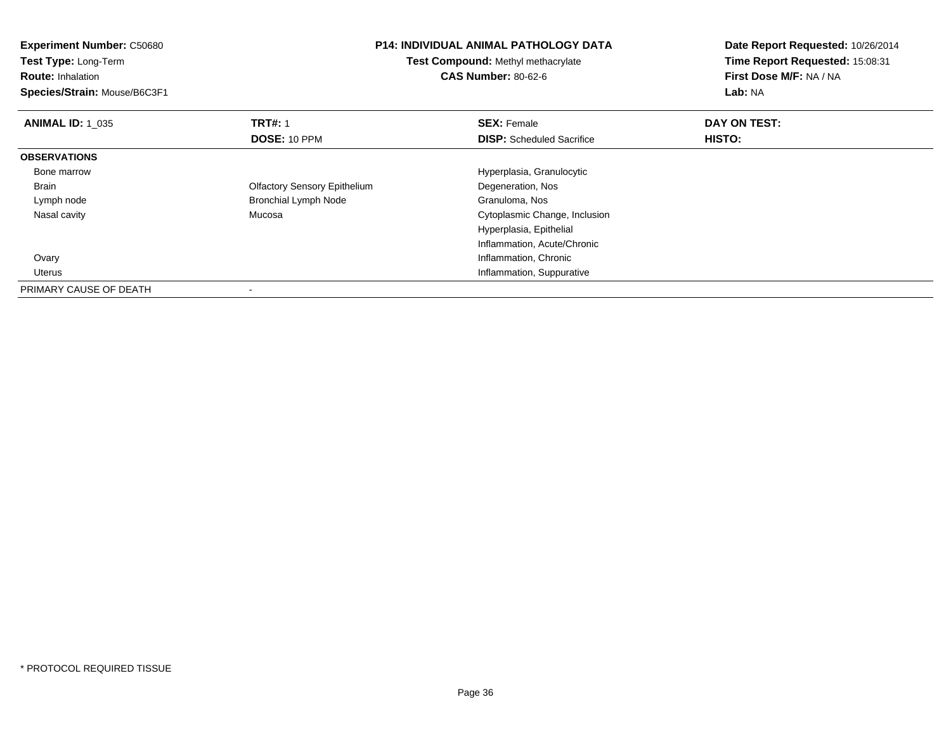| <b>Experiment Number: C50680</b><br>Test Type: Long-Term<br><b>Route: Inhalation</b><br>Species/Strain: Mouse/B6C3F1 | <b>P14: INDIVIDUAL ANIMAL PATHOLOGY DATA</b><br><b>Test Compound: Methyl methacrylate</b><br><b>CAS Number: 80-62-6</b> |                                                        | Date Report Requested: 10/26/2014<br>Time Report Requested: 15:08:31<br>First Dose M/F: NA / NA<br>Lab: NA |  |
|----------------------------------------------------------------------------------------------------------------------|-------------------------------------------------------------------------------------------------------------------------|--------------------------------------------------------|------------------------------------------------------------------------------------------------------------|--|
| <b>ANIMAL ID: 1_035</b>                                                                                              | <b>TRT#: 1</b><br>DOSE: 10 PPM                                                                                          | <b>SEX: Female</b><br><b>DISP:</b> Scheduled Sacrifice | DAY ON TEST:<br>HISTO:                                                                                     |  |
| <b>OBSERVATIONS</b>                                                                                                  |                                                                                                                         |                                                        |                                                                                                            |  |
| Bone marrow                                                                                                          |                                                                                                                         | Hyperplasia, Granulocytic                              |                                                                                                            |  |
| Brain                                                                                                                | <b>Olfactory Sensory Epithelium</b>                                                                                     | Degeneration, Nos                                      |                                                                                                            |  |
| Lymph node                                                                                                           | <b>Bronchial Lymph Node</b>                                                                                             | Granuloma, Nos                                         |                                                                                                            |  |
| Nasal cavity                                                                                                         | Mucosa                                                                                                                  | Cytoplasmic Change, Inclusion                          |                                                                                                            |  |
|                                                                                                                      |                                                                                                                         | Hyperplasia, Epithelial                                |                                                                                                            |  |
|                                                                                                                      |                                                                                                                         | Inflammation, Acute/Chronic                            |                                                                                                            |  |
| Ovary                                                                                                                |                                                                                                                         | Inflammation, Chronic                                  |                                                                                                            |  |
| Uterus                                                                                                               |                                                                                                                         | Inflammation, Suppurative                              |                                                                                                            |  |
| PRIMARY CAUSE OF DEATH                                                                                               |                                                                                                                         |                                                        |                                                                                                            |  |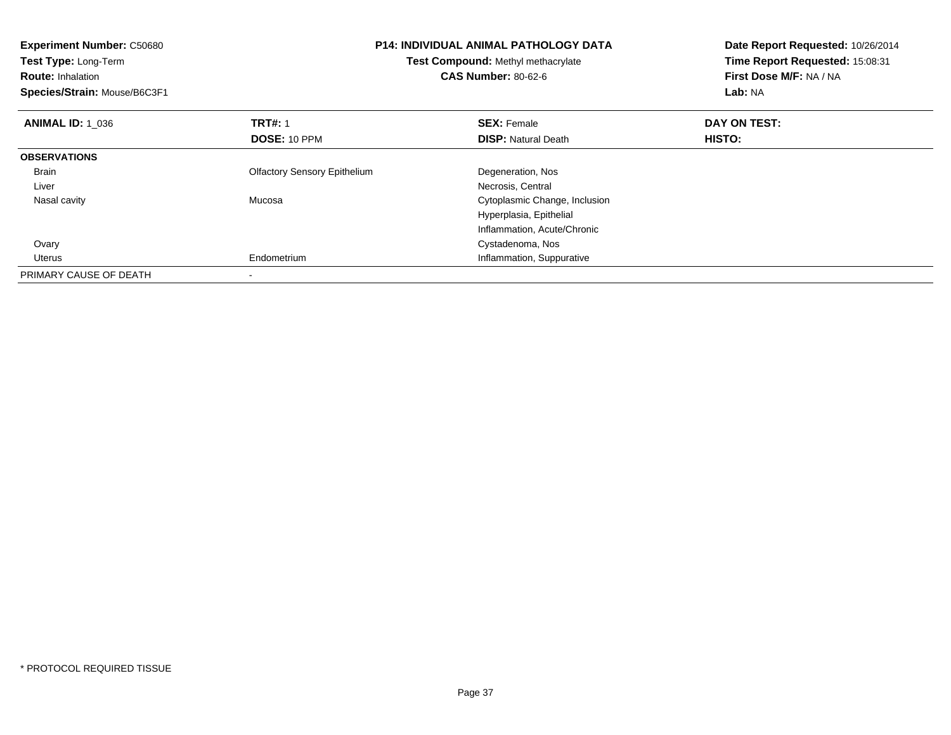| <b>Experiment Number: C50680</b><br>Test Type: Long-Term<br><b>Route: Inhalation</b><br>Species/Strain: Mouse/B6C3F1 | <b>P14: INDIVIDUAL ANIMAL PATHOLOGY DATA</b><br>Test Compound: Methyl methacrylate<br><b>CAS Number: 80-62-6</b> |                               | Date Report Requested: 10/26/2014<br>Time Report Requested: 15:08:31<br>First Dose M/F: NA / NA<br>Lab: NA |  |
|----------------------------------------------------------------------------------------------------------------------|------------------------------------------------------------------------------------------------------------------|-------------------------------|------------------------------------------------------------------------------------------------------------|--|
| <b>ANIMAL ID: 1 036</b>                                                                                              | <b>TRT#: 1</b>                                                                                                   | <b>SEX: Female</b>            | DAY ON TEST:                                                                                               |  |
|                                                                                                                      | DOSE: 10 PPM                                                                                                     | <b>DISP:</b> Natural Death    | <b>HISTO:</b>                                                                                              |  |
| <b>OBSERVATIONS</b>                                                                                                  |                                                                                                                  |                               |                                                                                                            |  |
| <b>Brain</b>                                                                                                         | <b>Olfactory Sensory Epithelium</b>                                                                              | Degeneration, Nos             |                                                                                                            |  |
| Liver                                                                                                                |                                                                                                                  | Necrosis, Central             |                                                                                                            |  |
| Nasal cavity                                                                                                         | Mucosa                                                                                                           | Cytoplasmic Change, Inclusion |                                                                                                            |  |
|                                                                                                                      |                                                                                                                  | Hyperplasia, Epithelial       |                                                                                                            |  |
|                                                                                                                      |                                                                                                                  | Inflammation, Acute/Chronic   |                                                                                                            |  |
| Ovary                                                                                                                |                                                                                                                  | Cystadenoma, Nos              |                                                                                                            |  |
| Uterus                                                                                                               | Endometrium                                                                                                      | Inflammation, Suppurative     |                                                                                                            |  |
| PRIMARY CAUSE OF DEATH                                                                                               |                                                                                                                  |                               |                                                                                                            |  |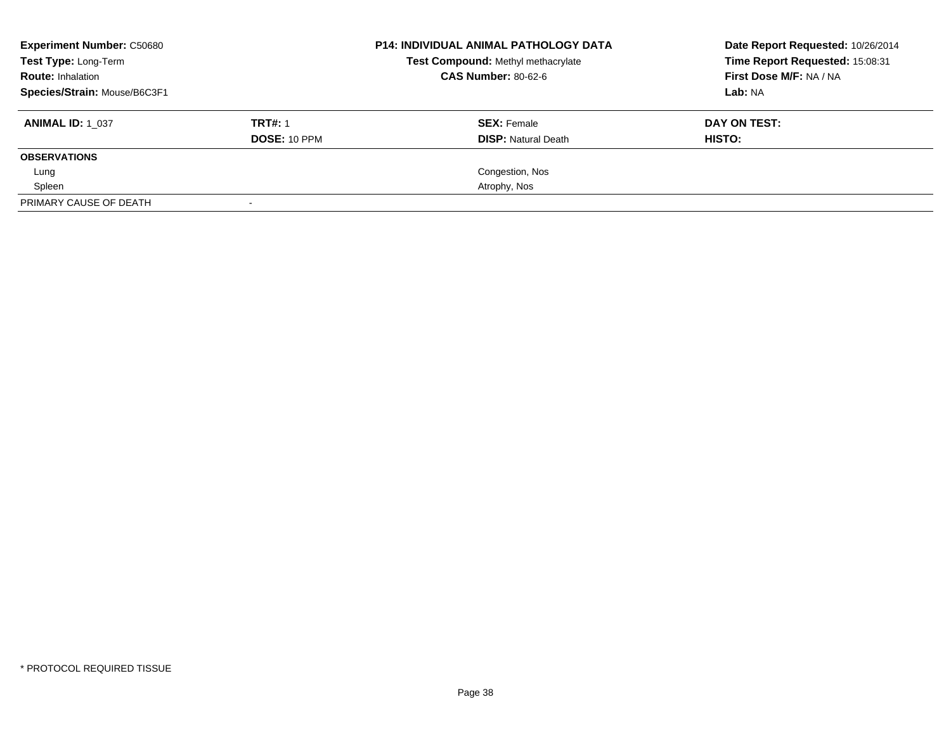| <b>Experiment Number: C50680</b> |                | <b>P14: INDIVIDUAL ANIMAL PATHOLOGY DATA</b> | Date Report Requested: 10/26/2014 |  |
|----------------------------------|----------------|----------------------------------------------|-----------------------------------|--|
| <b>Test Type: Long-Term</b>      |                | Test Compound: Methyl methacrylate           | Time Report Requested: 15:08:31   |  |
| <b>Route: Inhalation</b>         |                | <b>CAS Number: 80-62-6</b>                   | First Dose M/F: NA / NA           |  |
| Species/Strain: Mouse/B6C3F1     |                |                                              | Lab: NA                           |  |
| <b>ANIMAL ID: 1 037</b>          | <b>TRT#: 1</b> | <b>SEX: Female</b>                           | DAY ON TEST:                      |  |
|                                  | DOSE: 10 PPM   | <b>DISP:</b> Natural Death                   | HISTO:                            |  |
| <b>OBSERVATIONS</b>              |                |                                              |                                   |  |
| Lung                             |                | Congestion, Nos                              |                                   |  |
| Spleen                           |                | Atrophy, Nos                                 |                                   |  |
| PRIMARY CAUSE OF DEATH           |                |                                              |                                   |  |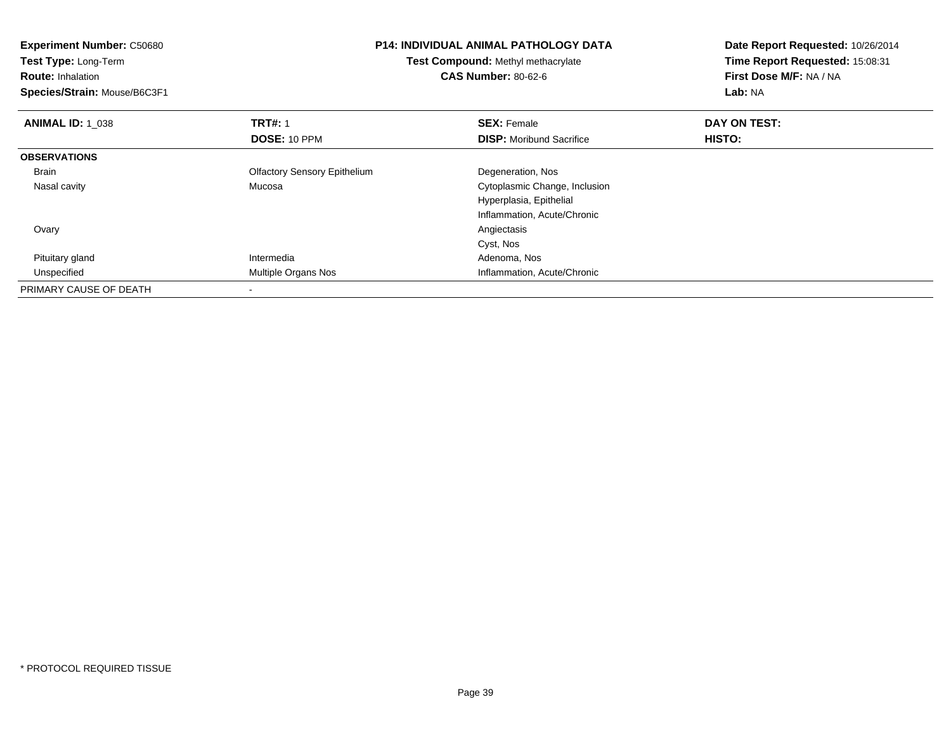| <b>Experiment Number: C50680</b><br>Test Type: Long-Term<br><b>Route: Inhalation</b><br>Species/Strain: Mouse/B6C3F1 | <b>P14: INDIVIDUAL ANIMAL PATHOLOGY DATA</b><br><b>Test Compound: Methyl methacrylate</b><br><b>CAS Number: 80-62-6</b> |                                 | Date Report Requested: 10/26/2014<br>Time Report Requested: 15:08:31<br>First Dose M/F: NA / NA<br>Lab: NA |
|----------------------------------------------------------------------------------------------------------------------|-------------------------------------------------------------------------------------------------------------------------|---------------------------------|------------------------------------------------------------------------------------------------------------|
| <b>ANIMAL ID: 1 038</b>                                                                                              | <b>TRT#: 1</b>                                                                                                          | <b>SEX: Female</b>              | DAY ON TEST:                                                                                               |
|                                                                                                                      | DOSE: 10 PPM                                                                                                            | <b>DISP:</b> Moribund Sacrifice | <b>HISTO:</b>                                                                                              |
| <b>OBSERVATIONS</b>                                                                                                  |                                                                                                                         |                                 |                                                                                                            |
| <b>Brain</b>                                                                                                         | <b>Olfactory Sensory Epithelium</b>                                                                                     | Degeneration, Nos               |                                                                                                            |
| Nasal cavity                                                                                                         | Mucosa                                                                                                                  | Cytoplasmic Change, Inclusion   |                                                                                                            |
|                                                                                                                      |                                                                                                                         | Hyperplasia, Epithelial         |                                                                                                            |
|                                                                                                                      |                                                                                                                         | Inflammation, Acute/Chronic     |                                                                                                            |
| Ovary                                                                                                                |                                                                                                                         | Angiectasis                     |                                                                                                            |
|                                                                                                                      |                                                                                                                         | Cyst, Nos                       |                                                                                                            |
| Pituitary gland                                                                                                      | Intermedia                                                                                                              | Adenoma, Nos                    |                                                                                                            |
| Unspecified                                                                                                          | Multiple Organs Nos                                                                                                     | Inflammation, Acute/Chronic     |                                                                                                            |
| PRIMARY CAUSE OF DEATH                                                                                               |                                                                                                                         |                                 |                                                                                                            |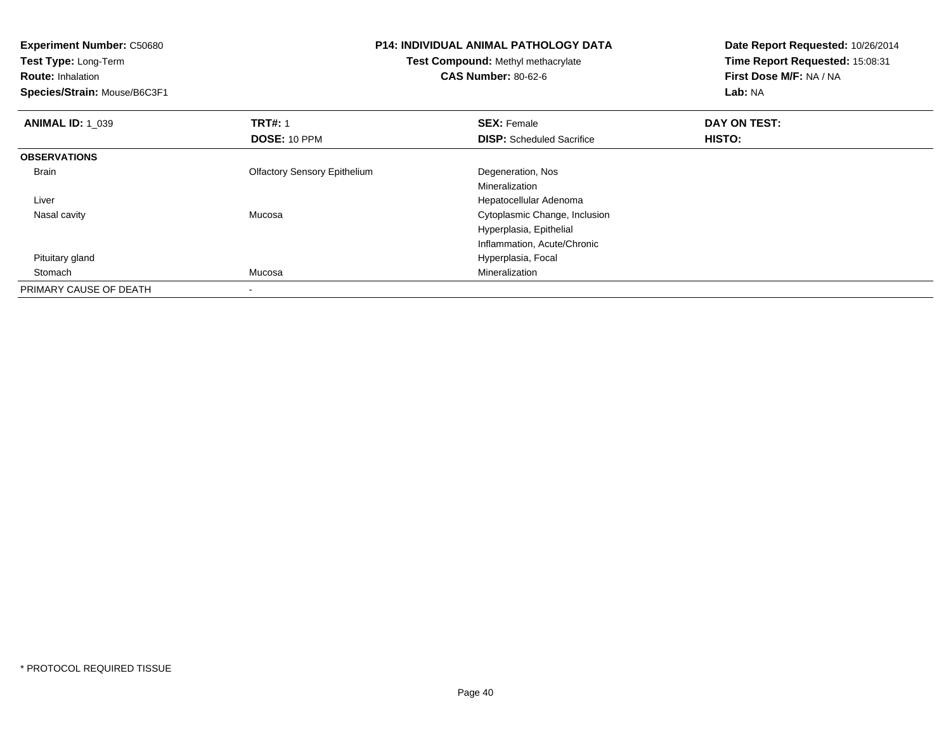| <b>Experiment Number: C50680</b> |                                     | <b>P14: INDIVIDUAL ANIMAL PATHOLOGY DATA</b> |                                 |  |
|----------------------------------|-------------------------------------|----------------------------------------------|---------------------------------|--|
| Test Type: Long-Term             |                                     | Test Compound: Methyl methacrylate           | Time Report Requested: 15:08:31 |  |
| <b>Route: Inhalation</b>         |                                     | <b>CAS Number: 80-62-6</b>                   | First Dose M/F: NA / NA         |  |
| Species/Strain: Mouse/B6C3F1     |                                     |                                              | Lab: NA                         |  |
| <b>ANIMAL ID: 1 039</b>          | <b>TRT#: 1</b>                      | <b>SEX: Female</b>                           | DAY ON TEST:                    |  |
|                                  | DOSE: 10 PPM                        | <b>DISP:</b> Scheduled Sacrifice             | HISTO:                          |  |
| <b>OBSERVATIONS</b>              |                                     |                                              |                                 |  |
| Brain                            | <b>Olfactory Sensory Epithelium</b> | Degeneration, Nos                            |                                 |  |
|                                  |                                     | Mineralization                               |                                 |  |
| Liver                            |                                     | Hepatocellular Adenoma                       |                                 |  |
| Nasal cavity                     | Mucosa                              | Cytoplasmic Change, Inclusion                |                                 |  |
|                                  |                                     | Hyperplasia, Epithelial                      |                                 |  |
|                                  |                                     | Inflammation, Acute/Chronic                  |                                 |  |
| Pituitary gland                  |                                     | Hyperplasia, Focal                           |                                 |  |
| Stomach                          | Mucosa                              | Mineralization                               |                                 |  |
| PRIMARY CAUSE OF DEATH           |                                     |                                              |                                 |  |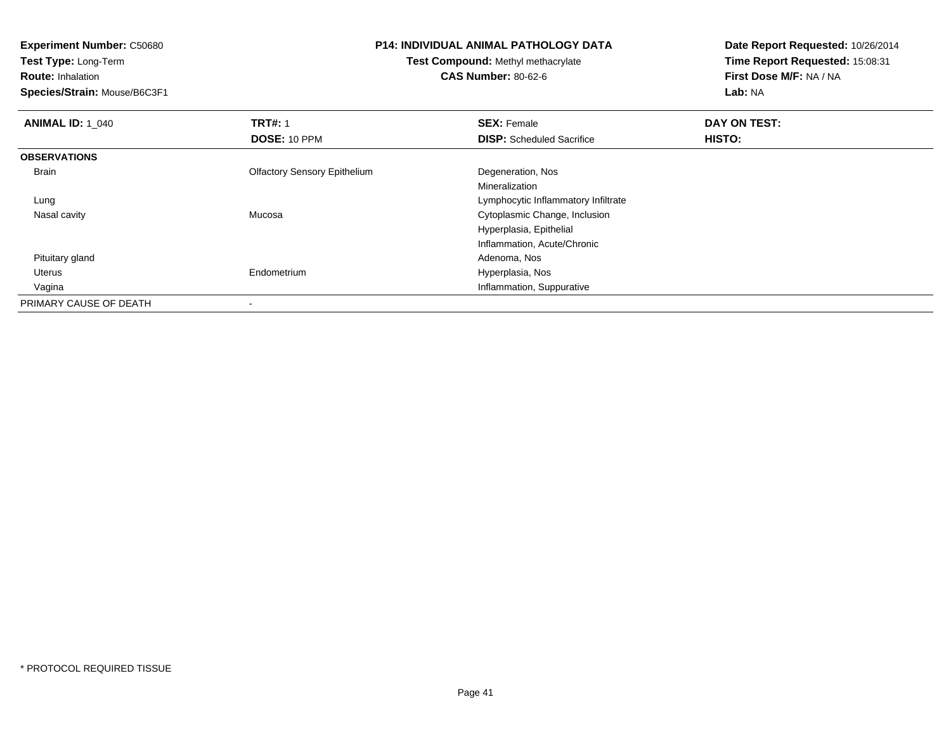**Test Type:** Long-Term

**Route:** Inhalation

**Species/Strain:** Mouse/B6C3F1

# **P14: INDIVIDUAL ANIMAL PATHOLOGY DATA**

**Test Compound:** Methyl methacrylate**CAS Number:** 80-62-6

| <b>ANIMAL ID: 1_040</b> | <b>TRT#: 1</b>                      | <b>SEX: Female</b>                  | DAY ON TEST: |  |
|-------------------------|-------------------------------------|-------------------------------------|--------------|--|
|                         | DOSE: 10 PPM                        | <b>DISP:</b> Scheduled Sacrifice    | HISTO:       |  |
| <b>OBSERVATIONS</b>     |                                     |                                     |              |  |
| Brain                   | <b>Olfactory Sensory Epithelium</b> | Degeneration, Nos                   |              |  |
|                         |                                     | Mineralization                      |              |  |
| Lung                    |                                     | Lymphocytic Inflammatory Infiltrate |              |  |
| Nasal cavity            | Mucosa                              | Cytoplasmic Change, Inclusion       |              |  |
|                         |                                     | Hyperplasia, Epithelial             |              |  |
|                         |                                     | Inflammation, Acute/Chronic         |              |  |
| Pituitary gland         |                                     | Adenoma, Nos                        |              |  |
| Uterus                  | Endometrium                         | Hyperplasia, Nos                    |              |  |
| Vagina                  |                                     | Inflammation, Suppurative           |              |  |
| PRIMARY CAUSE OF DEATH  |                                     |                                     |              |  |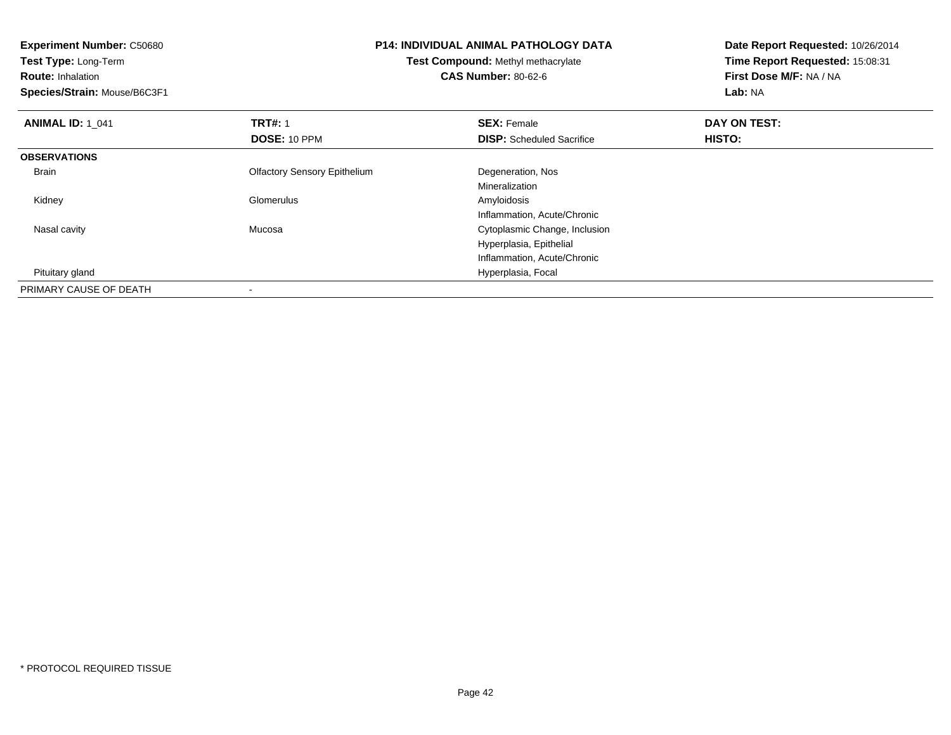**Experiment Number:** C50680**Test Type:** Long-Term**Route:** Inhalation **Species/Strain:** Mouse/B6C3F1**P14: INDIVIDUAL ANIMAL PATHOLOGY DATATest Compound:** Methyl methacrylate**CAS Number:** 80-62-6**Date Report Requested:** 10/26/2014**Time Report Requested:** 15:08:31**First Dose M/F:** NA / NA**Lab:** NA**ANIMAL ID: 1\_041 TRT#:** 1 **SEX:** Female **DAY ON TEST: DOSE:** 10 PPM**DISP:** Scheduled Sacrifice **HISTO: OBSERVATIONS** Brain Olfactory Sensory Epithelium Degeneration, Nos Mineralization Kidney Glomerulus Amyloidosis Inflammation, Acute/Chronica contract contract contract contract contract contract contract contract contract contract contract contract contract contract contract contract contract contract contract contract contract contract contract contract cont Nasal cavity MucosaHyperplasia, EpithelialInflammation, Acute/Chronic Pituitary gland Hyperplasia, Focal PRIMARY CAUSE OF DEATH-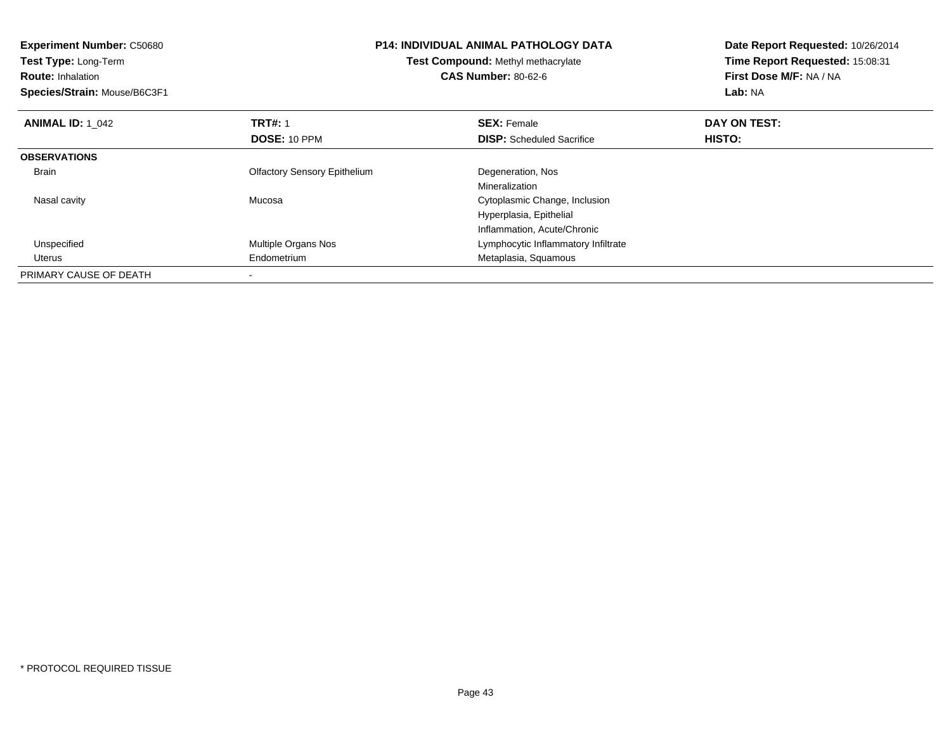| <b>Experiment Number: C50680</b><br>Test Type: Long-Term<br><b>Route: Inhalation</b><br>Species/Strain: Mouse/B6C3F1 | <b>P14: INDIVIDUAL ANIMAL PATHOLOGY DATA</b><br>Test Compound: Methyl methacrylate<br><b>CAS Number: 80-62-6</b> |                                     | Date Report Requested: 10/26/2014<br>Time Report Requested: 15:08:31<br>First Dose M/F: NA / NA<br>Lab: NA |
|----------------------------------------------------------------------------------------------------------------------|------------------------------------------------------------------------------------------------------------------|-------------------------------------|------------------------------------------------------------------------------------------------------------|
| <b>ANIMAL ID: 1 042</b>                                                                                              | <b>TRT#: 1</b>                                                                                                   | <b>SEX: Female</b>                  | DAY ON TEST:                                                                                               |
|                                                                                                                      | DOSE: 10 PPM                                                                                                     | <b>DISP:</b> Scheduled Sacrifice    | <b>HISTO:</b>                                                                                              |
| <b>OBSERVATIONS</b>                                                                                                  |                                                                                                                  |                                     |                                                                                                            |
| <b>Brain</b>                                                                                                         | <b>Olfactory Sensory Epithelium</b>                                                                              | Degeneration, Nos                   |                                                                                                            |
|                                                                                                                      |                                                                                                                  | Mineralization                      |                                                                                                            |
| Nasal cavity                                                                                                         | Mucosa                                                                                                           | Cytoplasmic Change, Inclusion       |                                                                                                            |
|                                                                                                                      |                                                                                                                  | Hyperplasia, Epithelial             |                                                                                                            |
|                                                                                                                      |                                                                                                                  | Inflammation, Acute/Chronic         |                                                                                                            |
| Unspecified                                                                                                          | <b>Multiple Organs Nos</b>                                                                                       | Lymphocytic Inflammatory Infiltrate |                                                                                                            |
| Uterus                                                                                                               | Endometrium                                                                                                      | Metaplasia, Squamous                |                                                                                                            |
| PRIMARY CAUSE OF DEATH                                                                                               |                                                                                                                  |                                     |                                                                                                            |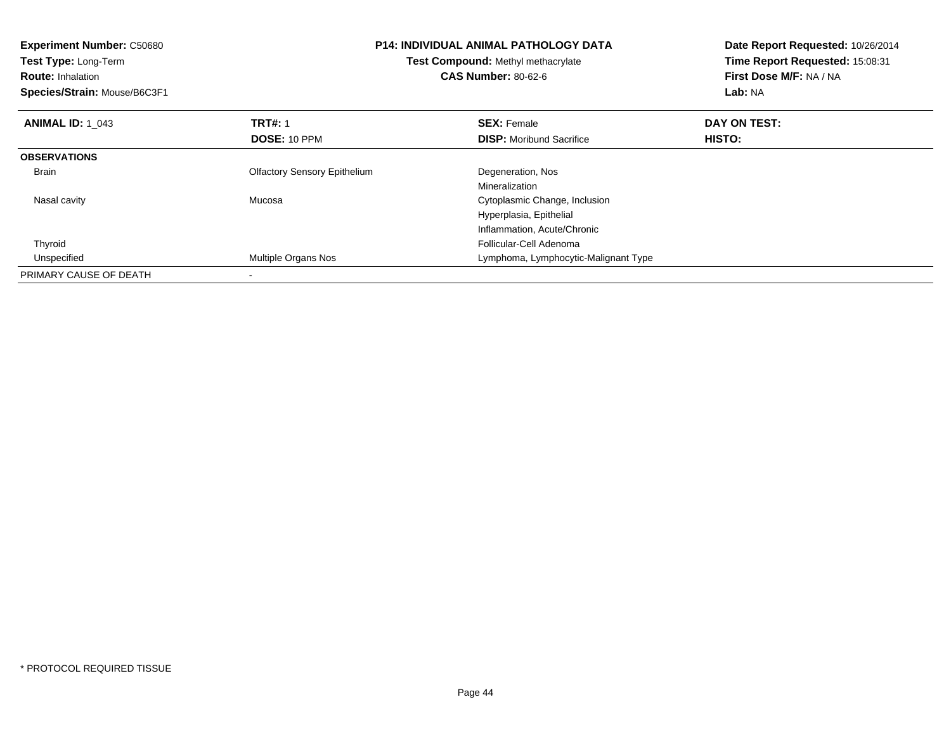| <b>Experiment Number: C50680</b><br><b>Test Type: Long-Term</b><br><b>Route: Inhalation</b><br>Species/Strain: Mouse/B6C3F1 | <b>P14: INDIVIDUAL ANIMAL PATHOLOGY DATA</b><br>Test Compound: Methyl methacrylate<br><b>CAS Number: 80-62-6</b> |                                      | Date Report Requested: 10/26/2014<br>Time Report Requested: 15:08:31<br>First Dose M/F: NA / NA<br>Lab: NA |  |
|-----------------------------------------------------------------------------------------------------------------------------|------------------------------------------------------------------------------------------------------------------|--------------------------------------|------------------------------------------------------------------------------------------------------------|--|
| <b>ANIMAL ID: 1 043</b>                                                                                                     | <b>TRT#: 1</b>                                                                                                   | <b>SEX: Female</b>                   | DAY ON TEST:                                                                                               |  |
|                                                                                                                             | DOSE: 10 PPM                                                                                                     | <b>DISP:</b> Moribund Sacrifice      | HISTO:                                                                                                     |  |
| <b>OBSERVATIONS</b>                                                                                                         |                                                                                                                  |                                      |                                                                                                            |  |
| <b>Brain</b>                                                                                                                | <b>Olfactory Sensory Epithelium</b>                                                                              | Degeneration, Nos                    |                                                                                                            |  |
|                                                                                                                             |                                                                                                                  | Mineralization                       |                                                                                                            |  |
| Nasal cavity                                                                                                                | Mucosa                                                                                                           | Cytoplasmic Change, Inclusion        |                                                                                                            |  |
|                                                                                                                             |                                                                                                                  | Hyperplasia, Epithelial              |                                                                                                            |  |
|                                                                                                                             |                                                                                                                  | Inflammation, Acute/Chronic          |                                                                                                            |  |
| Thyroid                                                                                                                     |                                                                                                                  | Follicular-Cell Adenoma              |                                                                                                            |  |
| Unspecified                                                                                                                 | <b>Multiple Organs Nos</b>                                                                                       | Lymphoma, Lymphocytic-Malignant Type |                                                                                                            |  |
| PRIMARY CAUSE OF DEATH                                                                                                      |                                                                                                                  |                                      |                                                                                                            |  |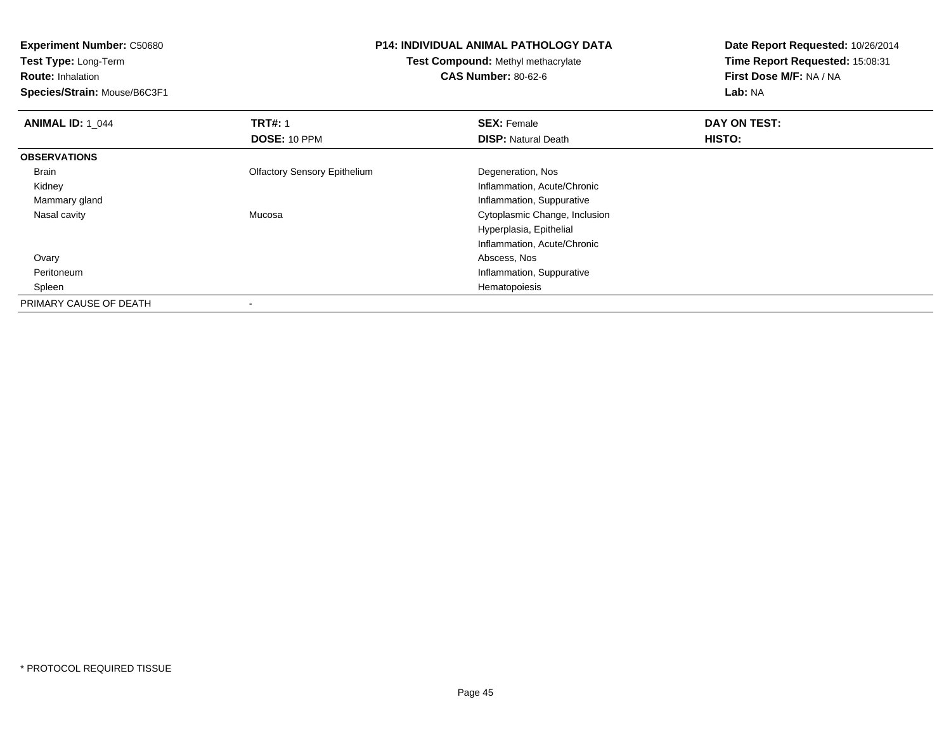**Experiment Number:** C50680**Test Type:** Long-Term**Route:** Inhalation **Species/Strain:** Mouse/B6C3F1**P14: INDIVIDUAL ANIMAL PATHOLOGY DATATest Compound:** Methyl methacrylate**CAS Number:** 80-62-6**Date Report Requested:** 10/26/2014**Time Report Requested:** 15:08:31**First Dose M/F:** NA / NA**Lab:** NA**ANIMAL ID: 1\_044 TRT#:** 1 **SEX:** Female **DAY ON TEST: DOSE:** 10 PPM**DISP:** Natural Death **HISTO: OBSERVATIONS** Brain Olfactory Sensory Epithelium Degeneration, Nos Kidney Inflammation, Acute/Chronic Mammary gland Inflammation, Suppurative Nasal cavity Mucosa Cytoplasmic Change, Inclusion Hyperplasia, EpithelialInflammation, Acute/Chronic Ovary Abscess, Nos PeritoneumInflammation, Suppurative<br>Hematopoiesis Spleenn and the control of the control of the control of the control of the control of the control of the control of the control of the control of the control of the control of the control of the control of the control of the co PRIMARY CAUSE OF DEATH-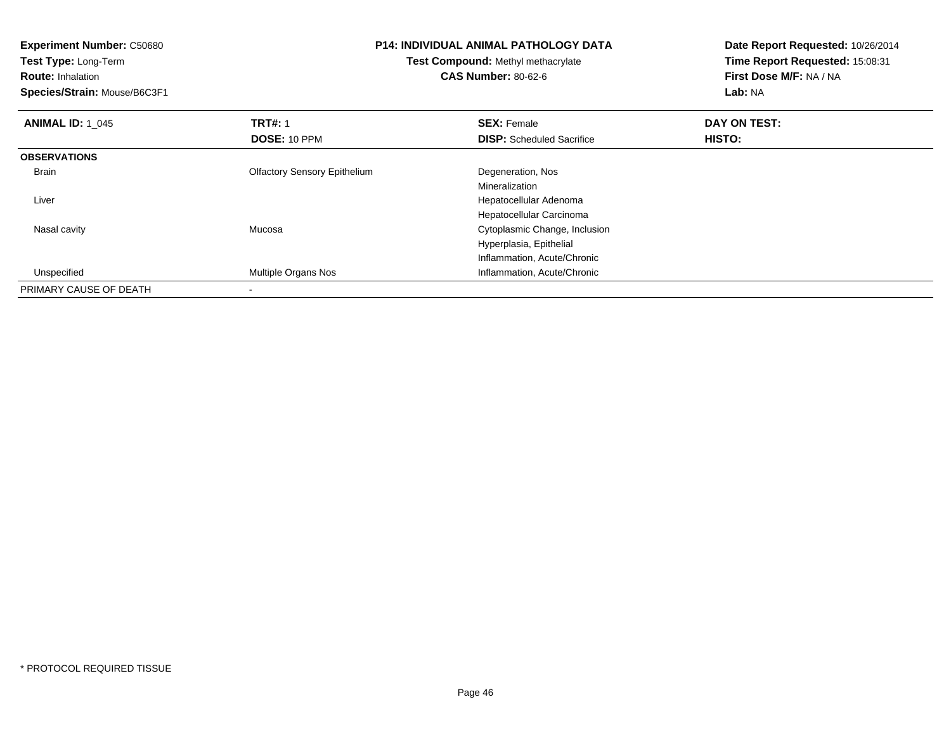| <b>Experiment Number: C50680</b> | <b>P14: INDIVIDUAL ANIMAL PATHOLOGY DATA</b><br>Test Compound: Methyl methacrylate |                                  | Date Report Requested: 10/26/2014 |
|----------------------------------|------------------------------------------------------------------------------------|----------------------------------|-----------------------------------|
| Test Type: Long-Term             |                                                                                    |                                  | Time Report Requested: 15:08:31   |
| <b>Route: Inhalation</b>         |                                                                                    | <b>CAS Number: 80-62-6</b>       | First Dose M/F: NA / NA           |
| Species/Strain: Mouse/B6C3F1     |                                                                                    |                                  | Lab: NA                           |
| <b>ANIMAL ID: 1 045</b>          | <b>TRT#: 1</b>                                                                     | <b>SEX: Female</b>               | DAY ON TEST:                      |
|                                  | DOSE: 10 PPM                                                                       | <b>DISP:</b> Scheduled Sacrifice | <b>HISTO:</b>                     |
| <b>OBSERVATIONS</b>              |                                                                                    |                                  |                                   |
| Brain                            | <b>Olfactory Sensory Epithelium</b>                                                | Degeneration, Nos                |                                   |
|                                  |                                                                                    | Mineralization                   |                                   |
| Liver                            |                                                                                    | Hepatocellular Adenoma           |                                   |
|                                  |                                                                                    | Hepatocellular Carcinoma         |                                   |
| Nasal cavity                     | Mucosa                                                                             | Cytoplasmic Change, Inclusion    |                                   |
|                                  |                                                                                    | Hyperplasia, Epithelial          |                                   |
|                                  |                                                                                    | Inflammation, Acute/Chronic      |                                   |
| Unspecified                      | Multiple Organs Nos                                                                | Inflammation, Acute/Chronic      |                                   |
| PRIMARY CAUSE OF DEATH           |                                                                                    |                                  |                                   |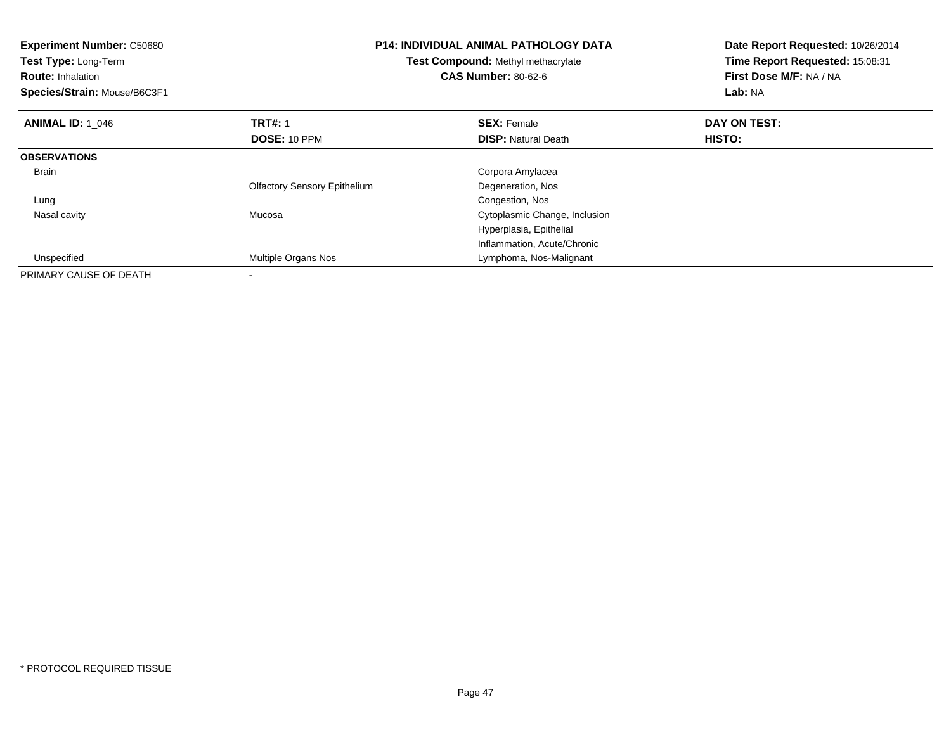| <b>Experiment Number: C50680</b><br>Test Type: Long-Term<br><b>Route: Inhalation</b><br>Species/Strain: Mouse/B6C3F1 | <b>P14: INDIVIDUAL ANIMAL PATHOLOGY DATA</b><br>Test Compound: Methyl methacrylate<br><b>CAS Number: 80-62-6</b> |                               | Date Report Requested: 10/26/2014<br>Time Report Requested: 15:08:31<br>First Dose M/F: NA / NA<br>Lab: NA |  |
|----------------------------------------------------------------------------------------------------------------------|------------------------------------------------------------------------------------------------------------------|-------------------------------|------------------------------------------------------------------------------------------------------------|--|
| <b>ANIMAL ID: 1 046</b>                                                                                              | <b>TRT#:</b> 1                                                                                                   | <b>SEX: Female</b>            | DAY ON TEST:                                                                                               |  |
|                                                                                                                      | DOSE: 10 PPM                                                                                                     | <b>DISP:</b> Natural Death    | HISTO:                                                                                                     |  |
| <b>OBSERVATIONS</b>                                                                                                  |                                                                                                                  |                               |                                                                                                            |  |
| <b>Brain</b>                                                                                                         |                                                                                                                  | Corpora Amylacea              |                                                                                                            |  |
|                                                                                                                      | <b>Olfactory Sensory Epithelium</b>                                                                              | Degeneration, Nos             |                                                                                                            |  |
| Lung                                                                                                                 |                                                                                                                  | Congestion, Nos               |                                                                                                            |  |
| Nasal cavity                                                                                                         | Mucosa                                                                                                           | Cytoplasmic Change, Inclusion |                                                                                                            |  |
|                                                                                                                      |                                                                                                                  | Hyperplasia, Epithelial       |                                                                                                            |  |
|                                                                                                                      |                                                                                                                  | Inflammation, Acute/Chronic   |                                                                                                            |  |
| Unspecified                                                                                                          | Multiple Organs Nos                                                                                              | Lymphoma, Nos-Malignant       |                                                                                                            |  |
| PRIMARY CAUSE OF DEATH                                                                                               |                                                                                                                  |                               |                                                                                                            |  |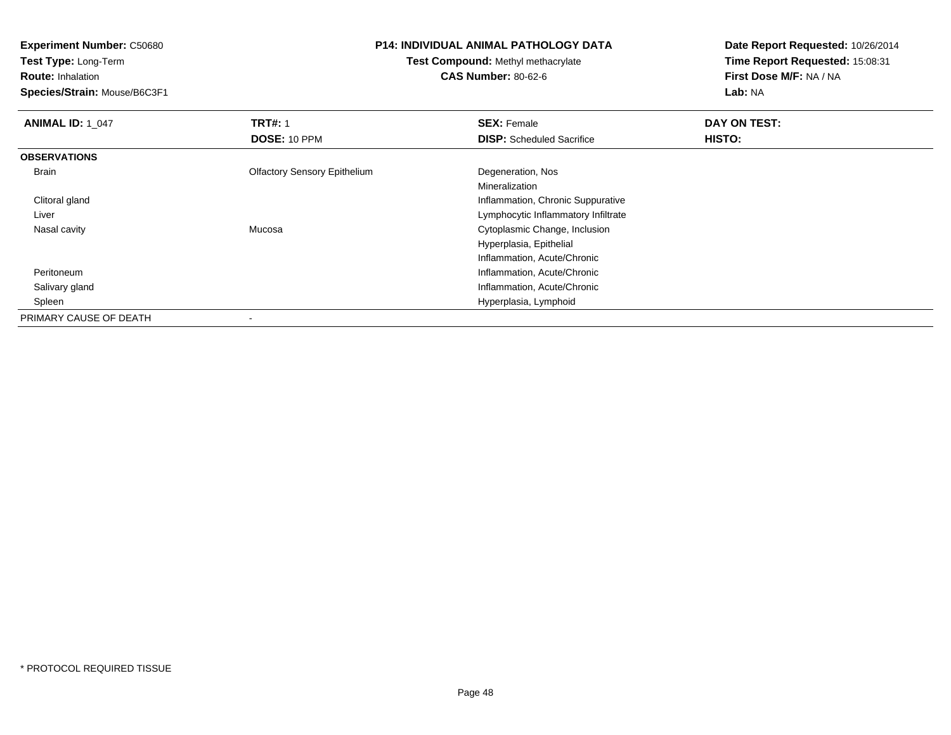**Test Type:** Long-Term

**Route:** Inhalation

**Species/Strain:** Mouse/B6C3F1

## **P14: INDIVIDUAL ANIMAL PATHOLOGY DATA**

**Test Compound:** Methyl methacrylate**CAS Number:** 80-62-6

| <b>ANIMAL ID: 1_047</b> | <b>TRT#: 1</b>                      | <b>SEX: Female</b>                  | DAY ON TEST: |  |
|-------------------------|-------------------------------------|-------------------------------------|--------------|--|
|                         | DOSE: 10 PPM                        | <b>DISP:</b> Scheduled Sacrifice    | HISTO:       |  |
| <b>OBSERVATIONS</b>     |                                     |                                     |              |  |
| Brain                   | <b>Olfactory Sensory Epithelium</b> | Degeneration, Nos                   |              |  |
|                         |                                     | Mineralization                      |              |  |
| Clitoral gland          |                                     | Inflammation, Chronic Suppurative   |              |  |
| Liver                   |                                     | Lymphocytic Inflammatory Infiltrate |              |  |
| Nasal cavity            | Mucosa                              | Cytoplasmic Change, Inclusion       |              |  |
|                         |                                     | Hyperplasia, Epithelial             |              |  |
|                         |                                     | Inflammation, Acute/Chronic         |              |  |
| Peritoneum              |                                     | Inflammation, Acute/Chronic         |              |  |
| Salivary gland          |                                     | Inflammation, Acute/Chronic         |              |  |
| Spleen                  |                                     | Hyperplasia, Lymphoid               |              |  |
| PRIMARY CAUSE OF DEATH  |                                     |                                     |              |  |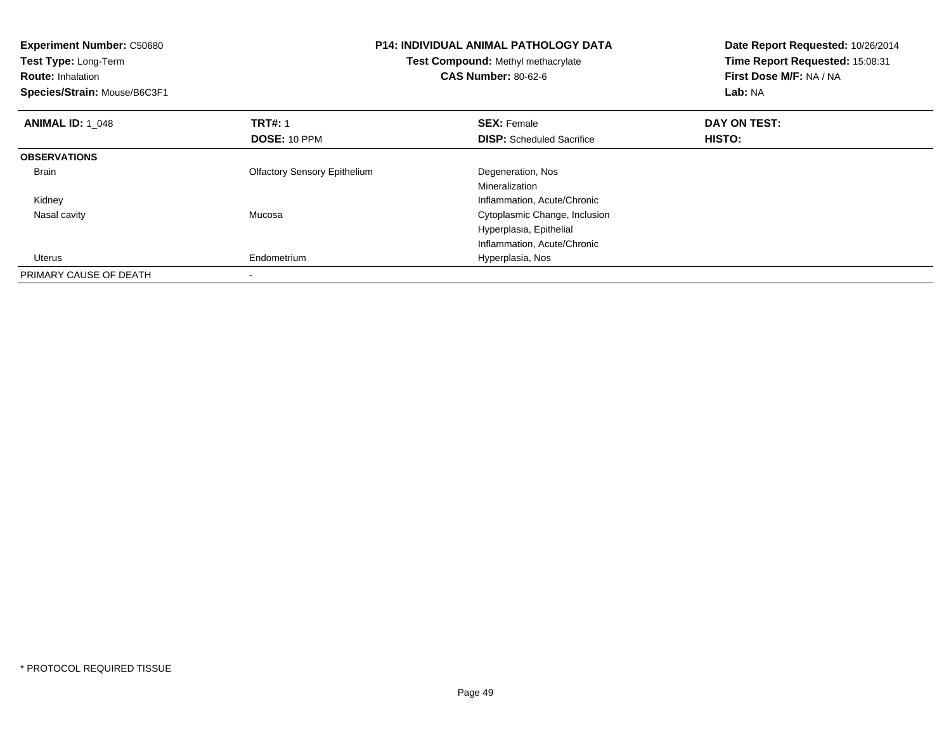| <b>Experiment Number: C50680</b><br>Test Type: Long-Term<br><b>Route: Inhalation</b><br>Species/Strain: Mouse/B6C3F1 | <b>P14: INDIVIDUAL ANIMAL PATHOLOGY DATA</b><br>Test Compound: Methyl methacrylate<br><b>CAS Number: 80-62-6</b> |                                  | Date Report Requested: 10/26/2014<br>Time Report Requested: 15:08:31<br>First Dose M/F: NA / NA<br>Lab: NA |
|----------------------------------------------------------------------------------------------------------------------|------------------------------------------------------------------------------------------------------------------|----------------------------------|------------------------------------------------------------------------------------------------------------|
| <b>ANIMAL ID: 1 048</b>                                                                                              | <b>TRT#: 1</b>                                                                                                   | <b>SEX: Female</b>               | DAY ON TEST:                                                                                               |
|                                                                                                                      | DOSE: 10 PPM                                                                                                     | <b>DISP:</b> Scheduled Sacrifice | HISTO:                                                                                                     |
| <b>OBSERVATIONS</b>                                                                                                  |                                                                                                                  |                                  |                                                                                                            |
| <b>Brain</b>                                                                                                         | <b>Olfactory Sensory Epithelium</b>                                                                              | Degeneration, Nos                |                                                                                                            |
|                                                                                                                      |                                                                                                                  | Mineralization                   |                                                                                                            |
| Kidney                                                                                                               |                                                                                                                  | Inflammation, Acute/Chronic      |                                                                                                            |
| Nasal cavity                                                                                                         | Mucosa                                                                                                           | Cytoplasmic Change, Inclusion    |                                                                                                            |
|                                                                                                                      |                                                                                                                  | Hyperplasia, Epithelial          |                                                                                                            |
|                                                                                                                      |                                                                                                                  | Inflammation, Acute/Chronic      |                                                                                                            |
| <b>Uterus</b>                                                                                                        | Endometrium                                                                                                      | Hyperplasia, Nos                 |                                                                                                            |
| PRIMARY CAUSE OF DEATH                                                                                               |                                                                                                                  |                                  |                                                                                                            |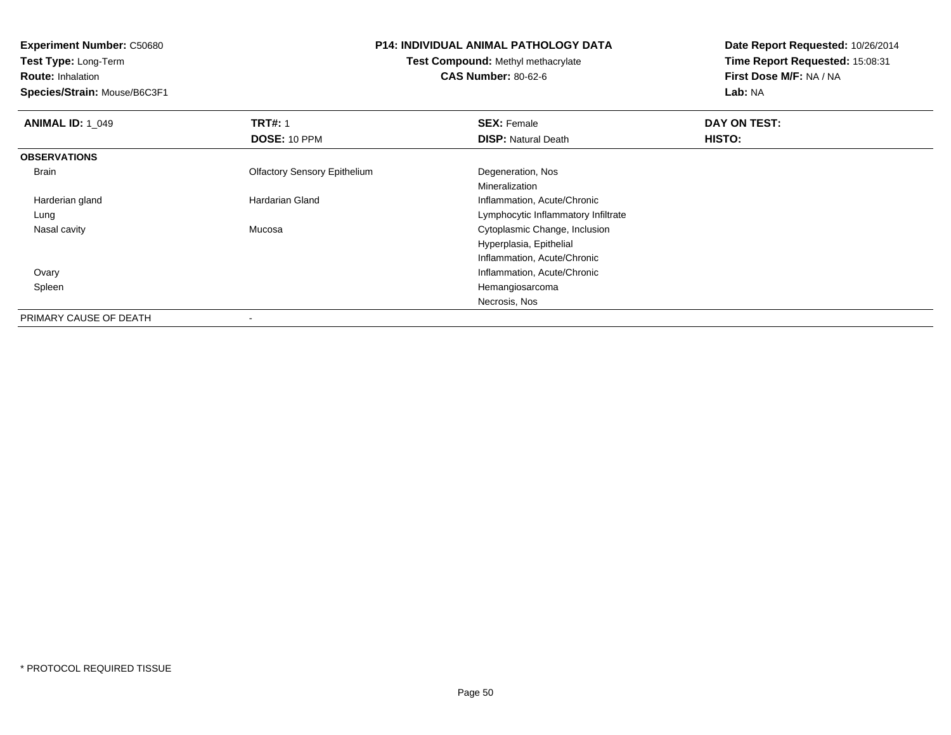**Test Type:** Long-Term

**Route:** Inhalation

**Species/Strain:** Mouse/B6C3F1

# **P14: INDIVIDUAL ANIMAL PATHOLOGY DATA**

**Test Compound:** Methyl methacrylate**CAS Number:** 80-62-6

| <b>ANIMAL ID: 1 049</b> | <b>TRT#: 1</b>                      | <b>SEX: Female</b>                  | DAY ON TEST: |
|-------------------------|-------------------------------------|-------------------------------------|--------------|
|                         | DOSE: 10 PPM                        | <b>DISP: Natural Death</b>          | HISTO:       |
| <b>OBSERVATIONS</b>     |                                     |                                     |              |
| Brain                   | <b>Olfactory Sensory Epithelium</b> | Degeneration, Nos                   |              |
|                         |                                     | Mineralization                      |              |
| Harderian gland         | <b>Hardarian Gland</b>              | Inflammation, Acute/Chronic         |              |
| Lung                    |                                     | Lymphocytic Inflammatory Infiltrate |              |
| Nasal cavity            | Mucosa                              | Cytoplasmic Change, Inclusion       |              |
|                         |                                     | Hyperplasia, Epithelial             |              |
|                         |                                     | Inflammation, Acute/Chronic         |              |
| Ovary                   |                                     | Inflammation, Acute/Chronic         |              |
| Spleen                  |                                     | Hemangiosarcoma                     |              |
|                         |                                     | Necrosis, Nos                       |              |
| PRIMARY CAUSE OF DEATH  | $\,$                                |                                     |              |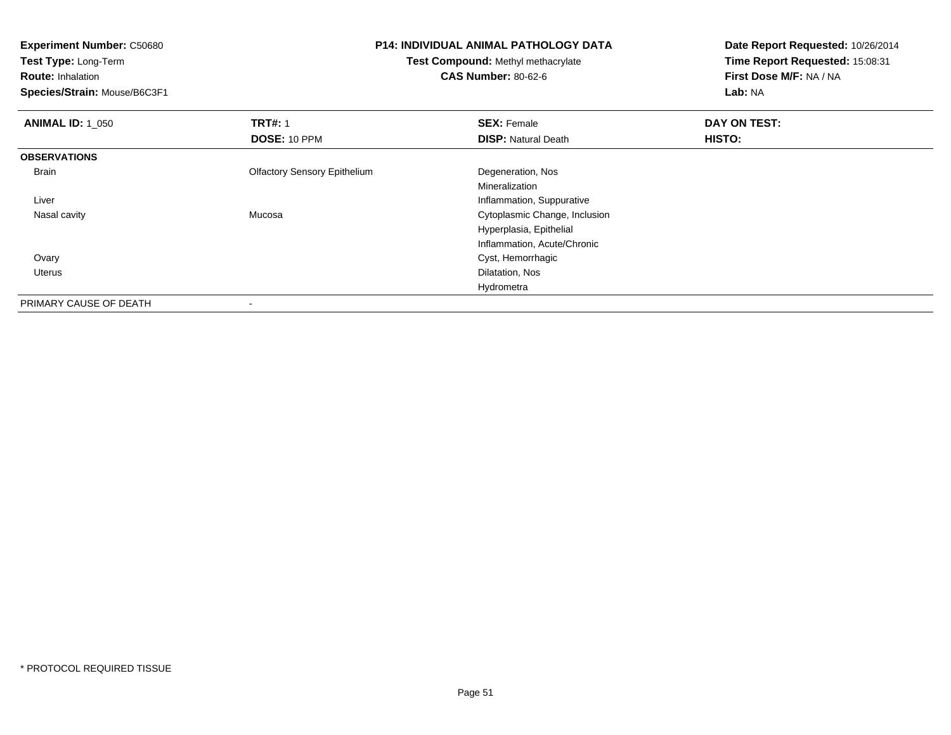**Experiment Number:** C50680**Test Type:** Long-Term**Route:** Inhalation **Species/Strain:** Mouse/B6C3F1**P14: INDIVIDUAL ANIMAL PATHOLOGY DATATest Compound:** Methyl methacrylate**CAS Number:** 80-62-6**Date Report Requested:** 10/26/2014**Time Report Requested:** 15:08:31**First Dose M/F:** NA / NA**Lab:** NA**ANIMAL ID: 1\_050 C TRT#:** 1 **SEX:** Female **DAY ON TEST: DOSE:** 10 PPM**DISP:** Natural Death **HISTO: OBSERVATIONS** Brain Olfactory Sensory Epithelium Degeneration, Nos Mineralization**Inflammation, Suppurative Inflammation, Suppurative**  Liver Cytoplasmic Change, Inclusion Nasal cavity MucosaHyperplasia, EpithelialInflammation, Acute/Chronic Ovary Cyst, Hemorrhagic Uterus Dilatation, Nos HydrometraPRIMARY CAUSE OF DEATH

-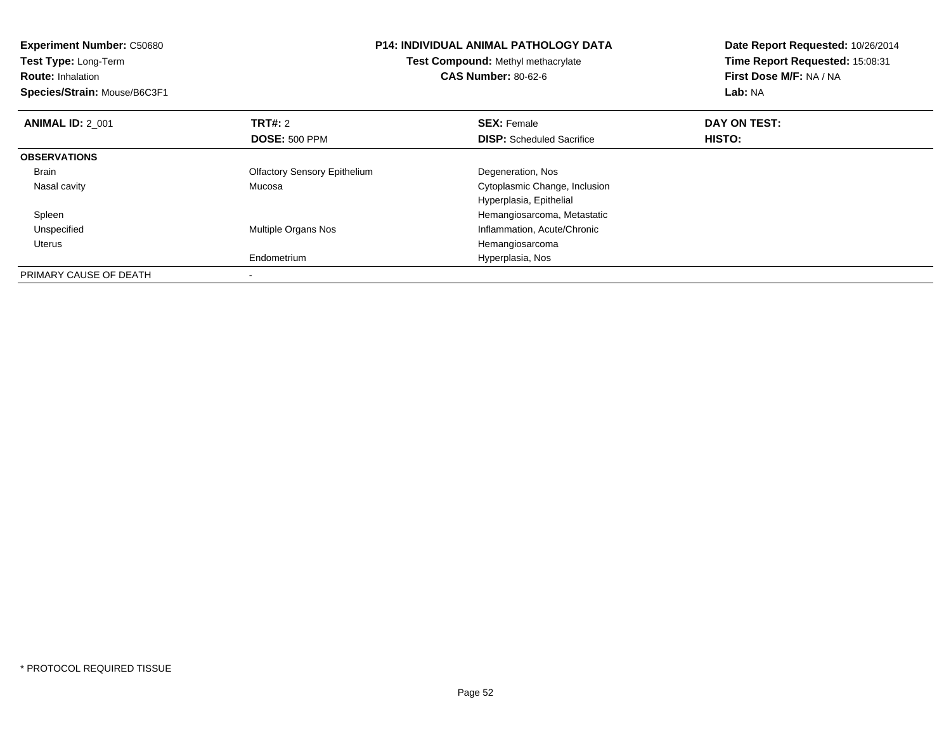| <b>Experiment Number: C50680</b><br>Test Type: Long-Term<br><b>Route: Inhalation</b><br>Species/Strain: Mouse/B6C3F1 | <b>P14: INDIVIDUAL ANIMAL PATHOLOGY DATA</b><br>Test Compound: Methyl methacrylate<br><b>CAS Number: 80-62-6</b> |                                  | Date Report Requested: 10/26/2014<br>Time Report Requested: 15:08:31<br>First Dose M/F: NA / NA<br>Lab: NA |
|----------------------------------------------------------------------------------------------------------------------|------------------------------------------------------------------------------------------------------------------|----------------------------------|------------------------------------------------------------------------------------------------------------|
| <b>ANIMAL ID: 2_001</b>                                                                                              | <b>TRT#: 2</b>                                                                                                   | <b>SEX: Female</b>               | DAY ON TEST:                                                                                               |
|                                                                                                                      | <b>DOSE: 500 PPM</b>                                                                                             | <b>DISP:</b> Scheduled Sacrifice | <b>HISTO:</b>                                                                                              |
| <b>OBSERVATIONS</b>                                                                                                  |                                                                                                                  |                                  |                                                                                                            |
| Brain                                                                                                                | <b>Olfactory Sensory Epithelium</b>                                                                              | Degeneration, Nos                |                                                                                                            |
| Nasal cavity                                                                                                         | Mucosa                                                                                                           | Cytoplasmic Change, Inclusion    |                                                                                                            |
|                                                                                                                      |                                                                                                                  | Hyperplasia, Epithelial          |                                                                                                            |
| Spleen                                                                                                               |                                                                                                                  | Hemangiosarcoma, Metastatic      |                                                                                                            |
| Unspecified                                                                                                          | Multiple Organs Nos                                                                                              | Inflammation, Acute/Chronic      |                                                                                                            |
| Uterus                                                                                                               |                                                                                                                  | Hemangiosarcoma                  |                                                                                                            |
|                                                                                                                      | Endometrium                                                                                                      | Hyperplasia, Nos                 |                                                                                                            |
| PRIMARY CAUSE OF DEATH                                                                                               |                                                                                                                  |                                  |                                                                                                            |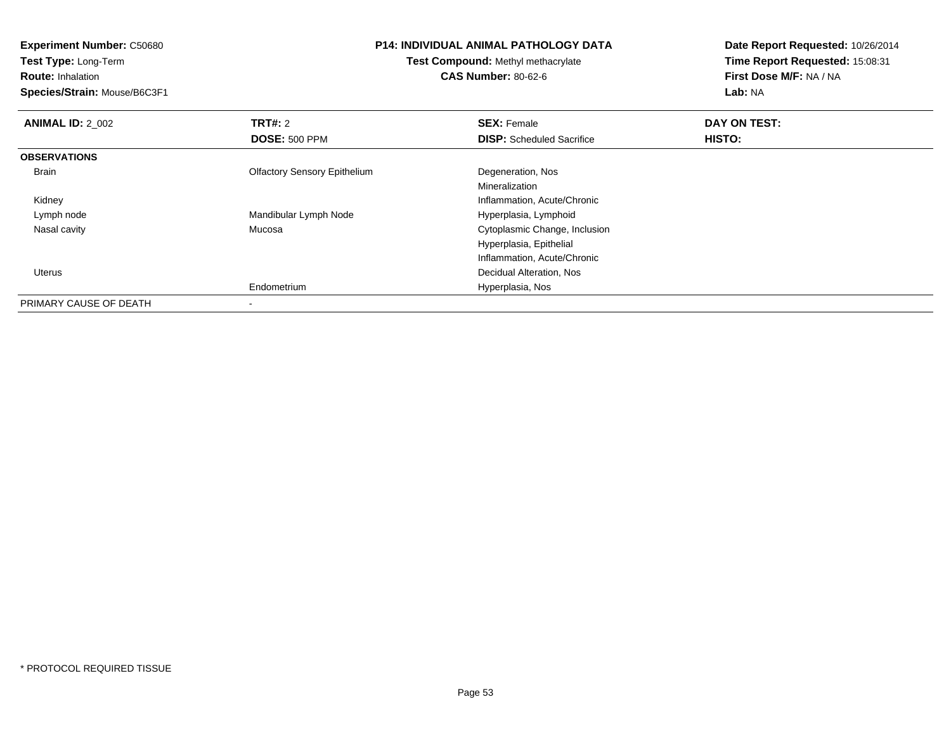**Test Type:** Long-Term

**Route:** Inhalation

**Species/Strain:** Mouse/B6C3F1

## **P14: INDIVIDUAL ANIMAL PATHOLOGY DATA**

**Test Compound:** Methyl methacrylate**CAS Number:** 80-62-6

| <b>ANIMAL ID: 2 002</b> | TRT#: 2                             | <b>SEX: Female</b>               | DAY ON TEST: |  |
|-------------------------|-------------------------------------|----------------------------------|--------------|--|
|                         | <b>DOSE: 500 PPM</b>                | <b>DISP:</b> Scheduled Sacrifice | HISTO:       |  |
| <b>OBSERVATIONS</b>     |                                     |                                  |              |  |
| Brain                   | <b>Olfactory Sensory Epithelium</b> | Degeneration, Nos                |              |  |
|                         |                                     | Mineralization                   |              |  |
| Kidney                  |                                     | Inflammation, Acute/Chronic      |              |  |
| Lymph node              | Mandibular Lymph Node               | Hyperplasia, Lymphoid            |              |  |
| Nasal cavity            | Mucosa                              | Cytoplasmic Change, Inclusion    |              |  |
|                         |                                     | Hyperplasia, Epithelial          |              |  |
|                         |                                     | Inflammation, Acute/Chronic      |              |  |
| <b>Uterus</b>           |                                     | Decidual Alteration, Nos         |              |  |
|                         | Endometrium                         | Hyperplasia, Nos                 |              |  |
| PRIMARY CAUSE OF DEATH  | ۰                                   |                                  |              |  |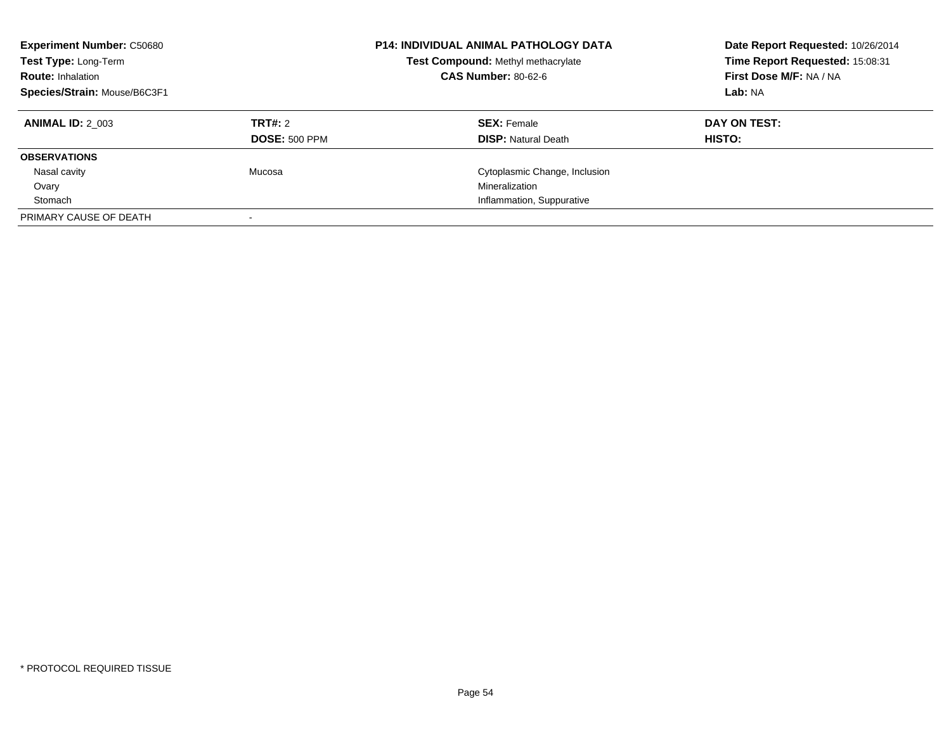| <b>Experiment Number: C50680</b><br>Test Type: Long-Term<br><b>Route: Inhalation</b><br>Species/Strain: Mouse/B6C3F1 |                      | <b>P14: INDIVIDUAL ANIMAL PATHOLOGY DATA</b><br>Test Compound: Methyl methacrylate<br><b>CAS Number: 80-62-6</b> | Date Report Requested: 10/26/2014<br>Time Report Requested: 15:08:31<br>First Dose M/F: NA / NA<br>Lab: NA |
|----------------------------------------------------------------------------------------------------------------------|----------------------|------------------------------------------------------------------------------------------------------------------|------------------------------------------------------------------------------------------------------------|
| <b>ANIMAL ID: 2 003</b>                                                                                              | TRT#: 2              | <b>SEX: Female</b>                                                                                               | DAY ON TEST:                                                                                               |
|                                                                                                                      | <b>DOSE: 500 PPM</b> | <b>DISP:</b> Natural Death                                                                                       | HISTO:                                                                                                     |
| <b>OBSERVATIONS</b>                                                                                                  |                      |                                                                                                                  |                                                                                                            |
| Nasal cavity                                                                                                         | Mucosa               | Cytoplasmic Change, Inclusion                                                                                    |                                                                                                            |
| Ovary                                                                                                                |                      | Mineralization                                                                                                   |                                                                                                            |
| Stomach                                                                                                              |                      | Inflammation, Suppurative                                                                                        |                                                                                                            |
| PRIMARY CAUSE OF DEATH                                                                                               |                      |                                                                                                                  |                                                                                                            |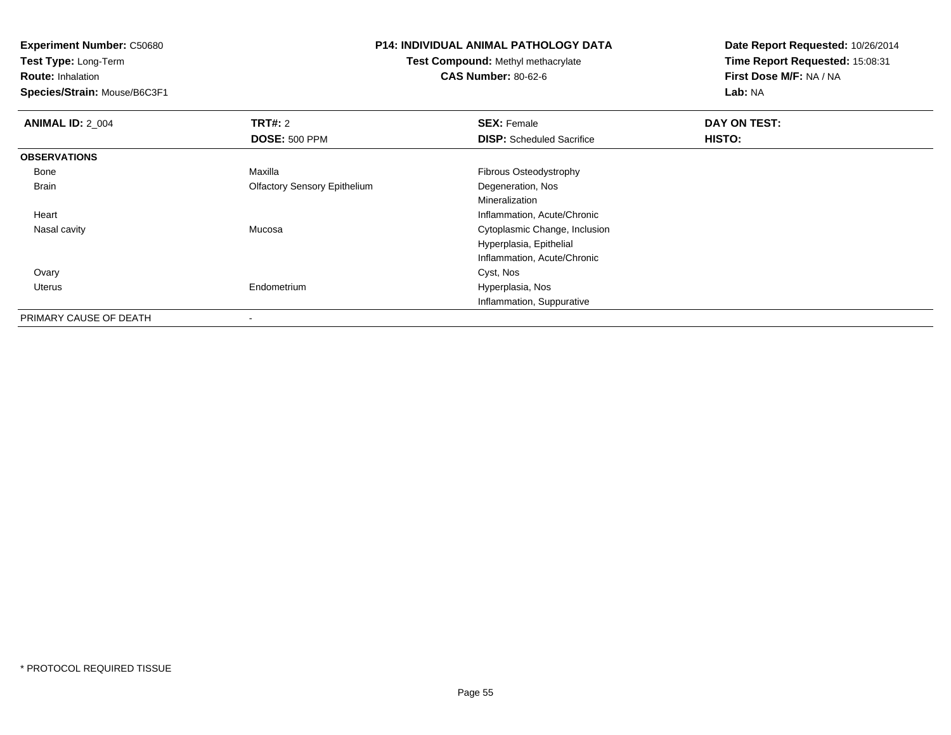**Test Type:** Long-Term

**Route:** Inhalation

**Species/Strain:** Mouse/B6C3F1

#### **P14: INDIVIDUAL ANIMAL PATHOLOGY DATA**

**Test Compound:** Methyl methacrylate**CAS Number:** 80-62-6

| <b>ANIMAL ID: 2 004</b> | <b>TRT#: 2</b>                      | <b>SEX: Female</b>               | DAY ON TEST: |  |
|-------------------------|-------------------------------------|----------------------------------|--------------|--|
|                         | <b>DOSE: 500 PPM</b>                | <b>DISP:</b> Scheduled Sacrifice | HISTO:       |  |
| <b>OBSERVATIONS</b>     |                                     |                                  |              |  |
| Bone                    | Maxilla                             | Fibrous Osteodystrophy           |              |  |
| Brain                   | <b>Olfactory Sensory Epithelium</b> | Degeneration, Nos                |              |  |
|                         |                                     | Mineralization                   |              |  |
| Heart                   |                                     | Inflammation, Acute/Chronic      |              |  |
| Nasal cavity            | Mucosa                              | Cytoplasmic Change, Inclusion    |              |  |
|                         |                                     | Hyperplasia, Epithelial          |              |  |
|                         |                                     | Inflammation, Acute/Chronic      |              |  |
| Ovary                   |                                     | Cyst, Nos                        |              |  |
| Uterus                  | Endometrium                         | Hyperplasia, Nos                 |              |  |
|                         |                                     | Inflammation, Suppurative        |              |  |
| PRIMARY CAUSE OF DEATH  |                                     |                                  |              |  |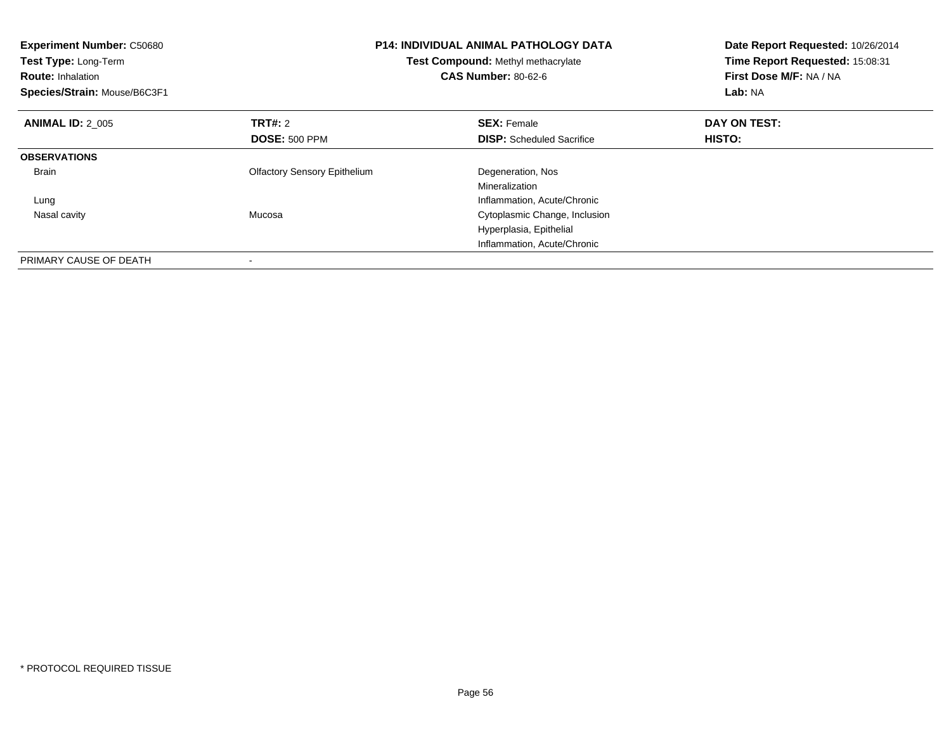| <b>Experiment Number: C50680</b><br>Test Type: Long-Term<br><b>Route: Inhalation</b><br>Species/Strain: Mouse/B6C3F1 |                                     | <b>P14: INDIVIDUAL ANIMAL PATHOLOGY DATA</b><br>Test Compound: Methyl methacrylate<br><b>CAS Number: 80-62-6</b> | Date Report Requested: 10/26/2014<br>Time Report Requested: 15:08:31<br>First Dose M/F: NA / NA<br>Lab: NA |
|----------------------------------------------------------------------------------------------------------------------|-------------------------------------|------------------------------------------------------------------------------------------------------------------|------------------------------------------------------------------------------------------------------------|
| <b>ANIMAL ID: 2 005</b>                                                                                              | <b>TRT#: 2</b>                      | <b>SEX: Female</b>                                                                                               | DAY ON TEST:                                                                                               |
|                                                                                                                      | <b>DOSE: 500 PPM</b>                | <b>DISP:</b> Scheduled Sacrifice                                                                                 | HISTO:                                                                                                     |
| <b>OBSERVATIONS</b>                                                                                                  |                                     |                                                                                                                  |                                                                                                            |
| <b>Brain</b>                                                                                                         | <b>Olfactory Sensory Epithelium</b> | Degeneration, Nos                                                                                                |                                                                                                            |
|                                                                                                                      |                                     | Mineralization                                                                                                   |                                                                                                            |
| Lung                                                                                                                 |                                     | Inflammation, Acute/Chronic                                                                                      |                                                                                                            |
| Nasal cavity                                                                                                         | Mucosa                              | Cytoplasmic Change, Inclusion                                                                                    |                                                                                                            |
|                                                                                                                      |                                     | Hyperplasia, Epithelial                                                                                          |                                                                                                            |
|                                                                                                                      |                                     | Inflammation, Acute/Chronic                                                                                      |                                                                                                            |
| PRIMARY CAUSE OF DEATH                                                                                               |                                     |                                                                                                                  |                                                                                                            |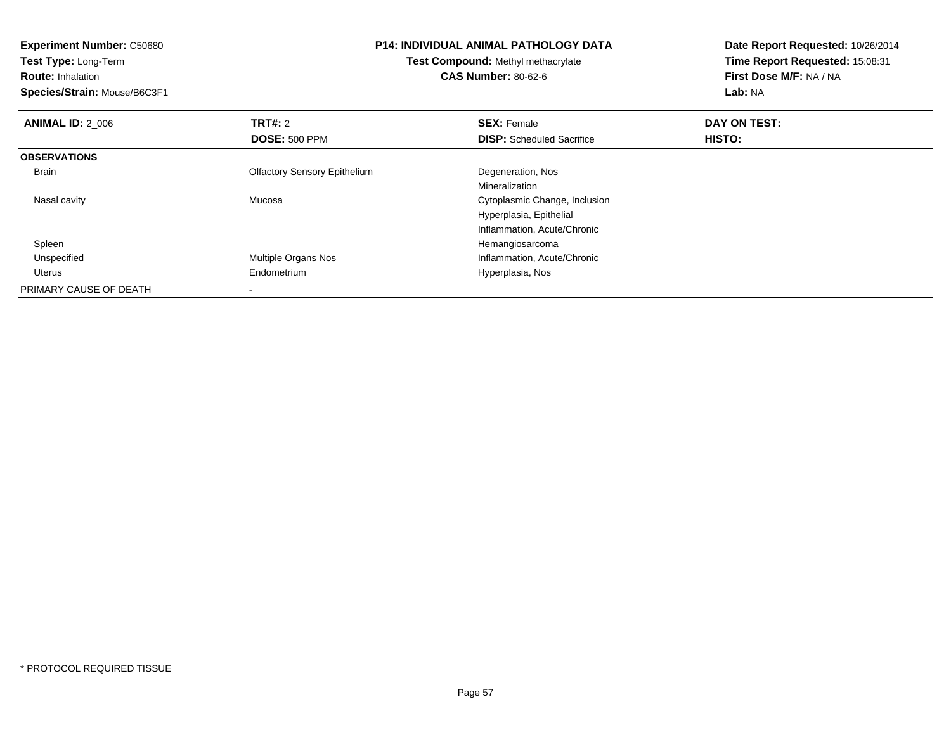**Experiment Number:** C50680**Test Type:** Long-Term**Route:** Inhalation **Species/Strain:** Mouse/B6C3F1**P14: INDIVIDUAL ANIMAL PATHOLOGY DATATest Compound:** Methyl methacrylate**CAS Number:** 80-62-6**Date Report Requested:** 10/26/2014**Time Report Requested:** 15:08:31**First Dose M/F:** NA / NA**Lab:** NA**ANIMAL ID: 2 006 6 DAY ON TEST: TRT#:** 2 **SEX:** Female **SEX:** Female **DOSE:** 500 PPM**DISP:** Scheduled Sacrifice **HISTO: OBSERVATIONS** Brain Olfactory Sensory Epithelium Degeneration, Nos Mineralization Cytoplasmic Change, Inclusion Nasal cavity MucosaHyperplasia, EpithelialInflammation, Acute/Chronic SpleenHemangiosarcoma<br>Multiple Organs Nos<br>Inflammation, Acute UnspecifiedInflammation, Acute/Chronic Uterus Endometrium Hyperplasia, Nos PRIMARY CAUSE OF DEATH-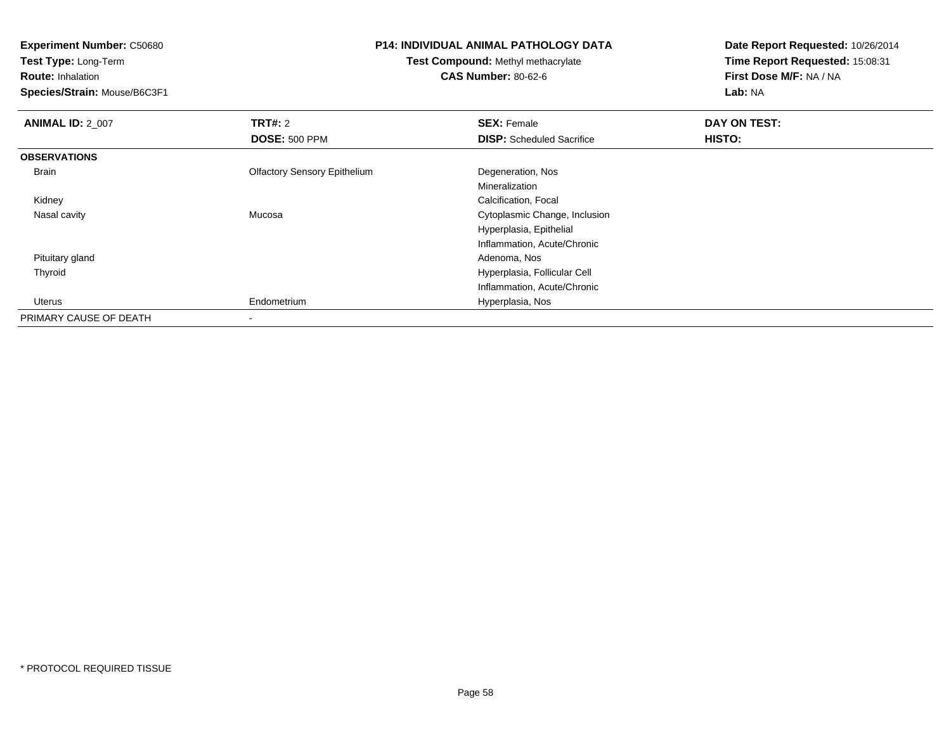**Test Type:** Long-Term

**Route:** Inhalation

**Species/Strain:** Mouse/B6C3F1

#### **P14: INDIVIDUAL ANIMAL PATHOLOGY DATA**

**Test Compound:** Methyl methacrylate**CAS Number:** 80-62-6

| <b>ANIMAL ID: 2 007</b> | <b>TRT#: 2</b>                      | <b>SEX: Female</b>               | DAY ON TEST: |  |
|-------------------------|-------------------------------------|----------------------------------|--------------|--|
|                         | <b>DOSE: 500 PPM</b>                | <b>DISP:</b> Scheduled Sacrifice | HISTO:       |  |
| <b>OBSERVATIONS</b>     |                                     |                                  |              |  |
| Brain                   | <b>Olfactory Sensory Epithelium</b> | Degeneration, Nos                |              |  |
|                         |                                     | Mineralization                   |              |  |
| Kidney                  |                                     | Calcification, Focal             |              |  |
| Nasal cavity            | Mucosa                              | Cytoplasmic Change, Inclusion    |              |  |
|                         |                                     | Hyperplasia, Epithelial          |              |  |
|                         |                                     | Inflammation, Acute/Chronic      |              |  |
| Pituitary gland         |                                     | Adenoma, Nos                     |              |  |
| Thyroid                 |                                     | Hyperplasia, Follicular Cell     |              |  |
|                         |                                     | Inflammation, Acute/Chronic      |              |  |
| Uterus                  | Endometrium                         | Hyperplasia, Nos                 |              |  |
| PRIMARY CAUSE OF DEATH  |                                     |                                  |              |  |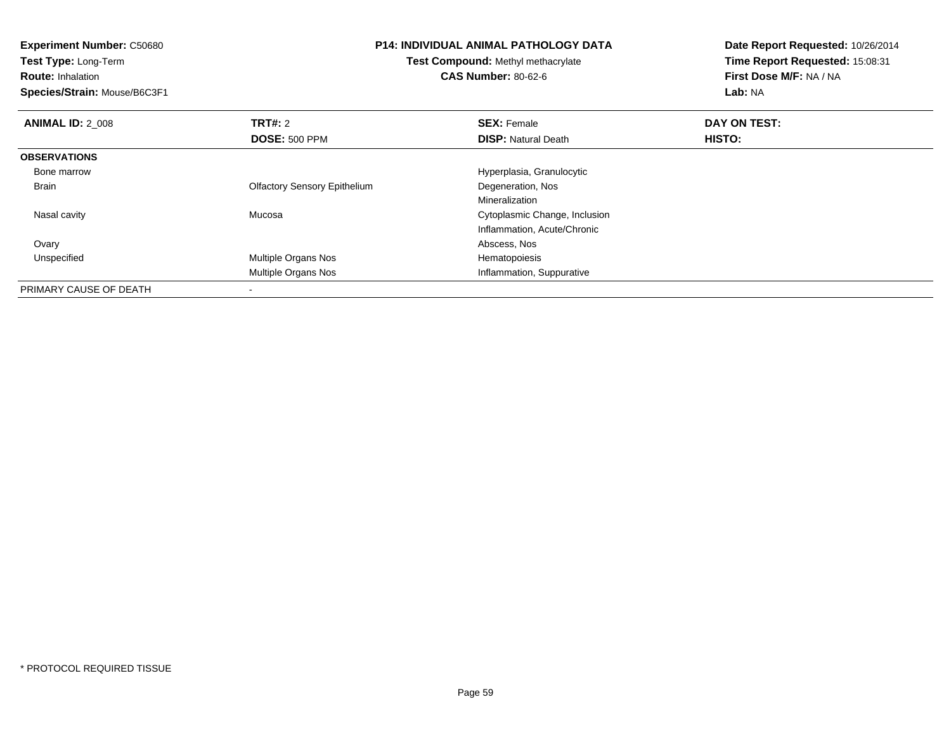**Experiment Number:** C50680**Test Type:** Long-Term**Route:** Inhalation **Species/Strain:** Mouse/B6C3F1**P14: INDIVIDUAL ANIMAL PATHOLOGY DATATest Compound:** Methyl methacrylate**CAS Number:** 80-62-6**Date Report Requested:** 10/26/2014**Time Report Requested:** 15:08:31**First Dose M/F:** NA / NA**Lab:** NA**ANIMAL ID: 2 008 REX:** Female **DAY ON TEST: CONSIST: SEX:** Female **DAY ON TEST: DOSE:** 500 PPM**DISP:** Natural Death **HISTO: OBSERVATIONS** Bone marrow Hyperplasia, Granulocytic Brain Olfactory Sensory Epithelium Degeneration, Nos Mineralization Cytoplasmic Change, Inclusion Nasal cavity MucosaInflammation, Acute/Chronic Ovary Abscess, Nos UnspecifiedMultiple Organs Nos **Hematopoiesis** Multiple Organs Nos Inflammation, SuppurativePRIMARY CAUSE OF DEATH-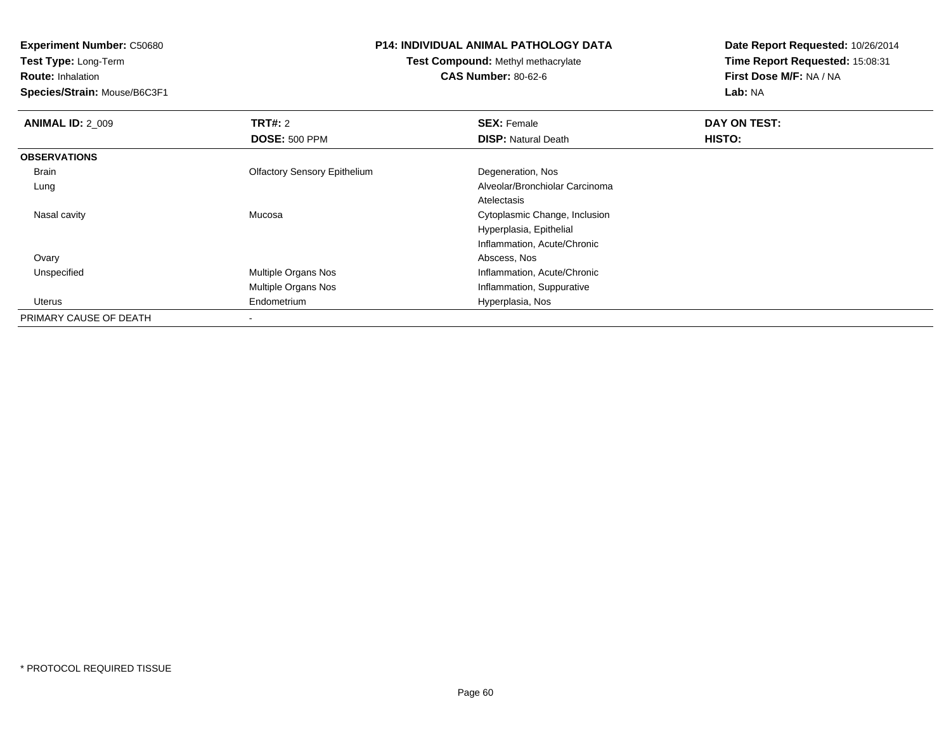**Test Type:** Long-Term

**Route:** Inhalation

**Species/Strain:** Mouse/B6C3F1

# **P14: INDIVIDUAL ANIMAL PATHOLOGY DATA**

**Test Compound:** Methyl methacrylate**CAS Number:** 80-62-6

| <b>ANIMAL ID: 2 009</b> | <b>TRT#: 2</b>                      | <b>SEX: Female</b>             | DAY ON TEST: |  |
|-------------------------|-------------------------------------|--------------------------------|--------------|--|
|                         | <b>DOSE: 500 PPM</b>                | <b>DISP: Natural Death</b>     | HISTO:       |  |
| <b>OBSERVATIONS</b>     |                                     |                                |              |  |
| Brain                   | <b>Olfactory Sensory Epithelium</b> | Degeneration, Nos              |              |  |
| Lung                    |                                     | Alveolar/Bronchiolar Carcinoma |              |  |
|                         |                                     | Atelectasis                    |              |  |
| Nasal cavity            | Mucosa                              | Cytoplasmic Change, Inclusion  |              |  |
|                         |                                     | Hyperplasia, Epithelial        |              |  |
|                         |                                     | Inflammation, Acute/Chronic    |              |  |
| Ovary                   |                                     | Abscess, Nos                   |              |  |
| Unspecified             | Multiple Organs Nos                 | Inflammation, Acute/Chronic    |              |  |
|                         | Multiple Organs Nos                 | Inflammation, Suppurative      |              |  |
| Uterus                  | Endometrium                         | Hyperplasia, Nos               |              |  |
| PRIMARY CAUSE OF DEATH  |                                     |                                |              |  |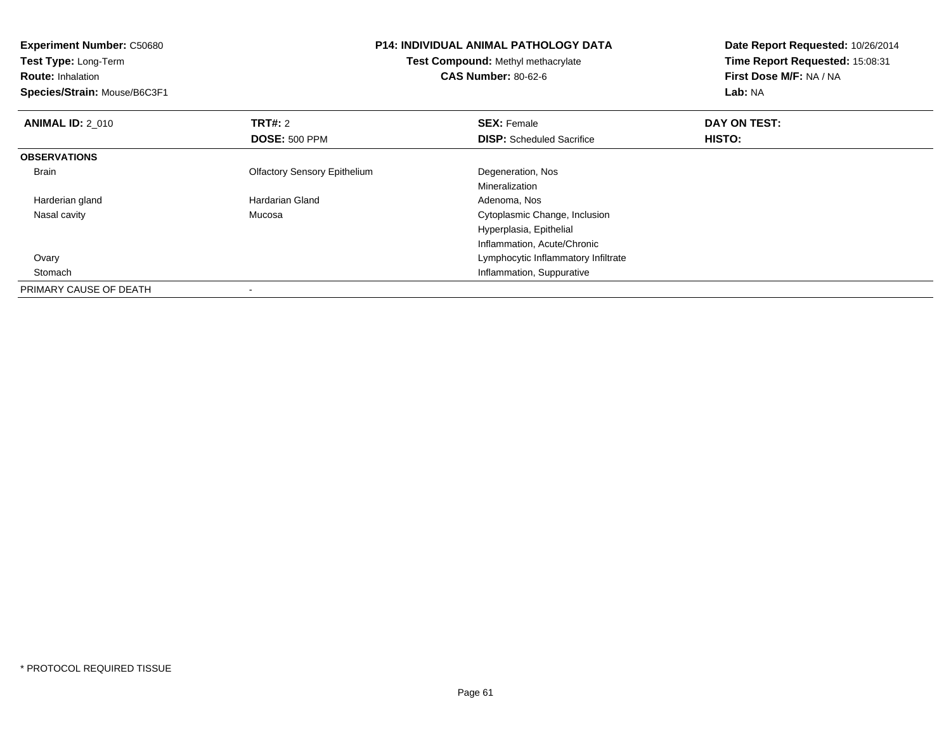| <b>P14: INDIVIDUAL ANIMAL PATHOLOGY DATA</b><br><b>Experiment Number: C50680</b> |                                     | Date Report Requested: 10/26/2014   |                                 |  |
|----------------------------------------------------------------------------------|-------------------------------------|-------------------------------------|---------------------------------|--|
| Test Type: Long-Term                                                             | Test Compound: Methyl methacrylate  |                                     | Time Report Requested: 15:08:31 |  |
| <b>Route: Inhalation</b>                                                         |                                     | <b>CAS Number: 80-62-6</b>          | First Dose M/F: NA / NA         |  |
| Species/Strain: Mouse/B6C3F1                                                     |                                     |                                     | Lab: NA                         |  |
| <b>ANIMAL ID: 2 010</b>                                                          | <b>TRT#: 2</b>                      | <b>SEX: Female</b>                  | DAY ON TEST:                    |  |
|                                                                                  | <b>DOSE: 500 PPM</b>                | <b>DISP:</b> Scheduled Sacrifice    | HISTO:                          |  |
| <b>OBSERVATIONS</b>                                                              |                                     |                                     |                                 |  |
| Brain                                                                            | <b>Olfactory Sensory Epithelium</b> | Degeneration, Nos                   |                                 |  |
|                                                                                  |                                     | Mineralization                      |                                 |  |
| Harderian gland                                                                  | <b>Hardarian Gland</b>              | Adenoma, Nos                        |                                 |  |
| Nasal cavity                                                                     | Mucosa                              | Cytoplasmic Change, Inclusion       |                                 |  |
|                                                                                  |                                     | Hyperplasia, Epithelial             |                                 |  |
|                                                                                  |                                     | Inflammation, Acute/Chronic         |                                 |  |
| Ovary                                                                            |                                     | Lymphocytic Inflammatory Infiltrate |                                 |  |
| Stomach                                                                          |                                     | Inflammation, Suppurative           |                                 |  |
| PRIMARY CAUSE OF DEATH                                                           |                                     |                                     |                                 |  |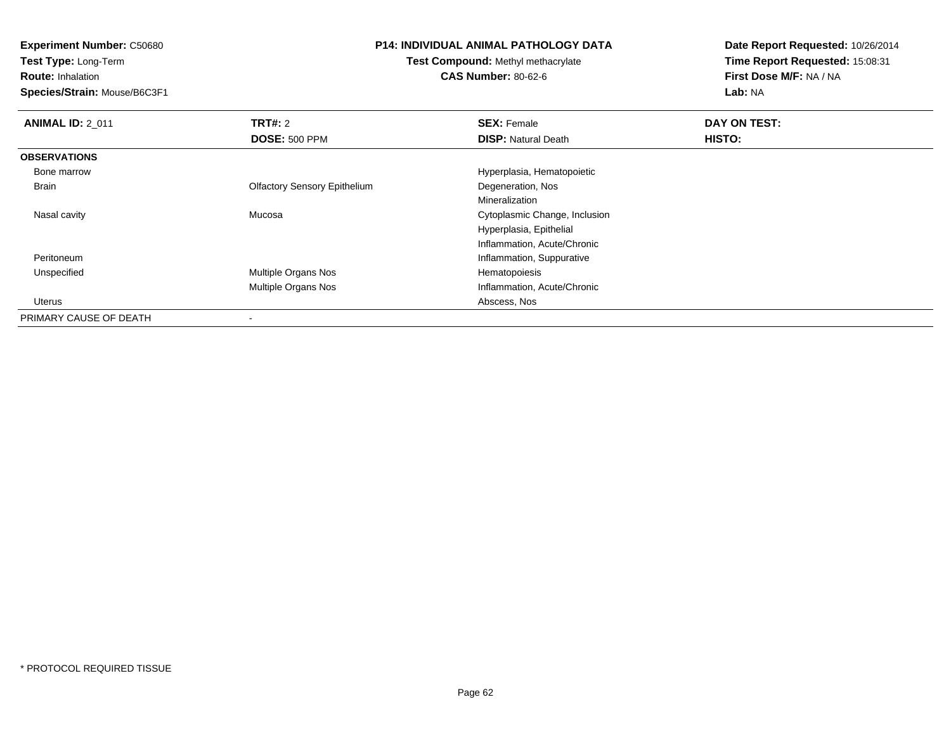**Test Type:** Long-Term

**Route:** Inhalation

**Species/Strain:** Mouse/B6C3F1

# **P14: INDIVIDUAL ANIMAL PATHOLOGY DATA**

**Test Compound:** Methyl methacrylate**CAS Number:** 80-62-6

| <b>ANIMAL ID: 2 011</b> | <b>TRT#: 2</b>                      | <b>SEX: Female</b>            | DAY ON TEST: |  |
|-------------------------|-------------------------------------|-------------------------------|--------------|--|
|                         | <b>DOSE: 500 PPM</b>                | <b>DISP: Natural Death</b>    | HISTO:       |  |
| <b>OBSERVATIONS</b>     |                                     |                               |              |  |
| Bone marrow             |                                     | Hyperplasia, Hematopoietic    |              |  |
| Brain                   | <b>Olfactory Sensory Epithelium</b> | Degeneration, Nos             |              |  |
|                         |                                     | Mineralization                |              |  |
| Nasal cavity            | Mucosa                              | Cytoplasmic Change, Inclusion |              |  |
|                         |                                     | Hyperplasia, Epithelial       |              |  |
|                         |                                     | Inflammation, Acute/Chronic   |              |  |
| Peritoneum              |                                     | Inflammation, Suppurative     |              |  |
| Unspecified             | Multiple Organs Nos                 | Hematopoiesis                 |              |  |
|                         | <b>Multiple Organs Nos</b>          | Inflammation, Acute/Chronic   |              |  |
| Uterus                  |                                     | Abscess, Nos                  |              |  |
| PRIMARY CAUSE OF DEATH  |                                     |                               |              |  |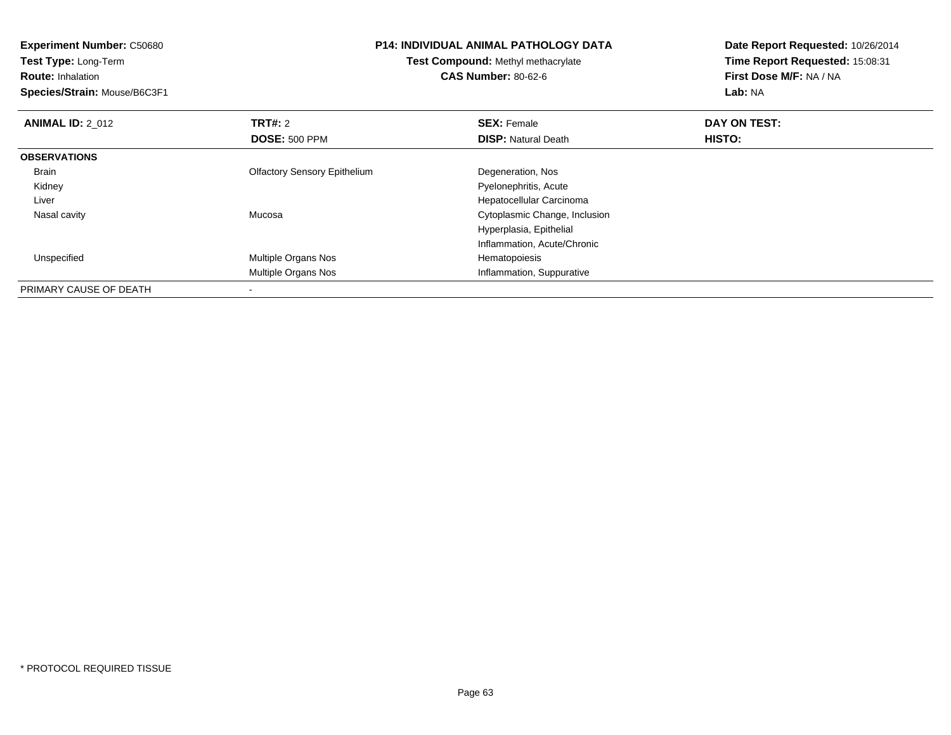**Experiment Number:** C50680**Test Type:** Long-Term**Route:** Inhalation **Species/Strain:** Mouse/B6C3F1**P14: INDIVIDUAL ANIMAL PATHOLOGY DATATest Compound:** Methyl methacrylate**CAS Number:** 80-62-6**Date Report Requested:** 10/26/2014**Time Report Requested:** 15:08:31**First Dose M/F:** NA / NA**Lab:** NA**ANIMAL ID: 2 012 TRT#:** 2 **SEX:** Female **DAY ON TEST: DOSE:** 500 PPM**DISP:** Natural Death **HISTO: OBSERVATIONS** Brain Olfactory Sensory Epithelium Degeneration, Nos Kidney Pyelonephritis, Acute Hepatocellular Carcinoma Liver Cytoplasmic Change, Inclusion Nasal cavity MucosaHyperplasia, EpithelialInflammation, Acute/Chronic UnspecifiedMultiple Organs Nos **Hematopoiesis** Multiple Organs Nos Inflammation, SuppurativePRIMARY CAUSE OF DEATH-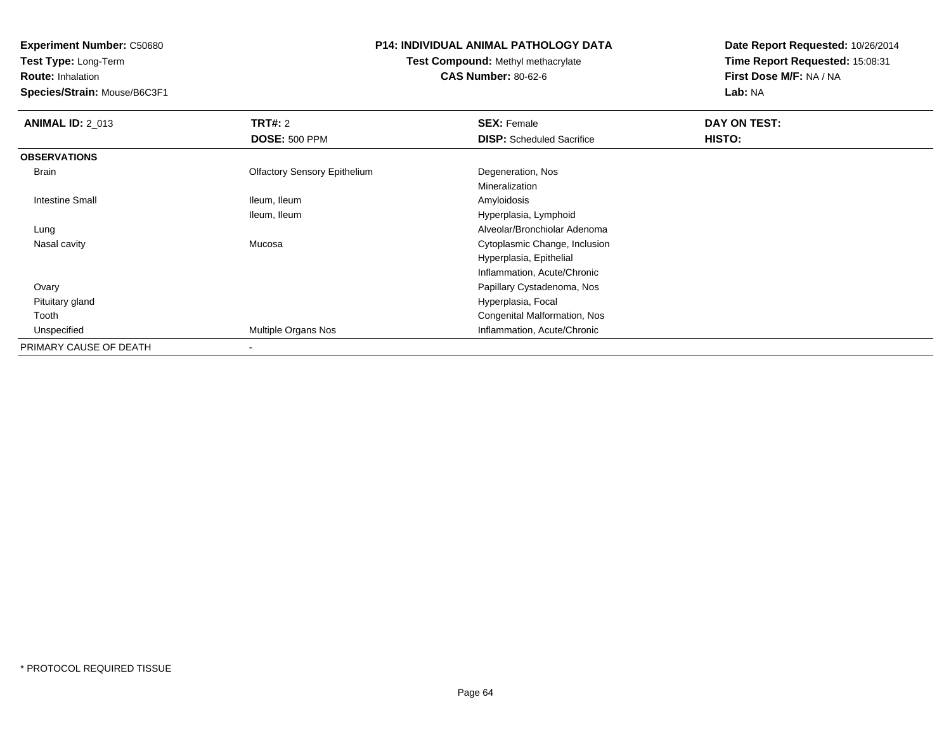**Test Type:** Long-Term

**Route:** Inhalation

**Species/Strain:** Mouse/B6C3F1

# **P14: INDIVIDUAL ANIMAL PATHOLOGY DATA**

**Test Compound:** Methyl methacrylate**CAS Number:** 80-62-6

| <b>ANIMAL ID: 2 013</b> | TRT#: 2                             | <b>SEX: Female</b>               | DAY ON TEST: |
|-------------------------|-------------------------------------|----------------------------------|--------------|
|                         | <b>DOSE: 500 PPM</b>                | <b>DISP:</b> Scheduled Sacrifice | HISTO:       |
| <b>OBSERVATIONS</b>     |                                     |                                  |              |
| Brain                   | <b>Olfactory Sensory Epithelium</b> | Degeneration, Nos                |              |
|                         |                                     | Mineralization                   |              |
| Intestine Small         | Ileum, Ileum                        | Amyloidosis                      |              |
|                         | Ileum, Ileum                        | Hyperplasia, Lymphoid            |              |
| Lung                    |                                     | Alveolar/Bronchiolar Adenoma     |              |
| Nasal cavity            | Mucosa                              | Cytoplasmic Change, Inclusion    |              |
|                         |                                     | Hyperplasia, Epithelial          |              |
|                         |                                     | Inflammation, Acute/Chronic      |              |
| Ovary                   |                                     | Papillary Cystadenoma, Nos       |              |
| Pituitary gland         |                                     | Hyperplasia, Focal               |              |
| Tooth                   |                                     | Congenital Malformation, Nos     |              |
| Unspecified             | Multiple Organs Nos                 | Inflammation, Acute/Chronic      |              |
| PRIMARY CAUSE OF DEATH  | $\overline{\phantom{a}}$            |                                  |              |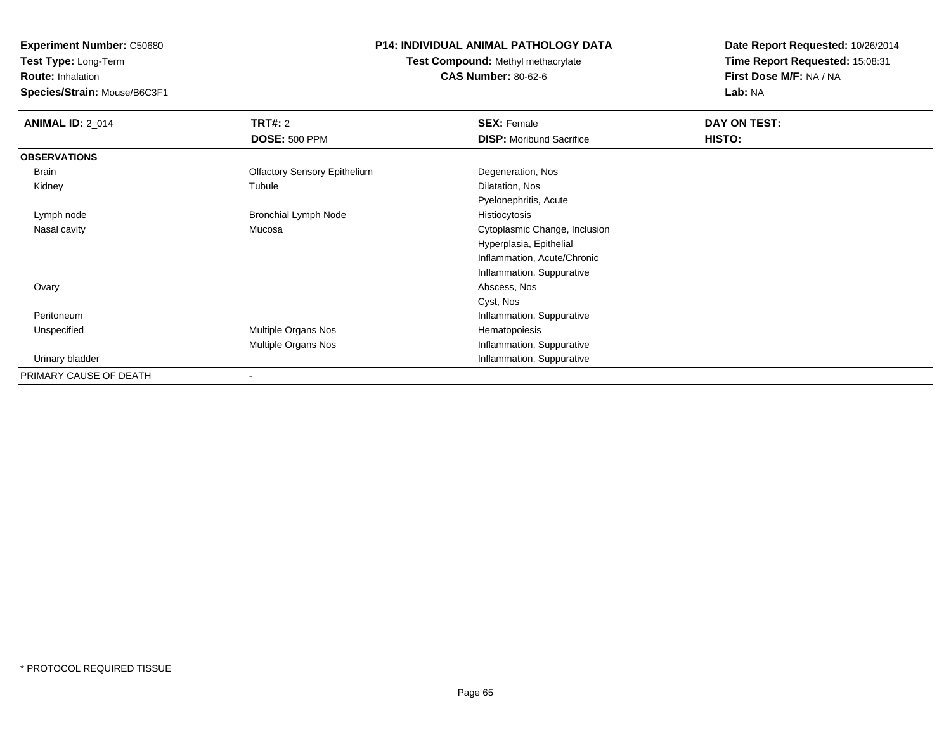**Test Type:** Long-Term

**Route:** Inhalation

**Species/Strain:** Mouse/B6C3F1

# **P14: INDIVIDUAL ANIMAL PATHOLOGY DATA**

**Test Compound:** Methyl methacrylate**CAS Number:** 80-62-6

| <b>ANIMAL ID: 2_014</b> | <b>TRT#:</b> 2                      | <b>SEX: Female</b>              | DAY ON TEST: |  |
|-------------------------|-------------------------------------|---------------------------------|--------------|--|
|                         | <b>DOSE: 500 PPM</b>                | <b>DISP:</b> Moribund Sacrifice | HISTO:       |  |
| <b>OBSERVATIONS</b>     |                                     |                                 |              |  |
| Brain                   | <b>Olfactory Sensory Epithelium</b> | Degeneration, Nos               |              |  |
| Kidney                  | Tubule                              | Dilatation, Nos                 |              |  |
|                         |                                     | Pyelonephritis, Acute           |              |  |
| Lymph node              | <b>Bronchial Lymph Node</b>         | Histiocytosis                   |              |  |
| Nasal cavity            | Mucosa                              | Cytoplasmic Change, Inclusion   |              |  |
|                         |                                     | Hyperplasia, Epithelial         |              |  |
|                         |                                     | Inflammation, Acute/Chronic     |              |  |
|                         |                                     | Inflammation, Suppurative       |              |  |
| Ovary                   |                                     | Abscess, Nos                    |              |  |
|                         |                                     | Cyst, Nos                       |              |  |
| Peritoneum              |                                     | Inflammation, Suppurative       |              |  |
| Unspecified             | Multiple Organs Nos                 | Hematopoiesis                   |              |  |
|                         | Multiple Organs Nos                 | Inflammation, Suppurative       |              |  |
| Urinary bladder         |                                     | Inflammation, Suppurative       |              |  |
| PRIMARY CAUSE OF DEATH  |                                     |                                 |              |  |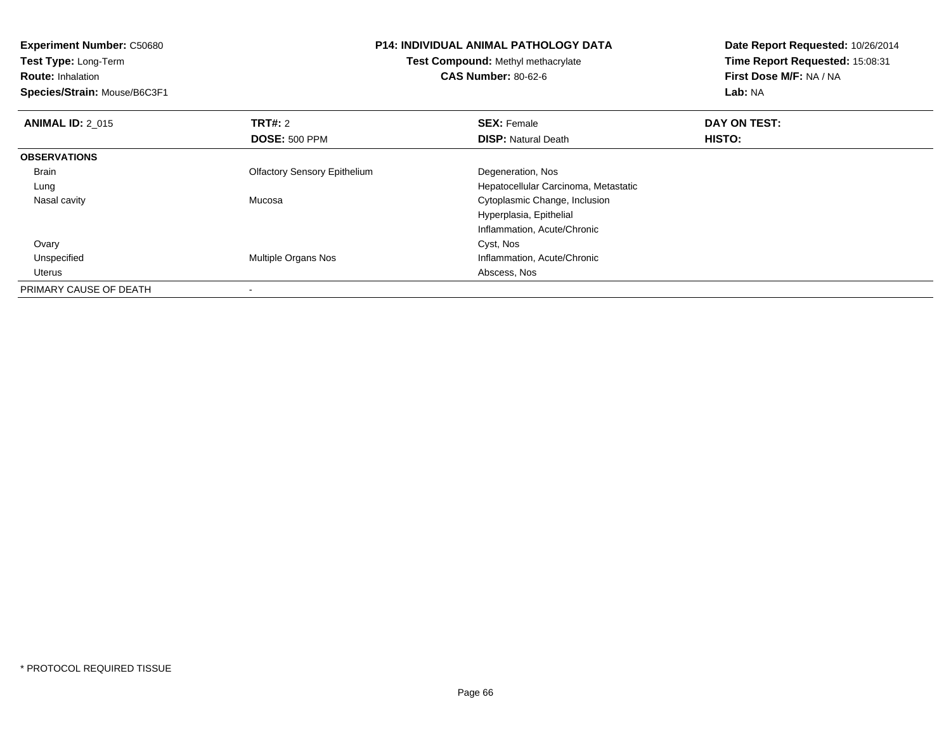**Experiment Number:** C50680**Test Type:** Long-Term**Route:** Inhalation **Species/Strain:** Mouse/B6C3F1**P14: INDIVIDUAL ANIMAL PATHOLOGY DATATest Compound:** Methyl methacrylate**CAS Number:** 80-62-6**Date Report Requested:** 10/26/2014**Time Report Requested:** 15:08:31**First Dose M/F:** NA / NA**Lab:** NA**ANIMAL ID: 2 015 TRT#:** 2 **SEX:** Female **DAY ON TEST: DOSE:** 500 PPM**DISP:** Natural Death **HISTO: OBSERVATIONS** Brain Olfactory Sensory Epithelium Degeneration, Nos Lung Hepatocellular Carcinoma, Metastatic Nasal cavity Mucosa Cytoplasmic Change, Inclusion Hyperplasia, EpithelialInflammation, Acute/Chronic**Ovary** y and the control of the control of the control of the control of the control of the control of the control of the control of the control of the control of the control of the control of the control of the control of the co UnspecifiedMultiple Organs Nos **Inflammation, Acute/Chronic**<br>Abscess, Nos Uterus Abscess, Nos PRIMARY CAUSE OF DEATH-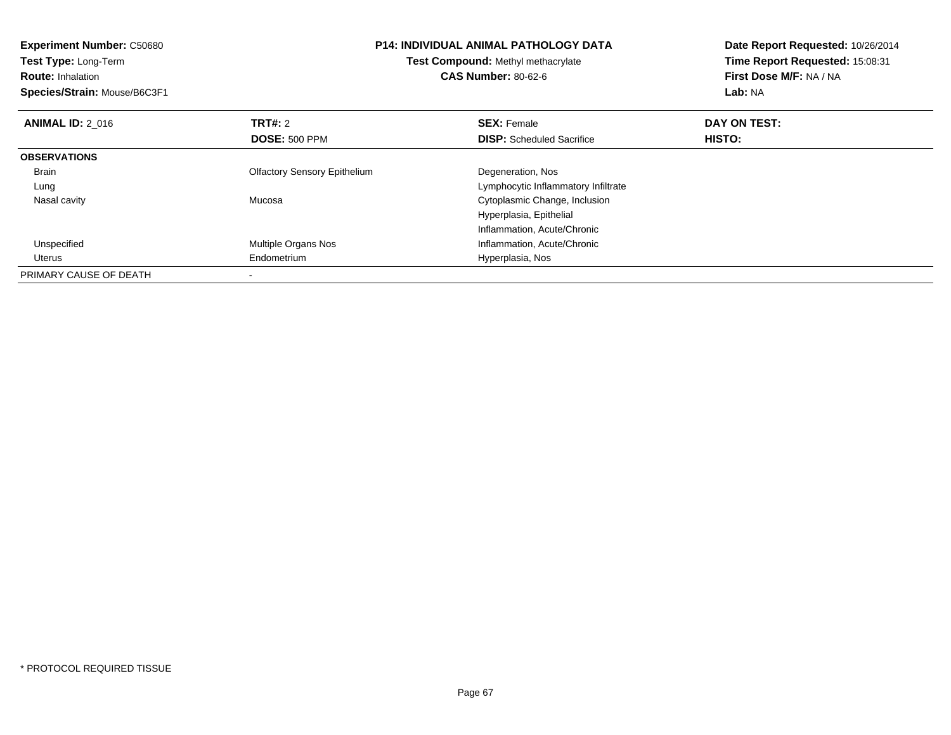| <b>Experiment Number: C50680</b><br>Test Type: Long-Term<br><b>Route: Inhalation</b><br>Species/Strain: Mouse/B6C3F1 |                                     | <b>P14: INDIVIDUAL ANIMAL PATHOLOGY DATA</b><br>Test Compound: Methyl methacrylate<br><b>CAS Number: 80-62-6</b> | Date Report Requested: 10/26/2014<br>Time Report Requested: 15:08:31<br>First Dose M/F: NA / NA<br><b>Lab: NA</b> |
|----------------------------------------------------------------------------------------------------------------------|-------------------------------------|------------------------------------------------------------------------------------------------------------------|-------------------------------------------------------------------------------------------------------------------|
| <b>ANIMAL ID: 2 016</b>                                                                                              | TRT#: 2                             | <b>SEX: Female</b>                                                                                               | DAY ON TEST:                                                                                                      |
|                                                                                                                      | <b>DOSE: 500 PPM</b>                | <b>DISP:</b> Scheduled Sacrifice                                                                                 | HISTO:                                                                                                            |
| <b>OBSERVATIONS</b>                                                                                                  |                                     |                                                                                                                  |                                                                                                                   |
| <b>Brain</b>                                                                                                         | <b>Olfactory Sensory Epithelium</b> | Degeneration, Nos                                                                                                |                                                                                                                   |
| Lung                                                                                                                 |                                     | Lymphocytic Inflammatory Infiltrate                                                                              |                                                                                                                   |
| Nasal cavity                                                                                                         | Mucosa                              | Cytoplasmic Change, Inclusion                                                                                    |                                                                                                                   |
|                                                                                                                      |                                     | Hyperplasia, Epithelial                                                                                          |                                                                                                                   |
|                                                                                                                      |                                     | Inflammation, Acute/Chronic                                                                                      |                                                                                                                   |
| Unspecified                                                                                                          | Multiple Organs Nos                 | Inflammation, Acute/Chronic                                                                                      |                                                                                                                   |
| Uterus                                                                                                               | Hyperplasia, Nos<br>Endometrium     |                                                                                                                  |                                                                                                                   |
| PRIMARY CAUSE OF DEATH                                                                                               |                                     |                                                                                                                  |                                                                                                                   |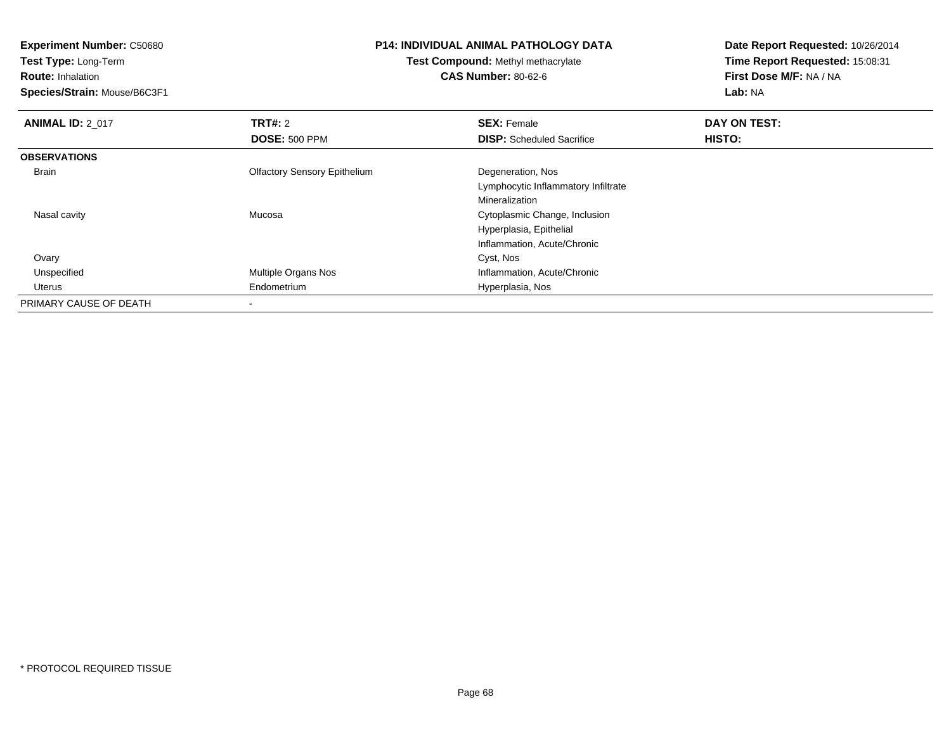**Experiment Number:** C50680**Test Type:** Long-Term**Route:** Inhalation **Species/Strain:** Mouse/B6C3F1**P14: INDIVIDUAL ANIMAL PATHOLOGY DATATest Compound:** Methyl methacrylate**CAS Number:** 80-62-6**Date Report Requested:** 10/26/2014**Time Report Requested:** 15:08:31**First Dose M/F:** NA / NA**Lab:** NA**ANIMAL ID: 2 017 TRT#:** <sup>2</sup> **SEX:** Female **DAY ON TEST: DOSE:** 500 PPM**DISP:** Scheduled Sacrifice **HISTO: OBSERVATIONS** Brain Olfactory Sensory Epithelium Degeneration, Nos Lymphocytic Inflammatory InfiltrateMineralization Cytoplasmic Change, Inclusion Nasal cavity MucosaHyperplasia, EpithelialInflammation, Acute/Chronic Ovaryy and the control of the control of the control of the control of the control of the control of the control of the control of the control of the control of the control of the control of the control of the control of the co UnspecifiedMultiple Organs Nos **Inflammation**, Acute/Chronic Uterus Endometrium Hyperplasia, Nos PRIMARY CAUSE OF DEATH

-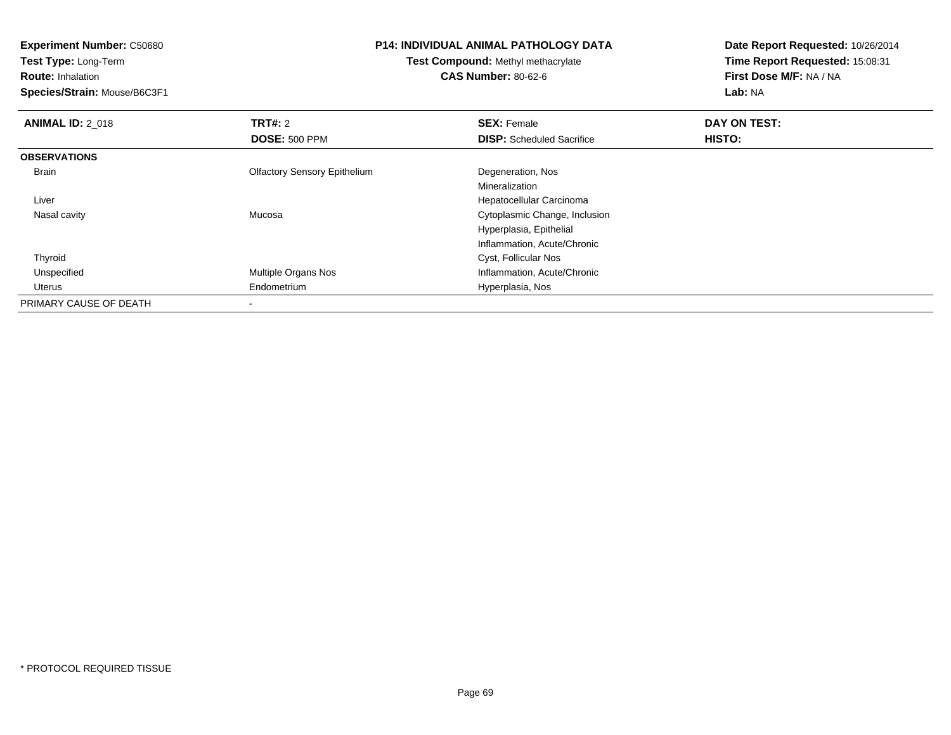**Test Type:** Long-Term

**Route:** Inhalation

**Species/Strain:** Mouse/B6C3F1

## **P14: INDIVIDUAL ANIMAL PATHOLOGY DATA**

**Test Compound:** Methyl methacrylate**CAS Number:** 80-62-6

| <b>ANIMAL ID: 2 018</b> | TRT#: 2                             | <b>SEX: Female</b>               | DAY ON TEST: |  |
|-------------------------|-------------------------------------|----------------------------------|--------------|--|
|                         | <b>DOSE: 500 PPM</b>                | <b>DISP:</b> Scheduled Sacrifice | HISTO:       |  |
| <b>OBSERVATIONS</b>     |                                     |                                  |              |  |
| <b>Brain</b>            | <b>Olfactory Sensory Epithelium</b> | Degeneration, Nos                |              |  |
|                         |                                     | Mineralization                   |              |  |
| Liver                   |                                     | Hepatocellular Carcinoma         |              |  |
| Nasal cavity            | Mucosa                              | Cytoplasmic Change, Inclusion    |              |  |
|                         |                                     | Hyperplasia, Epithelial          |              |  |
|                         |                                     | Inflammation, Acute/Chronic      |              |  |
| Thyroid                 |                                     | Cyst, Follicular Nos             |              |  |
| Unspecified             | Multiple Organs Nos                 | Inflammation, Acute/Chronic      |              |  |
| Uterus                  | Endometrium                         | Hyperplasia, Nos                 |              |  |
| PRIMARY CAUSE OF DEATH  | $\,$                                |                                  |              |  |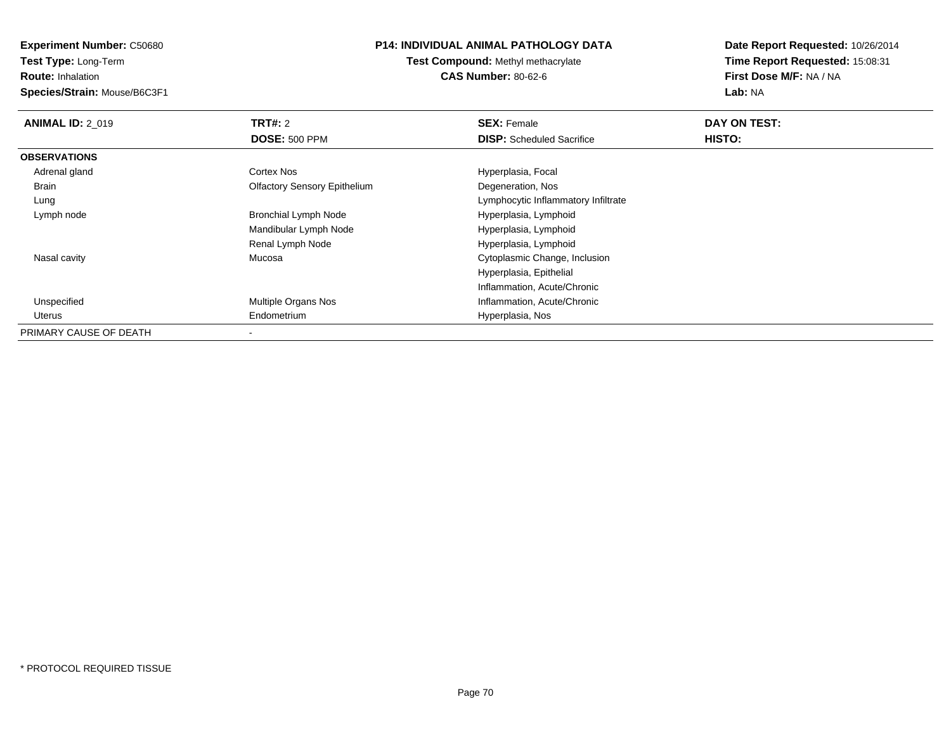**Test Type:** Long-Term

**Route:** Inhalation

**Species/Strain:** Mouse/B6C3F1

# **P14: INDIVIDUAL ANIMAL PATHOLOGY DATA**

**Test Compound:** Methyl methacrylate**CAS Number:** 80-62-6

| <b>ANIMAL ID: 2_019</b> | TRT#: 2                             | <b>SEX: Female</b>                  | DAY ON TEST: |  |
|-------------------------|-------------------------------------|-------------------------------------|--------------|--|
|                         | <b>DOSE: 500 PPM</b>                | <b>DISP:</b> Scheduled Sacrifice    | HISTO:       |  |
| <b>OBSERVATIONS</b>     |                                     |                                     |              |  |
| Adrenal gland           | Cortex Nos                          | Hyperplasia, Focal                  |              |  |
| Brain                   | <b>Olfactory Sensory Epithelium</b> | Degeneration, Nos                   |              |  |
| Lung                    |                                     | Lymphocytic Inflammatory Infiltrate |              |  |
| Lymph node              | <b>Bronchial Lymph Node</b>         | Hyperplasia, Lymphoid               |              |  |
|                         | Mandibular Lymph Node               | Hyperplasia, Lymphoid               |              |  |
|                         | Renal Lymph Node                    | Hyperplasia, Lymphoid               |              |  |
| Nasal cavity            | Mucosa                              | Cytoplasmic Change, Inclusion       |              |  |
|                         |                                     | Hyperplasia, Epithelial             |              |  |
|                         |                                     | Inflammation, Acute/Chronic         |              |  |
| Unspecified             | <b>Multiple Organs Nos</b>          | Inflammation, Acute/Chronic         |              |  |
| Uterus                  | Endometrium                         | Hyperplasia, Nos                    |              |  |
| PRIMARY CAUSE OF DEATH  |                                     |                                     |              |  |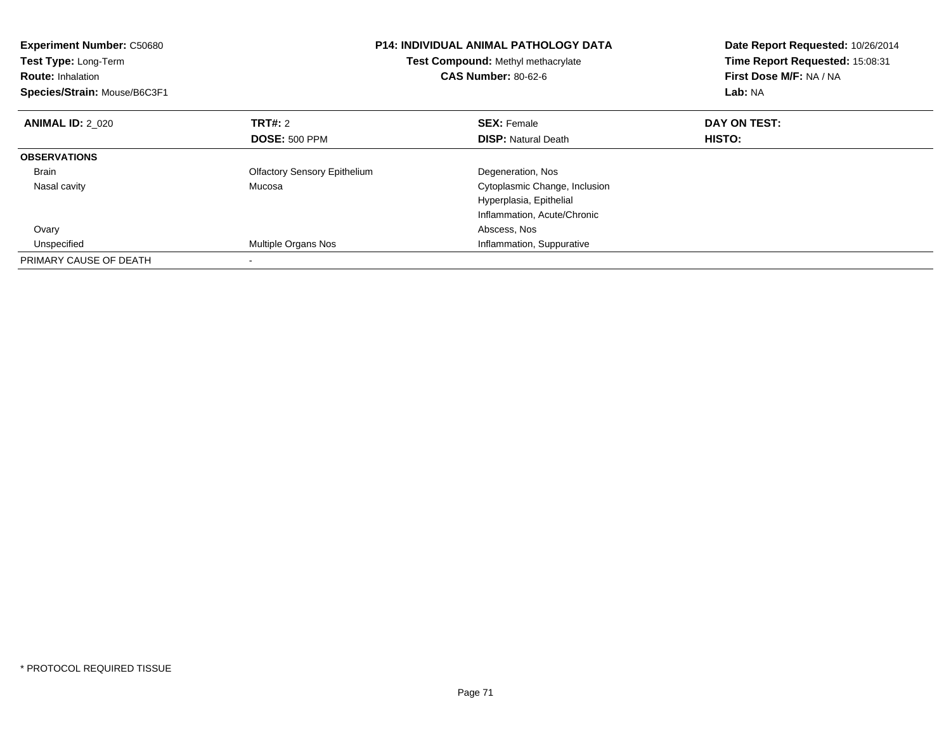| <b>Experiment Number: C50680</b><br>Test Type: Long-Term<br><b>Route: Inhalation</b><br>Species/Strain: Mouse/B6C3F1 | <b>P14: INDIVIDUAL ANIMAL PATHOLOGY DATA</b><br><b>Test Compound: Methyl methacrylate</b><br><b>CAS Number: 80-62-6</b> |                               | Date Report Requested: 10/26/2014<br>Time Report Requested: 15:08:31<br>First Dose M/F: NA / NA<br>Lab: NA |  |
|----------------------------------------------------------------------------------------------------------------------|-------------------------------------------------------------------------------------------------------------------------|-------------------------------|------------------------------------------------------------------------------------------------------------|--|
| <b>ANIMAL ID: 2 020</b>                                                                                              | <b>TRT#: 2</b>                                                                                                          | <b>SEX: Female</b>            | DAY ON TEST:                                                                                               |  |
|                                                                                                                      | <b>DOSE: 500 PPM</b>                                                                                                    | <b>DISP:</b> Natural Death    | <b>HISTO:</b>                                                                                              |  |
| <b>OBSERVATIONS</b>                                                                                                  |                                                                                                                         |                               |                                                                                                            |  |
| <b>Brain</b>                                                                                                         | <b>Olfactory Sensory Epithelium</b>                                                                                     | Degeneration, Nos             |                                                                                                            |  |
| Nasal cavity                                                                                                         | Mucosa                                                                                                                  | Cytoplasmic Change, Inclusion |                                                                                                            |  |
|                                                                                                                      |                                                                                                                         | Hyperplasia, Epithelial       |                                                                                                            |  |
|                                                                                                                      |                                                                                                                         | Inflammation, Acute/Chronic   |                                                                                                            |  |
| Ovary                                                                                                                |                                                                                                                         | Abscess, Nos                  |                                                                                                            |  |
| Unspecified                                                                                                          | Multiple Organs Nos                                                                                                     | Inflammation, Suppurative     |                                                                                                            |  |
| PRIMARY CAUSE OF DEATH                                                                                               |                                                                                                                         |                               |                                                                                                            |  |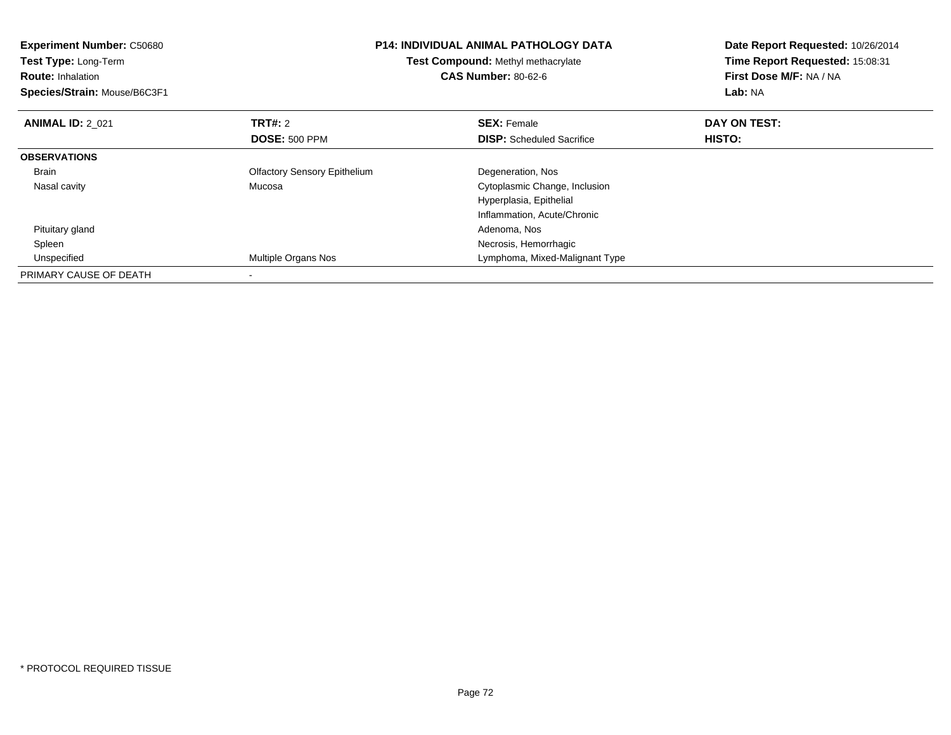| <b>Experiment Number: C50680</b><br>Test Type: Long-Term<br><b>Route: Inhalation</b><br>Species/Strain: Mouse/B6C3F1 | <b>P14: INDIVIDUAL ANIMAL PATHOLOGY DATA</b><br>Test Compound: Methyl methacrylate<br><b>CAS Number: 80-62-6</b> |                                  | Date Report Requested: 10/26/2014<br>Time Report Requested: 15:08:31<br>First Dose M/F: NA / NA<br>Lab: NA |  |
|----------------------------------------------------------------------------------------------------------------------|------------------------------------------------------------------------------------------------------------------|----------------------------------|------------------------------------------------------------------------------------------------------------|--|
| <b>ANIMAL ID: 2 021</b>                                                                                              | <b>TRT#:</b> 2<br><b>DOSE: 500 PPM</b>                                                                           | <b>SEX: Female</b>               | DAY ON TEST:<br>HISTO:                                                                                     |  |
|                                                                                                                      |                                                                                                                  | <b>DISP:</b> Scheduled Sacrifice |                                                                                                            |  |
| <b>OBSERVATIONS</b>                                                                                                  |                                                                                                                  |                                  |                                                                                                            |  |
| <b>Brain</b>                                                                                                         | <b>Olfactory Sensory Epithelium</b>                                                                              | Degeneration, Nos                |                                                                                                            |  |
| Nasal cavity                                                                                                         | Mucosa                                                                                                           | Cytoplasmic Change, Inclusion    |                                                                                                            |  |
|                                                                                                                      |                                                                                                                  | Hyperplasia, Epithelial          |                                                                                                            |  |
|                                                                                                                      |                                                                                                                  | Inflammation, Acute/Chronic      |                                                                                                            |  |
| Pituitary gland                                                                                                      |                                                                                                                  | Adenoma, Nos                     |                                                                                                            |  |
| Spleen                                                                                                               |                                                                                                                  | Necrosis, Hemorrhagic            |                                                                                                            |  |
| Unspecified                                                                                                          | Multiple Organs Nos                                                                                              | Lymphoma, Mixed-Malignant Type   |                                                                                                            |  |
| PRIMARY CAUSE OF DEATH                                                                                               |                                                                                                                  |                                  |                                                                                                            |  |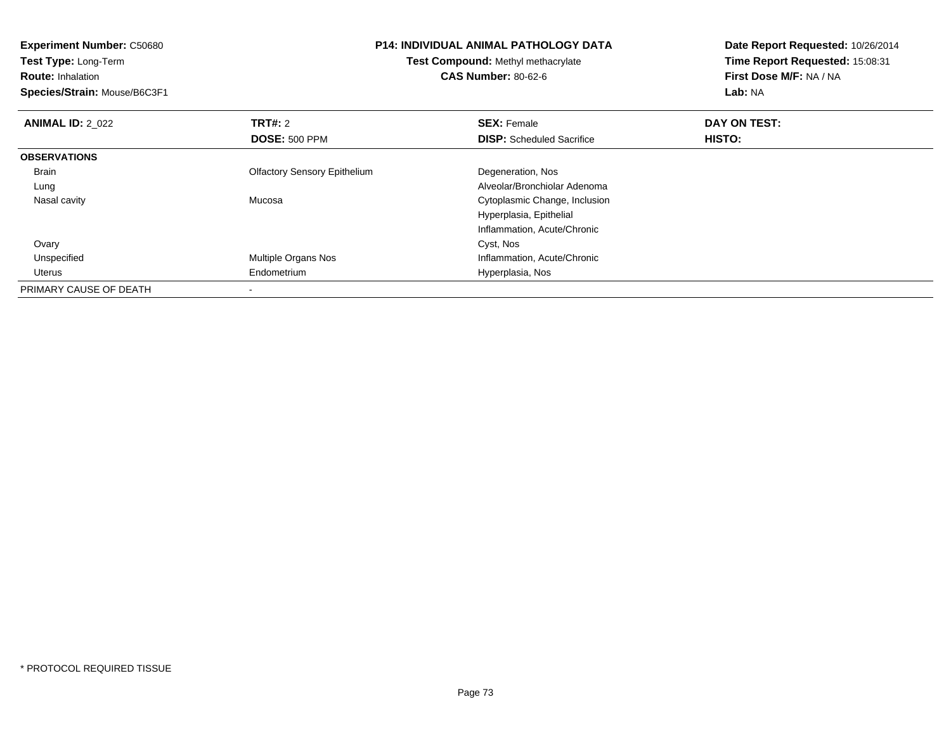| <b>Experiment Number: C50680</b> |                                     | <b>P14: INDIVIDUAL ANIMAL PATHOLOGY DATA</b> | Date Report Requested: 10/26/2014 |  |
|----------------------------------|-------------------------------------|----------------------------------------------|-----------------------------------|--|
| Test Type: Long-Term             | Test Compound: Methyl methacrylate  |                                              | Time Report Requested: 15:08:31   |  |
| <b>Route: Inhalation</b>         |                                     | <b>CAS Number: 80-62-6</b>                   | First Dose M/F: NA / NA           |  |
| Species/Strain: Mouse/B6C3F1     |                                     |                                              | Lab: NA                           |  |
| <b>ANIMAL ID: 2_022</b>          | <b>TRT#: 2</b>                      | <b>SEX: Female</b>                           | DAY ON TEST:                      |  |
|                                  | <b>DOSE: 500 PPM</b>                | <b>DISP:</b> Scheduled Sacrifice             | HISTO:                            |  |
| <b>OBSERVATIONS</b>              |                                     |                                              |                                   |  |
| Brain                            | <b>Olfactory Sensory Epithelium</b> | Degeneration, Nos                            |                                   |  |
| Lung                             |                                     | Alveolar/Bronchiolar Adenoma                 |                                   |  |
| Nasal cavity                     | Mucosa                              | Cytoplasmic Change, Inclusion                |                                   |  |
|                                  |                                     | Hyperplasia, Epithelial                      |                                   |  |
|                                  |                                     | Inflammation, Acute/Chronic                  |                                   |  |
| Ovary                            |                                     | Cyst, Nos                                    |                                   |  |
| Unspecified                      | Multiple Organs Nos                 | Inflammation, Acute/Chronic                  |                                   |  |
| Uterus                           | Endometrium                         | Hyperplasia, Nos                             |                                   |  |
| PRIMARY CAUSE OF DEATH           |                                     |                                              |                                   |  |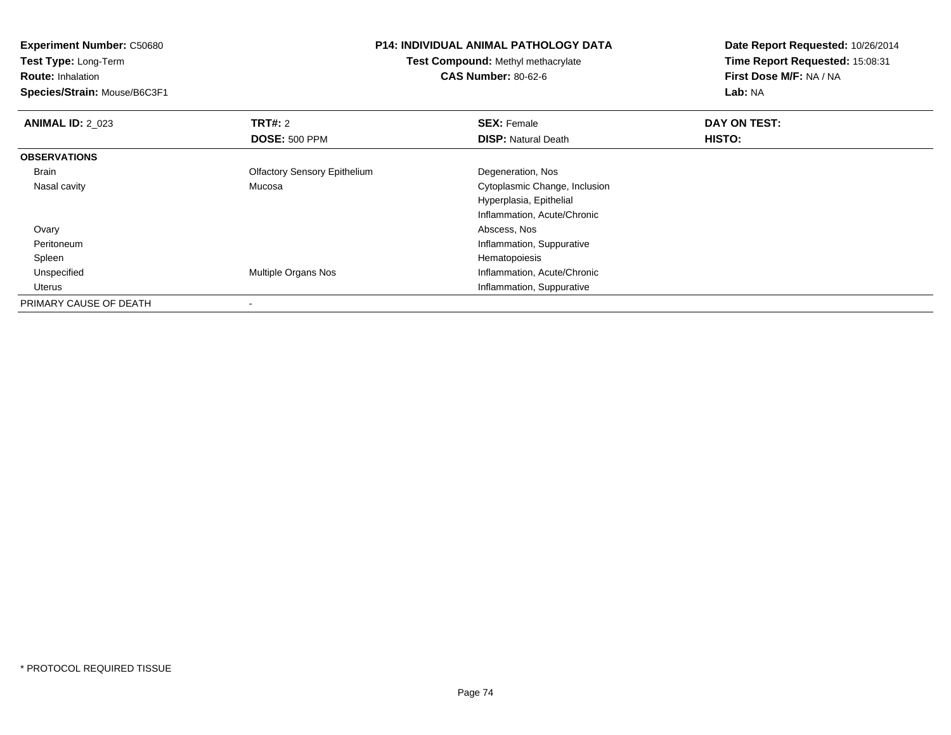**Experiment Number:** C50680**Test Type:** Long-Term**Route:** Inhalation **Species/Strain:** Mouse/B6C3F1**P14: INDIVIDUAL ANIMAL PATHOLOGY DATATest Compound:** Methyl methacrylate**CAS Number:** 80-62-6**Date Report Requested:** 10/26/2014**Time Report Requested:** 15:08:31**First Dose M/F:** NA / NA**Lab:** NA**ANIMAL ID: 2 023 TRT#:** 2 **SEX:** Female **DAY ON TEST: DOSE:** 500 PPM**DISP:** Natural Death **HISTO: OBSERVATIONS** Brain Olfactory Sensory Epithelium Degeneration, Nos Nasal cavity Mucosa Cytoplasmic Change, Inclusion Hyperplasia, EpithelialInflammation, Acute/Chronic**Ovary**  Abscess, Nos Peritoneum Inflammation, Suppurative SpleenHematopoiesis<br>Multiple Organs Nos<br>Inflammation, A UnspecifiedInflammation, Acute/Chronic Uterus Inflammation, SuppurativePRIMARY CAUSE OF DEATH-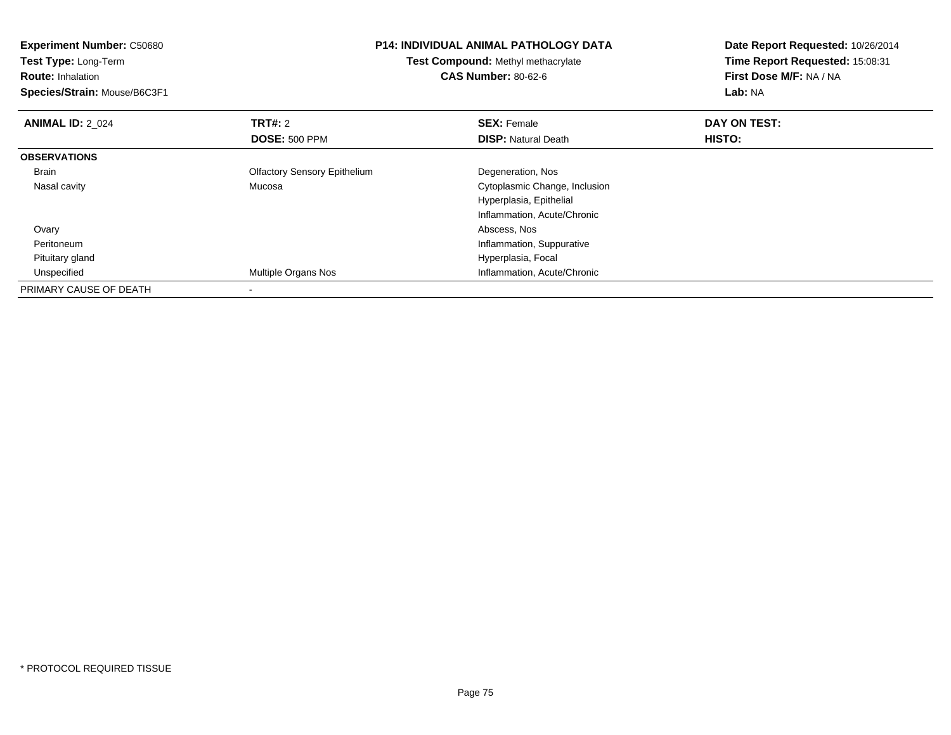| <b>Experiment Number: C50680</b> | <b>P14: INDIVIDUAL ANIMAL PATHOLOGY DATA</b><br>Test Compound: Methyl methacrylate |                               | Date Report Requested: 10/26/2014 |  |
|----------------------------------|------------------------------------------------------------------------------------|-------------------------------|-----------------------------------|--|
| Test Type: Long-Term             |                                                                                    |                               | Time Report Requested: 15:08:31   |  |
| <b>Route: Inhalation</b>         |                                                                                    | <b>CAS Number: 80-62-6</b>    | First Dose M/F: NA / NA           |  |
| Species/Strain: Mouse/B6C3F1     |                                                                                    |                               | Lab: NA                           |  |
| <b>ANIMAL ID: 2 024</b>          | <b>TRT#: 2</b>                                                                     | <b>SEX: Female</b>            | DAY ON TEST:                      |  |
|                                  | <b>DOSE: 500 PPM</b>                                                               | <b>DISP:</b> Natural Death    | HISTO:                            |  |
| <b>OBSERVATIONS</b>              |                                                                                    |                               |                                   |  |
| Brain                            | <b>Olfactory Sensory Epithelium</b>                                                | Degeneration, Nos             |                                   |  |
| Nasal cavity                     | Mucosa                                                                             | Cytoplasmic Change, Inclusion |                                   |  |
|                                  |                                                                                    | Hyperplasia, Epithelial       |                                   |  |
|                                  |                                                                                    | Inflammation, Acute/Chronic   |                                   |  |
| Ovary                            |                                                                                    | Abscess, Nos                  |                                   |  |
| Peritoneum                       |                                                                                    | Inflammation, Suppurative     |                                   |  |
| Pituitary gland                  |                                                                                    | Hyperplasia, Focal            |                                   |  |
| Unspecified                      | Multiple Organs Nos                                                                | Inflammation, Acute/Chronic   |                                   |  |
| PRIMARY CAUSE OF DEATH           |                                                                                    |                               |                                   |  |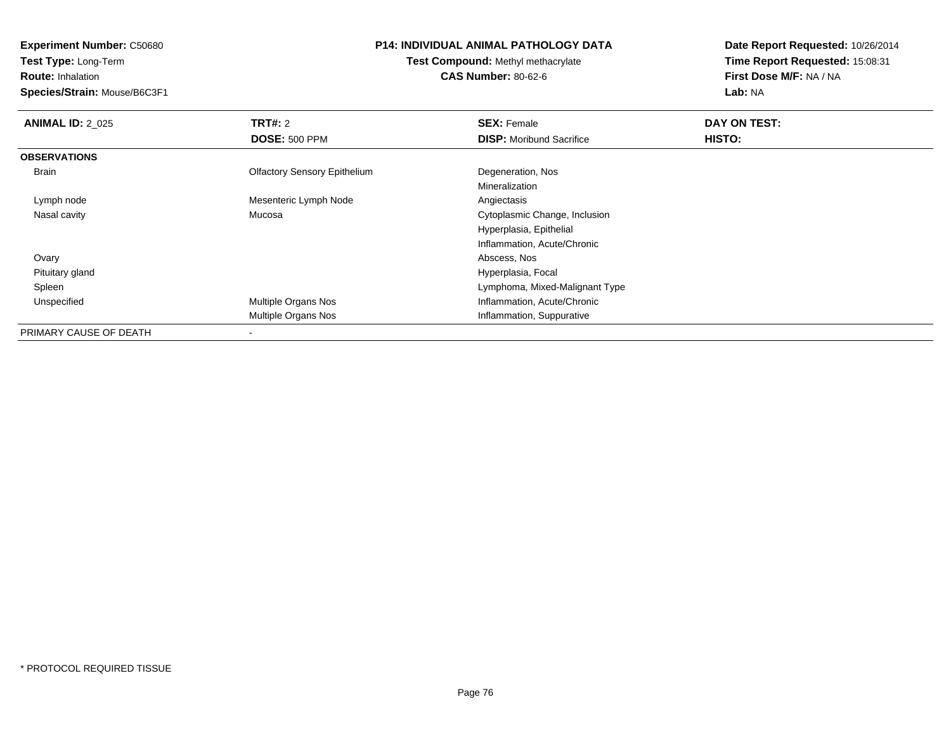**Test Type:** Long-Term

**Route:** Inhalation

**Species/Strain:** Mouse/B6C3F1

# **P14: INDIVIDUAL ANIMAL PATHOLOGY DATA**

**Test Compound:** Methyl methacrylate**CAS Number:** 80-62-6

| <b>ANIMAL ID: 2 025</b> | TRT#: 2                             | <b>SEX: Female</b>              | DAY ON TEST: |
|-------------------------|-------------------------------------|---------------------------------|--------------|
|                         | <b>DOSE: 500 PPM</b>                | <b>DISP:</b> Moribund Sacrifice | HISTO:       |
| <b>OBSERVATIONS</b>     |                                     |                                 |              |
| Brain                   | <b>Olfactory Sensory Epithelium</b> | Degeneration, Nos               |              |
|                         |                                     | Mineralization                  |              |
| Lymph node              | Mesenteric Lymph Node               | Angiectasis                     |              |
| Nasal cavity            | Mucosa                              | Cytoplasmic Change, Inclusion   |              |
|                         |                                     | Hyperplasia, Epithelial         |              |
|                         |                                     | Inflammation, Acute/Chronic     |              |
| Ovary                   |                                     | Abscess, Nos                    |              |
| Pituitary gland         |                                     | Hyperplasia, Focal              |              |
| Spleen                  |                                     | Lymphoma, Mixed-Malignant Type  |              |
| Unspecified             | Multiple Organs Nos                 | Inflammation, Acute/Chronic     |              |
|                         | Multiple Organs Nos                 | Inflammation, Suppurative       |              |
| PRIMARY CAUSE OF DEATH  |                                     |                                 |              |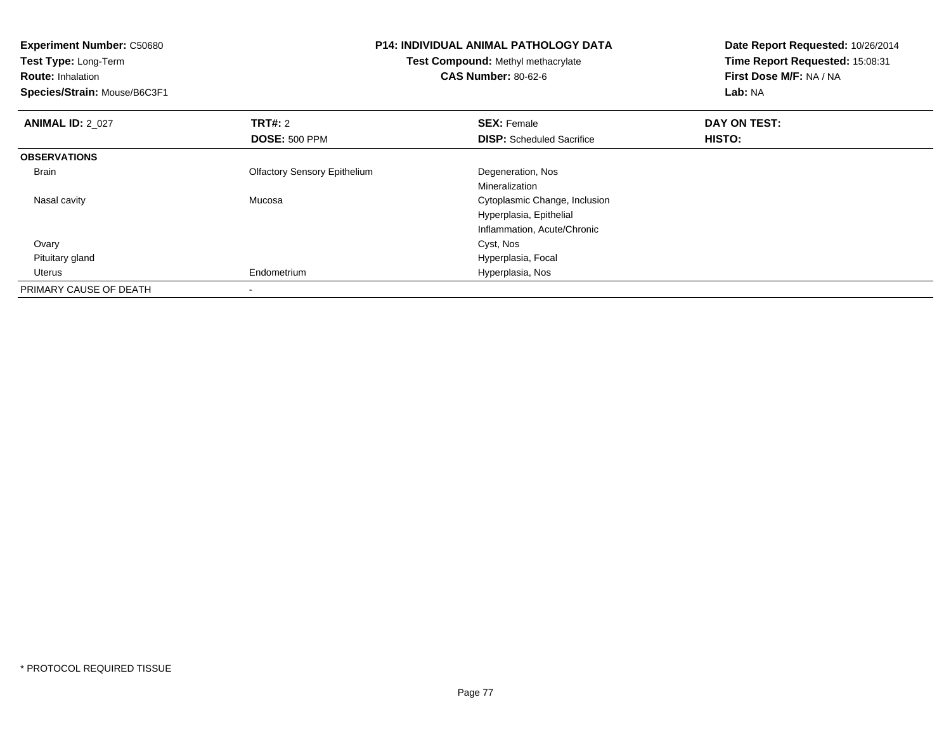| <b>Experiment Number: C50680</b> | <b>P14: INDIVIDUAL ANIMAL PATHOLOGY DATA</b><br>Test Compound: Methyl methacrylate |                                  | Date Report Requested: 10/26/2014 |
|----------------------------------|------------------------------------------------------------------------------------|----------------------------------|-----------------------------------|
| Test Type: Long-Term             |                                                                                    |                                  | Time Report Requested: 15:08:31   |
| <b>Route: Inhalation</b>         |                                                                                    | <b>CAS Number: 80-62-6</b>       | First Dose M/F: NA / NA           |
| Species/Strain: Mouse/B6C3F1     |                                                                                    |                                  | Lab: NA                           |
| <b>ANIMAL ID: 2 027</b>          | <b>TRT#:</b> 2                                                                     | <b>SEX: Female</b>               | DAY ON TEST:                      |
|                                  | <b>DOSE: 500 PPM</b>                                                               | <b>DISP:</b> Scheduled Sacrifice | HISTO:                            |
| <b>OBSERVATIONS</b>              |                                                                                    |                                  |                                   |
| Brain                            | <b>Olfactory Sensory Epithelium</b>                                                | Degeneration, Nos                |                                   |
|                                  |                                                                                    | Mineralization                   |                                   |
| Nasal cavity                     | Mucosa                                                                             | Cytoplasmic Change, Inclusion    |                                   |
|                                  |                                                                                    | Hyperplasia, Epithelial          |                                   |
|                                  |                                                                                    | Inflammation, Acute/Chronic      |                                   |
| Ovary                            |                                                                                    | Cyst, Nos                        |                                   |
| Pituitary gland                  |                                                                                    | Hyperplasia, Focal               |                                   |
| Uterus                           | Endometrium                                                                        | Hyperplasia, Nos                 |                                   |
| PRIMARY CAUSE OF DEATH           |                                                                                    |                                  |                                   |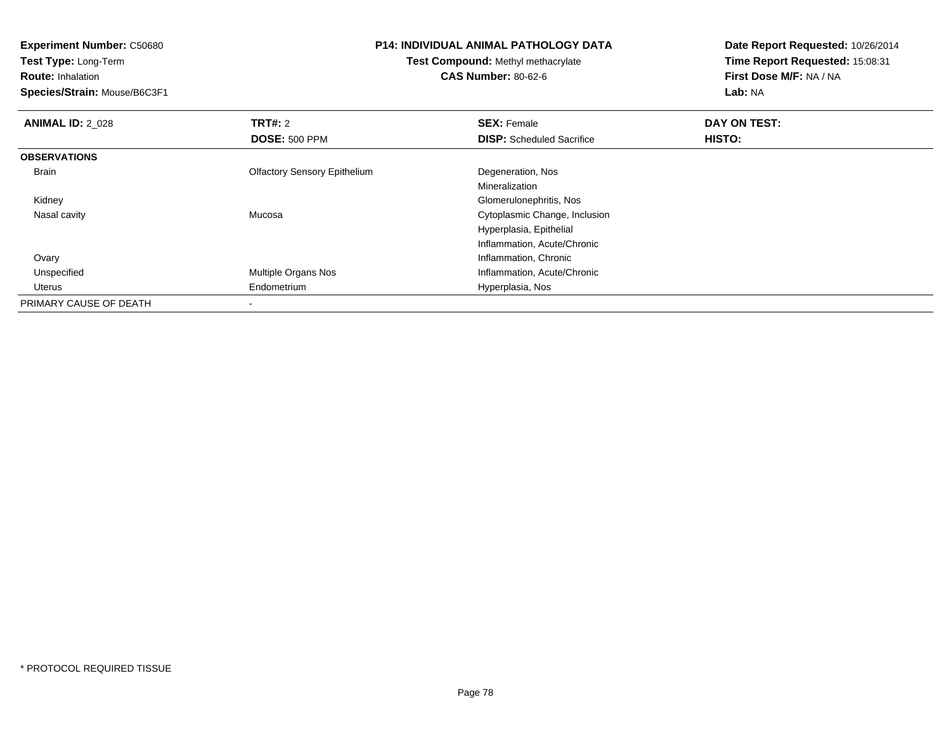**Test Type:** Long-Term

**Route:** Inhalation

**Species/Strain:** Mouse/B6C3F1

## **P14: INDIVIDUAL ANIMAL PATHOLOGY DATA**

**Test Compound:** Methyl methacrylate**CAS Number:** 80-62-6

| <b>ANIMAL ID: 2 028</b> | TRT#: 2                             | <b>SEX: Female</b>               | DAY ON TEST: |  |
|-------------------------|-------------------------------------|----------------------------------|--------------|--|
|                         | <b>DOSE: 500 PPM</b>                | <b>DISP:</b> Scheduled Sacrifice | HISTO:       |  |
| <b>OBSERVATIONS</b>     |                                     |                                  |              |  |
| Brain                   | <b>Olfactory Sensory Epithelium</b> | Degeneration, Nos                |              |  |
|                         |                                     | Mineralization                   |              |  |
| Kidney                  |                                     | Glomerulonephritis, Nos          |              |  |
| Nasal cavity            | Mucosa                              | Cytoplasmic Change, Inclusion    |              |  |
|                         |                                     | Hyperplasia, Epithelial          |              |  |
|                         |                                     | Inflammation, Acute/Chronic      |              |  |
| Ovary                   |                                     | Inflammation, Chronic            |              |  |
| Unspecified             | Multiple Organs Nos                 | Inflammation, Acute/Chronic      |              |  |
| Uterus                  | Endometrium                         | Hyperplasia, Nos                 |              |  |
| PRIMARY CAUSE OF DEATH  |                                     |                                  |              |  |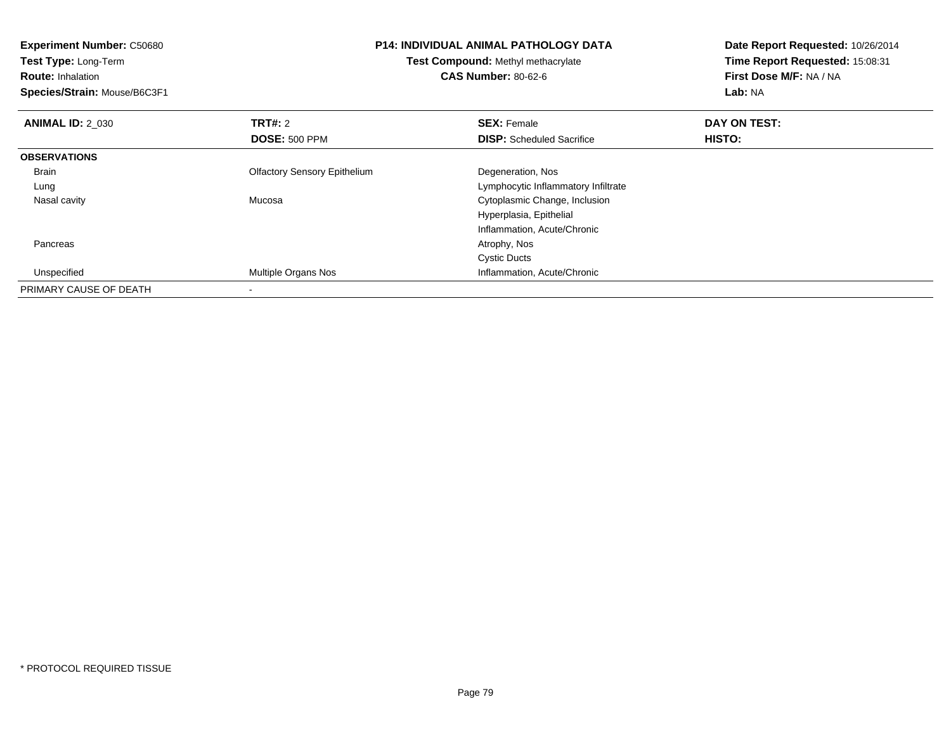| <b>Experiment Number: C50680</b><br>Test Type: Long-Term<br><b>Route: Inhalation</b><br>Species/Strain: Mouse/B6C3F1 |                                     | <b>P14: INDIVIDUAL ANIMAL PATHOLOGY DATA</b><br><b>Test Compound: Methyl methacrylate</b><br><b>CAS Number: 80-62-6</b> | Date Report Requested: 10/26/2014<br>Time Report Requested: 15:08:31<br>First Dose M/F: NA / NA<br>Lab: NA |
|----------------------------------------------------------------------------------------------------------------------|-------------------------------------|-------------------------------------------------------------------------------------------------------------------------|------------------------------------------------------------------------------------------------------------|
| <b>ANIMAL ID: 2 030</b>                                                                                              | <b>TRT#: 2</b>                      | <b>SEX: Female</b>                                                                                                      | DAY ON TEST:                                                                                               |
|                                                                                                                      | <b>DOSE: 500 PPM</b>                | <b>DISP:</b> Scheduled Sacrifice                                                                                        | HISTO:                                                                                                     |
| <b>OBSERVATIONS</b>                                                                                                  |                                     |                                                                                                                         |                                                                                                            |
| Brain                                                                                                                | <b>Olfactory Sensory Epithelium</b> | Degeneration, Nos                                                                                                       |                                                                                                            |
| Lung                                                                                                                 |                                     | Lymphocytic Inflammatory Infiltrate                                                                                     |                                                                                                            |
| Nasal cavity                                                                                                         | Mucosa                              | Cytoplasmic Change, Inclusion                                                                                           |                                                                                                            |
|                                                                                                                      |                                     | Hyperplasia, Epithelial                                                                                                 |                                                                                                            |
|                                                                                                                      |                                     | Inflammation, Acute/Chronic                                                                                             |                                                                                                            |
| Pancreas                                                                                                             |                                     | Atrophy, Nos                                                                                                            |                                                                                                            |
|                                                                                                                      |                                     | <b>Cystic Ducts</b>                                                                                                     |                                                                                                            |
| Unspecified                                                                                                          | Multiple Organs Nos                 | Inflammation, Acute/Chronic                                                                                             |                                                                                                            |
| PRIMARY CAUSE OF DEATH                                                                                               |                                     |                                                                                                                         |                                                                                                            |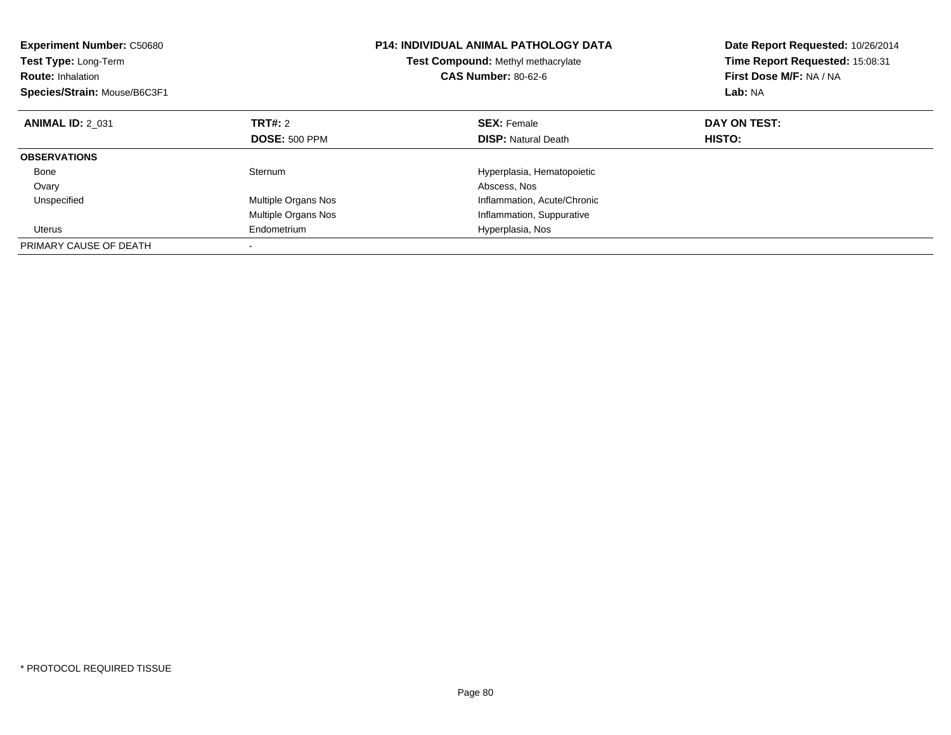| <b>Experiment Number: C50680</b><br><b>Test Type: Long-Term</b><br><b>Route: Inhalation</b><br>Species/Strain: Mouse/B6C3F1 |                            | <b>P14: INDIVIDUAL ANIMAL PATHOLOGY DATA</b><br><b>Test Compound: Methyl methacrylate</b><br><b>CAS Number: 80-62-6</b> | Date Report Requested: 10/26/2014<br>Time Report Requested: 15:08:31<br>First Dose M/F: NA / NA<br>Lab: NA |  |
|-----------------------------------------------------------------------------------------------------------------------------|----------------------------|-------------------------------------------------------------------------------------------------------------------------|------------------------------------------------------------------------------------------------------------|--|
| <b>ANIMAL ID: 2 031</b>                                                                                                     | TRT#: 2                    | <b>SEX: Female</b>                                                                                                      | DAY ON TEST:                                                                                               |  |
|                                                                                                                             | <b>DOSE: 500 PPM</b>       | <b>DISP:</b> Natural Death                                                                                              | HISTO:                                                                                                     |  |
| <b>OBSERVATIONS</b>                                                                                                         |                            |                                                                                                                         |                                                                                                            |  |
| Bone                                                                                                                        | Sternum                    | Hyperplasia, Hematopoietic                                                                                              |                                                                                                            |  |
| Ovary                                                                                                                       |                            | Abscess, Nos                                                                                                            |                                                                                                            |  |
| Unspecified                                                                                                                 | <b>Multiple Organs Nos</b> | Inflammation, Acute/Chronic                                                                                             |                                                                                                            |  |
|                                                                                                                             | <b>Multiple Organs Nos</b> | Inflammation, Suppurative                                                                                               |                                                                                                            |  |
| Uterus                                                                                                                      | Endometrium                | Hyperplasia, Nos                                                                                                        |                                                                                                            |  |
| PRIMARY CAUSE OF DEATH                                                                                                      |                            |                                                                                                                         |                                                                                                            |  |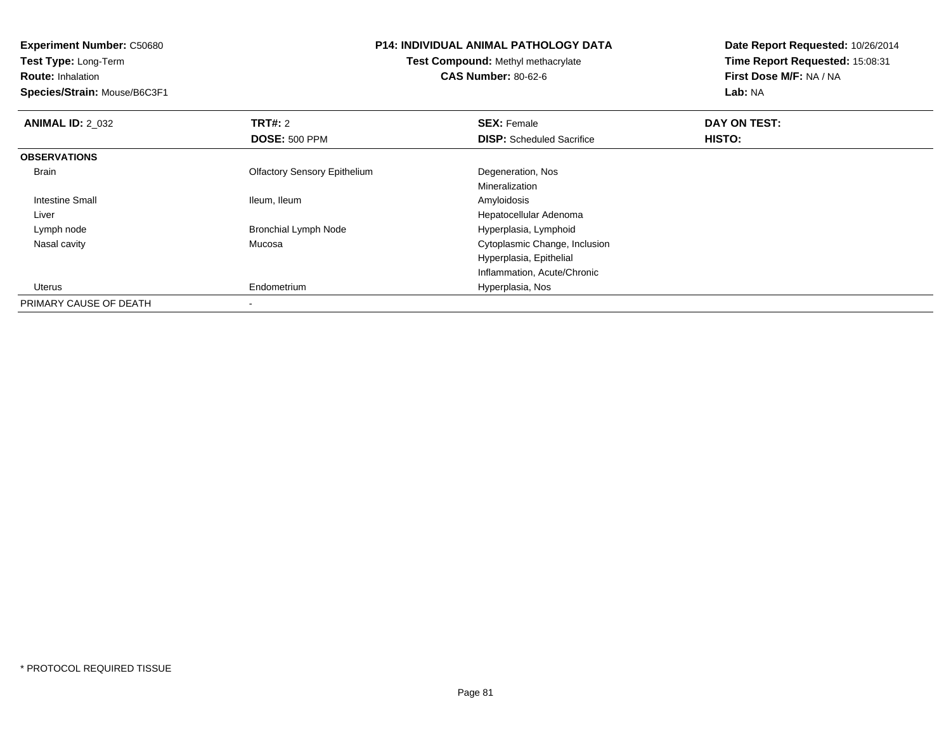**Test Type:** Long-Term

**Route:** Inhalation

**Species/Strain:** Mouse/B6C3F1

#### **P14: INDIVIDUAL ANIMAL PATHOLOGY DATA**

**Test Compound:** Methyl methacrylate**CAS Number:** 80-62-6

| <b>ANIMAL ID: 2 032</b> | TRT#: 2                             | <b>SEX: Female</b>               | DAY ON TEST: |  |
|-------------------------|-------------------------------------|----------------------------------|--------------|--|
|                         | <b>DOSE: 500 PPM</b>                | <b>DISP:</b> Scheduled Sacrifice | HISTO:       |  |
| <b>OBSERVATIONS</b>     |                                     |                                  |              |  |
| <b>Brain</b>            | <b>Olfactory Sensory Epithelium</b> | Degeneration, Nos                |              |  |
|                         |                                     | Mineralization                   |              |  |
| Intestine Small         | Ileum, Ileum                        | Amyloidosis                      |              |  |
| Liver                   |                                     | Hepatocellular Adenoma           |              |  |
| Lymph node              | <b>Bronchial Lymph Node</b>         | Hyperplasia, Lymphoid            |              |  |
| Nasal cavity            | Mucosa                              | Cytoplasmic Change, Inclusion    |              |  |
|                         |                                     | Hyperplasia, Epithelial          |              |  |
|                         |                                     | Inflammation, Acute/Chronic      |              |  |
| Uterus                  | Endometrium                         | Hyperplasia, Nos                 |              |  |
| PRIMARY CAUSE OF DEATH  |                                     |                                  |              |  |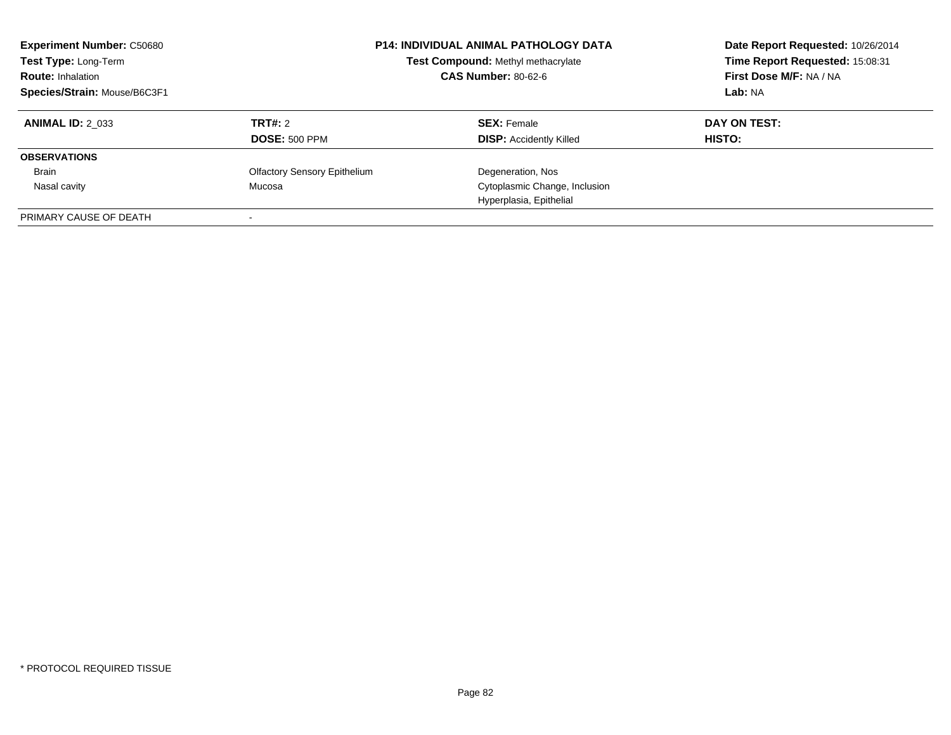| <b>Experiment Number: C50680</b><br>Test Type: Long-Term<br><b>Route: Inhalation</b><br>Species/Strain: Mouse/B6C3F1 |                                     | <b>P14: INDIVIDUAL ANIMAL PATHOLOGY DATA</b><br>Test Compound: Methyl methacrylate<br><b>CAS Number: 80-62-6</b> | Date Report Requested: 10/26/2014<br>Time Report Requested: 15:08:31<br>First Dose M/F: NA / NA<br>Lab: NA |
|----------------------------------------------------------------------------------------------------------------------|-------------------------------------|------------------------------------------------------------------------------------------------------------------|------------------------------------------------------------------------------------------------------------|
| <b>ANIMAL ID: 2 033</b>                                                                                              | TRT#: 2                             | <b>SEX: Female</b>                                                                                               | DAY ON TEST:                                                                                               |
|                                                                                                                      | <b>DOSE: 500 PPM</b>                | <b>DISP:</b> Accidently Killed                                                                                   | HISTO:                                                                                                     |
| <b>OBSERVATIONS</b>                                                                                                  |                                     |                                                                                                                  |                                                                                                            |
| <b>Brain</b>                                                                                                         | <b>Olfactory Sensory Epithelium</b> | Degeneration, Nos                                                                                                |                                                                                                            |
| Nasal cavity                                                                                                         | Mucosa                              | Cytoplasmic Change, Inclusion                                                                                    |                                                                                                            |
|                                                                                                                      |                                     | Hyperplasia, Epithelial                                                                                          |                                                                                                            |
| PRIMARY CAUSE OF DEATH                                                                                               |                                     |                                                                                                                  |                                                                                                            |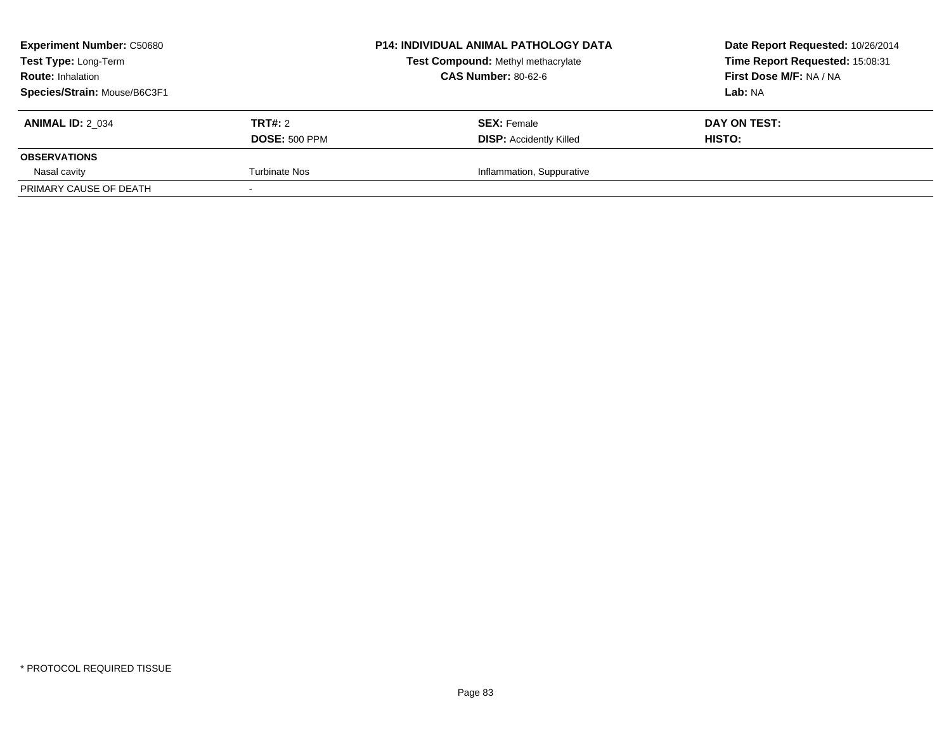| <b>Experiment Number: C50680</b><br>Test Type: Long-Term<br><b>Route: Inhalation</b> | <b>P14: INDIVIDUAL ANIMAL PATHOLOGY DATA</b><br>Test Compound: Methyl methacrylate<br><b>CAS Number: 80-62-6</b> |                                | Date Report Requested: 10/26/2014<br>Time Report Requested: 15:08:31<br>First Dose M/F: NA / NA |
|--------------------------------------------------------------------------------------|------------------------------------------------------------------------------------------------------------------|--------------------------------|-------------------------------------------------------------------------------------------------|
| Species/Strain: Mouse/B6C3F1                                                         |                                                                                                                  |                                | Lab: NA                                                                                         |
| <b>ANIMAL ID: 2 034</b>                                                              | <b>TRT#: 2</b>                                                                                                   | <b>SEX: Female</b>             | DAY ON TEST:                                                                                    |
|                                                                                      | <b>DOSE: 500 PPM</b>                                                                                             | <b>DISP: Accidently Killed</b> | HISTO:                                                                                          |
| <b>OBSERVATIONS</b>                                                                  |                                                                                                                  |                                |                                                                                                 |
| Nasal cavity                                                                         | <b>Turbinate Nos</b>                                                                                             | Inflammation, Suppurative      |                                                                                                 |
| PRIMARY CAUSE OF DEATH                                                               |                                                                                                                  |                                |                                                                                                 |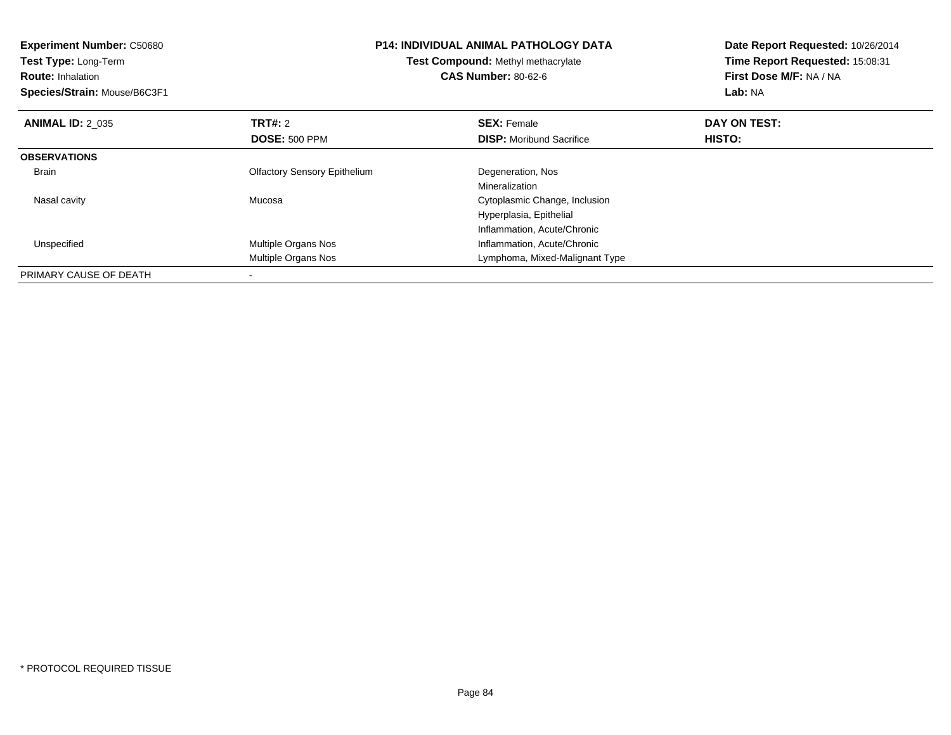| <b>Experiment Number: C50680</b><br>Test Type: Long-Term<br><b>Route: Inhalation</b><br>Species/Strain: Mouse/B6C3F1 |                                     | <b>P14: INDIVIDUAL ANIMAL PATHOLOGY DATA</b><br>Test Compound: Methyl methacrylate<br><b>CAS Number: 80-62-6</b> | Date Report Requested: 10/26/2014<br>Time Report Requested: 15:08:31<br>First Dose M/F: NA / NA<br>Lab: NA |
|----------------------------------------------------------------------------------------------------------------------|-------------------------------------|------------------------------------------------------------------------------------------------------------------|------------------------------------------------------------------------------------------------------------|
| <b>ANIMAL ID: 2 035</b>                                                                                              | TRT#: 2                             | <b>SEX: Female</b>                                                                                               | DAY ON TEST:                                                                                               |
|                                                                                                                      | <b>DOSE: 500 PPM</b>                | <b>DISP:</b> Moribund Sacrifice                                                                                  | <b>HISTO:</b>                                                                                              |
| <b>OBSERVATIONS</b>                                                                                                  |                                     |                                                                                                                  |                                                                                                            |
| Brain                                                                                                                | <b>Olfactory Sensory Epithelium</b> | Degeneration, Nos                                                                                                |                                                                                                            |
|                                                                                                                      |                                     | Mineralization                                                                                                   |                                                                                                            |
| Nasal cavity                                                                                                         | Mucosa                              | Cytoplasmic Change, Inclusion                                                                                    |                                                                                                            |
|                                                                                                                      |                                     | Hyperplasia, Epithelial                                                                                          |                                                                                                            |
|                                                                                                                      |                                     | Inflammation, Acute/Chronic                                                                                      |                                                                                                            |
| Unspecified                                                                                                          | Multiple Organs Nos                 | Inflammation, Acute/Chronic                                                                                      |                                                                                                            |
|                                                                                                                      | Multiple Organs Nos                 | Lymphoma, Mixed-Malignant Type                                                                                   |                                                                                                            |
| PRIMARY CAUSE OF DEATH                                                                                               |                                     |                                                                                                                  |                                                                                                            |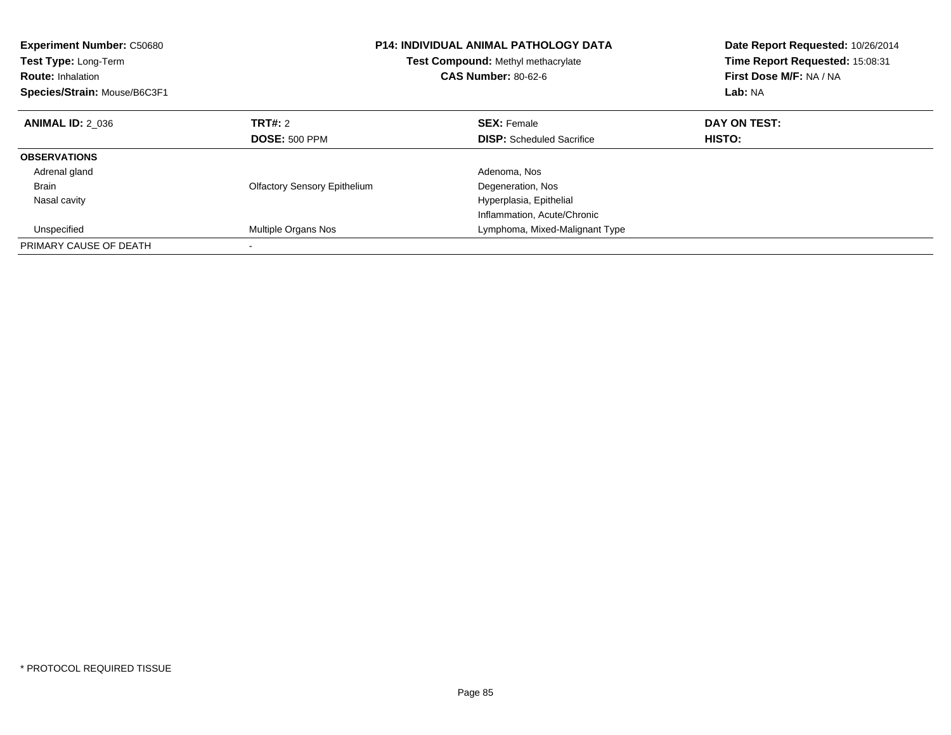| <b>Experiment Number: C50680</b><br><b>Test Type: Long-Term</b><br><b>Route: Inhalation</b><br>Species/Strain: Mouse/B6C3F1 |                                     | <b>P14: INDIVIDUAL ANIMAL PATHOLOGY DATA</b><br>Test Compound: Methyl methacrylate<br><b>CAS Number: 80-62-6</b> | Date Report Requested: 10/26/2014<br>Time Report Requested: 15:08:31<br>First Dose M/F: NA / NA<br>Lab: NA |
|-----------------------------------------------------------------------------------------------------------------------------|-------------------------------------|------------------------------------------------------------------------------------------------------------------|------------------------------------------------------------------------------------------------------------|
| <b>ANIMAL ID: 2 036</b>                                                                                                     | TRT#: 2                             | <b>SEX: Female</b>                                                                                               | DAY ON TEST:                                                                                               |
|                                                                                                                             | <b>DOSE: 500 PPM</b>                | <b>DISP:</b> Scheduled Sacrifice                                                                                 | <b>HISTO:</b>                                                                                              |
| <b>OBSERVATIONS</b>                                                                                                         |                                     |                                                                                                                  |                                                                                                            |
| Adrenal gland                                                                                                               |                                     | Adenoma, Nos                                                                                                     |                                                                                                            |
| <b>Brain</b>                                                                                                                | <b>Olfactory Sensory Epithelium</b> | Degeneration, Nos                                                                                                |                                                                                                            |
| Nasal cavity                                                                                                                |                                     | Hyperplasia, Epithelial                                                                                          |                                                                                                            |
|                                                                                                                             |                                     | Inflammation, Acute/Chronic                                                                                      |                                                                                                            |
| Unspecified                                                                                                                 | Multiple Organs Nos                 | Lymphoma, Mixed-Malignant Type                                                                                   |                                                                                                            |
| PRIMARY CAUSE OF DEATH                                                                                                      |                                     |                                                                                                                  |                                                                                                            |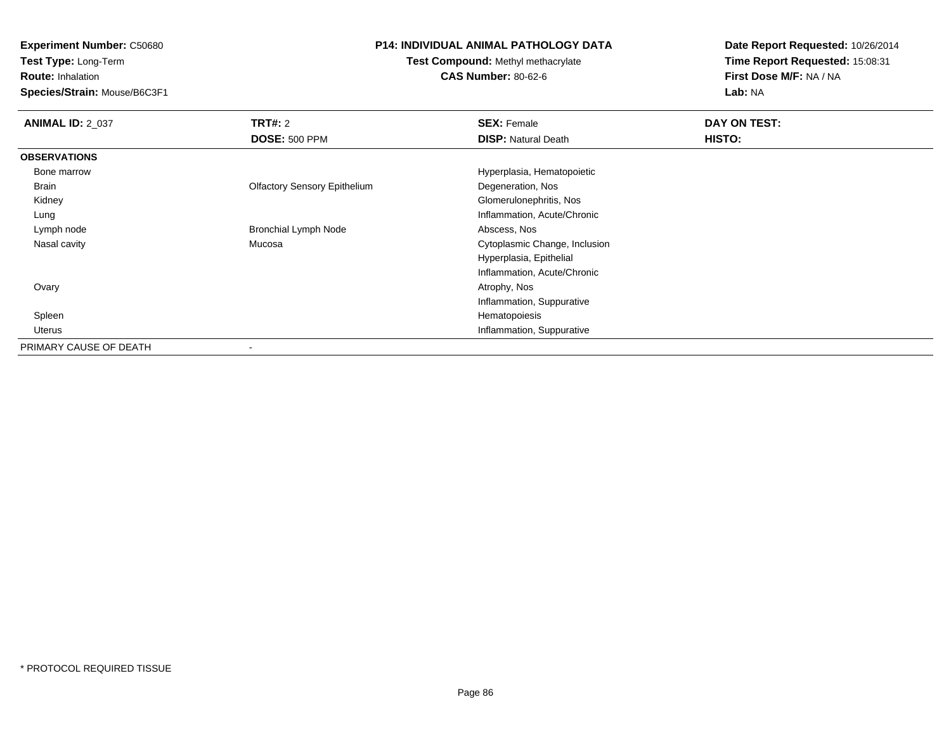**Test Type:** Long-Term

**Route:** Inhalation

**Species/Strain:** Mouse/B6C3F1

# **P14: INDIVIDUAL ANIMAL PATHOLOGY DATA**

**Test Compound:** Methyl methacrylate**CAS Number:** 80-62-6

| <b>ANIMAL ID: 2 037</b> | TRT#: 2                             | <b>SEX: Female</b>            | DAY ON TEST: |
|-------------------------|-------------------------------------|-------------------------------|--------------|
|                         | <b>DOSE: 500 PPM</b>                | <b>DISP: Natural Death</b>    | HISTO:       |
| <b>OBSERVATIONS</b>     |                                     |                               |              |
| Bone marrow             |                                     | Hyperplasia, Hematopoietic    |              |
| Brain                   | <b>Olfactory Sensory Epithelium</b> | Degeneration, Nos             |              |
| Kidney                  |                                     | Glomerulonephritis, Nos       |              |
| Lung                    |                                     | Inflammation, Acute/Chronic   |              |
| Lymph node              | <b>Bronchial Lymph Node</b>         | Abscess, Nos                  |              |
| Nasal cavity            | Mucosa                              | Cytoplasmic Change, Inclusion |              |
|                         |                                     | Hyperplasia, Epithelial       |              |
|                         |                                     | Inflammation, Acute/Chronic   |              |
| Ovary                   |                                     | Atrophy, Nos                  |              |
|                         |                                     | Inflammation, Suppurative     |              |
| Spleen                  |                                     | Hematopoiesis                 |              |
| Uterus                  |                                     | Inflammation, Suppurative     |              |
| PRIMARY CAUSE OF DEATH  |                                     |                               |              |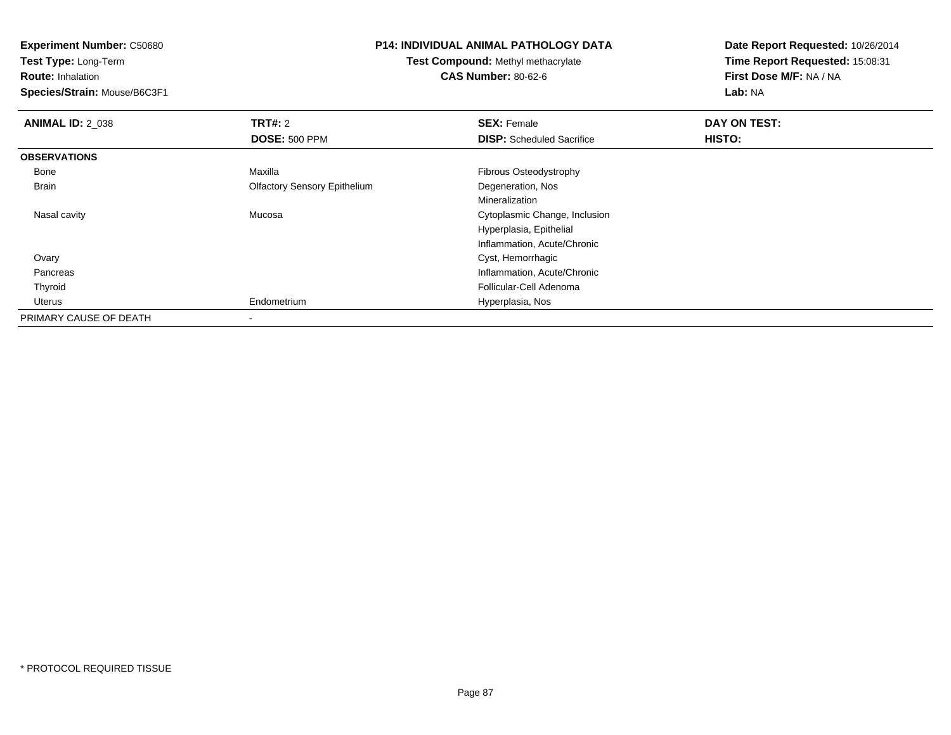**Test Type:** Long-Term

**Route:** Inhalation

**Species/Strain:** Mouse/B6C3F1

#### **P14: INDIVIDUAL ANIMAL PATHOLOGY DATA**

**Test Compound:** Methyl methacrylate**CAS Number:** 80-62-6

| <b>ANIMAL ID: 2 038</b> | TRT#: 2                             | <b>SEX: Female</b>               | DAY ON TEST: |  |
|-------------------------|-------------------------------------|----------------------------------|--------------|--|
|                         | <b>DOSE: 500 PPM</b>                | <b>DISP:</b> Scheduled Sacrifice | HISTO:       |  |
| <b>OBSERVATIONS</b>     |                                     |                                  |              |  |
| Bone                    | Maxilla                             | Fibrous Osteodystrophy           |              |  |
| Brain                   | <b>Olfactory Sensory Epithelium</b> | Degeneration, Nos                |              |  |
|                         |                                     | Mineralization                   |              |  |
| Nasal cavity            | Mucosa                              | Cytoplasmic Change, Inclusion    |              |  |
|                         |                                     | Hyperplasia, Epithelial          |              |  |
|                         |                                     | Inflammation, Acute/Chronic      |              |  |
| Ovary                   |                                     | Cyst, Hemorrhagic                |              |  |
| Pancreas                |                                     | Inflammation, Acute/Chronic      |              |  |
| Thyroid                 |                                     | Follicular-Cell Adenoma          |              |  |
| Uterus                  | Endometrium                         | Hyperplasia, Nos                 |              |  |
| PRIMARY CAUSE OF DEATH  |                                     |                                  |              |  |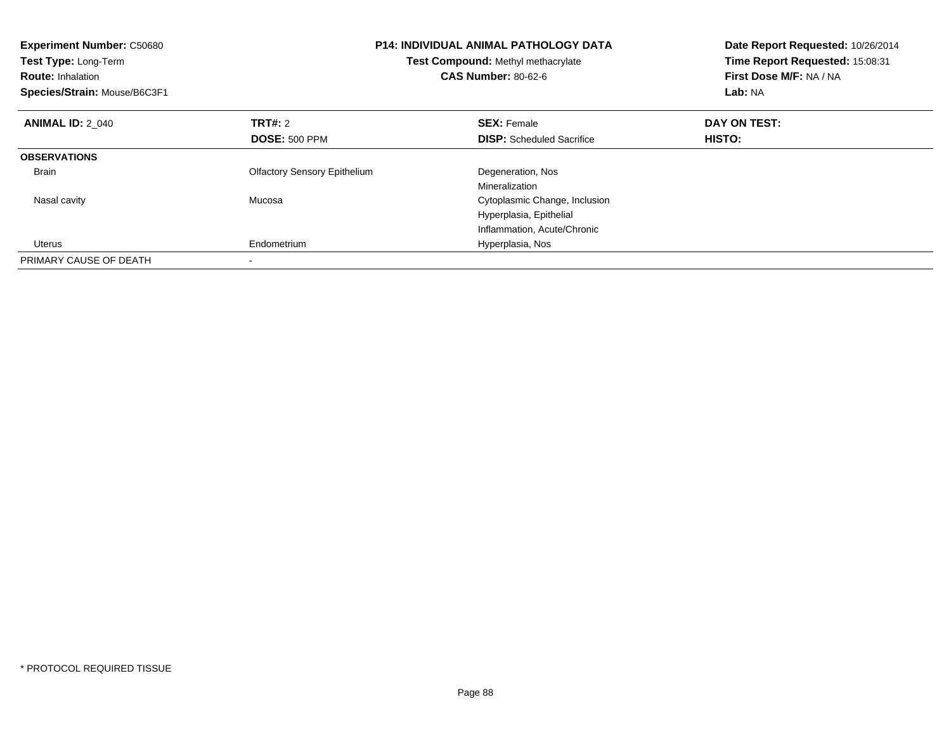| <b>Experiment Number: C50680</b><br><b>Test Type: Long-Term</b><br><b>Route: Inhalation</b><br>Species/Strain: Mouse/B6C3F1 |                                     | <b>P14: INDIVIDUAL ANIMAL PATHOLOGY DATA</b><br>Test Compound: Methyl methacrylate<br><b>CAS Number: 80-62-6</b> | Date Report Requested: 10/26/2014<br>Time Report Requested: 15:08:31<br>First Dose M/F: NA / NA<br>Lab: NA |
|-----------------------------------------------------------------------------------------------------------------------------|-------------------------------------|------------------------------------------------------------------------------------------------------------------|------------------------------------------------------------------------------------------------------------|
| <b>ANIMAL ID: 2 040</b>                                                                                                     | TRT#: 2                             | <b>SEX: Female</b>                                                                                               | DAY ON TEST:                                                                                               |
|                                                                                                                             | <b>DOSE: 500 PPM</b>                | <b>DISP:</b> Scheduled Sacrifice                                                                                 | HISTO:                                                                                                     |
| <b>OBSERVATIONS</b>                                                                                                         |                                     |                                                                                                                  |                                                                                                            |
| <b>Brain</b>                                                                                                                | <b>Olfactory Sensory Epithelium</b> | Degeneration, Nos                                                                                                |                                                                                                            |
|                                                                                                                             |                                     | Mineralization                                                                                                   |                                                                                                            |
| Nasal cavity                                                                                                                | Mucosa                              | Cytoplasmic Change, Inclusion                                                                                    |                                                                                                            |
|                                                                                                                             |                                     | Hyperplasia, Epithelial                                                                                          |                                                                                                            |
|                                                                                                                             |                                     | Inflammation, Acute/Chronic                                                                                      |                                                                                                            |
| Uterus                                                                                                                      | Endometrium                         | Hyperplasia, Nos                                                                                                 |                                                                                                            |
| PRIMARY CAUSE OF DEATH                                                                                                      |                                     |                                                                                                                  |                                                                                                            |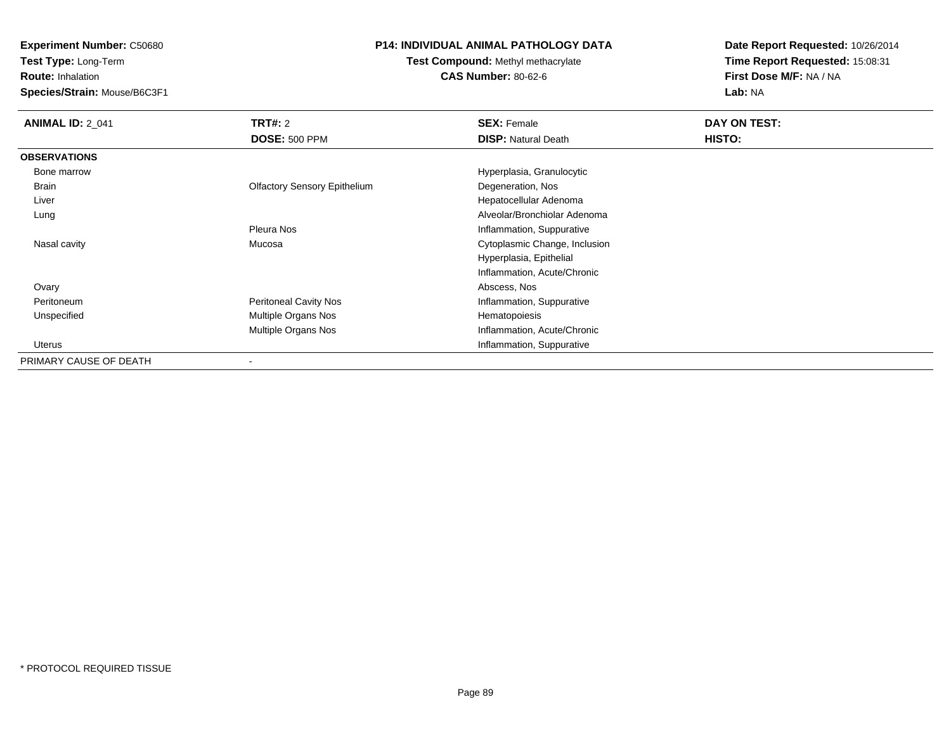**Test Type:** Long-Term

**Route:** Inhalation

**Species/Strain:** Mouse/B6C3F1

## **P14: INDIVIDUAL ANIMAL PATHOLOGY DATA**

**Test Compound:** Methyl methacrylate**CAS Number:** 80-62-6

| <b>ANIMAL ID: 2_041</b> | <b>TRT#: 2</b>                      | <b>SEX: Female</b>            | DAY ON TEST: |  |
|-------------------------|-------------------------------------|-------------------------------|--------------|--|
|                         | <b>DOSE: 500 PPM</b>                | <b>DISP: Natural Death</b>    | HISTO:       |  |
| <b>OBSERVATIONS</b>     |                                     |                               |              |  |
| Bone marrow             |                                     | Hyperplasia, Granulocytic     |              |  |
| Brain                   | <b>Olfactory Sensory Epithelium</b> | Degeneration, Nos             |              |  |
| Liver                   |                                     | Hepatocellular Adenoma        |              |  |
| Lung                    |                                     | Alveolar/Bronchiolar Adenoma  |              |  |
|                         | Pleura Nos                          | Inflammation, Suppurative     |              |  |
| Nasal cavity            | Mucosa                              | Cytoplasmic Change, Inclusion |              |  |
|                         |                                     | Hyperplasia, Epithelial       |              |  |
|                         |                                     | Inflammation, Acute/Chronic   |              |  |
| Ovary                   |                                     | Abscess, Nos                  |              |  |
| Peritoneum              | <b>Peritoneal Cavity Nos</b>        | Inflammation, Suppurative     |              |  |
| Unspecified             | Multiple Organs Nos                 | Hematopoiesis                 |              |  |
|                         | Multiple Organs Nos                 | Inflammation, Acute/Chronic   |              |  |
| Uterus                  |                                     | Inflammation, Suppurative     |              |  |
| PRIMARY CAUSE OF DEATH  | ٠                                   |                               |              |  |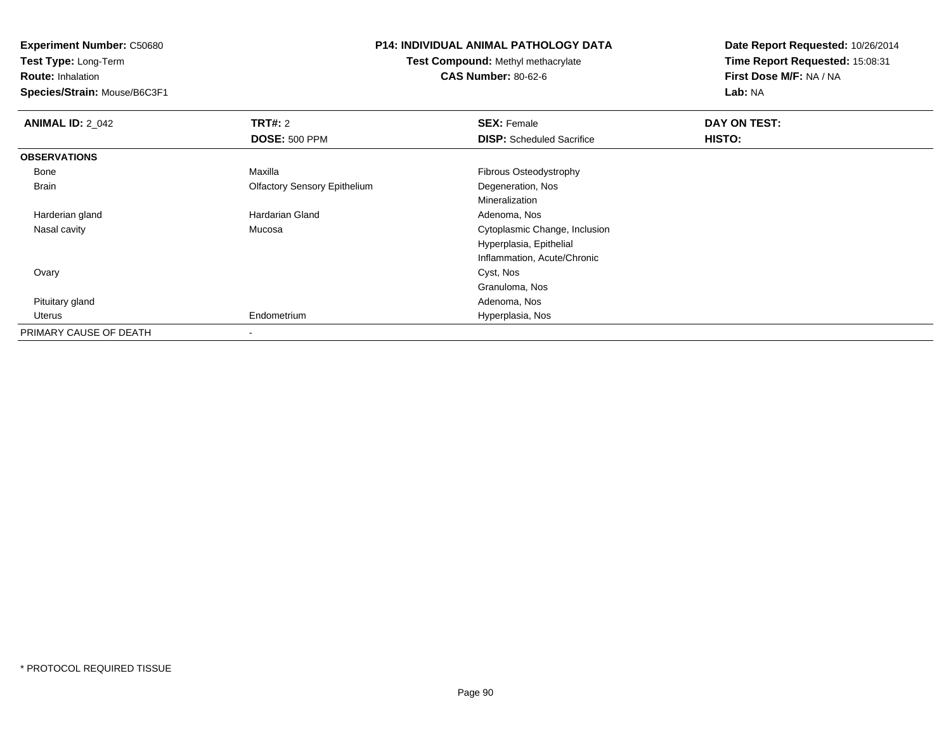**Test Type:** Long-Term

**Route:** Inhalation

**Species/Strain:** Mouse/B6C3F1

#### **P14: INDIVIDUAL ANIMAL PATHOLOGY DATA**

**Test Compound:** Methyl methacrylate**CAS Number:** 80-62-6

| <b>ANIMAL ID: 2_042</b> | TRT#: 2                             | <b>SEX: Female</b>               | DAY ON TEST: |  |
|-------------------------|-------------------------------------|----------------------------------|--------------|--|
|                         | <b>DOSE: 500 PPM</b>                | <b>DISP:</b> Scheduled Sacrifice | HISTO:       |  |
| <b>OBSERVATIONS</b>     |                                     |                                  |              |  |
| Bone                    | Maxilla                             | Fibrous Osteodystrophy           |              |  |
| Brain                   | <b>Olfactory Sensory Epithelium</b> | Degeneration, Nos                |              |  |
|                         |                                     | Mineralization                   |              |  |
| Harderian gland         | Hardarian Gland                     | Adenoma, Nos                     |              |  |
| Nasal cavity            | Mucosa                              | Cytoplasmic Change, Inclusion    |              |  |
|                         |                                     | Hyperplasia, Epithelial          |              |  |
|                         |                                     | Inflammation, Acute/Chronic      |              |  |
| Ovary                   |                                     | Cyst, Nos                        |              |  |
|                         |                                     | Granuloma, Nos                   |              |  |
| Pituitary gland         |                                     | Adenoma, Nos                     |              |  |
| Uterus                  | Endometrium                         | Hyperplasia, Nos                 |              |  |
| PRIMARY CAUSE OF DEATH  |                                     |                                  |              |  |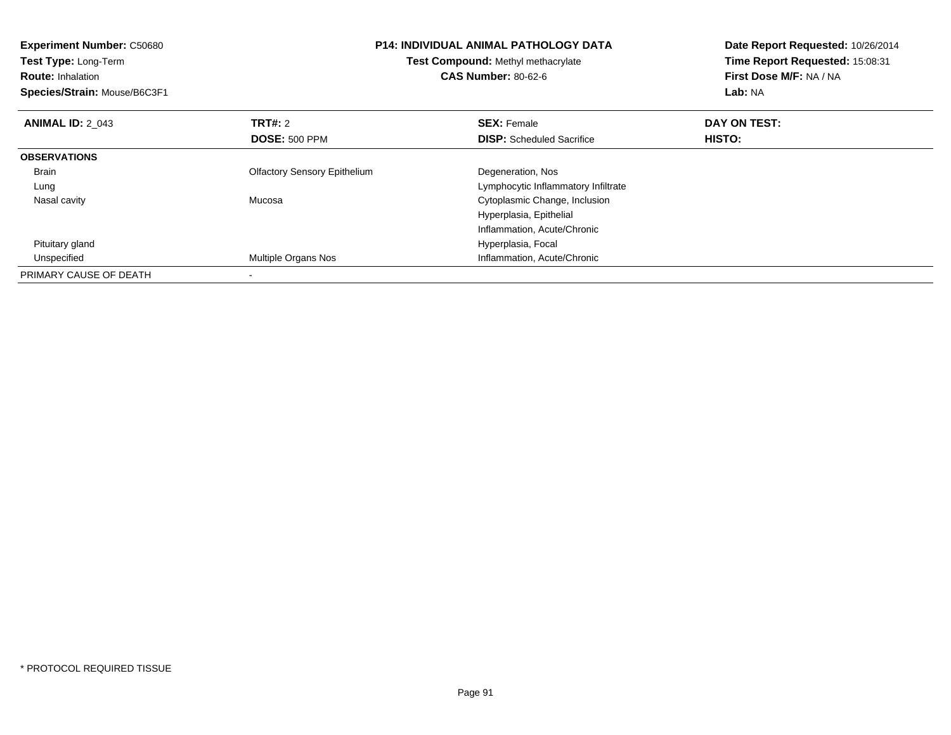| <b>Experiment Number: C50680</b><br><b>Test Type: Long-Term</b><br><b>Route: Inhalation</b><br>Species/Strain: Mouse/B6C3F1 | <b>P14: INDIVIDUAL ANIMAL PATHOLOGY DATA</b><br>Test Compound: Methyl methacrylate<br><b>CAS Number: 80-62-6</b> |                                     | Date Report Requested: 10/26/2014<br>Time Report Requested: 15:08:31<br>First Dose M/F: NA / NA<br>Lab: NA |
|-----------------------------------------------------------------------------------------------------------------------------|------------------------------------------------------------------------------------------------------------------|-------------------------------------|------------------------------------------------------------------------------------------------------------|
| <b>ANIMAL ID: 2 043</b>                                                                                                     | <b>TRT#:</b> 2                                                                                                   | <b>SEX: Female</b>                  | DAY ON TEST:                                                                                               |
|                                                                                                                             | <b>DOSE: 500 PPM</b>                                                                                             | <b>DISP:</b> Scheduled Sacrifice    | HISTO:                                                                                                     |
| <b>OBSERVATIONS</b>                                                                                                         |                                                                                                                  |                                     |                                                                                                            |
| <b>Brain</b>                                                                                                                | <b>Olfactory Sensory Epithelium</b>                                                                              | Degeneration, Nos                   |                                                                                                            |
| Lung                                                                                                                        |                                                                                                                  | Lymphocytic Inflammatory Infiltrate |                                                                                                            |
| Nasal cavity                                                                                                                | Mucosa                                                                                                           | Cytoplasmic Change, Inclusion       |                                                                                                            |
|                                                                                                                             |                                                                                                                  | Hyperplasia, Epithelial             |                                                                                                            |
|                                                                                                                             |                                                                                                                  | Inflammation, Acute/Chronic         |                                                                                                            |
| Pituitary gland                                                                                                             |                                                                                                                  | Hyperplasia, Focal                  |                                                                                                            |
| Unspecified                                                                                                                 | <b>Multiple Organs Nos</b>                                                                                       | Inflammation, Acute/Chronic         |                                                                                                            |
| PRIMARY CAUSE OF DEATH                                                                                                      |                                                                                                                  |                                     |                                                                                                            |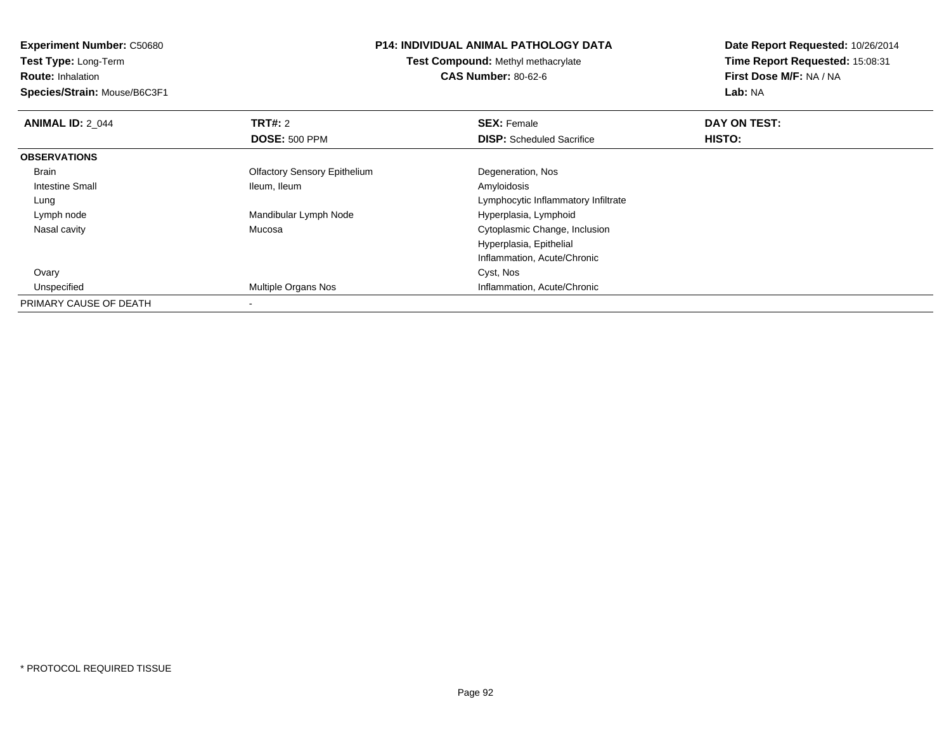**Test Type:** Long-Term

**Route:** Inhalation

**Species/Strain:** Mouse/B6C3F1

#### **P14: INDIVIDUAL ANIMAL PATHOLOGY DATA**

**Test Compound:** Methyl methacrylate**CAS Number:** 80-62-6

| <b>ANIMAL ID: 2 044</b> | TRT#: 2                             | <b>SEX: Female</b>                  | DAY ON TEST: |  |
|-------------------------|-------------------------------------|-------------------------------------|--------------|--|
|                         | <b>DOSE: 500 PPM</b>                | <b>DISP:</b> Scheduled Sacrifice    | HISTO:       |  |
| <b>OBSERVATIONS</b>     |                                     |                                     |              |  |
| <b>Brain</b>            | <b>Olfactory Sensory Epithelium</b> | Degeneration, Nos                   |              |  |
| Intestine Small         | Ileum, Ileum                        | Amyloidosis                         |              |  |
| Lung                    |                                     | Lymphocytic Inflammatory Infiltrate |              |  |
| Lymph node              | Mandibular Lymph Node               | Hyperplasia, Lymphoid               |              |  |
| Nasal cavity            | Mucosa                              | Cytoplasmic Change, Inclusion       |              |  |
|                         |                                     | Hyperplasia, Epithelial             |              |  |
|                         |                                     | Inflammation, Acute/Chronic         |              |  |
| Ovary                   |                                     | Cyst, Nos                           |              |  |
| Unspecified             | Multiple Organs Nos                 | Inflammation, Acute/Chronic         |              |  |
| PRIMARY CAUSE OF DEATH  |                                     |                                     |              |  |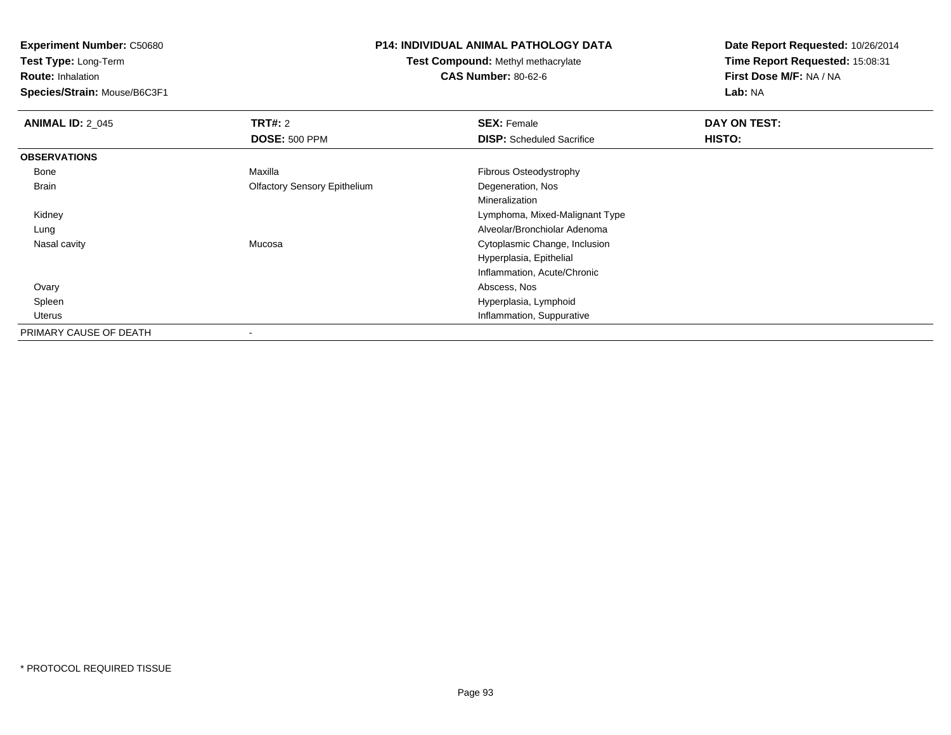**Test Type:** Long-Term

**Route:** Inhalation

**Species/Strain:** Mouse/B6C3F1

## **P14: INDIVIDUAL ANIMAL PATHOLOGY DATA**

**Test Compound:** Methyl methacrylate**CAS Number:** 80-62-6

| <b>ANIMAL ID: 2_045</b> | TRT#: 2                             | <b>SEX: Female</b>               | DAY ON TEST: |  |
|-------------------------|-------------------------------------|----------------------------------|--------------|--|
|                         | <b>DOSE: 500 PPM</b>                | <b>DISP:</b> Scheduled Sacrifice | HISTO:       |  |
| <b>OBSERVATIONS</b>     |                                     |                                  |              |  |
| Bone                    | Maxilla                             | Fibrous Osteodystrophy           |              |  |
| Brain                   | <b>Olfactory Sensory Epithelium</b> | Degeneration, Nos                |              |  |
|                         |                                     | Mineralization                   |              |  |
| Kidney                  |                                     | Lymphoma, Mixed-Malignant Type   |              |  |
| Lung                    |                                     | Alveolar/Bronchiolar Adenoma     |              |  |
| Nasal cavity            | Mucosa                              | Cytoplasmic Change, Inclusion    |              |  |
|                         |                                     | Hyperplasia, Epithelial          |              |  |
|                         |                                     | Inflammation, Acute/Chronic      |              |  |
| Ovary                   |                                     | Abscess, Nos                     |              |  |
| Spleen                  |                                     | Hyperplasia, Lymphoid            |              |  |
| Uterus                  |                                     | Inflammation, Suppurative        |              |  |
| PRIMARY CAUSE OF DEATH  |                                     |                                  |              |  |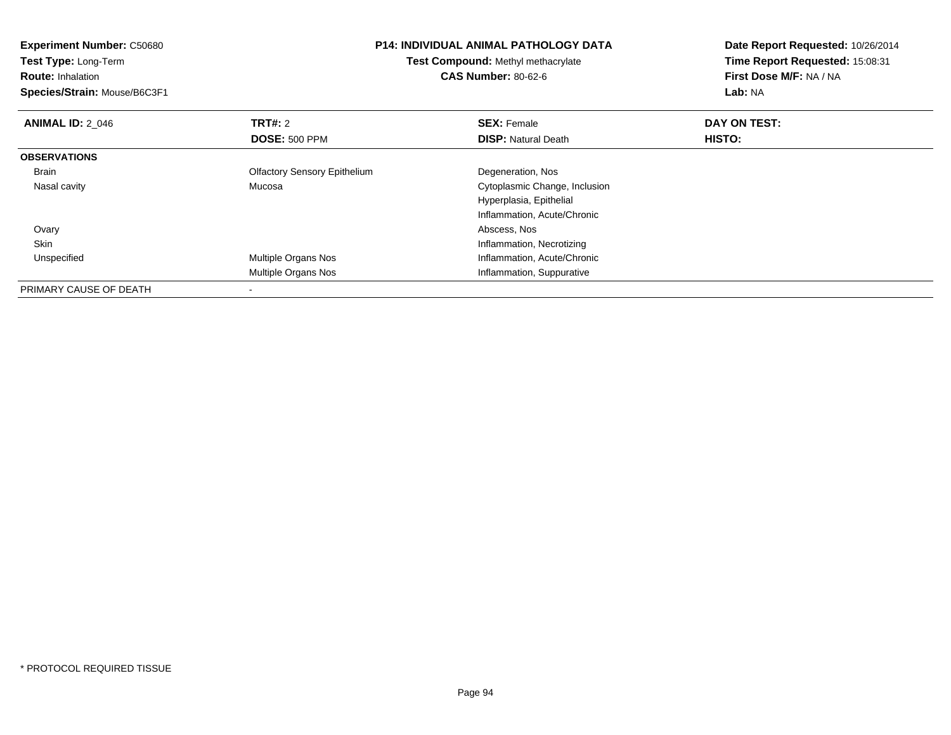| <b>Experiment Number: C50680</b> | <b>P14: INDIVIDUAL ANIMAL PATHOLOGY DATA</b> |                                    | Date Report Requested: 10/26/2014 |  |
|----------------------------------|----------------------------------------------|------------------------------------|-----------------------------------|--|
| Test Type: Long-Term             |                                              | Test Compound: Methyl methacrylate | Time Report Requested: 15:08:31   |  |
| <b>Route: Inhalation</b>         |                                              | <b>CAS Number: 80-62-6</b>         | First Dose M/F: NA / NA           |  |
| Species/Strain: Mouse/B6C3F1     |                                              |                                    | Lab: NA                           |  |
| <b>ANIMAL ID: 2 046</b>          | <b>TRT#: 2</b>                               | <b>SEX: Female</b>                 | DAY ON TEST:                      |  |
|                                  | <b>DOSE: 500 PPM</b>                         | <b>DISP: Natural Death</b>         | HISTO:                            |  |
| <b>OBSERVATIONS</b>              |                                              |                                    |                                   |  |
| Brain                            | <b>Olfactory Sensory Epithelium</b>          | Degeneration, Nos                  |                                   |  |
| Nasal cavity                     | Mucosa                                       | Cytoplasmic Change, Inclusion      |                                   |  |
|                                  |                                              | Hyperplasia, Epithelial            |                                   |  |
|                                  |                                              | Inflammation, Acute/Chronic        |                                   |  |
| Ovary                            |                                              | Abscess, Nos                       |                                   |  |
| Skin                             |                                              | Inflammation, Necrotizing          |                                   |  |
| Unspecified                      | Multiple Organs Nos                          | Inflammation, Acute/Chronic        |                                   |  |
|                                  | Multiple Organs Nos                          | Inflammation, Suppurative          |                                   |  |
| PRIMARY CAUSE OF DEATH           |                                              |                                    |                                   |  |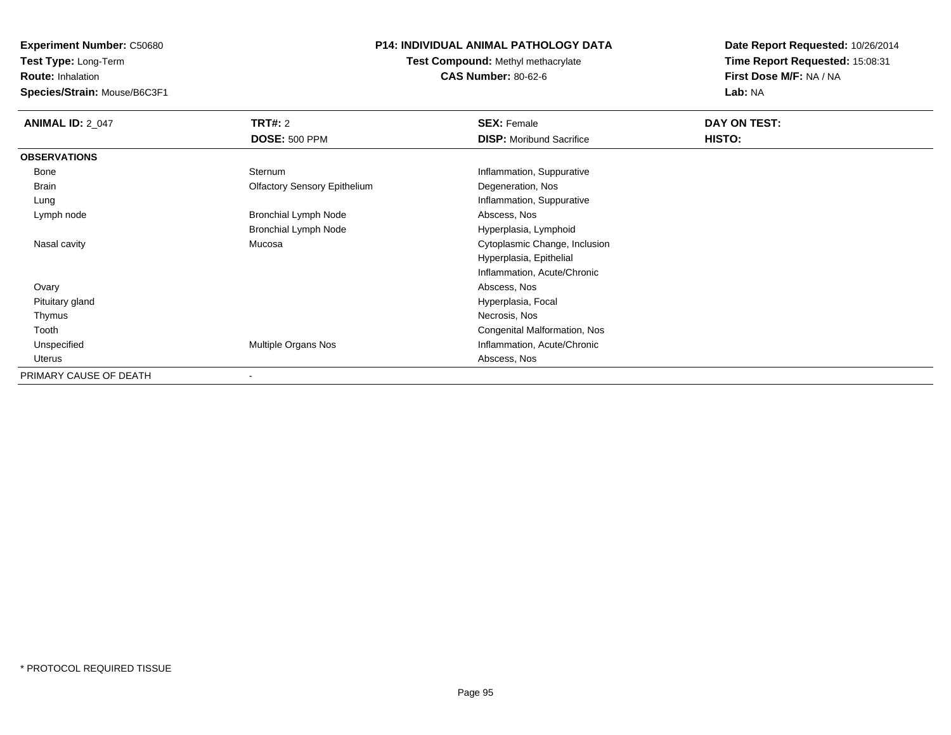**Test Type:** Long-Term

**Route:** Inhalation

**Species/Strain:** Mouse/B6C3F1

# **P14: INDIVIDUAL ANIMAL PATHOLOGY DATA**

**Test Compound:** Methyl methacrylate**CAS Number:** 80-62-6

| <b>ANIMAL ID: 2_047</b> | <b>TRT#: 2</b>                      | <b>SEX: Female</b>              | DAY ON TEST: |  |
|-------------------------|-------------------------------------|---------------------------------|--------------|--|
|                         | <b>DOSE: 500 PPM</b>                | <b>DISP:</b> Moribund Sacrifice | HISTO:       |  |
| <b>OBSERVATIONS</b>     |                                     |                                 |              |  |
| Bone                    | Sternum                             | Inflammation, Suppurative       |              |  |
| Brain                   | <b>Olfactory Sensory Epithelium</b> | Degeneration, Nos               |              |  |
| Lung                    |                                     | Inflammation, Suppurative       |              |  |
| Lymph node              | <b>Bronchial Lymph Node</b>         | Abscess, Nos                    |              |  |
|                         | Bronchial Lymph Node                | Hyperplasia, Lymphoid           |              |  |
| Nasal cavity            | Mucosa                              | Cytoplasmic Change, Inclusion   |              |  |
|                         |                                     | Hyperplasia, Epithelial         |              |  |
|                         |                                     | Inflammation, Acute/Chronic     |              |  |
| Ovary                   |                                     | Abscess, Nos                    |              |  |
| Pituitary gland         |                                     | Hyperplasia, Focal              |              |  |
| Thymus                  |                                     | Necrosis, Nos                   |              |  |
| Tooth                   |                                     | Congenital Malformation, Nos    |              |  |
| Unspecified             | Multiple Organs Nos                 | Inflammation, Acute/Chronic     |              |  |
| Uterus                  |                                     | Abscess, Nos                    |              |  |
| PRIMARY CAUSE OF DEATH  | $\overline{\phantom{a}}$            |                                 |              |  |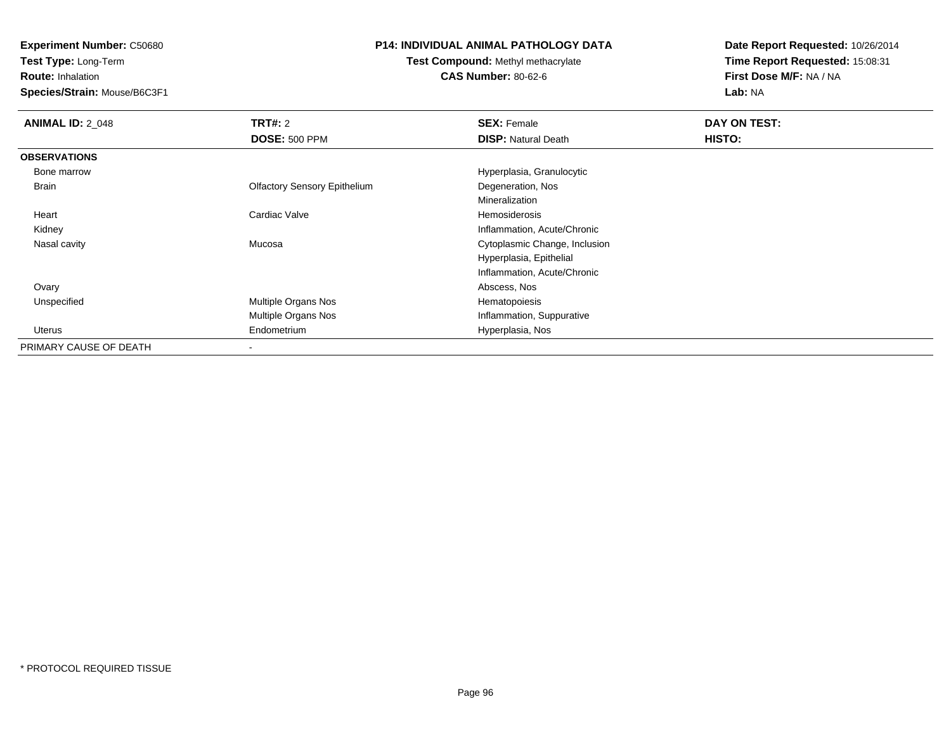**Test Type:** Long-Term

**Route:** Inhalation

**Species/Strain:** Mouse/B6C3F1

## **P14: INDIVIDUAL ANIMAL PATHOLOGY DATA**

**Test Compound:** Methyl methacrylate**CAS Number:** 80-62-6

| <b>ANIMAL ID: 2_048</b> | TRT#: 2                             | <b>SEX: Female</b>            | DAY ON TEST: |  |
|-------------------------|-------------------------------------|-------------------------------|--------------|--|
|                         | <b>DOSE: 500 PPM</b>                | <b>DISP: Natural Death</b>    | HISTO:       |  |
| <b>OBSERVATIONS</b>     |                                     |                               |              |  |
| Bone marrow             |                                     | Hyperplasia, Granulocytic     |              |  |
| Brain                   | <b>Olfactory Sensory Epithelium</b> | Degeneration, Nos             |              |  |
|                         |                                     | Mineralization                |              |  |
| Heart                   | Cardiac Valve                       | Hemosiderosis                 |              |  |
| Kidney                  |                                     | Inflammation, Acute/Chronic   |              |  |
| Nasal cavity            | Mucosa                              | Cytoplasmic Change, Inclusion |              |  |
|                         |                                     | Hyperplasia, Epithelial       |              |  |
|                         |                                     | Inflammation, Acute/Chronic   |              |  |
| Ovary                   |                                     | Abscess, Nos                  |              |  |
| Unspecified             | Multiple Organs Nos                 | Hematopoiesis                 |              |  |
|                         | Multiple Organs Nos                 | Inflammation, Suppurative     |              |  |
| Uterus                  | Endometrium                         | Hyperplasia, Nos              |              |  |
| PRIMARY CAUSE OF DEATH  |                                     |                               |              |  |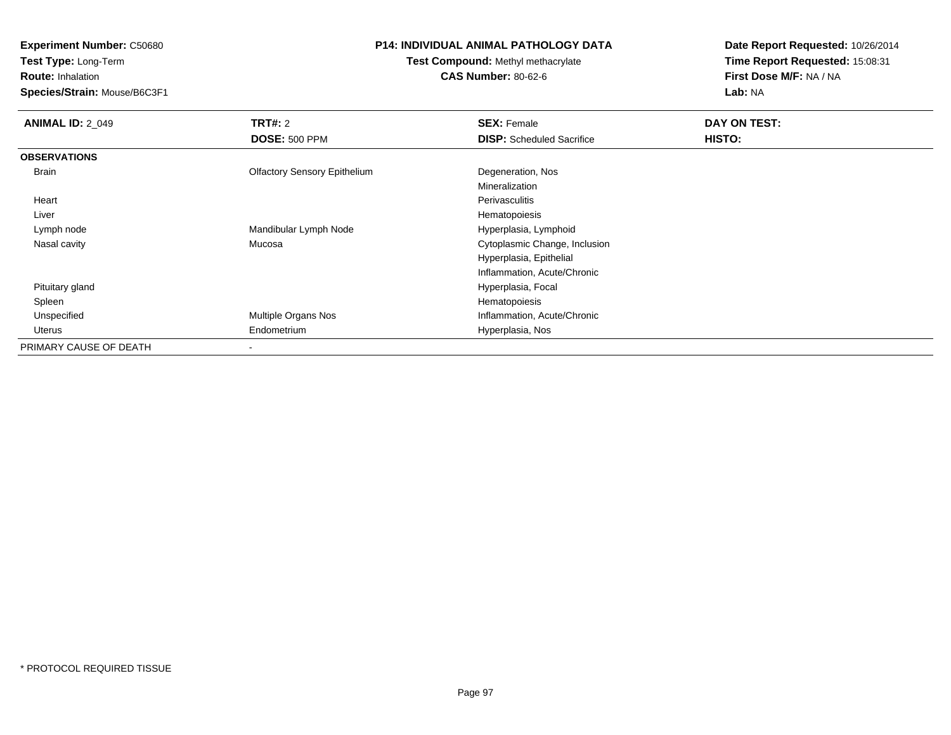**Test Type:** Long-Term

# **Route:** Inhalation

**Species/Strain:** Mouse/B6C3F1

# **P14: INDIVIDUAL ANIMAL PATHOLOGY DATA**

# **Test Compound:** Methyl methacrylate**CAS Number:** 80-62-6

| <b>ANIMAL ID: 2 049</b> | TRT#: 2                             | <b>SEX: Female</b>               | DAY ON TEST: |  |
|-------------------------|-------------------------------------|----------------------------------|--------------|--|
|                         | <b>DOSE: 500 PPM</b>                | <b>DISP:</b> Scheduled Sacrifice | HISTO:       |  |
| <b>OBSERVATIONS</b>     |                                     |                                  |              |  |
| Brain                   | <b>Olfactory Sensory Epithelium</b> | Degeneration, Nos                |              |  |
|                         |                                     | Mineralization                   |              |  |
| Heart                   |                                     | Perivasculitis                   |              |  |
| Liver                   |                                     | Hematopoiesis                    |              |  |
| Lymph node              | Mandibular Lymph Node               | Hyperplasia, Lymphoid            |              |  |
| Nasal cavity            | Mucosa                              | Cytoplasmic Change, Inclusion    |              |  |
|                         |                                     | Hyperplasia, Epithelial          |              |  |
|                         |                                     | Inflammation, Acute/Chronic      |              |  |
| Pituitary gland         |                                     | Hyperplasia, Focal               |              |  |
| Spleen                  |                                     | Hematopoiesis                    |              |  |
| Unspecified             | Multiple Organs Nos                 | Inflammation, Acute/Chronic      |              |  |
| Uterus                  | Endometrium                         | Hyperplasia, Nos                 |              |  |
| PRIMARY CAUSE OF DEATH  | $\overline{\phantom{a}}$            |                                  |              |  |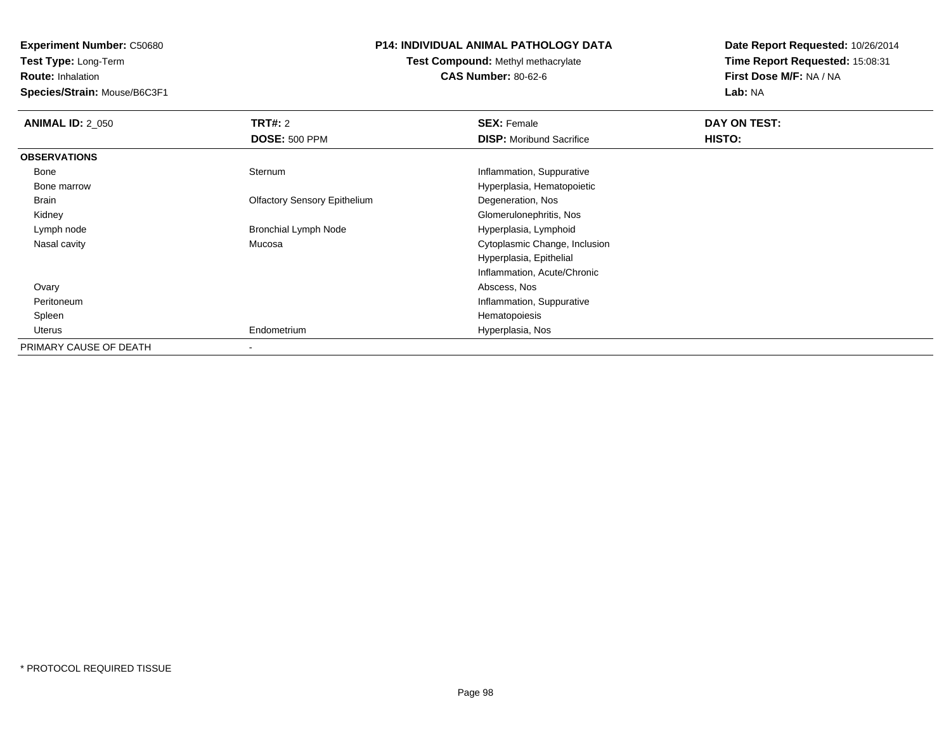**Test Type:** Long-Term

**Route:** Inhalation

**Species/Strain:** Mouse/B6C3F1

# **P14: INDIVIDUAL ANIMAL PATHOLOGY DATA**

**Test Compound:** Methyl methacrylate**CAS Number:** 80-62-6

| <b>ANIMAL ID: 2 050</b> | TRT#: 2                             | <b>SEX: Female</b>              | DAY ON TEST: |
|-------------------------|-------------------------------------|---------------------------------|--------------|
|                         | <b>DOSE: 500 PPM</b>                | <b>DISP:</b> Moribund Sacrifice | HISTO:       |
| <b>OBSERVATIONS</b>     |                                     |                                 |              |
| Bone                    | Sternum                             | Inflammation, Suppurative       |              |
| Bone marrow             |                                     | Hyperplasia, Hematopoietic      |              |
| Brain                   | <b>Olfactory Sensory Epithelium</b> | Degeneration, Nos               |              |
| Kidney                  |                                     | Glomerulonephritis, Nos         |              |
| Lymph node              | <b>Bronchial Lymph Node</b>         | Hyperplasia, Lymphoid           |              |
| Nasal cavity            | Mucosa                              | Cytoplasmic Change, Inclusion   |              |
|                         |                                     | Hyperplasia, Epithelial         |              |
|                         |                                     | Inflammation, Acute/Chronic     |              |
| Ovary                   |                                     | Abscess, Nos                    |              |
| Peritoneum              |                                     | Inflammation, Suppurative       |              |
| Spleen                  |                                     | Hematopoiesis                   |              |
| Uterus                  | Endometrium                         | Hyperplasia, Nos                |              |
| PRIMARY CAUSE OF DEATH  |                                     |                                 |              |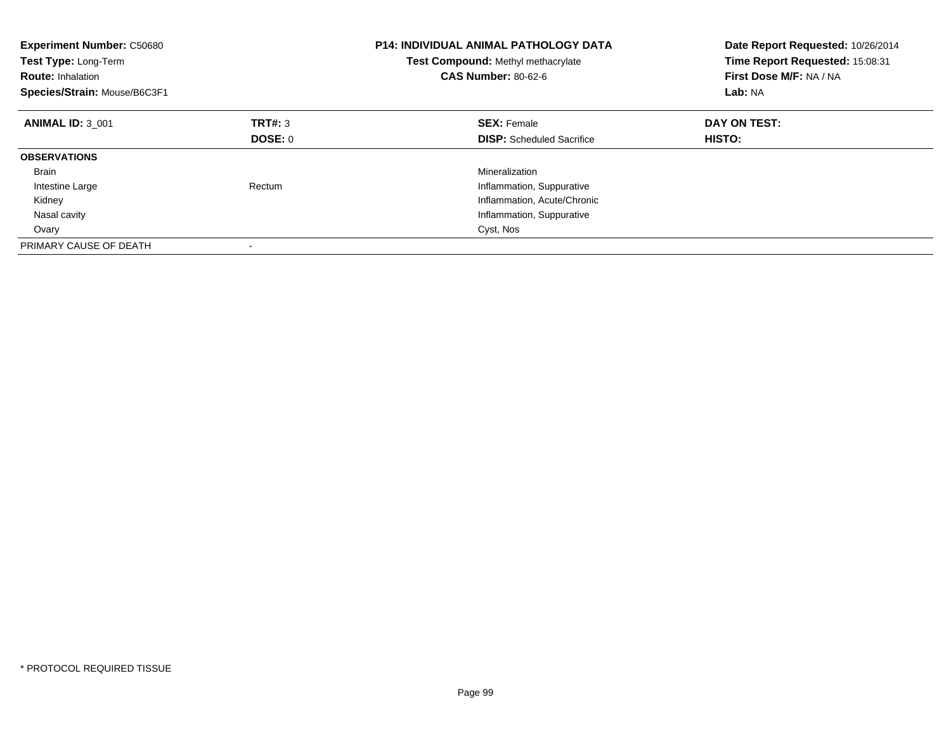| <b>Experiment Number: C50680</b><br>Test Type: Long-Term<br><b>Route: Inhalation</b><br>Species/Strain: Mouse/B6C3F1 |         | <b>P14: INDIVIDUAL ANIMAL PATHOLOGY DATA</b><br>Test Compound: Methyl methacrylate<br><b>CAS Number: 80-62-6</b> | Date Report Requested: 10/26/2014<br>Time Report Requested: 15:08:31<br>First Dose M/F: NA / NA<br>Lab: NA |
|----------------------------------------------------------------------------------------------------------------------|---------|------------------------------------------------------------------------------------------------------------------|------------------------------------------------------------------------------------------------------------|
| <b>ANIMAL ID: 3 001</b>                                                                                              | TRT#: 3 | <b>SEX: Female</b>                                                                                               | DAY ON TEST:                                                                                               |
|                                                                                                                      | DOSE: 0 | <b>DISP:</b> Scheduled Sacrifice                                                                                 | <b>HISTO:</b>                                                                                              |
| <b>OBSERVATIONS</b>                                                                                                  |         |                                                                                                                  |                                                                                                            |
| <b>Brain</b>                                                                                                         |         | Mineralization                                                                                                   |                                                                                                            |
| Intestine Large                                                                                                      | Rectum  | Inflammation, Suppurative                                                                                        |                                                                                                            |
| Kidney                                                                                                               |         | Inflammation, Acute/Chronic                                                                                      |                                                                                                            |
| Nasal cavity                                                                                                         |         | Inflammation, Suppurative                                                                                        |                                                                                                            |
| Ovary                                                                                                                |         | Cyst, Nos                                                                                                        |                                                                                                            |
| PRIMARY CAUSE OF DEATH                                                                                               |         |                                                                                                                  |                                                                                                            |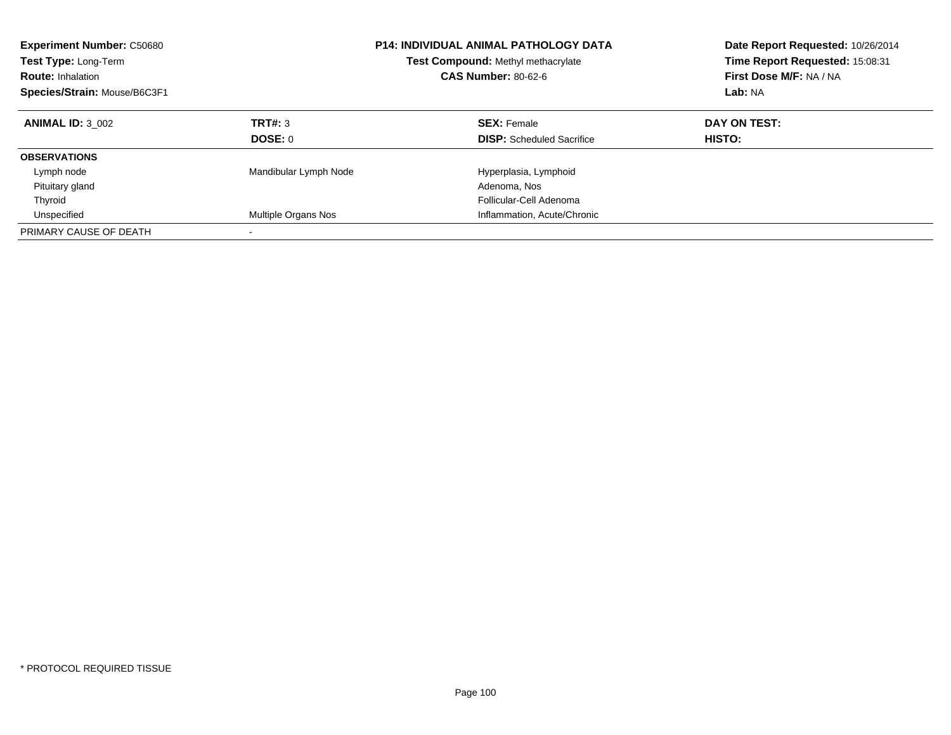| <b>Experiment Number: C50680</b><br>Test Type: Long-Term<br><b>Route: Inhalation</b><br>Species/Strain: Mouse/B6C3F1 |                       | <b>P14: INDIVIDUAL ANIMAL PATHOLOGY DATA</b><br>Test Compound: Methyl methacrylate<br><b>CAS Number: 80-62-6</b> | Date Report Requested: 10/26/2014<br>Time Report Requested: 15:08:31<br>First Dose M/F: NA / NA<br>Lab: NA |
|----------------------------------------------------------------------------------------------------------------------|-----------------------|------------------------------------------------------------------------------------------------------------------|------------------------------------------------------------------------------------------------------------|
| <b>ANIMAL ID: 3 002</b>                                                                                              | TRT#: 3               | <b>SEX: Female</b>                                                                                               | DAY ON TEST:                                                                                               |
|                                                                                                                      | DOSE: 0               | <b>DISP:</b> Scheduled Sacrifice                                                                                 | <b>HISTO:</b>                                                                                              |
| <b>OBSERVATIONS</b>                                                                                                  |                       |                                                                                                                  |                                                                                                            |
| Lymph node                                                                                                           | Mandibular Lymph Node | Hyperplasia, Lymphoid                                                                                            |                                                                                                            |
| Pituitary gland                                                                                                      |                       | Adenoma, Nos                                                                                                     |                                                                                                            |
| Thyroid                                                                                                              |                       | Follicular-Cell Adenoma                                                                                          |                                                                                                            |
| Unspecified                                                                                                          | Multiple Organs Nos   | Inflammation, Acute/Chronic                                                                                      |                                                                                                            |
| PRIMARY CAUSE OF DEATH                                                                                               |                       |                                                                                                                  |                                                                                                            |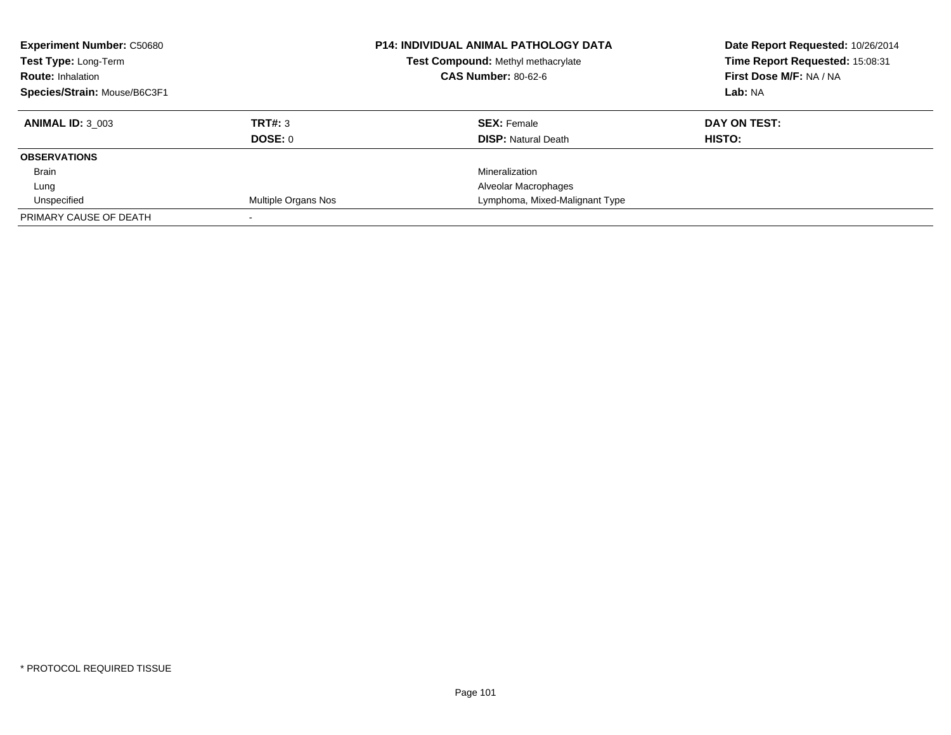| <b>Experiment Number: C50680</b><br>Test Type: Long-Term<br><b>Route: Inhalation</b> |                            | <b>P14: INDIVIDUAL ANIMAL PATHOLOGY DATA</b><br>Test Compound: Methyl methacrylate<br><b>CAS Number: 80-62-6</b> | Date Report Requested: 10/26/2014<br>Time Report Requested: 15:08:31<br>First Dose M/F: NA / NA |
|--------------------------------------------------------------------------------------|----------------------------|------------------------------------------------------------------------------------------------------------------|-------------------------------------------------------------------------------------------------|
| Species/Strain: Mouse/B6C3F1                                                         |                            |                                                                                                                  | Lab: NA                                                                                         |
| <b>ANIMAL ID: 3 003</b>                                                              | TRT#: 3                    | <b>SEX: Female</b>                                                                                               | DAY ON TEST:                                                                                    |
|                                                                                      | DOSE: 0                    | <b>DISP: Natural Death</b>                                                                                       | HISTO:                                                                                          |
| <b>OBSERVATIONS</b>                                                                  |                            |                                                                                                                  |                                                                                                 |
| Brain                                                                                |                            | Mineralization                                                                                                   |                                                                                                 |
| Lung                                                                                 |                            | Alveolar Macrophages                                                                                             |                                                                                                 |
| Unspecified                                                                          | <b>Multiple Organs Nos</b> | Lymphoma, Mixed-Malignant Type                                                                                   |                                                                                                 |
| PRIMARY CAUSE OF DEATH                                                               |                            |                                                                                                                  |                                                                                                 |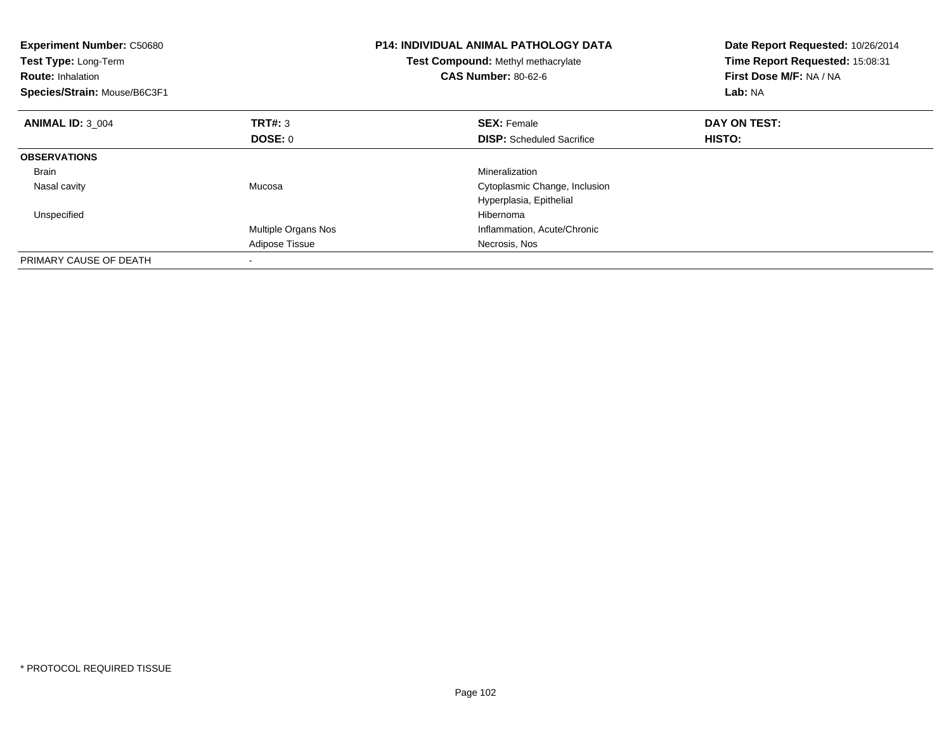| <b>Experiment Number: C50680</b><br>Test Type: Long-Term<br><b>Route:</b> Inhalation<br>Species/Strain: Mouse/B6C3F1 |                     | <b>P14: INDIVIDUAL ANIMAL PATHOLOGY DATA</b><br>Date Report Requested: 10/26/2014<br>Time Report Requested: 15:08:31<br>Test Compound: Methyl methacrylate<br><b>CAS Number: 80-62-6</b><br>First Dose M/F: NA / NA<br>Lab: NA |               |
|----------------------------------------------------------------------------------------------------------------------|---------------------|--------------------------------------------------------------------------------------------------------------------------------------------------------------------------------------------------------------------------------|---------------|
| <b>ANIMAL ID: 3 004</b>                                                                                              | TRT#: 3             | <b>SEX: Female</b>                                                                                                                                                                                                             | DAY ON TEST:  |
|                                                                                                                      | DOSE: 0             | <b>DISP:</b> Scheduled Sacrifice                                                                                                                                                                                               | <b>HISTO:</b> |
| <b>OBSERVATIONS</b>                                                                                                  |                     |                                                                                                                                                                                                                                |               |
| Brain                                                                                                                |                     | Mineralization                                                                                                                                                                                                                 |               |
| Nasal cavity                                                                                                         | Mucosa              | Cytoplasmic Change, Inclusion                                                                                                                                                                                                  |               |
|                                                                                                                      |                     | Hyperplasia, Epithelial                                                                                                                                                                                                        |               |
| Unspecified                                                                                                          |                     | Hibernoma                                                                                                                                                                                                                      |               |
|                                                                                                                      | Multiple Organs Nos | Inflammation, Acute/Chronic                                                                                                                                                                                                    |               |
|                                                                                                                      | Adipose Tissue      | Necrosis, Nos                                                                                                                                                                                                                  |               |
| PRIMARY CAUSE OF DEATH                                                                                               |                     |                                                                                                                                                                                                                                |               |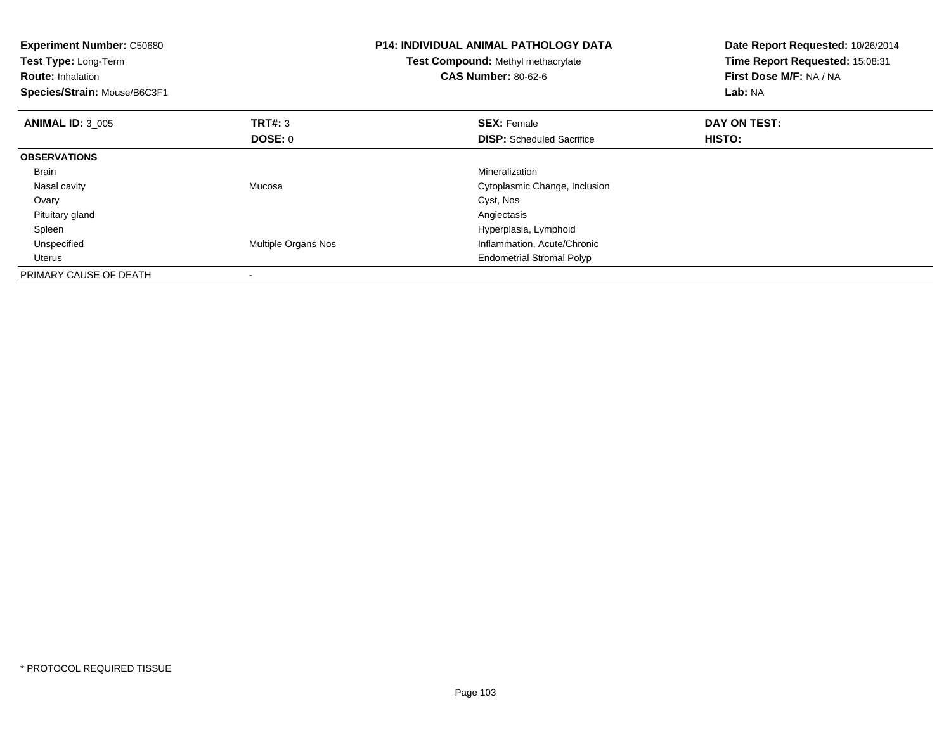| <b>Experiment Number: C50680</b><br>Test Type: Long-Term<br><b>Route: Inhalation</b><br>Species/Strain: Mouse/B6C3F1 |                     | <b>P14: INDIVIDUAL ANIMAL PATHOLOGY DATA</b><br>Test Compound: Methyl methacrylate<br><b>CAS Number: 80-62-6</b> | Date Report Requested: 10/26/2014<br>Time Report Requested: 15:08:31<br>First Dose M/F: NA / NA<br>Lab: NA |
|----------------------------------------------------------------------------------------------------------------------|---------------------|------------------------------------------------------------------------------------------------------------------|------------------------------------------------------------------------------------------------------------|
| <b>ANIMAL ID: 3 005</b>                                                                                              | <b>TRT#: 3</b>      | <b>SEX: Female</b>                                                                                               | DAY ON TEST:                                                                                               |
|                                                                                                                      | <b>DOSE: 0</b>      | <b>DISP:</b> Scheduled Sacrifice                                                                                 | HISTO:                                                                                                     |
| <b>OBSERVATIONS</b>                                                                                                  |                     |                                                                                                                  |                                                                                                            |
| <b>Brain</b>                                                                                                         |                     | Mineralization                                                                                                   |                                                                                                            |
| Nasal cavity                                                                                                         | Mucosa              | Cytoplasmic Change, Inclusion                                                                                    |                                                                                                            |
| Ovary                                                                                                                |                     | Cyst, Nos                                                                                                        |                                                                                                            |
| Pituitary gland                                                                                                      |                     | Angiectasis                                                                                                      |                                                                                                            |
| Spleen                                                                                                               |                     | Hyperplasia, Lymphoid                                                                                            |                                                                                                            |
| Unspecified                                                                                                          | Multiple Organs Nos | Inflammation, Acute/Chronic                                                                                      |                                                                                                            |
| Uterus                                                                                                               |                     | <b>Endometrial Stromal Polyp</b>                                                                                 |                                                                                                            |
| PRIMARY CAUSE OF DEATH                                                                                               |                     |                                                                                                                  |                                                                                                            |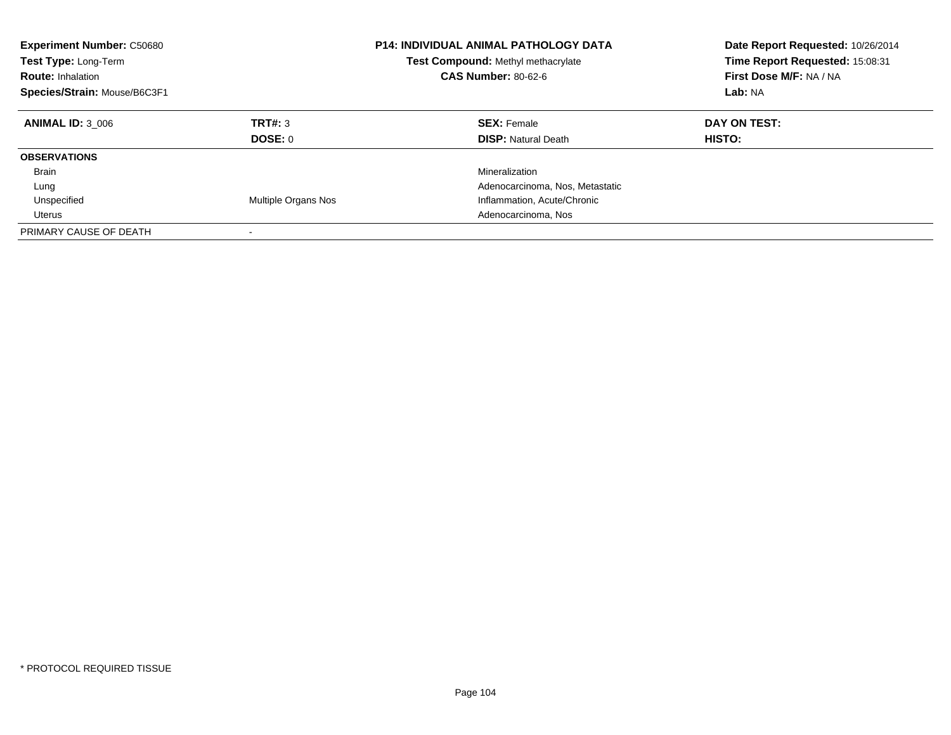| <b>Experiment Number: C50680</b><br>Test Type: Long-Term<br><b>Route: Inhalation</b><br>Species/Strain: Mouse/B6C3F1 |                            | <b>P14: INDIVIDUAL ANIMAL PATHOLOGY DATA</b><br><b>Test Compound: Methyl methacrylate</b><br><b>CAS Number: 80-62-6</b> | Date Report Requested: 10/26/2014<br>Time Report Requested: 15:08:31<br>First Dose M/F: NA / NA<br>Lab: NA |
|----------------------------------------------------------------------------------------------------------------------|----------------------------|-------------------------------------------------------------------------------------------------------------------------|------------------------------------------------------------------------------------------------------------|
| <b>ANIMAL ID: 3 006</b>                                                                                              | TRT#: 3<br>DOSE: 0         | <b>SEX: Female</b><br><b>DISP:</b> Natural Death                                                                        | DAY ON TEST:<br>HISTO:                                                                                     |
| <b>OBSERVATIONS</b>                                                                                                  |                            |                                                                                                                         |                                                                                                            |
| Brain                                                                                                                |                            | Mineralization                                                                                                          |                                                                                                            |
| Lung                                                                                                                 |                            | Adenocarcinoma, Nos, Metastatic                                                                                         |                                                                                                            |
| Unspecified                                                                                                          | <b>Multiple Organs Nos</b> | Inflammation, Acute/Chronic                                                                                             |                                                                                                            |
| Uterus                                                                                                               |                            | Adenocarcinoma, Nos                                                                                                     |                                                                                                            |
| PRIMARY CAUSE OF DEATH                                                                                               |                            |                                                                                                                         |                                                                                                            |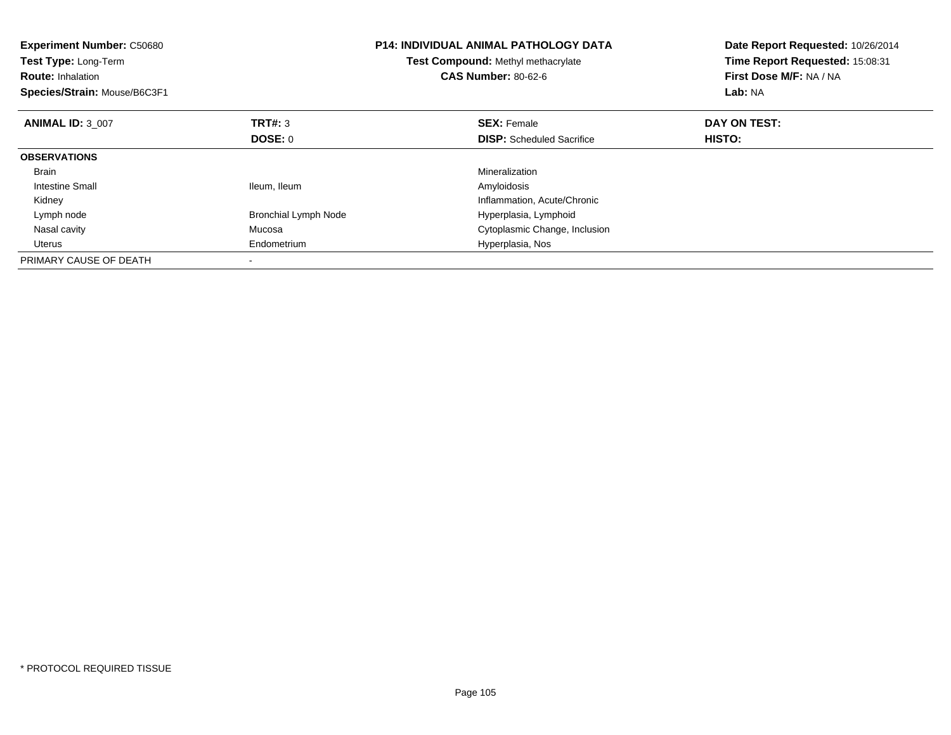| <b>Experiment Number: C50680</b><br>Test Type: Long-Term<br><b>Route:</b> Inhalation<br>Species/Strain: Mouse/B6C3F1 |                             | <b>P14: INDIVIDUAL ANIMAL PATHOLOGY DATA</b><br>Date Report Requested: 10/26/2014<br>Time Report Requested: 15:08:31<br>Test Compound: Methyl methacrylate<br>First Dose M/F: NA / NA<br><b>CAS Number: 80-62-6</b><br>Lab: NA |               |
|----------------------------------------------------------------------------------------------------------------------|-----------------------------|--------------------------------------------------------------------------------------------------------------------------------------------------------------------------------------------------------------------------------|---------------|
| <b>ANIMAL ID: 3 007</b>                                                                                              | TRT#: 3                     | <b>SEX: Female</b>                                                                                                                                                                                                             | DAY ON TEST:  |
|                                                                                                                      | <b>DOSE: 0</b>              | <b>DISP:</b> Scheduled Sacrifice                                                                                                                                                                                               | <b>HISTO:</b> |
| <b>OBSERVATIONS</b>                                                                                                  |                             |                                                                                                                                                                                                                                |               |
| <b>Brain</b>                                                                                                         |                             | Mineralization                                                                                                                                                                                                                 |               |
| Intestine Small                                                                                                      | Ileum, Ileum                | Amyloidosis                                                                                                                                                                                                                    |               |
| Kidney                                                                                                               |                             | Inflammation, Acute/Chronic                                                                                                                                                                                                    |               |
| Lymph node                                                                                                           | <b>Bronchial Lymph Node</b> | Hyperplasia, Lymphoid                                                                                                                                                                                                          |               |
| Nasal cavity                                                                                                         | Mucosa                      | Cytoplasmic Change, Inclusion                                                                                                                                                                                                  |               |
| Uterus                                                                                                               | Endometrium                 | Hyperplasia, Nos                                                                                                                                                                                                               |               |
| PRIMARY CAUSE OF DEATH                                                                                               |                             |                                                                                                                                                                                                                                |               |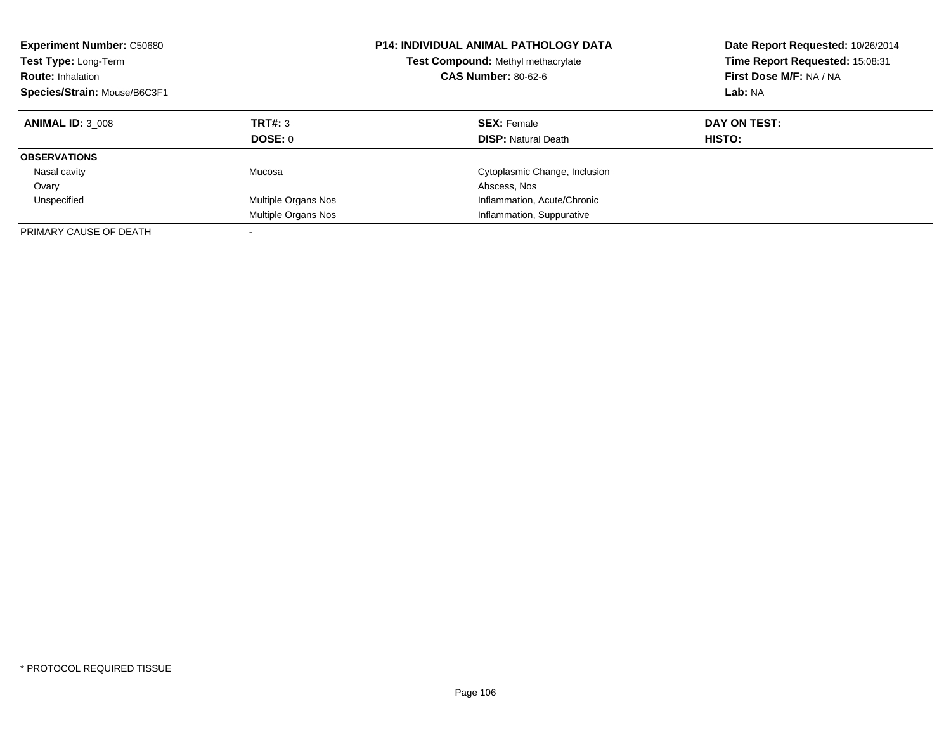| <b>Experiment Number: C50680</b><br>Test Type: Long-Term<br><b>Route: Inhalation</b><br>Species/Strain: Mouse/B6C3F1 |                     | <b>P14: INDIVIDUAL ANIMAL PATHOLOGY DATA</b><br>Test Compound: Methyl methacrylate<br><b>CAS Number: 80-62-6</b> | Date Report Requested: 10/26/2014<br>Time Report Requested: 15:08:31<br>First Dose M/F: NA / NA<br>Lab: NA |
|----------------------------------------------------------------------------------------------------------------------|---------------------|------------------------------------------------------------------------------------------------------------------|------------------------------------------------------------------------------------------------------------|
| <b>ANIMAL ID: 3 008</b>                                                                                              | TRT#: 3<br>DOSE: 0  | <b>SEX: Female</b><br><b>DISP: Natural Death</b>                                                                 | DAY ON TEST:<br><b>HISTO:</b>                                                                              |
| <b>OBSERVATIONS</b>                                                                                                  |                     |                                                                                                                  |                                                                                                            |
| Nasal cavity<br>Ovary                                                                                                | Mucosa              | Cytoplasmic Change, Inclusion<br>Abscess, Nos                                                                    |                                                                                                            |
| Unspecified                                                                                                          | Multiple Organs Nos | Inflammation, Acute/Chronic                                                                                      |                                                                                                            |
|                                                                                                                      | Multiple Organs Nos | Inflammation, Suppurative                                                                                        |                                                                                                            |
| PRIMARY CAUSE OF DEATH                                                                                               |                     |                                                                                                                  |                                                                                                            |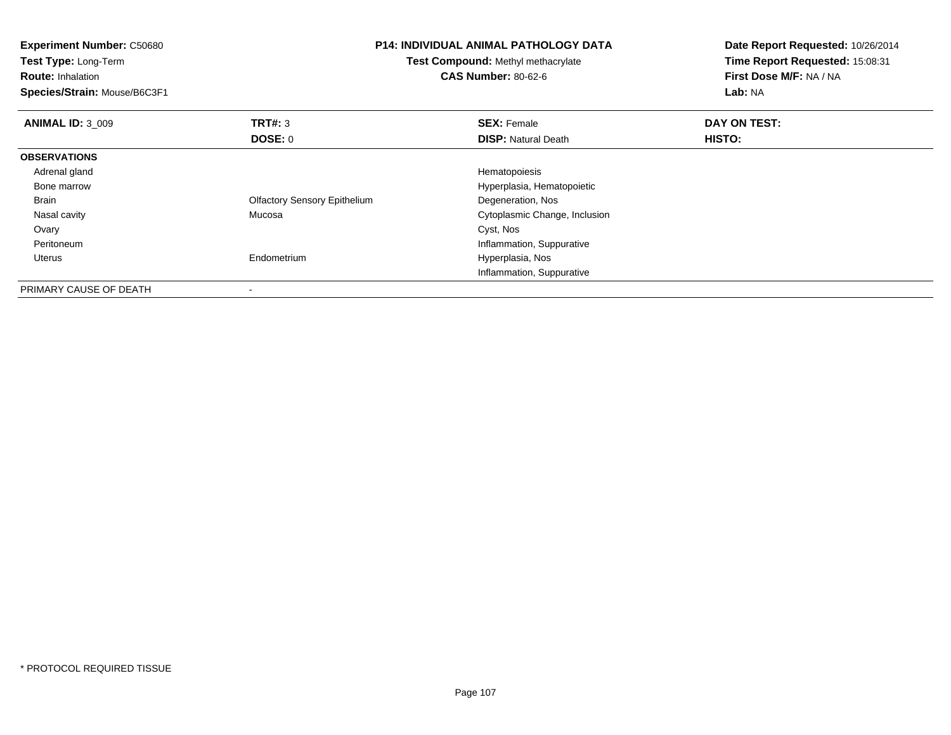| <b>Experiment Number: C50680</b><br>Test Type: Long-Term<br><b>Route: Inhalation</b><br>Species/Strain: Mouse/B6C3F1 |                                     | <b>P14: INDIVIDUAL ANIMAL PATHOLOGY DATA</b><br><b>Test Compound: Methyl methacrylate</b><br><b>CAS Number: 80-62-6</b> | Date Report Requested: 10/26/2014<br>Time Report Requested: 15:08:31<br>First Dose M/F: NA / NA<br>Lab: NA |
|----------------------------------------------------------------------------------------------------------------------|-------------------------------------|-------------------------------------------------------------------------------------------------------------------------|------------------------------------------------------------------------------------------------------------|
| <b>ANIMAL ID: 3 009</b>                                                                                              | <b>TRT#: 3</b>                      | <b>SEX: Female</b>                                                                                                      | DAY ON TEST:                                                                                               |
|                                                                                                                      | DOSE: 0                             | <b>DISP:</b> Natural Death                                                                                              | HISTO:                                                                                                     |
| <b>OBSERVATIONS</b>                                                                                                  |                                     |                                                                                                                         |                                                                                                            |
| Adrenal gland                                                                                                        |                                     | Hematopoiesis                                                                                                           |                                                                                                            |
| Bone marrow                                                                                                          |                                     | Hyperplasia, Hematopoietic                                                                                              |                                                                                                            |
| Brain                                                                                                                | <b>Olfactory Sensory Epithelium</b> | Degeneration, Nos                                                                                                       |                                                                                                            |
| Nasal cavity                                                                                                         | Mucosa                              | Cytoplasmic Change, Inclusion                                                                                           |                                                                                                            |
| Ovary                                                                                                                |                                     | Cyst, Nos                                                                                                               |                                                                                                            |
| Peritoneum                                                                                                           |                                     | Inflammation, Suppurative                                                                                               |                                                                                                            |
| Uterus                                                                                                               | Endometrium                         | Hyperplasia, Nos                                                                                                        |                                                                                                            |
|                                                                                                                      |                                     | Inflammation, Suppurative                                                                                               |                                                                                                            |
| PRIMARY CAUSE OF DEATH                                                                                               |                                     |                                                                                                                         |                                                                                                            |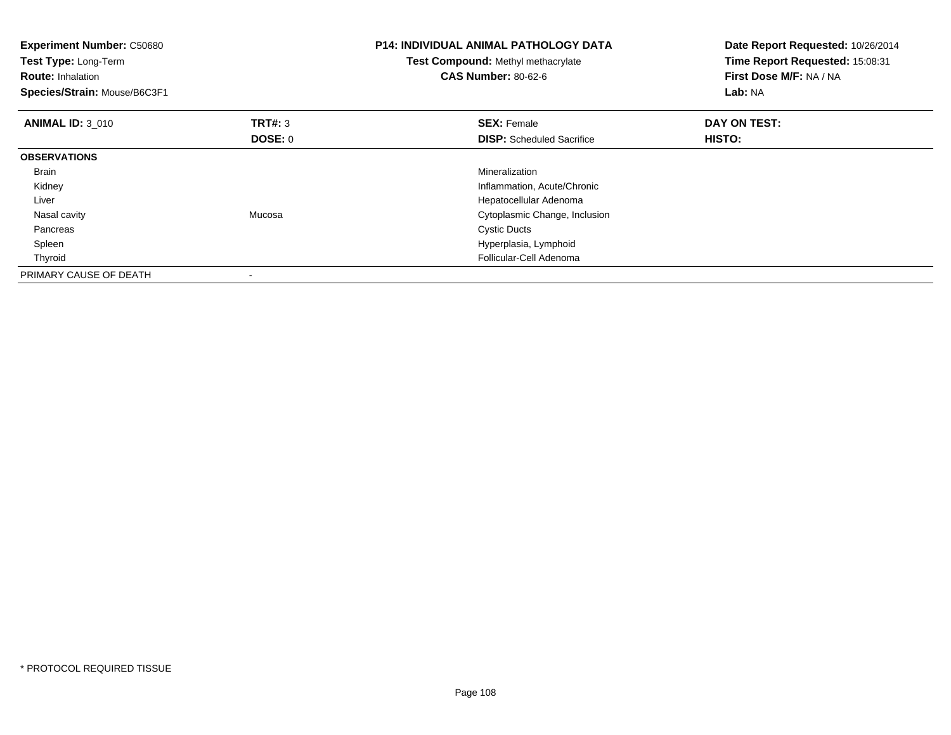| <b>Experiment Number: C50680</b><br>Test Type: Long-Term<br><b>Route: Inhalation</b><br>Species/Strain: Mouse/B6C3F1 |                | <b>P14: INDIVIDUAL ANIMAL PATHOLOGY DATA</b><br>Test Compound: Methyl methacrylate<br><b>CAS Number: 80-62-6</b> | Date Report Requested: 10/26/2014<br>Time Report Requested: 15:08:31<br>First Dose M/F: NA / NA<br>Lab: NA |
|----------------------------------------------------------------------------------------------------------------------|----------------|------------------------------------------------------------------------------------------------------------------|------------------------------------------------------------------------------------------------------------|
| <b>ANIMAL ID: 3 010</b>                                                                                              | <b>TRT#: 3</b> | <b>SEX: Female</b>                                                                                               | DAY ON TEST:                                                                                               |
|                                                                                                                      | <b>DOSE: 0</b> | <b>DISP:</b> Scheduled Sacrifice                                                                                 | HISTO:                                                                                                     |
| <b>OBSERVATIONS</b>                                                                                                  |                |                                                                                                                  |                                                                                                            |
| <b>Brain</b>                                                                                                         |                | Mineralization                                                                                                   |                                                                                                            |
| Kidney                                                                                                               |                | Inflammation, Acute/Chronic                                                                                      |                                                                                                            |
| Liver                                                                                                                |                | Hepatocellular Adenoma                                                                                           |                                                                                                            |
| Nasal cavity                                                                                                         | Mucosa         | Cytoplasmic Change, Inclusion                                                                                    |                                                                                                            |
| Pancreas                                                                                                             |                | <b>Cystic Ducts</b>                                                                                              |                                                                                                            |
| Spleen                                                                                                               |                | Hyperplasia, Lymphoid                                                                                            |                                                                                                            |
| Thyroid                                                                                                              |                | Follicular-Cell Adenoma                                                                                          |                                                                                                            |
| PRIMARY CAUSE OF DEATH                                                                                               |                |                                                                                                                  |                                                                                                            |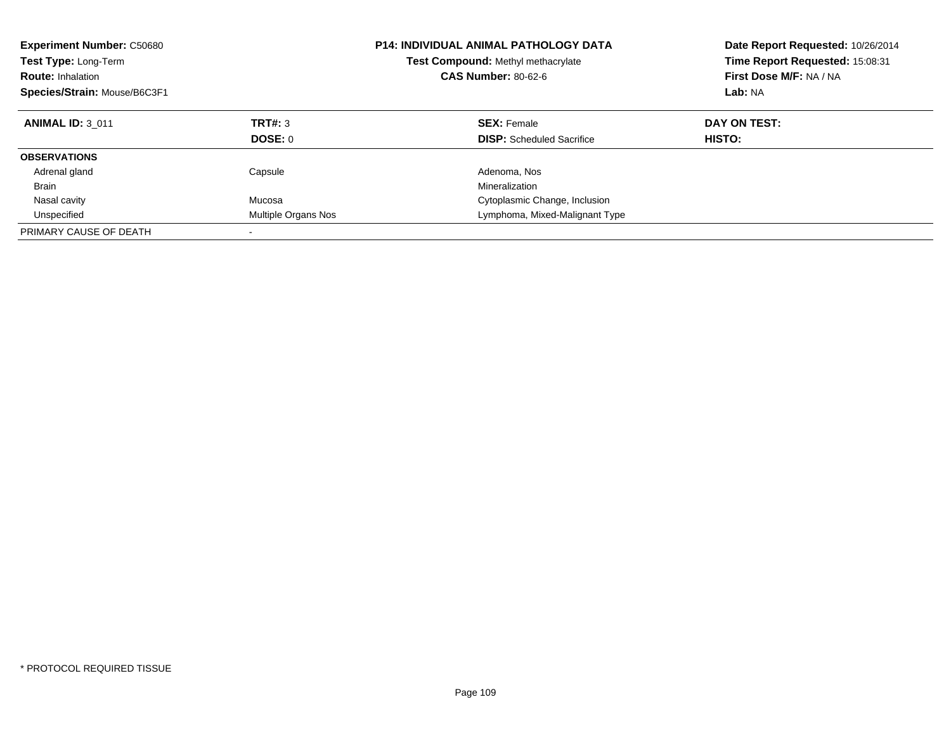| <b>Experiment Number: C50680</b><br>Test Type: Long-Term<br><b>Route: Inhalation</b><br>Species/Strain: Mouse/B6C3F1 |                           | <b>P14: INDIVIDUAL ANIMAL PATHOLOGY DATA</b><br>Test Compound: Methyl methacrylate<br><b>CAS Number: 80-62-6</b> | Date Report Requested: 10/26/2014<br>Time Report Requested: 15:08:31<br>First Dose M/F: NA / NA<br>Lab: NA |
|----------------------------------------------------------------------------------------------------------------------|---------------------------|------------------------------------------------------------------------------------------------------------------|------------------------------------------------------------------------------------------------------------|
| <b>ANIMAL ID: 3 011</b>                                                                                              | TRT#: 3<br><b>DOSE: 0</b> | <b>SEX: Female</b><br><b>DISP:</b> Scheduled Sacrifice                                                           | DAY ON TEST:<br>HISTO:                                                                                     |
|                                                                                                                      |                           |                                                                                                                  |                                                                                                            |
| <b>OBSERVATIONS</b>                                                                                                  |                           |                                                                                                                  |                                                                                                            |
| Adrenal gland                                                                                                        | Capsule                   | Adenoma, Nos                                                                                                     |                                                                                                            |
| Brain                                                                                                                |                           | Mineralization                                                                                                   |                                                                                                            |
| Nasal cavity                                                                                                         | Mucosa                    | Cytoplasmic Change, Inclusion                                                                                    |                                                                                                            |
| Unspecified                                                                                                          | Multiple Organs Nos       | Lymphoma, Mixed-Malignant Type                                                                                   |                                                                                                            |
| PRIMARY CAUSE OF DEATH                                                                                               |                           |                                                                                                                  |                                                                                                            |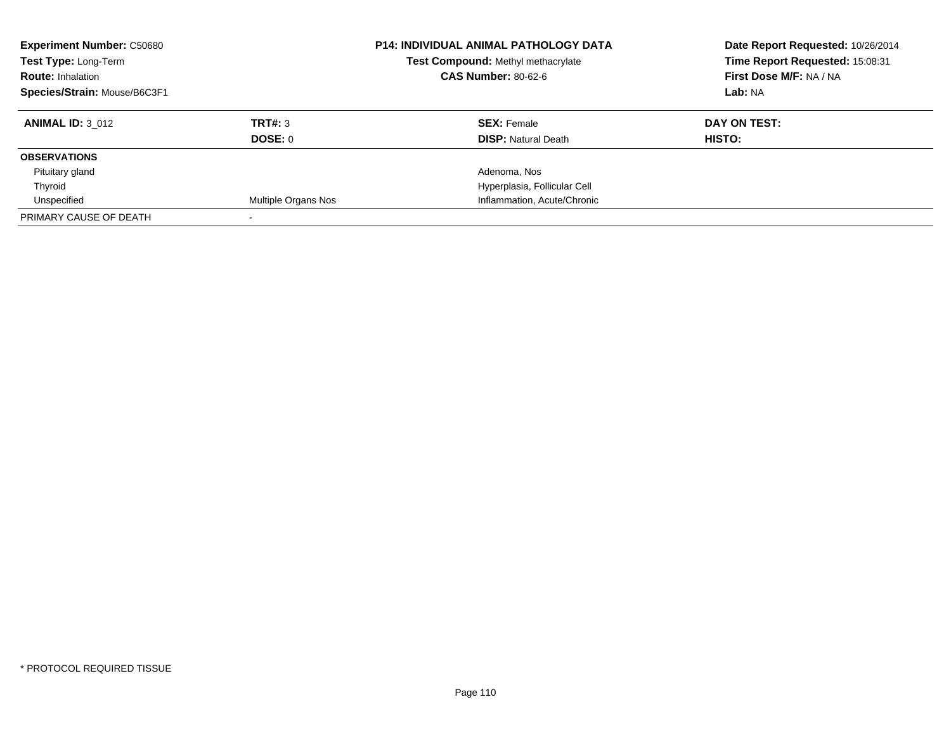| <b>Experiment Number: C50680</b> |                     | <b>P14: INDIVIDUAL ANIMAL PATHOLOGY DATA</b> | Date Report Requested: 10/26/2014 |
|----------------------------------|---------------------|----------------------------------------------|-----------------------------------|
| Test Type: Long-Term             |                     | Test Compound: Methyl methacrylate           | Time Report Requested: 15:08:31   |
| <b>Route: Inhalation</b>         |                     | <b>CAS Number: 80-62-6</b>                   | First Dose M/F: NA / NA           |
| Species/Strain: Mouse/B6C3F1     |                     |                                              | Lab: NA                           |
| <b>ANIMAL ID: 3 012</b>          | TRT#: 3             | <b>SEX: Female</b>                           | DAY ON TEST:                      |
|                                  | DOSE: 0             | <b>DISP: Natural Death</b>                   | <b>HISTO:</b>                     |
| <b>OBSERVATIONS</b>              |                     |                                              |                                   |
| Pituitary gland                  |                     | Adenoma, Nos                                 |                                   |
| Thyroid                          |                     | Hyperplasia, Follicular Cell                 |                                   |
| Unspecified                      | Multiple Organs Nos | Inflammation, Acute/Chronic                  |                                   |
| PRIMARY CAUSE OF DEATH           |                     |                                              |                                   |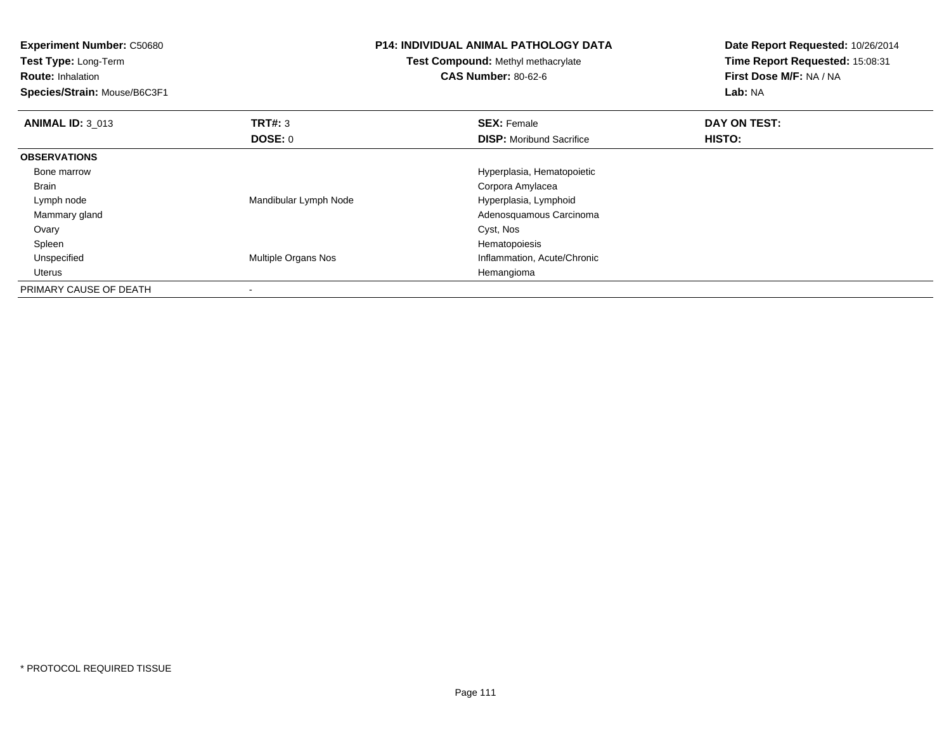| <b>Experiment Number: C50680</b><br>Test Type: Long-Term<br><b>Route: Inhalation</b> |                       | <b>P14: INDIVIDUAL ANIMAL PATHOLOGY DATA</b><br><b>Test Compound: Methyl methacrylate</b><br><b>CAS Number: 80-62-6</b> | Date Report Requested: 10/26/2014<br>Time Report Requested: 15:08:31<br>First Dose M/F: NA / NA |
|--------------------------------------------------------------------------------------|-----------------------|-------------------------------------------------------------------------------------------------------------------------|-------------------------------------------------------------------------------------------------|
| Species/Strain: Mouse/B6C3F1                                                         |                       |                                                                                                                         | Lab: NA                                                                                         |
| <b>ANIMAL ID: 3 013</b>                                                              | <b>TRT#: 3</b>        | <b>SEX: Female</b>                                                                                                      | DAY ON TEST:                                                                                    |
|                                                                                      | DOSE: 0               | <b>DISP:</b> Moribund Sacrifice                                                                                         | HISTO:                                                                                          |
| <b>OBSERVATIONS</b>                                                                  |                       |                                                                                                                         |                                                                                                 |
| Bone marrow                                                                          |                       | Hyperplasia, Hematopoietic                                                                                              |                                                                                                 |
| Brain                                                                                |                       | Corpora Amylacea                                                                                                        |                                                                                                 |
| Lymph node                                                                           | Mandibular Lymph Node | Hyperplasia, Lymphoid                                                                                                   |                                                                                                 |
| Mammary gland                                                                        |                       | Adenosquamous Carcinoma                                                                                                 |                                                                                                 |
| Ovary                                                                                |                       | Cyst, Nos                                                                                                               |                                                                                                 |
| Spleen                                                                               |                       | Hematopoiesis                                                                                                           |                                                                                                 |
| Unspecified                                                                          | Multiple Organs Nos   | Inflammation, Acute/Chronic                                                                                             |                                                                                                 |
| Uterus                                                                               |                       | Hemangioma                                                                                                              |                                                                                                 |
| PRIMARY CAUSE OF DEATH                                                               |                       |                                                                                                                         |                                                                                                 |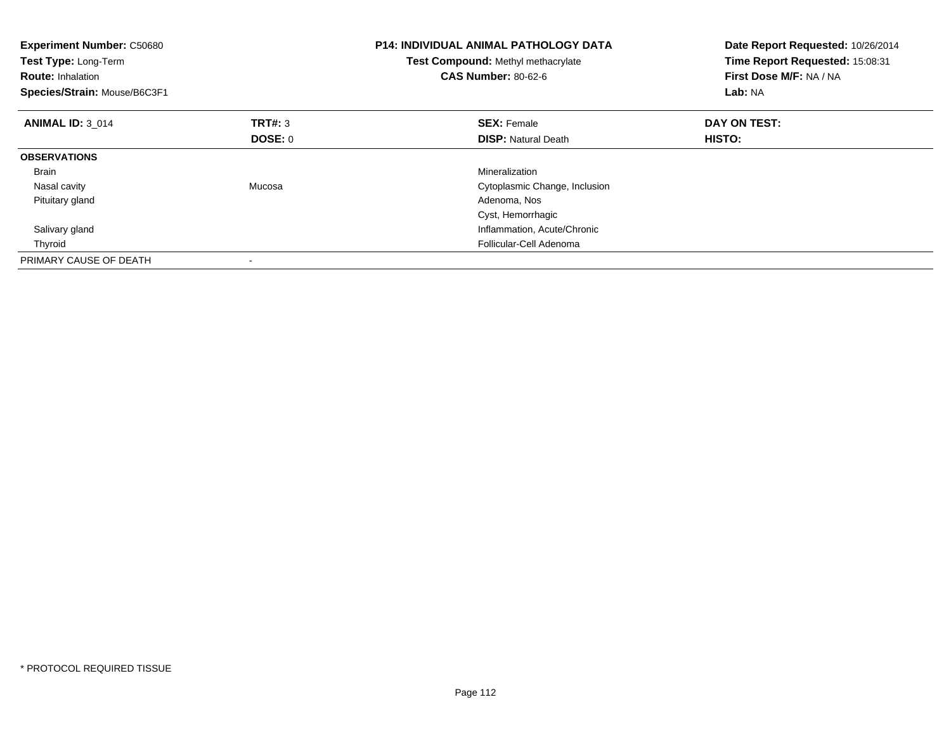| <b>Experiment Number: C50680</b><br>Test Type: Long-Term<br><b>Route: Inhalation</b><br>Species/Strain: Mouse/B6C3F1 |         | <b>P14: INDIVIDUAL ANIMAL PATHOLOGY DATA</b><br><b>Test Compound: Methyl methacrylate</b><br><b>CAS Number: 80-62-6</b> | Date Report Requested: 10/26/2014<br>Time Report Requested: 15:08:31<br>First Dose M/F: NA / NA<br>Lab: NA |
|----------------------------------------------------------------------------------------------------------------------|---------|-------------------------------------------------------------------------------------------------------------------------|------------------------------------------------------------------------------------------------------------|
| <b>ANIMAL ID: 3 014</b>                                                                                              | TRT#: 3 | <b>SEX: Female</b>                                                                                                      | DAY ON TEST:                                                                                               |
|                                                                                                                      | DOSE: 0 | <b>DISP:</b> Natural Death                                                                                              | <b>HISTO:</b>                                                                                              |
| <b>OBSERVATIONS</b>                                                                                                  |         |                                                                                                                         |                                                                                                            |
| <b>Brain</b>                                                                                                         |         | Mineralization                                                                                                          |                                                                                                            |
| Nasal cavity                                                                                                         | Mucosa  | Cytoplasmic Change, Inclusion                                                                                           |                                                                                                            |
| Pituitary gland                                                                                                      |         | Adenoma, Nos                                                                                                            |                                                                                                            |
|                                                                                                                      |         | Cyst, Hemorrhagic                                                                                                       |                                                                                                            |
| Salivary gland                                                                                                       |         | Inflammation, Acute/Chronic                                                                                             |                                                                                                            |
| Thyroid                                                                                                              |         | Follicular-Cell Adenoma                                                                                                 |                                                                                                            |
| PRIMARY CAUSE OF DEATH                                                                                               |         |                                                                                                                         |                                                                                                            |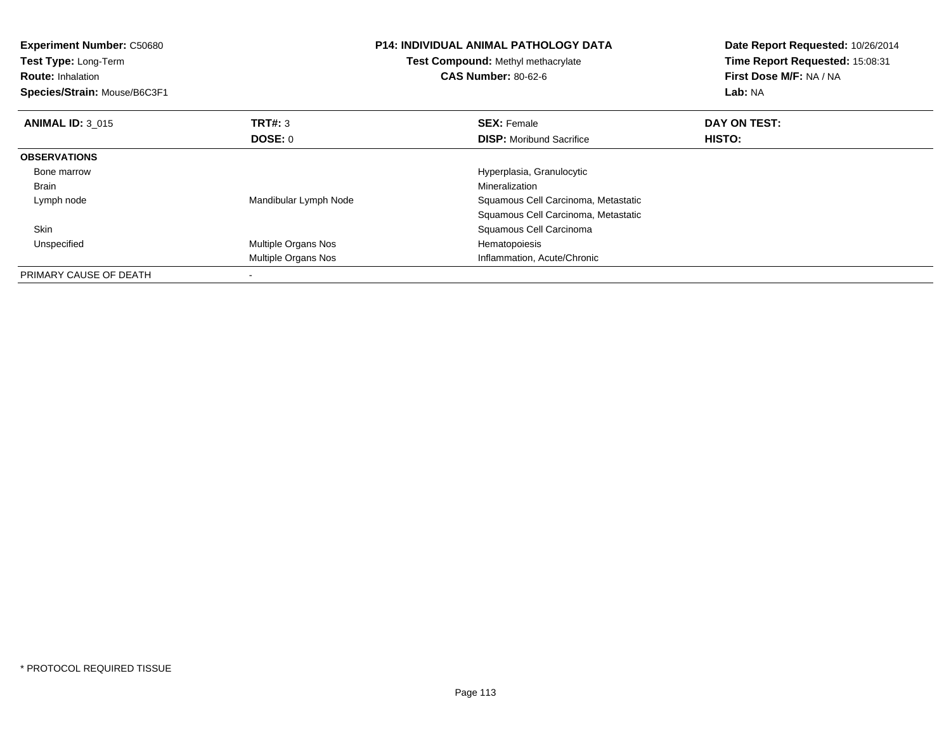| <b>Experiment Number: C50680</b><br>Test Type: Long-Term<br><b>Route: Inhalation</b><br>Species/Strain: Mouse/B6C3F1 |                       | <b>P14: INDIVIDUAL ANIMAL PATHOLOGY DATA</b><br>Test Compound: Methyl methacrylate<br><b>CAS Number: 80-62-6</b> | Date Report Requested: 10/26/2014<br>Time Report Requested: 15:08:31<br>First Dose M/F: NA / NA<br>Lab: NA |
|----------------------------------------------------------------------------------------------------------------------|-----------------------|------------------------------------------------------------------------------------------------------------------|------------------------------------------------------------------------------------------------------------|
| <b>ANIMAL ID: 3 015</b>                                                                                              | TRT#: 3               | <b>SEX: Female</b>                                                                                               | DAY ON TEST:                                                                                               |
|                                                                                                                      | <b>DOSE: 0</b>        | <b>DISP:</b> Moribund Sacrifice                                                                                  | HISTO:                                                                                                     |
| <b>OBSERVATIONS</b>                                                                                                  |                       |                                                                                                                  |                                                                                                            |
| Bone marrow                                                                                                          |                       | Hyperplasia, Granulocytic                                                                                        |                                                                                                            |
| <b>Brain</b>                                                                                                         |                       | Mineralization                                                                                                   |                                                                                                            |
| Lymph node                                                                                                           | Mandibular Lymph Node | Squamous Cell Carcinoma, Metastatic                                                                              |                                                                                                            |
|                                                                                                                      |                       | Squamous Cell Carcinoma, Metastatic                                                                              |                                                                                                            |
| <b>Skin</b>                                                                                                          |                       | Squamous Cell Carcinoma                                                                                          |                                                                                                            |
| Unspecified                                                                                                          | Multiple Organs Nos   | Hematopoiesis                                                                                                    |                                                                                                            |
|                                                                                                                      | Multiple Organs Nos   | Inflammation, Acute/Chronic                                                                                      |                                                                                                            |
| PRIMARY CAUSE OF DEATH                                                                                               |                       |                                                                                                                  |                                                                                                            |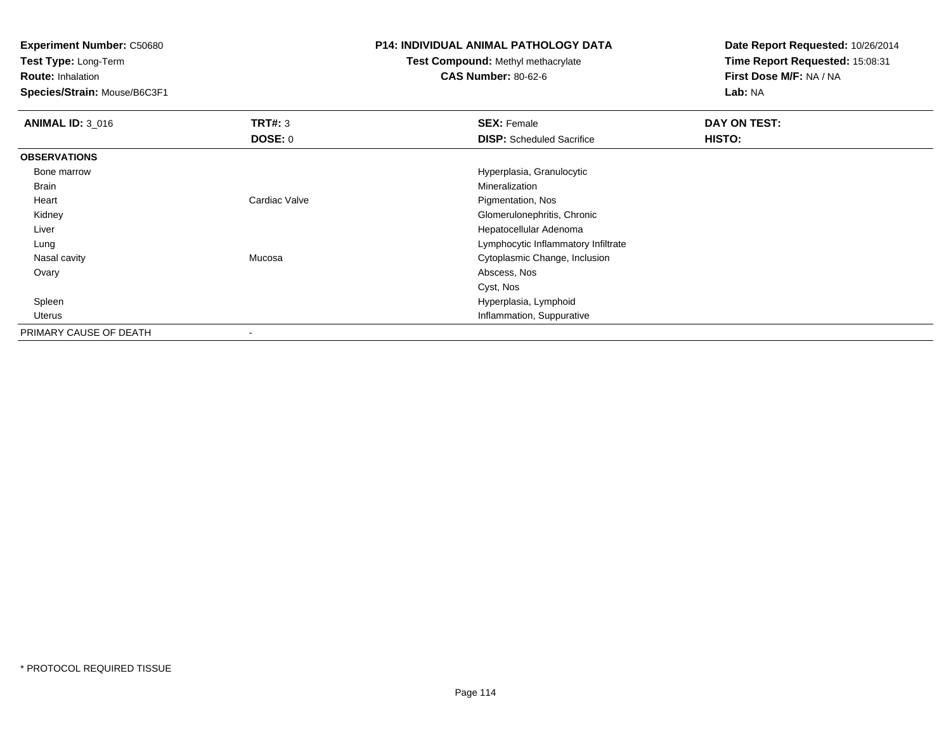**Experiment Number:** C50680

**Test Type:** Long-Term

**Route:** Inhalation

**Species/Strain:** Mouse/B6C3F1

## **P14: INDIVIDUAL ANIMAL PATHOLOGY DATA**

## **Test Compound:** Methyl methacrylate**CAS Number:** 80-62-6

**Date Report Requested:** 10/26/2014**Time Report Requested:** 15:08:31**First Dose M/F:** NA / NA**Lab:** NA

| <b>ANIMAL ID: 3_016</b> | TRT#: 3        | <b>SEX: Female</b>                  | DAY ON TEST: |  |
|-------------------------|----------------|-------------------------------------|--------------|--|
|                         | <b>DOSE: 0</b> | <b>DISP:</b> Scheduled Sacrifice    | HISTO:       |  |
| <b>OBSERVATIONS</b>     |                |                                     |              |  |
| Bone marrow             |                | Hyperplasia, Granulocytic           |              |  |
| <b>Brain</b>            |                | Mineralization                      |              |  |
| Heart                   | Cardiac Valve  | Pigmentation, Nos                   |              |  |
| Kidney                  |                | Glomerulonephritis, Chronic         |              |  |
| Liver                   |                | Hepatocellular Adenoma              |              |  |
| Lung                    |                | Lymphocytic Inflammatory Infiltrate |              |  |
| Nasal cavity            | Mucosa         | Cytoplasmic Change, Inclusion       |              |  |
| Ovary                   |                | Abscess, Nos                        |              |  |
|                         |                | Cyst, Nos                           |              |  |
| Spleen                  |                | Hyperplasia, Lymphoid               |              |  |
| Uterus                  |                | Inflammation, Suppurative           |              |  |
| PRIMARY CAUSE OF DEATH  |                |                                     |              |  |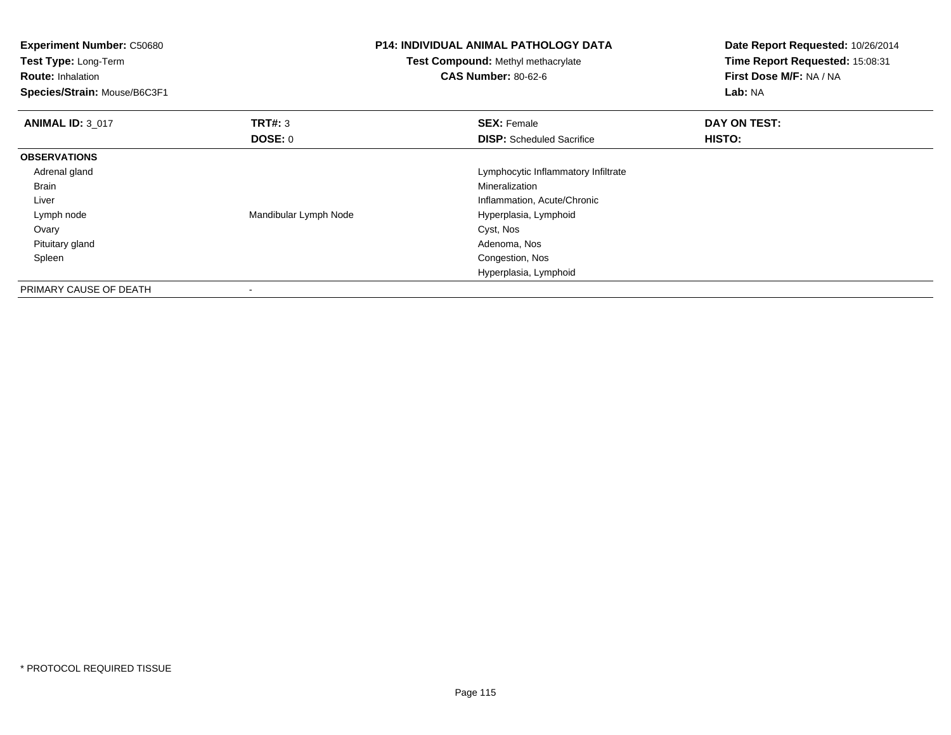| Experiment Number: C50680<br>Test Type: Long-Term<br><b>Route: Inhalation</b><br>Species/Strain: Mouse/B6C3F1 |                       | <b>P14: INDIVIDUAL ANIMAL PATHOLOGY DATA</b><br>Test Compound: Methyl methacrylate<br><b>CAS Number: 80-62-6</b> | Date Report Requested: 10/26/2014<br>Time Report Requested: 15:08:31<br>First Dose M/F: NA / NA<br>Lab: NA |
|---------------------------------------------------------------------------------------------------------------|-----------------------|------------------------------------------------------------------------------------------------------------------|------------------------------------------------------------------------------------------------------------|
| <b>ANIMAL ID: 3_017</b>                                                                                       | <b>TRT#: 3</b>        | <b>SEX: Female</b>                                                                                               | DAY ON TEST:                                                                                               |
|                                                                                                               | DOSE: 0               | <b>DISP:</b> Scheduled Sacrifice                                                                                 | HISTO:                                                                                                     |
| <b>OBSERVATIONS</b>                                                                                           |                       |                                                                                                                  |                                                                                                            |
| Adrenal gland                                                                                                 |                       | Lymphocytic Inflammatory Infiltrate                                                                              |                                                                                                            |
| Brain                                                                                                         |                       | <b>Mineralization</b>                                                                                            |                                                                                                            |
| Liver                                                                                                         |                       | Inflammation, Acute/Chronic                                                                                      |                                                                                                            |
| Lymph node                                                                                                    | Mandibular Lymph Node | Hyperplasia, Lymphoid                                                                                            |                                                                                                            |
| Ovary                                                                                                         |                       | Cyst, Nos                                                                                                        |                                                                                                            |
| Pituitary gland                                                                                               |                       | Adenoma, Nos                                                                                                     |                                                                                                            |
| Spleen                                                                                                        |                       | Congestion, Nos                                                                                                  |                                                                                                            |
|                                                                                                               |                       | Hyperplasia, Lymphoid                                                                                            |                                                                                                            |
| PRIMARY CAUSE OF DEATH                                                                                        |                       |                                                                                                                  |                                                                                                            |

-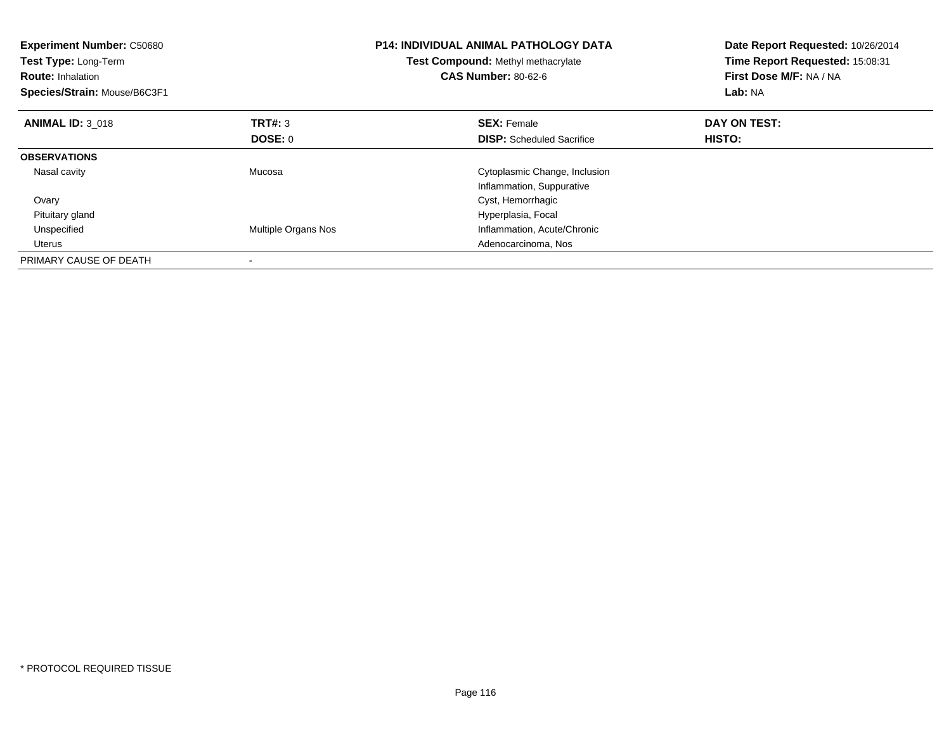| <b>Experiment Number: C50680</b><br>Test Type: Long-Term<br><b>Route: Inhalation</b><br>Species/Strain: Mouse/B6C3F1 |                     | <b>P14: INDIVIDUAL ANIMAL PATHOLOGY DATA</b><br>Test Compound: Methyl methacrylate<br><b>CAS Number: 80-62-6</b> | Date Report Requested: 10/26/2014<br>Time Report Requested: 15:08:31<br>First Dose M/F: NA / NA<br>Lab: NA |
|----------------------------------------------------------------------------------------------------------------------|---------------------|------------------------------------------------------------------------------------------------------------------|------------------------------------------------------------------------------------------------------------|
| <b>ANIMAL ID: 3 018</b>                                                                                              | <b>TRT#: 3</b>      | <b>SEX: Female</b>                                                                                               | DAY ON TEST:                                                                                               |
|                                                                                                                      | DOSE: 0             | <b>DISP:</b> Scheduled Sacrifice                                                                                 | HISTO:                                                                                                     |
| <b>OBSERVATIONS</b>                                                                                                  |                     |                                                                                                                  |                                                                                                            |
| Nasal cavity                                                                                                         | Mucosa              | Cytoplasmic Change, Inclusion                                                                                    |                                                                                                            |
|                                                                                                                      |                     | Inflammation, Suppurative                                                                                        |                                                                                                            |
| Ovary                                                                                                                |                     | Cyst, Hemorrhagic                                                                                                |                                                                                                            |
| Pituitary gland                                                                                                      |                     | Hyperplasia, Focal                                                                                               |                                                                                                            |
| Unspecified                                                                                                          | Multiple Organs Nos | Inflammation, Acute/Chronic                                                                                      |                                                                                                            |
| Uterus                                                                                                               |                     | Adenocarcinoma, Nos                                                                                              |                                                                                                            |
| PRIMARY CAUSE OF DEATH                                                                                               |                     |                                                                                                                  |                                                                                                            |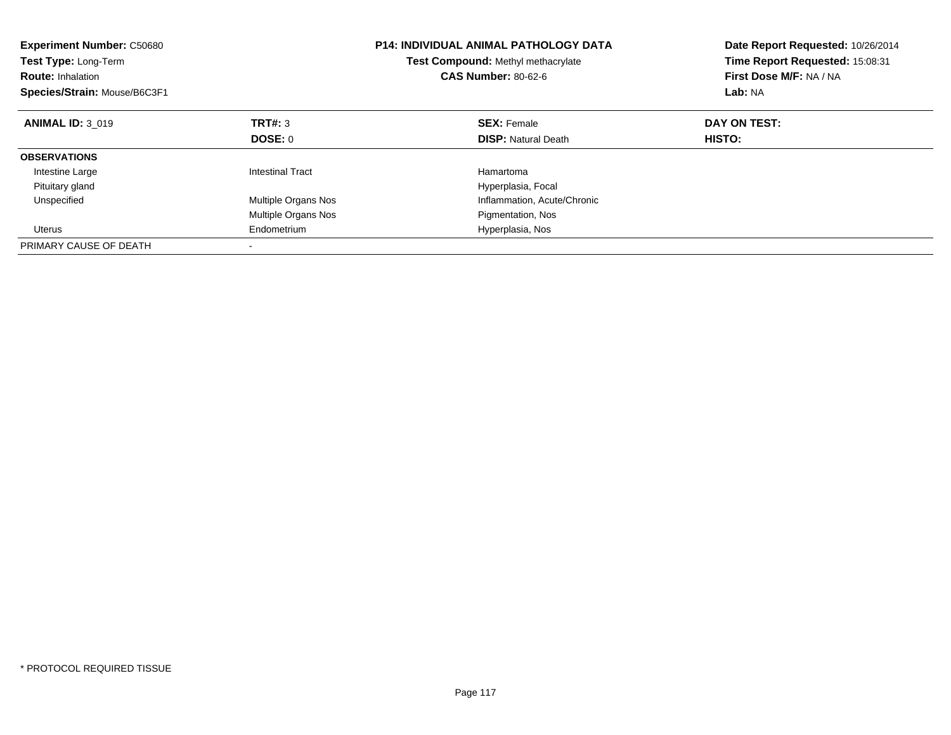| <b>Experiment Number: C50680</b><br><b>Test Type: Long-Term</b><br><b>Route: Inhalation</b><br>Species/Strain: Mouse/B6C3F1 |                            | <b>P14: INDIVIDUAL ANIMAL PATHOLOGY DATA</b><br>Test Compound: Methyl methacrylate<br><b>CAS Number: 80-62-6</b> | Date Report Requested: 10/26/2014<br>Time Report Requested: 15:08:31<br>First Dose M/F: NA / NA<br>Lab: NA |
|-----------------------------------------------------------------------------------------------------------------------------|----------------------------|------------------------------------------------------------------------------------------------------------------|------------------------------------------------------------------------------------------------------------|
| <b>ANIMAL ID: 3 019</b>                                                                                                     | TRT#: 3                    | <b>SEX: Female</b>                                                                                               | DAY ON TEST:                                                                                               |
|                                                                                                                             | DOSE: 0                    | <b>DISP:</b> Natural Death                                                                                       | HISTO:                                                                                                     |
| <b>OBSERVATIONS</b>                                                                                                         |                            |                                                                                                                  |                                                                                                            |
| Intestine Large                                                                                                             | <b>Intestinal Tract</b>    | Hamartoma                                                                                                        |                                                                                                            |
| Pituitary gland                                                                                                             |                            | Hyperplasia, Focal                                                                                               |                                                                                                            |
| Unspecified                                                                                                                 | <b>Multiple Organs Nos</b> | Inflammation, Acute/Chronic                                                                                      |                                                                                                            |
|                                                                                                                             | <b>Multiple Organs Nos</b> | Pigmentation, Nos                                                                                                |                                                                                                            |
| Uterus                                                                                                                      | Endometrium                | Hyperplasia, Nos                                                                                                 |                                                                                                            |
| PRIMARY CAUSE OF DEATH                                                                                                      |                            |                                                                                                                  |                                                                                                            |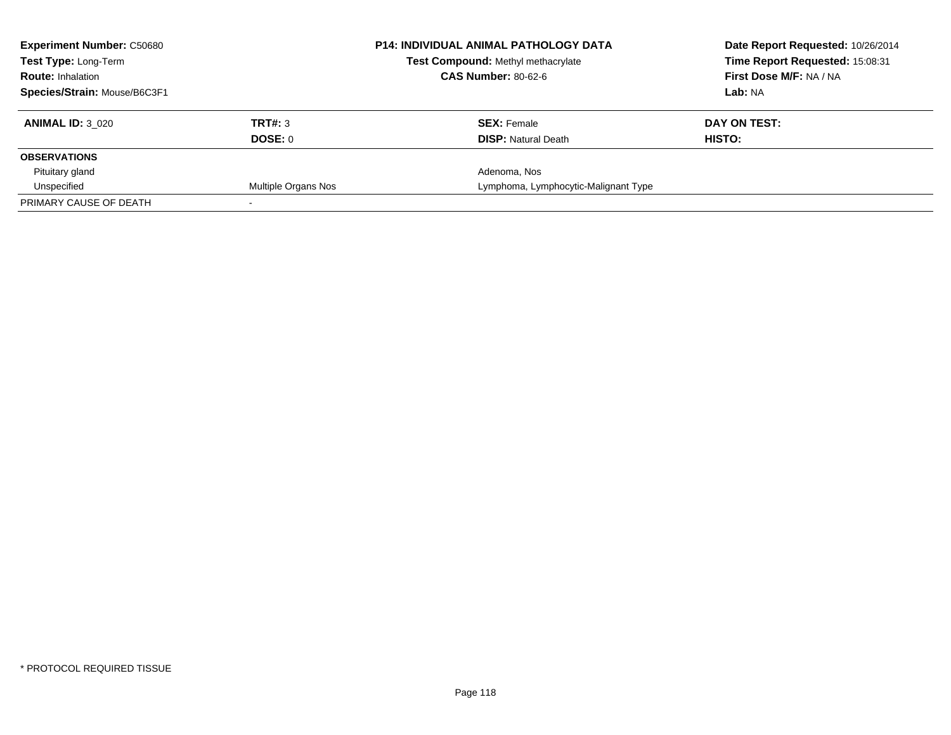| <b>Experiment Number: C50680</b> |                     | <b>P14: INDIVIDUAL ANIMAL PATHOLOGY DATA</b> | Date Report Requested: 10/26/2014 |
|----------------------------------|---------------------|----------------------------------------------|-----------------------------------|
| Test Type: Long-Term             |                     | Test Compound: Methyl methacrylate           | Time Report Requested: 15:08:31   |
| <b>Route: Inhalation</b>         |                     | <b>CAS Number: 80-62-6</b>                   | First Dose M/F: NA / NA           |
| Species/Strain: Mouse/B6C3F1     |                     |                                              | Lab: NA                           |
| <b>ANIMAL ID: 3 020</b>          | TRT#: 3             | <b>SEX: Female</b>                           | DAY ON TEST:                      |
|                                  | DOSE: 0             | <b>DISP:</b> Natural Death                   | <b>HISTO:</b>                     |
| <b>OBSERVATIONS</b>              |                     |                                              |                                   |
| Pituitary gland                  |                     | Adenoma, Nos                                 |                                   |
| Unspecified                      | Multiple Organs Nos | Lymphoma, Lymphocytic-Malignant Type         |                                   |
| PRIMARY CAUSE OF DEATH           |                     |                                              |                                   |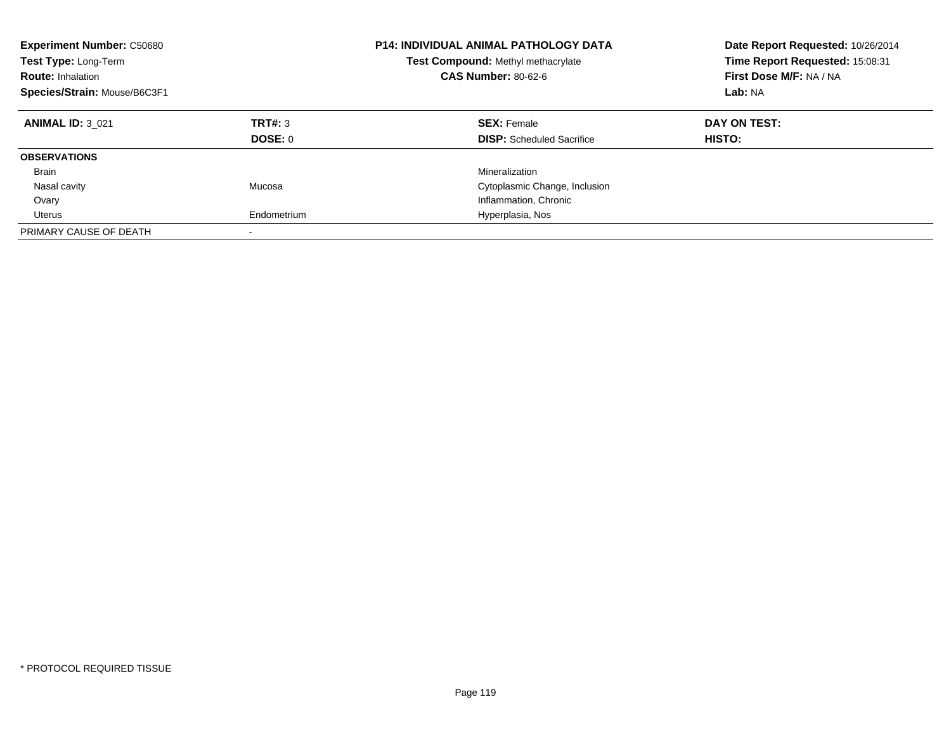| <b>Experiment Number: C50680</b><br>Test Type: Long-Term<br><b>Route: Inhalation</b><br>Species/Strain: Mouse/B6C3F1 |                    | <b>P14: INDIVIDUAL ANIMAL PATHOLOGY DATA</b><br><b>Test Compound: Methyl methacrylate</b><br><b>CAS Number: 80-62-6</b> | Date Report Requested: 10/26/2014<br>Time Report Requested: 15:08:31<br>First Dose M/F: NA / NA<br>Lab: NA |
|----------------------------------------------------------------------------------------------------------------------|--------------------|-------------------------------------------------------------------------------------------------------------------------|------------------------------------------------------------------------------------------------------------|
| <b>ANIMAL ID: 3 021</b>                                                                                              | TRT#: 3<br>DOSE: 0 | <b>SEX: Female</b><br><b>DISP:</b> Scheduled Sacrifice                                                                  | DAY ON TEST:<br><b>HISTO:</b>                                                                              |
| <b>OBSERVATIONS</b>                                                                                                  |                    |                                                                                                                         |                                                                                                            |
| Brain                                                                                                                |                    | Mineralization                                                                                                          |                                                                                                            |
| Nasal cavity                                                                                                         | Mucosa             | Cytoplasmic Change, Inclusion                                                                                           |                                                                                                            |
| Ovary                                                                                                                |                    | Inflammation, Chronic                                                                                                   |                                                                                                            |
| Uterus                                                                                                               | Endometrium        | Hyperplasia, Nos                                                                                                        |                                                                                                            |
| PRIMARY CAUSE OF DEATH                                                                                               |                    |                                                                                                                         |                                                                                                            |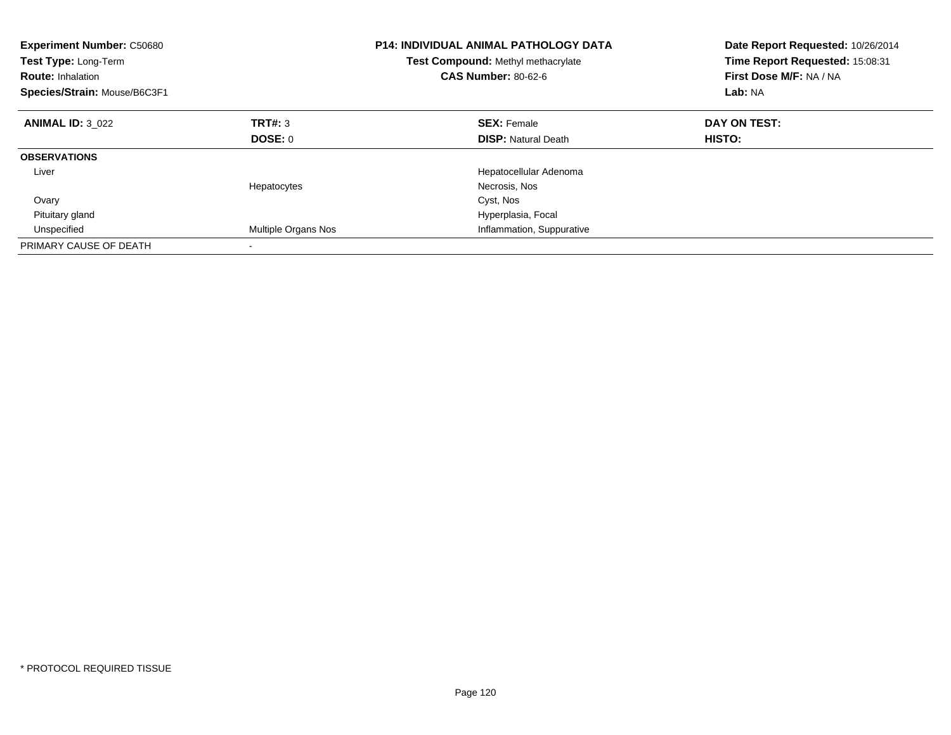| <b>Experiment Number: C50680</b><br><b>Test Type: Long-Term</b><br><b>Route: Inhalation</b><br>Species/Strain: Mouse/B6C3F1 |                     | <b>P14: INDIVIDUAL ANIMAL PATHOLOGY DATA</b><br>Test Compound: Methyl methacrylate<br><b>CAS Number: 80-62-6</b> | Date Report Requested: 10/26/2014<br>Time Report Requested: 15:08:31<br>First Dose M/F: NA / NA<br>Lab: NA |
|-----------------------------------------------------------------------------------------------------------------------------|---------------------|------------------------------------------------------------------------------------------------------------------|------------------------------------------------------------------------------------------------------------|
| <b>ANIMAL ID: 3 022</b>                                                                                                     | TRT#: 3             | <b>SEX: Female</b>                                                                                               | DAY ON TEST:                                                                                               |
|                                                                                                                             | DOSE: 0             | <b>DISP:</b> Natural Death                                                                                       | <b>HISTO:</b>                                                                                              |
| <b>OBSERVATIONS</b>                                                                                                         |                     |                                                                                                                  |                                                                                                            |
| Liver                                                                                                                       |                     | Hepatocellular Adenoma                                                                                           |                                                                                                            |
|                                                                                                                             | Hepatocytes         | Necrosis, Nos                                                                                                    |                                                                                                            |
| Ovary                                                                                                                       |                     | Cyst, Nos                                                                                                        |                                                                                                            |
| Pituitary gland                                                                                                             |                     | Hyperplasia, Focal                                                                                               |                                                                                                            |
| Unspecified                                                                                                                 | Multiple Organs Nos | Inflammation, Suppurative                                                                                        |                                                                                                            |
| PRIMARY CAUSE OF DEATH                                                                                                      |                     |                                                                                                                  |                                                                                                            |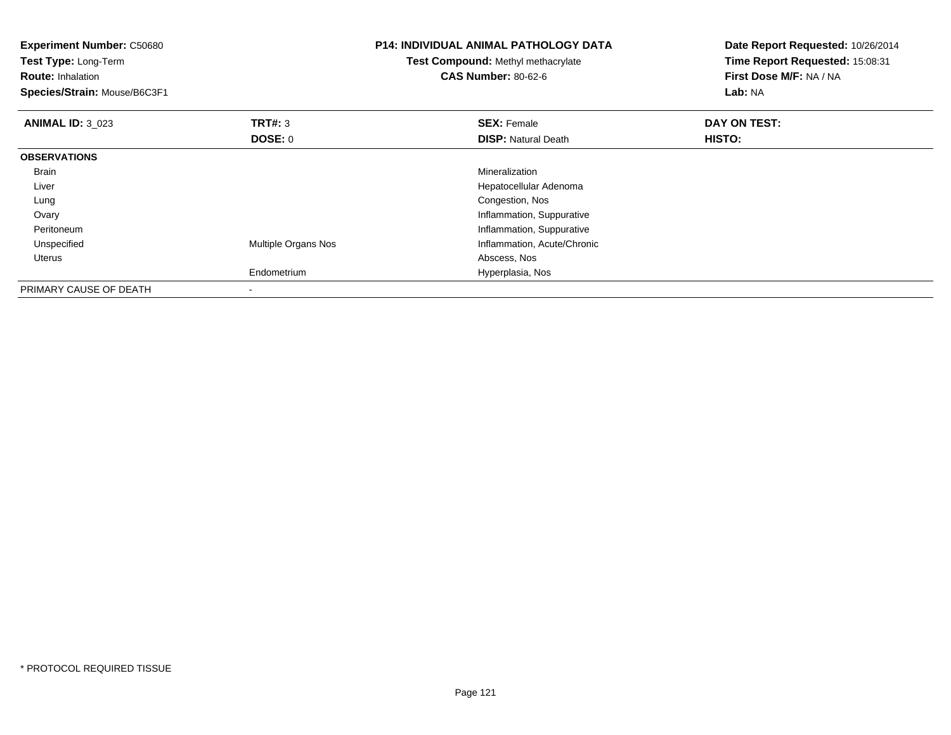| <b>Experiment Number: C50680</b><br>Test Type: Long-Term<br><b>Route: Inhalation</b><br>Species/Strain: Mouse/B6C3F1 |                          | <b>P14: INDIVIDUAL ANIMAL PATHOLOGY DATA</b><br>Test Compound: Methyl methacrylate<br><b>CAS Number: 80-62-6</b> | Date Report Requested: 10/26/2014<br>Time Report Requested: 15:08:31<br>First Dose M/F: NA / NA<br>Lab: NA |
|----------------------------------------------------------------------------------------------------------------------|--------------------------|------------------------------------------------------------------------------------------------------------------|------------------------------------------------------------------------------------------------------------|
| <b>ANIMAL ID: 3 023</b>                                                                                              | <b>TRT#: 3</b>           | <b>SEX: Female</b>                                                                                               | DAY ON TEST:                                                                                               |
|                                                                                                                      | <b>DOSE: 0</b>           | <b>DISP: Natural Death</b>                                                                                       | HISTO:                                                                                                     |
| <b>OBSERVATIONS</b>                                                                                                  |                          |                                                                                                                  |                                                                                                            |
| <b>Brain</b>                                                                                                         |                          | Mineralization                                                                                                   |                                                                                                            |
| Liver                                                                                                                |                          | Hepatocellular Adenoma                                                                                           |                                                                                                            |
| Lung                                                                                                                 |                          | Congestion, Nos                                                                                                  |                                                                                                            |
| Ovary                                                                                                                |                          | Inflammation, Suppurative                                                                                        |                                                                                                            |
| Peritoneum                                                                                                           |                          | Inflammation, Suppurative                                                                                        |                                                                                                            |
| Unspecified                                                                                                          | Multiple Organs Nos      | Inflammation, Acute/Chronic                                                                                      |                                                                                                            |
| <b>Uterus</b>                                                                                                        |                          | Abscess, Nos                                                                                                     |                                                                                                            |
|                                                                                                                      | Endometrium              | Hyperplasia, Nos                                                                                                 |                                                                                                            |
| PRIMARY CAUSE OF DEATH                                                                                               | $\overline{\phantom{a}}$ |                                                                                                                  |                                                                                                            |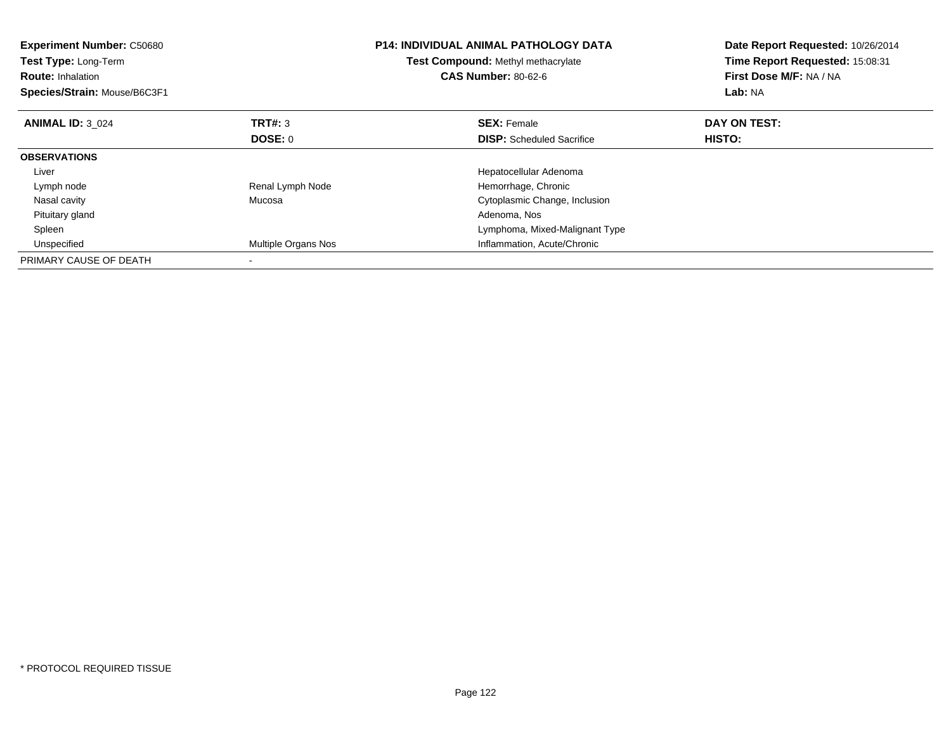| <b>Experiment Number: C50680</b><br>Test Type: Long-Term<br><b>Route: Inhalation</b><br>Species/Strain: Mouse/B6C3F1 |                     | <b>P14: INDIVIDUAL ANIMAL PATHOLOGY DATA</b><br>Test Compound: Methyl methacrylate<br><b>CAS Number: 80-62-6</b> | Date Report Requested: 10/26/2014<br>Time Report Requested: 15:08:31<br>First Dose M/F: NA / NA<br><b>Lab: NA</b> |
|----------------------------------------------------------------------------------------------------------------------|---------------------|------------------------------------------------------------------------------------------------------------------|-------------------------------------------------------------------------------------------------------------------|
| <b>ANIMAL ID: 3 024</b>                                                                                              | TRT#: 3             | <b>SEX: Female</b>                                                                                               | DAY ON TEST:                                                                                                      |
|                                                                                                                      | <b>DOSE: 0</b>      | <b>DISP:</b> Scheduled Sacrifice                                                                                 | HISTO:                                                                                                            |
| <b>OBSERVATIONS</b>                                                                                                  |                     |                                                                                                                  |                                                                                                                   |
| Liver                                                                                                                |                     | Hepatocellular Adenoma                                                                                           |                                                                                                                   |
| Lymph node                                                                                                           | Renal Lymph Node    | Hemorrhage, Chronic                                                                                              |                                                                                                                   |
| Nasal cavity                                                                                                         | Mucosa              | Cytoplasmic Change, Inclusion                                                                                    |                                                                                                                   |
| Pituitary gland                                                                                                      |                     | Adenoma, Nos                                                                                                     |                                                                                                                   |
| Spleen                                                                                                               |                     | Lymphoma, Mixed-Malignant Type                                                                                   |                                                                                                                   |
| Unspecified                                                                                                          | Multiple Organs Nos | Inflammation, Acute/Chronic                                                                                      |                                                                                                                   |
| PRIMARY CAUSE OF DEATH                                                                                               |                     |                                                                                                                  |                                                                                                                   |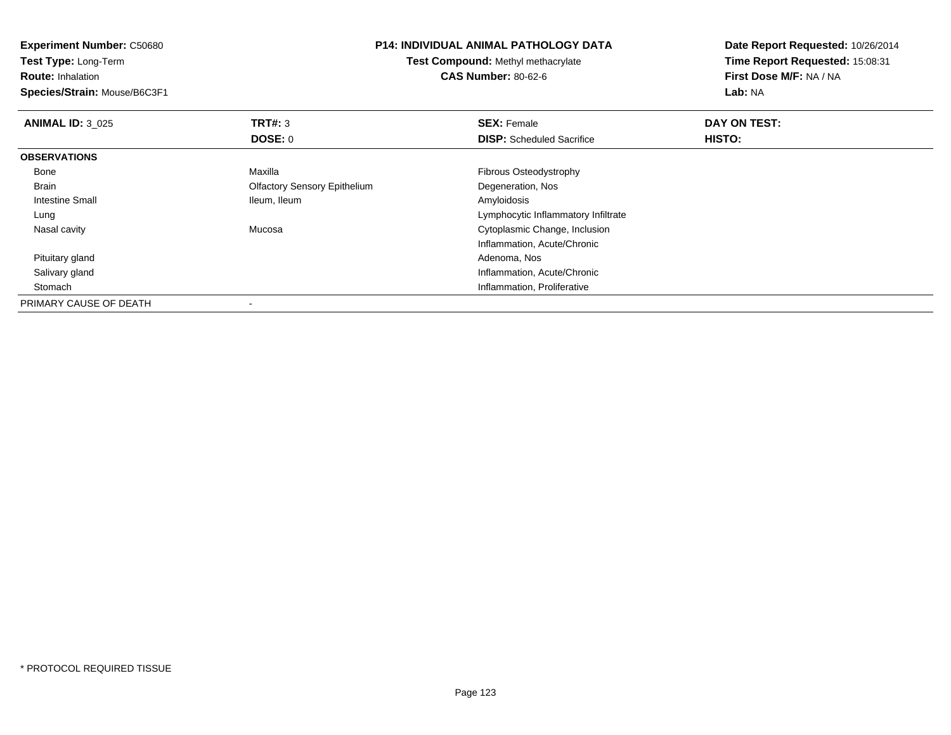| <b>Experiment Number: C50680</b> | <b>P14: INDIVIDUAL ANIMAL PATHOLOGY DATA</b> |                                     | Date Report Requested: 10/26/2014 |  |
|----------------------------------|----------------------------------------------|-------------------------------------|-----------------------------------|--|
| <b>Test Type: Long-Term</b>      | <b>Test Compound: Methyl methacrylate</b>    | Time Report Requested: 15:08:31     |                                   |  |
| <b>Route: Inhalation</b>         |                                              | <b>CAS Number: 80-62-6</b>          | First Dose M/F: NA / NA           |  |
| Species/Strain: Mouse/B6C3F1     |                                              |                                     | Lab: NA                           |  |
| <b>ANIMAL ID: 3 025</b>          | <b>TRT#: 3</b>                               | <b>SEX: Female</b>                  | DAY ON TEST:                      |  |
|                                  | DOSE: 0                                      | <b>DISP:</b> Scheduled Sacrifice    | HISTO:                            |  |
| <b>OBSERVATIONS</b>              |                                              |                                     |                                   |  |
| Bone                             | Maxilla                                      | Fibrous Osteodystrophy              |                                   |  |
| Brain                            | <b>Olfactory Sensory Epithelium</b>          | Degeneration, Nos                   |                                   |  |
| Intestine Small                  | Ileum, Ileum                                 | Amyloidosis                         |                                   |  |
| Lung                             |                                              | Lymphocytic Inflammatory Infiltrate |                                   |  |
| Nasal cavity                     | Mucosa                                       | Cytoplasmic Change, Inclusion       |                                   |  |
|                                  |                                              | Inflammation, Acute/Chronic         |                                   |  |
| Pituitary gland                  |                                              | Adenoma, Nos                        |                                   |  |
| Salivary gland                   |                                              | Inflammation, Acute/Chronic         |                                   |  |
| Stomach                          |                                              | Inflammation, Proliferative         |                                   |  |
| PRIMARY CAUSE OF DEATH           |                                              |                                     |                                   |  |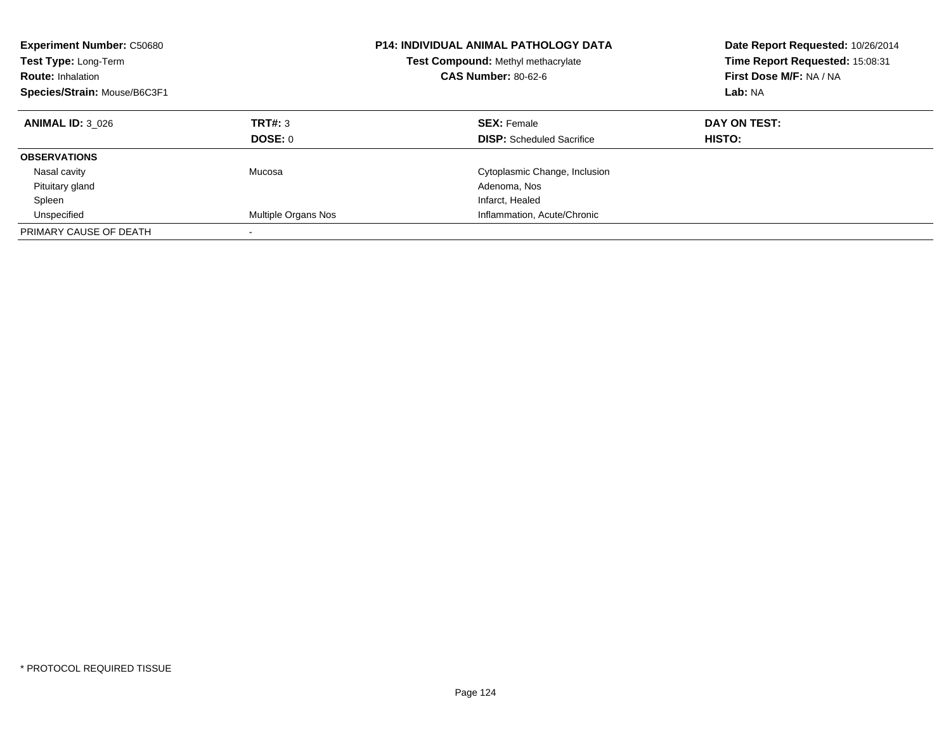| <b>Experiment Number: C50680</b><br><b>Test Type: Long-Term</b><br><b>Route: Inhalation</b><br>Species/Strain: Mouse/B6C3F1 |                          | <b>P14: INDIVIDUAL ANIMAL PATHOLOGY DATA</b><br><b>Test Compound: Methyl methacrylate</b><br><b>CAS Number: 80-62-6</b> | Date Report Requested: 10/26/2014<br>Time Report Requested: 15:08:31<br>First Dose M/F: NA / NA<br>Lab: NA |
|-----------------------------------------------------------------------------------------------------------------------------|--------------------------|-------------------------------------------------------------------------------------------------------------------------|------------------------------------------------------------------------------------------------------------|
| <b>ANIMAL ID: 3 026</b>                                                                                                     | TRT#: 3<br>DOSE: 0       | <b>SEX: Female</b><br><b>DISP:</b> Scheduled Sacrifice                                                                  | DAY ON TEST:<br>HISTO:                                                                                     |
| <b>OBSERVATIONS</b>                                                                                                         |                          |                                                                                                                         |                                                                                                            |
| Nasal cavity                                                                                                                | Mucosa                   | Cytoplasmic Change, Inclusion                                                                                           |                                                                                                            |
| Pituitary gland                                                                                                             |                          | Adenoma, Nos                                                                                                            |                                                                                                            |
| Spleen                                                                                                                      |                          | Infarct, Healed                                                                                                         |                                                                                                            |
| Unspecified                                                                                                                 | Multiple Organs Nos      | Inflammation, Acute/Chronic                                                                                             |                                                                                                            |
| PRIMARY CAUSE OF DEATH                                                                                                      | $\overline{\phantom{a}}$ |                                                                                                                         |                                                                                                            |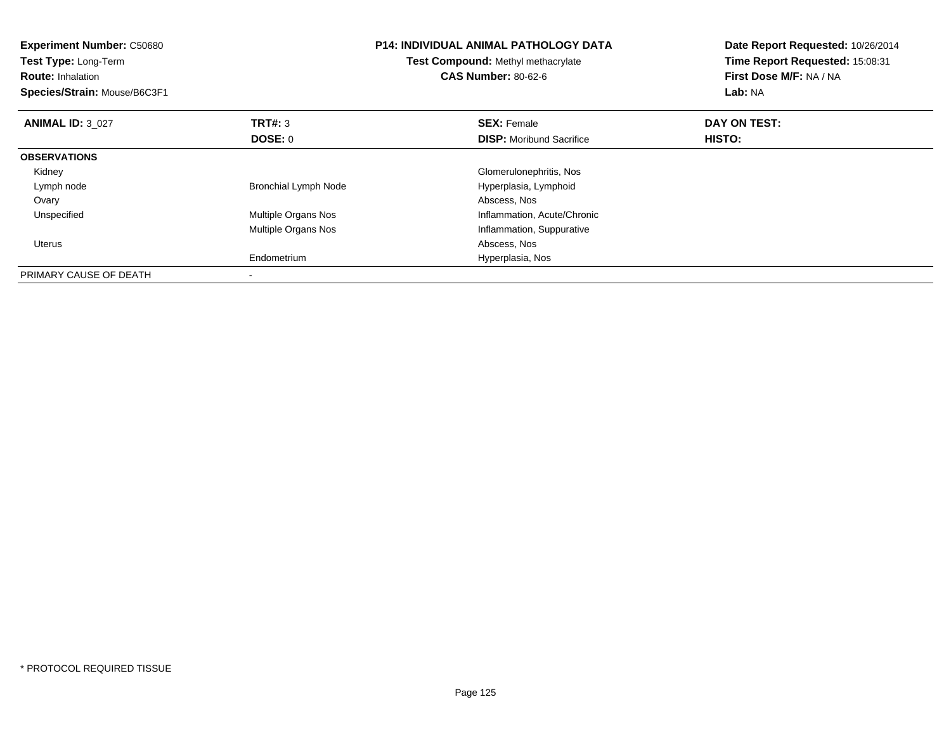| <b>Experiment Number: C50680</b><br><b>Test Type: Long-Term</b><br><b>Route: Inhalation</b><br>Species/Strain: Mouse/B6C3F1 |                             | <b>P14: INDIVIDUAL ANIMAL PATHOLOGY DATA</b><br>Test Compound: Methyl methacrylate<br><b>CAS Number: 80-62-6</b> | Date Report Requested: 10/26/2014<br>Time Report Requested: 15:08:31<br>First Dose M/F: NA / NA<br>Lab: NA |
|-----------------------------------------------------------------------------------------------------------------------------|-----------------------------|------------------------------------------------------------------------------------------------------------------|------------------------------------------------------------------------------------------------------------|
| <b>ANIMAL ID: 3 027</b>                                                                                                     | <b>TRT#: 3</b>              | <b>SEX: Female</b>                                                                                               | DAY ON TEST:                                                                                               |
|                                                                                                                             | DOSE: 0                     | <b>DISP:</b> Moribund Sacrifice                                                                                  | <b>HISTO:</b>                                                                                              |
| <b>OBSERVATIONS</b>                                                                                                         |                             |                                                                                                                  |                                                                                                            |
| Kidney                                                                                                                      |                             | Glomerulonephritis, Nos                                                                                          |                                                                                                            |
| Lymph node                                                                                                                  | <b>Bronchial Lymph Node</b> | Hyperplasia, Lymphoid                                                                                            |                                                                                                            |
| Ovary                                                                                                                       |                             | Abscess, Nos                                                                                                     |                                                                                                            |
| Unspecified                                                                                                                 | Multiple Organs Nos         | Inflammation, Acute/Chronic                                                                                      |                                                                                                            |
|                                                                                                                             | Multiple Organs Nos         | Inflammation, Suppurative                                                                                        |                                                                                                            |
| Uterus                                                                                                                      |                             | Abscess, Nos                                                                                                     |                                                                                                            |
|                                                                                                                             | Endometrium                 | Hyperplasia, Nos                                                                                                 |                                                                                                            |
| PRIMARY CAUSE OF DEATH                                                                                                      |                             |                                                                                                                  |                                                                                                            |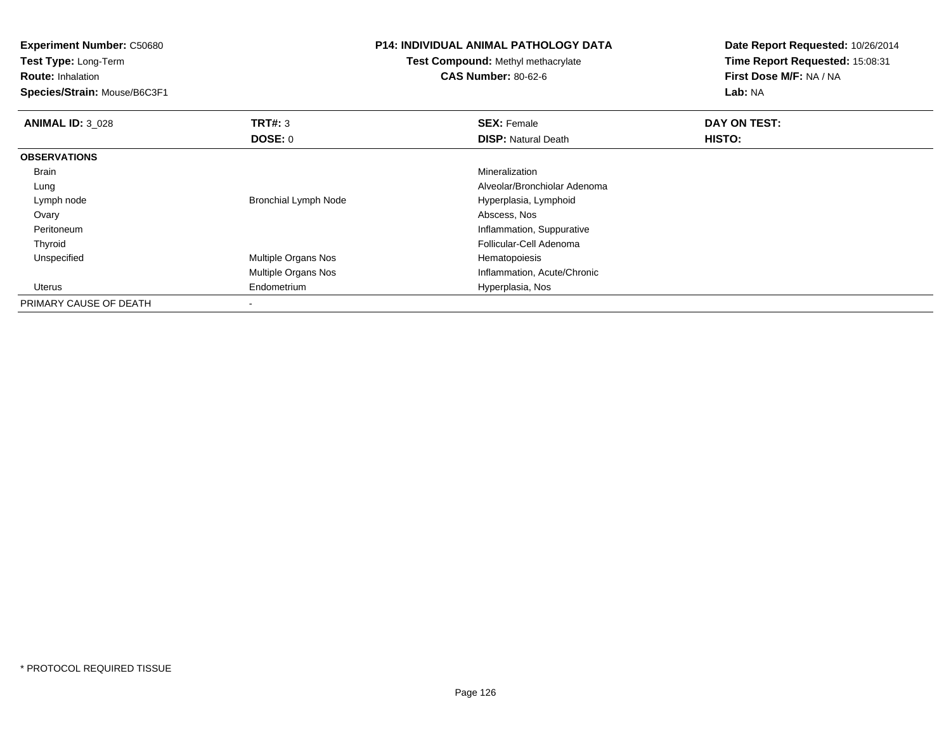**Experiment Number:** C50680**Test Type:** Long-Term**Route:** Inhalation **Species/Strain:** Mouse/B6C3F1**P14: INDIVIDUAL ANIMAL PATHOLOGY DATATest Compound:** Methyl methacrylate**CAS Number:** 80-62-6**Date Report Requested:** 10/26/2014**Time Report Requested:** 15:08:31**First Dose M/F:** NA / NA**Lab:** NA**ANIMAL ID:** 3\_028**REX:** Female **DAY ON TEST: SEX:** Female **SEX:** Female **DOSE:** 0**DISP:** Natural Death **HISTO: OBSERVATIONS** Brainn and the control of the control of the control of the control of the control of the control of the control of the control of the control of the control of the control of the control of the control of the control of the co Lung Alveolar/Bronchiolar Adenoma Lymph nodeBronchial Lymph Node Hyperplasia, Lymphoid Hyperplasia, Lymphoid<br>Abscess, Nos Ovary Abscess, Nos Peritoneum Inflammation, Suppurative Thyroid Follicular-Cell Adenoma UnspecifiedMultiple Organs Nos **Hematopoiesis** Multiple Organs Nos Inflammation, Acute/Chronic Uterus Endometrium Hyperplasia, Nos PRIMARY CAUSE OF DEATH

-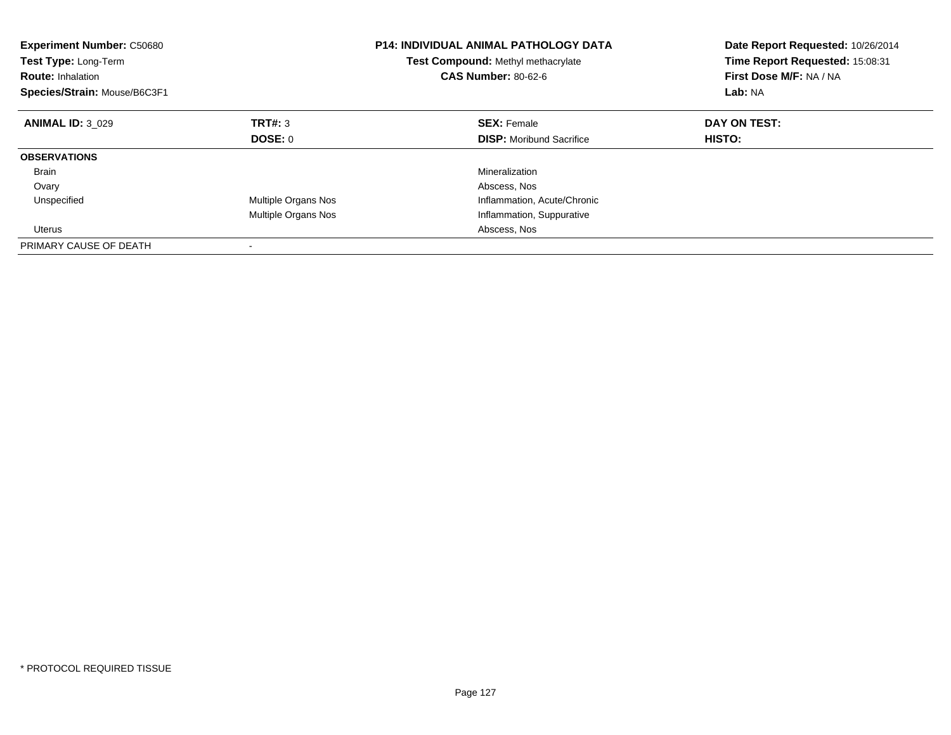| <b>Experiment Number: C50680</b><br>Test Type: Long-Term<br><b>Route: Inhalation</b><br>Species/Strain: Mouse/B6C3F1 |                     | <b>P14: INDIVIDUAL ANIMAL PATHOLOGY DATA</b><br>Test Compound: Methyl methacrylate<br><b>CAS Number: 80-62-6</b> | Date Report Requested: 10/26/2014<br>Time Report Requested: 15:08:31<br>First Dose M/F: NA / NA<br>Lab: NA |
|----------------------------------------------------------------------------------------------------------------------|---------------------|------------------------------------------------------------------------------------------------------------------|------------------------------------------------------------------------------------------------------------|
| <b>ANIMAL ID: 3 029</b>                                                                                              | TRT#: 3             | <b>SEX: Female</b>                                                                                               | DAY ON TEST:                                                                                               |
|                                                                                                                      | DOSE: 0             | <b>DISP:</b> Moribund Sacrifice                                                                                  | <b>HISTO:</b>                                                                                              |
| <b>OBSERVATIONS</b>                                                                                                  |                     |                                                                                                                  |                                                                                                            |
| <b>Brain</b>                                                                                                         |                     | Mineralization                                                                                                   |                                                                                                            |
| Ovary                                                                                                                |                     | Abscess, Nos                                                                                                     |                                                                                                            |
| Unspecified                                                                                                          | Multiple Organs Nos | Inflammation, Acute/Chronic                                                                                      |                                                                                                            |
|                                                                                                                      | Multiple Organs Nos | Inflammation, Suppurative                                                                                        |                                                                                                            |
| Uterus                                                                                                               |                     | Abscess, Nos                                                                                                     |                                                                                                            |
| PRIMARY CAUSE OF DEATH                                                                                               |                     |                                                                                                                  |                                                                                                            |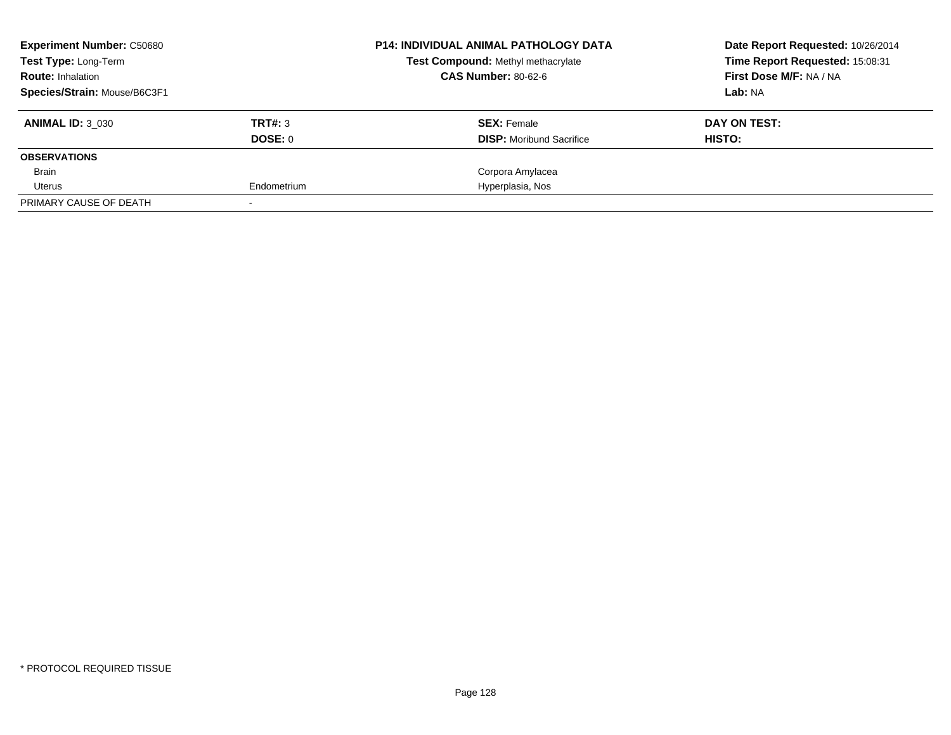| <b>Experiment Number: C50680</b> |             | <b>P14: INDIVIDUAL ANIMAL PATHOLOGY DATA</b> | Date Report Requested: 10/26/2014 |
|----------------------------------|-------------|----------------------------------------------|-----------------------------------|
| Test Type: Long-Term             |             | Test Compound: Methyl methacrylate           | Time Report Requested: 15:08:31   |
| <b>Route: Inhalation</b>         |             | <b>CAS Number: 80-62-6</b>                   | First Dose M/F: NA / NA           |
| Species/Strain: Mouse/B6C3F1     |             |                                              | Lab: NA                           |
| <b>ANIMAL ID: 3 030</b>          | TRT#: 3     | <b>SEX: Female</b>                           | DAY ON TEST:                      |
|                                  | DOSE: 0     | <b>DISP:</b> Moribund Sacrifice              | HISTO:                            |
| <b>OBSERVATIONS</b>              |             |                                              |                                   |
| Brain                            |             | Corpora Amylacea                             |                                   |
| Uterus                           | Endometrium | Hyperplasia, Nos                             |                                   |
| PRIMARY CAUSE OF DEATH           |             |                                              |                                   |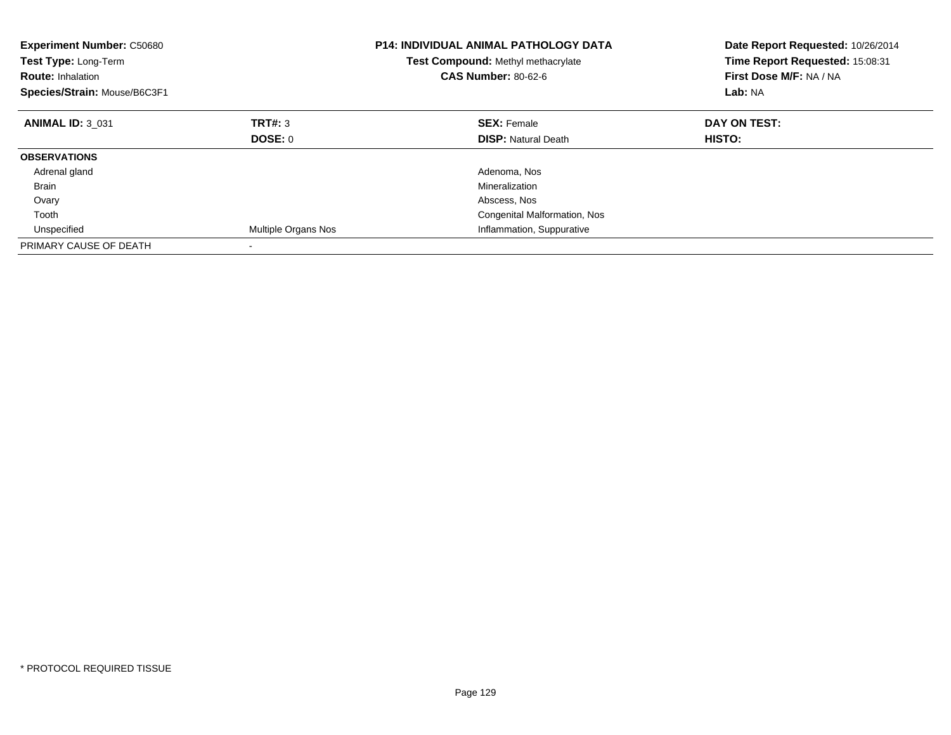| <b>Experiment Number: C50680</b><br>Test Type: Long-Term<br><b>Route: Inhalation</b><br>Species/Strain: Mouse/B6C3F1 |                     | <b>P14: INDIVIDUAL ANIMAL PATHOLOGY DATA</b><br>Test Compound: Methyl methacrylate<br><b>CAS Number: 80-62-6</b> | Date Report Requested: 10/26/2014<br>Time Report Requested: 15:08:31<br>First Dose M/F: NA / NA<br>Lab: NA |
|----------------------------------------------------------------------------------------------------------------------|---------------------|------------------------------------------------------------------------------------------------------------------|------------------------------------------------------------------------------------------------------------|
| <b>ANIMAL ID: 3 031</b>                                                                                              | TRT#: 3             | <b>SEX: Female</b>                                                                                               | DAY ON TEST:                                                                                               |
|                                                                                                                      | <b>DOSE: 0</b>      | <b>DISP:</b> Natural Death                                                                                       | HISTO:                                                                                                     |
| <b>OBSERVATIONS</b>                                                                                                  |                     |                                                                                                                  |                                                                                                            |
| Adrenal gland                                                                                                        |                     | Adenoma, Nos                                                                                                     |                                                                                                            |
| <b>Brain</b>                                                                                                         |                     | Mineralization                                                                                                   |                                                                                                            |
| Ovary                                                                                                                |                     | Abscess, Nos                                                                                                     |                                                                                                            |
| Tooth                                                                                                                |                     | Congenital Malformation, Nos                                                                                     |                                                                                                            |
| Unspecified                                                                                                          | Multiple Organs Nos | Inflammation, Suppurative                                                                                        |                                                                                                            |
| PRIMARY CAUSE OF DEATH                                                                                               |                     |                                                                                                                  |                                                                                                            |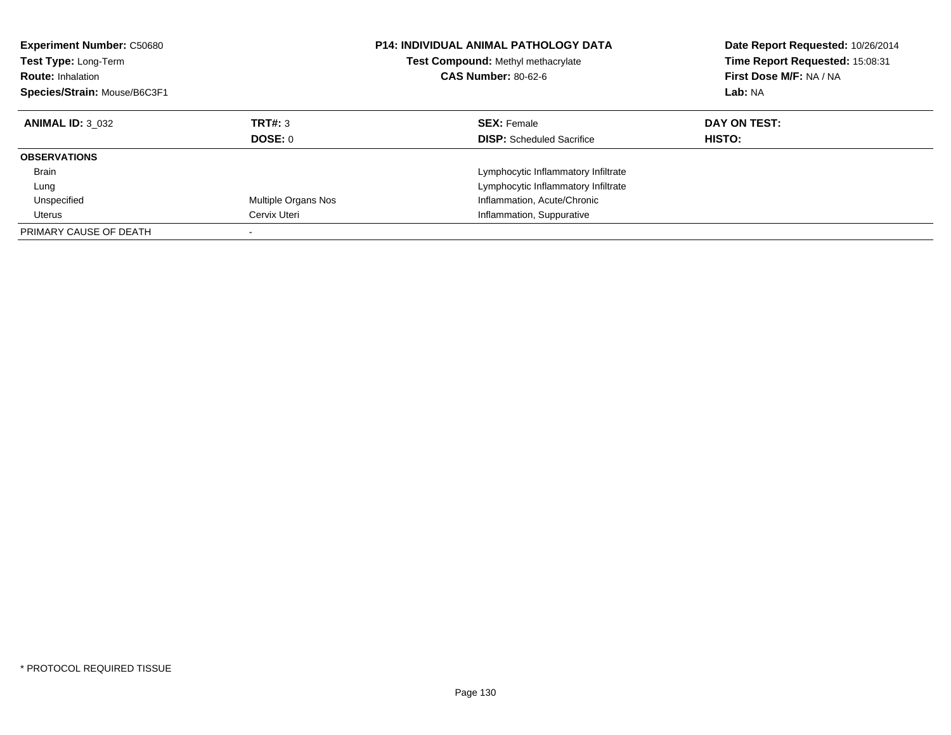| <b>Experiment Number: C50680</b><br><b>Test Type: Long-Term</b><br><b>Route: Inhalation</b><br>Species/Strain: Mouse/B6C3F1 |                     | <b>P14: INDIVIDUAL ANIMAL PATHOLOGY DATA</b><br>Test Compound: Methyl methacrylate<br><b>CAS Number: 80-62-6</b> | Date Report Requested: 10/26/2014<br>Time Report Requested: 15:08:31<br>First Dose M/F: NA / NA<br>Lab: NA |
|-----------------------------------------------------------------------------------------------------------------------------|---------------------|------------------------------------------------------------------------------------------------------------------|------------------------------------------------------------------------------------------------------------|
| <b>ANIMAL ID: 3 032</b>                                                                                                     | TRT#: 3<br>DOSE: 0  | <b>SEX: Female</b><br><b>DISP:</b> Scheduled Sacrifice                                                           | DAY ON TEST:<br>HISTO:                                                                                     |
| <b>OBSERVATIONS</b>                                                                                                         |                     |                                                                                                                  |                                                                                                            |
| Brain                                                                                                                       |                     | Lymphocytic Inflammatory Infiltrate                                                                              |                                                                                                            |
| Lung                                                                                                                        |                     | Lymphocytic Inflammatory Infiltrate                                                                              |                                                                                                            |
| Unspecified                                                                                                                 | Multiple Organs Nos | Inflammation, Acute/Chronic                                                                                      |                                                                                                            |
| Uterus                                                                                                                      | Cervix Uteri        | Inflammation, Suppurative                                                                                        |                                                                                                            |
| PRIMARY CAUSE OF DEATH                                                                                                      |                     |                                                                                                                  |                                                                                                            |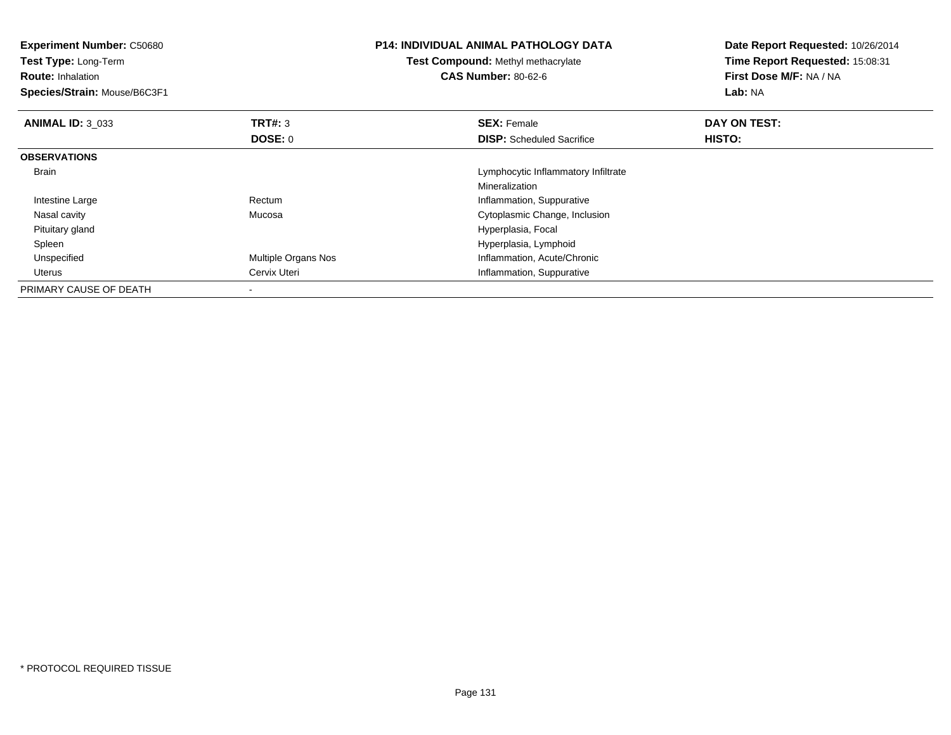| <b>Experiment Number: C50680</b><br>Test Type: Long-Term<br><b>Route: Inhalation</b><br>Species/Strain: Mouse/B6C3F1 |                          | <b>P14: INDIVIDUAL ANIMAL PATHOLOGY DATA</b><br>Test Compound: Methyl methacrylate<br><b>CAS Number: 80-62-6</b> | Date Report Requested: 10/26/2014<br>Time Report Requested: 15:08:31<br>First Dose M/F: NA / NA<br>Lab: NA |
|----------------------------------------------------------------------------------------------------------------------|--------------------------|------------------------------------------------------------------------------------------------------------------|------------------------------------------------------------------------------------------------------------|
| <b>ANIMAL ID: 3 033</b>                                                                                              | TRT#: 3                  | <b>SEX: Female</b>                                                                                               | DAY ON TEST:                                                                                               |
|                                                                                                                      | DOSE: 0                  | <b>DISP:</b> Scheduled Sacrifice                                                                                 | <b>HISTO:</b>                                                                                              |
| <b>OBSERVATIONS</b>                                                                                                  |                          |                                                                                                                  |                                                                                                            |
| <b>Brain</b>                                                                                                         |                          | Lymphocytic Inflammatory Infiltrate                                                                              |                                                                                                            |
|                                                                                                                      |                          | Mineralization                                                                                                   |                                                                                                            |
| Intestine Large                                                                                                      | Rectum                   | Inflammation, Suppurative                                                                                        |                                                                                                            |
| Nasal cavity                                                                                                         | Mucosa                   | Cytoplasmic Change, Inclusion                                                                                    |                                                                                                            |
| Pituitary gland                                                                                                      |                          | Hyperplasia, Focal                                                                                               |                                                                                                            |
| Spleen                                                                                                               |                          | Hyperplasia, Lymphoid                                                                                            |                                                                                                            |
| Unspecified                                                                                                          | Multiple Organs Nos      | Inflammation, Acute/Chronic                                                                                      |                                                                                                            |
| <b>Uterus</b>                                                                                                        | Cervix Uteri             | Inflammation, Suppurative                                                                                        |                                                                                                            |
| PRIMARY CAUSE OF DEATH                                                                                               | $\overline{\phantom{a}}$ |                                                                                                                  |                                                                                                            |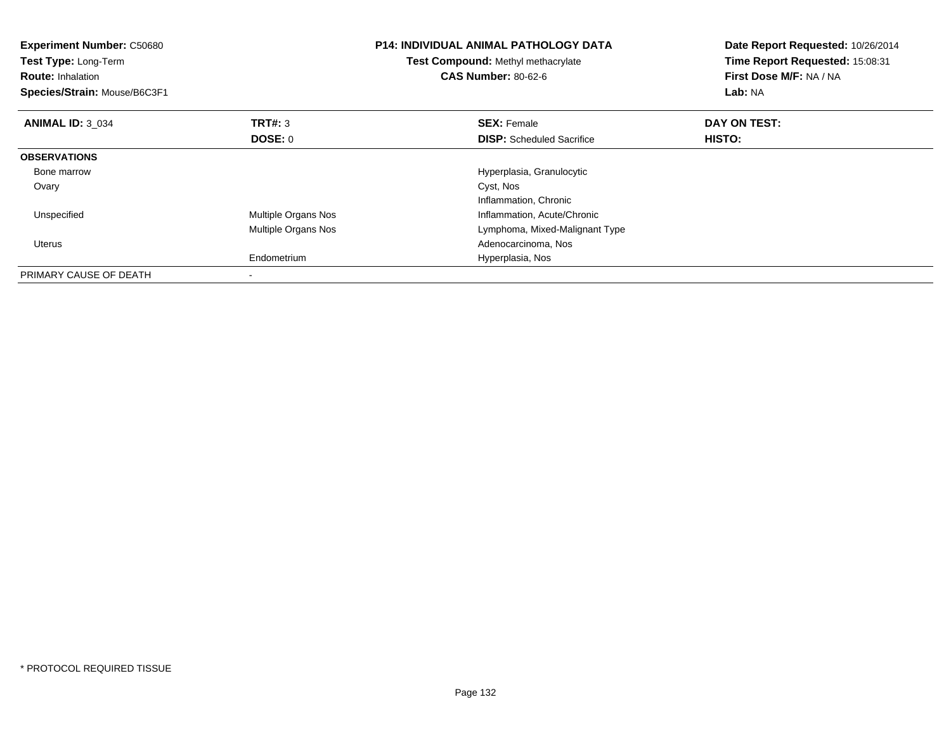| <b>Experiment Number: C50680</b><br>Test Type: Long-Term<br><b>Route: Inhalation</b><br>Species/Strain: Mouse/B6C3F1 |                           | <b>P14: INDIVIDUAL ANIMAL PATHOLOGY DATA</b><br>Test Compound: Methyl methacrylate<br><b>CAS Number: 80-62-6</b> | Date Report Requested: 10/26/2014<br>Time Report Requested: 15:08:31<br>First Dose M/F: NA / NA<br>Lab: NA |
|----------------------------------------------------------------------------------------------------------------------|---------------------------|------------------------------------------------------------------------------------------------------------------|------------------------------------------------------------------------------------------------------------|
| <b>ANIMAL ID: 3 034</b>                                                                                              | TRT#: 3<br><b>DOSE: 0</b> | <b>SEX: Female</b><br><b>DISP:</b> Scheduled Sacrifice                                                           | DAY ON TEST:<br><b>HISTO:</b>                                                                              |
| <b>OBSERVATIONS</b>                                                                                                  |                           |                                                                                                                  |                                                                                                            |
| Bone marrow                                                                                                          |                           | Hyperplasia, Granulocytic                                                                                        |                                                                                                            |
| Ovary                                                                                                                |                           | Cyst, Nos<br>Inflammation, Chronic                                                                               |                                                                                                            |
| Unspecified                                                                                                          | Multiple Organs Nos       | Inflammation, Acute/Chronic                                                                                      |                                                                                                            |
|                                                                                                                      | Multiple Organs Nos       | Lymphoma, Mixed-Malignant Type                                                                                   |                                                                                                            |
| Uterus                                                                                                               |                           | Adenocarcinoma, Nos                                                                                              |                                                                                                            |
|                                                                                                                      | Endometrium               | Hyperplasia, Nos                                                                                                 |                                                                                                            |
| PRIMARY CAUSE OF DEATH                                                                                               | $\overline{\phantom{a}}$  |                                                                                                                  |                                                                                                            |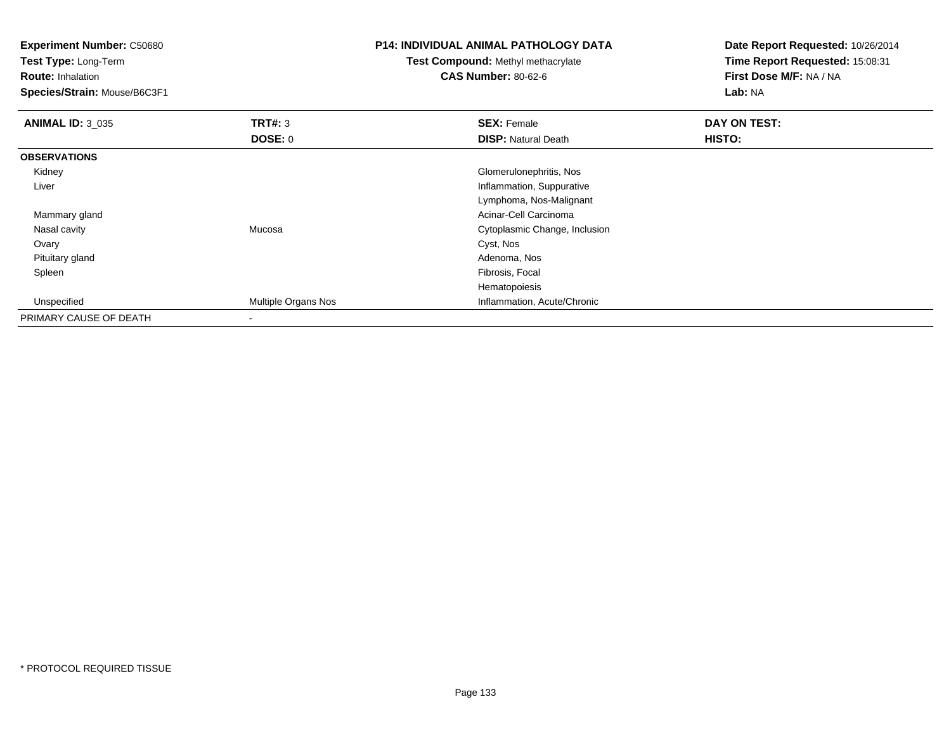**Experiment Number:** C50680**Test Type:** Long-Term**Route:** Inhalation **Species/Strain:** Mouse/B6C3F1**P14: INDIVIDUAL ANIMAL PATHOLOGY DATATest Compound:** Methyl methacrylate**CAS Number:** 80-62-6**Date Report Requested:** 10/26/2014**Time Report Requested:** 15:08:31**First Dose M/F:** NA / NA**Lab:** NA**ANIMAL ID:** 3\_035 **TRT#:** <sup>3</sup> **SEX:** Female **DAY ON TEST: DOSE:** 0**DISP:** Natural Death **HISTO: OBSERVATIONS** Kidney Glomerulonephritis, Nos Liver Inflammation, Suppurative Lymphoma, Nos-Malignant Mammary gland Acinar-Cell Carcinoma Nasal cavity Mucosa Cytoplasmic Change, Inclusion Ovaryy and the control of the control of the control of the control of the control of the control of the control of the control of the control of the control of the control of the control of the control of the control of the co Pituitary glandd and the control of the control of the control of the control of the control of the control of the control of the control of the control of the control of the control of the control of the control of the control of the co Spleenn and the control of the control of the control of the control of the control of the control of the control of the control of the control of the control of the control of the control of the control of the control of the co Hematopoiesisd **Multiple Organs Nos Inflammation, Acute/Chronic**  UnspecifiedPRIMARY CAUSE OF DEATH-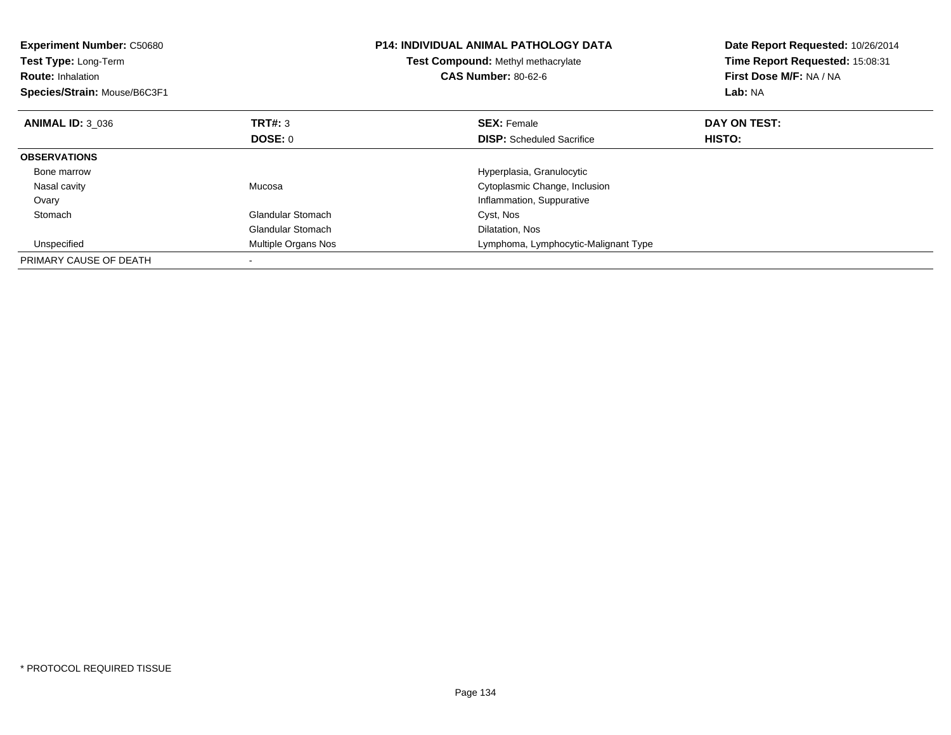| <b>Experiment Number: C50680</b><br>Test Type: Long-Term<br><b>Route: Inhalation</b><br>Species/Strain: Mouse/B6C3F1 |                          | <b>P14: INDIVIDUAL ANIMAL PATHOLOGY DATA</b><br><b>Test Compound: Methyl methacrylate</b><br><b>CAS Number: 80-62-6</b> | Date Report Requested: 10/26/2014<br>Time Report Requested: 15:08:31<br>First Dose M/F: NA / NA<br>Lab: NA |
|----------------------------------------------------------------------------------------------------------------------|--------------------------|-------------------------------------------------------------------------------------------------------------------------|------------------------------------------------------------------------------------------------------------|
| <b>ANIMAL ID: 3 036</b>                                                                                              | <b>TRT#: 3</b>           | <b>SEX: Female</b>                                                                                                      | DAY ON TEST:                                                                                               |
|                                                                                                                      | DOSE: 0                  | <b>DISP:</b> Scheduled Sacrifice                                                                                        | HISTO:                                                                                                     |
| <b>OBSERVATIONS</b>                                                                                                  |                          |                                                                                                                         |                                                                                                            |
| Bone marrow                                                                                                          |                          | Hyperplasia, Granulocytic                                                                                               |                                                                                                            |
| Nasal cavity                                                                                                         | Mucosa                   | Cytoplasmic Change, Inclusion                                                                                           |                                                                                                            |
| Ovary                                                                                                                |                          | Inflammation, Suppurative                                                                                               |                                                                                                            |
| Stomach                                                                                                              | <b>Glandular Stomach</b> | Cyst, Nos                                                                                                               |                                                                                                            |
|                                                                                                                      | <b>Glandular Stomach</b> | Dilatation, Nos                                                                                                         |                                                                                                            |
| Unspecified                                                                                                          | Multiple Organs Nos      | Lymphoma, Lymphocytic-Malignant Type                                                                                    |                                                                                                            |
| PRIMARY CAUSE OF DEATH                                                                                               |                          |                                                                                                                         |                                                                                                            |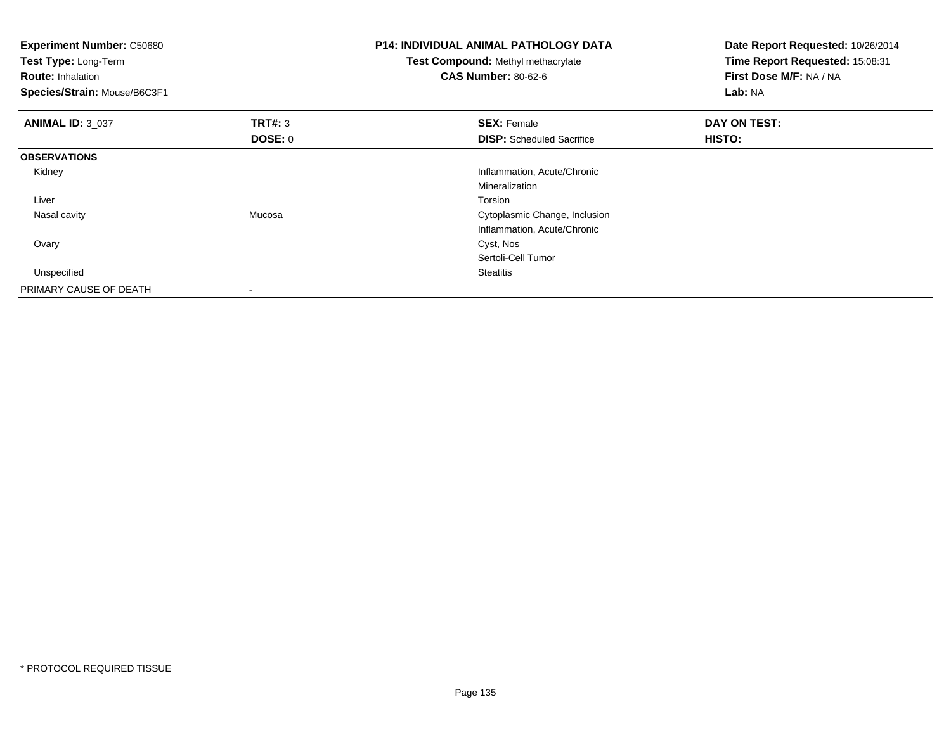| <b>Experiment Number: C50680</b><br>Test Type: Long-Term<br><b>Route: Inhalation</b><br>Species/Strain: Mouse/B6C3F1 |                          | <b>P14: INDIVIDUAL ANIMAL PATHOLOGY DATA</b><br>Test Compound: Methyl methacrylate<br><b>CAS Number: 80-62-6</b> | Date Report Requested: 10/26/2014<br>Time Report Requested: 15:08:31<br>First Dose M/F: NA / NA<br>Lab: NA |
|----------------------------------------------------------------------------------------------------------------------|--------------------------|------------------------------------------------------------------------------------------------------------------|------------------------------------------------------------------------------------------------------------|
| <b>ANIMAL ID: 3_037</b>                                                                                              | TRT#: 3                  | <b>SEX: Female</b>                                                                                               | DAY ON TEST:                                                                                               |
|                                                                                                                      | <b>DOSE: 0</b>           | <b>DISP:</b> Scheduled Sacrifice                                                                                 | <b>HISTO:</b>                                                                                              |
| <b>OBSERVATIONS</b>                                                                                                  |                          |                                                                                                                  |                                                                                                            |
| Kidney                                                                                                               |                          | Inflammation, Acute/Chronic                                                                                      |                                                                                                            |
|                                                                                                                      |                          | Mineralization                                                                                                   |                                                                                                            |
| Liver                                                                                                                |                          | Torsion                                                                                                          |                                                                                                            |
| Nasal cavity                                                                                                         | Mucosa                   | Cytoplasmic Change, Inclusion                                                                                    |                                                                                                            |
|                                                                                                                      |                          | Inflammation, Acute/Chronic                                                                                      |                                                                                                            |
| Ovary                                                                                                                |                          | Cyst, Nos                                                                                                        |                                                                                                            |
|                                                                                                                      |                          | Sertoli-Cell Tumor                                                                                               |                                                                                                            |
| Unspecified                                                                                                          |                          | <b>Steatitis</b>                                                                                                 |                                                                                                            |
| PRIMARY CAUSE OF DEATH                                                                                               | $\overline{\phantom{a}}$ |                                                                                                                  |                                                                                                            |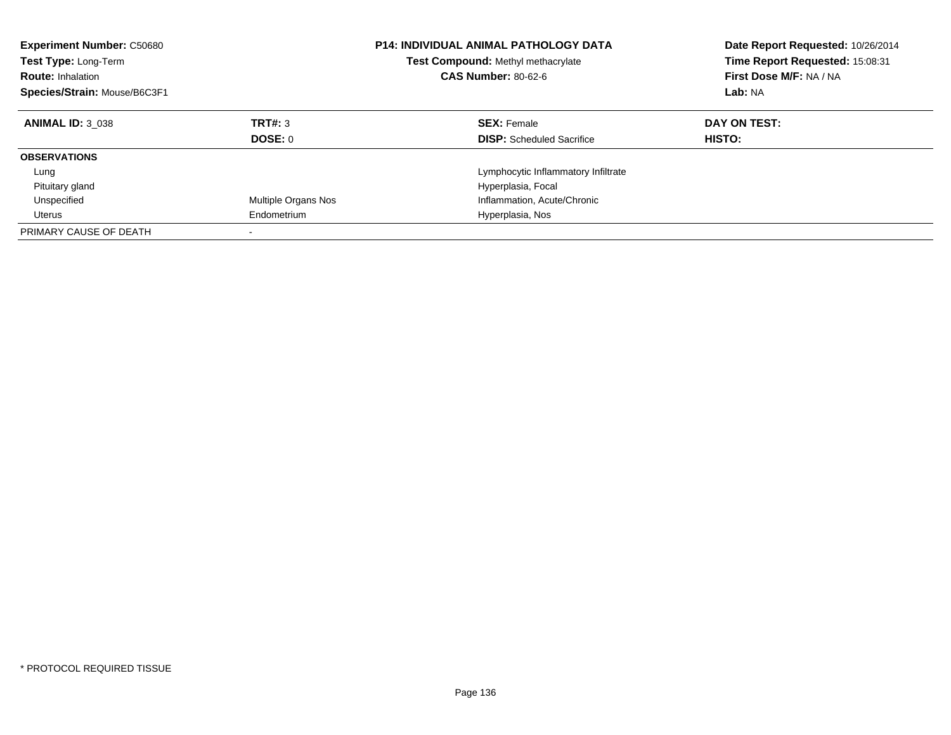| <b>Experiment Number: C50680</b><br><b>Test Type: Long-Term</b><br><b>Route: Inhalation</b><br>Species/Strain: Mouse/B6C3F1 |                     | <b>P14: INDIVIDUAL ANIMAL PATHOLOGY DATA</b><br>Test Compound: Methyl methacrylate<br><b>CAS Number: 80-62-6</b> | Date Report Requested: 10/26/2014<br>Time Report Requested: 15:08:31<br>First Dose M/F: NA / NA<br>Lab: NA |
|-----------------------------------------------------------------------------------------------------------------------------|---------------------|------------------------------------------------------------------------------------------------------------------|------------------------------------------------------------------------------------------------------------|
| <b>ANIMAL ID: 3 038</b>                                                                                                     | TRT#: 3<br>DOSE: 0  | <b>SEX: Female</b><br><b>DISP:</b> Scheduled Sacrifice                                                           | DAY ON TEST:<br><b>HISTO:</b>                                                                              |
| <b>OBSERVATIONS</b>                                                                                                         |                     |                                                                                                                  |                                                                                                            |
| Lung                                                                                                                        |                     | Lymphocytic Inflammatory Infiltrate                                                                              |                                                                                                            |
| Pituitary gland                                                                                                             |                     | Hyperplasia, Focal                                                                                               |                                                                                                            |
| Unspecified                                                                                                                 | Multiple Organs Nos | Inflammation, Acute/Chronic                                                                                      |                                                                                                            |
| Uterus                                                                                                                      | Endometrium         | Hyperplasia, Nos                                                                                                 |                                                                                                            |
| PRIMARY CAUSE OF DEATH                                                                                                      |                     |                                                                                                                  |                                                                                                            |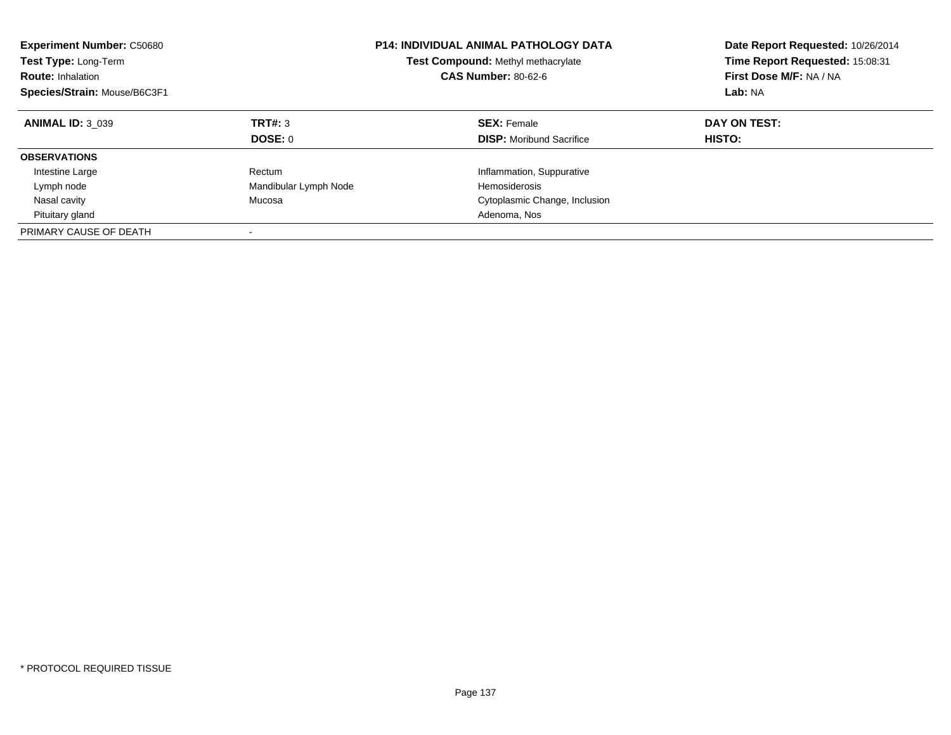| <b>Experiment Number: C50680</b><br>Test Type: Long-Term<br><b>Route: Inhalation</b><br>Species/Strain: Mouse/B6C3F1 |                       | <b>P14: INDIVIDUAL ANIMAL PATHOLOGY DATA</b><br>Test Compound: Methyl methacrylate<br><b>CAS Number: 80-62-6</b> | Date Report Requested: 10/26/2014<br>Time Report Requested: 15:08:31<br>First Dose M/F: NA / NA<br>Lab: NA |
|----------------------------------------------------------------------------------------------------------------------|-----------------------|------------------------------------------------------------------------------------------------------------------|------------------------------------------------------------------------------------------------------------|
| <b>ANIMAL ID: 3 039</b>                                                                                              | TRT#: 3               | <b>SEX: Female</b>                                                                                               | DAY ON TEST:                                                                                               |
|                                                                                                                      | DOSE: 0               | <b>DISP:</b> Moribund Sacrifice                                                                                  | HISTO:                                                                                                     |
| <b>OBSERVATIONS</b>                                                                                                  |                       |                                                                                                                  |                                                                                                            |
| Intestine Large                                                                                                      | Rectum                | Inflammation, Suppurative                                                                                        |                                                                                                            |
| Lymph node                                                                                                           | Mandibular Lymph Node | <b>Hemosiderosis</b>                                                                                             |                                                                                                            |
| Nasal cavity                                                                                                         | Mucosa                | Cytoplasmic Change, Inclusion                                                                                    |                                                                                                            |
| Pituitary gland                                                                                                      |                       | Adenoma, Nos                                                                                                     |                                                                                                            |
| PRIMARY CAUSE OF DEATH                                                                                               |                       |                                                                                                                  |                                                                                                            |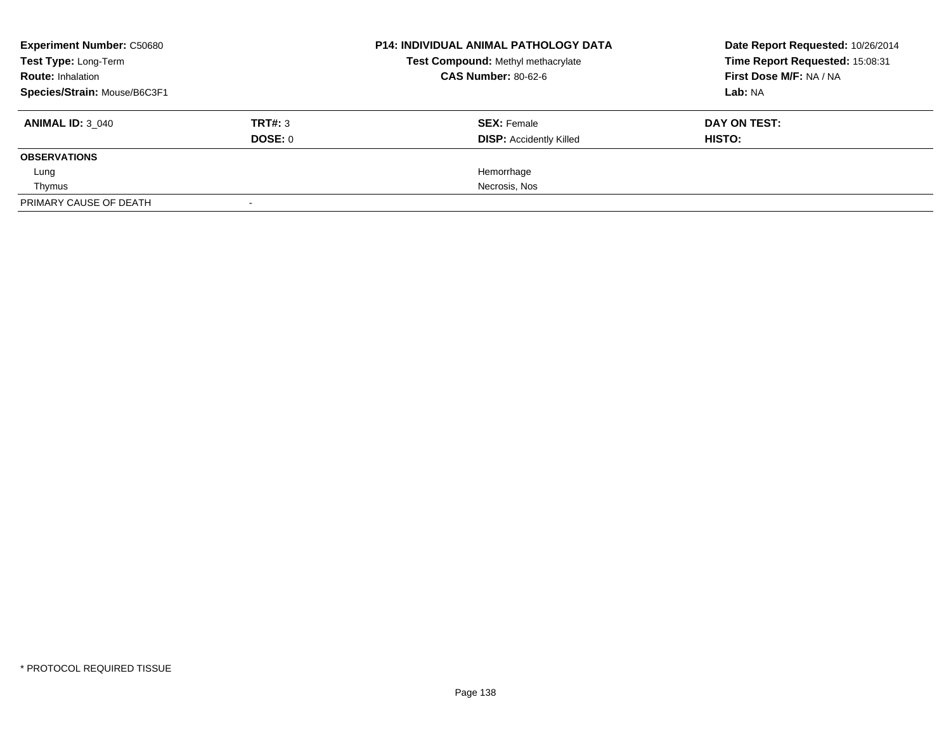| <b>Experiment Number: C50680</b> |         | <b>P14: INDIVIDUAL ANIMAL PATHOLOGY DATA</b><br>Test Compound: Methyl methacrylate | Date Report Requested: 10/26/2014<br>Time Report Requested: 15:08:31 |
|----------------------------------|---------|------------------------------------------------------------------------------------|----------------------------------------------------------------------|
| Test Type: Long-Term             |         |                                                                                    |                                                                      |
| <b>Route: Inhalation</b>         |         | <b>CAS Number: 80-62-6</b>                                                         | First Dose M/F: NA / NA                                              |
| Species/Strain: Mouse/B6C3F1     |         |                                                                                    | Lab: NA                                                              |
| <b>ANIMAL ID: 3 040</b>          | TRT#: 3 | <b>SEX: Female</b>                                                                 | DAY ON TEST:                                                         |
|                                  | DOSE: 0 | <b>DISP:</b> Accidently Killed                                                     | HISTO:                                                               |
| <b>OBSERVATIONS</b>              |         |                                                                                    |                                                                      |
| Lung                             |         | Hemorrhage                                                                         |                                                                      |
| Thymus                           |         | Necrosis, Nos                                                                      |                                                                      |
| PRIMARY CAUSE OF DEATH           |         |                                                                                    |                                                                      |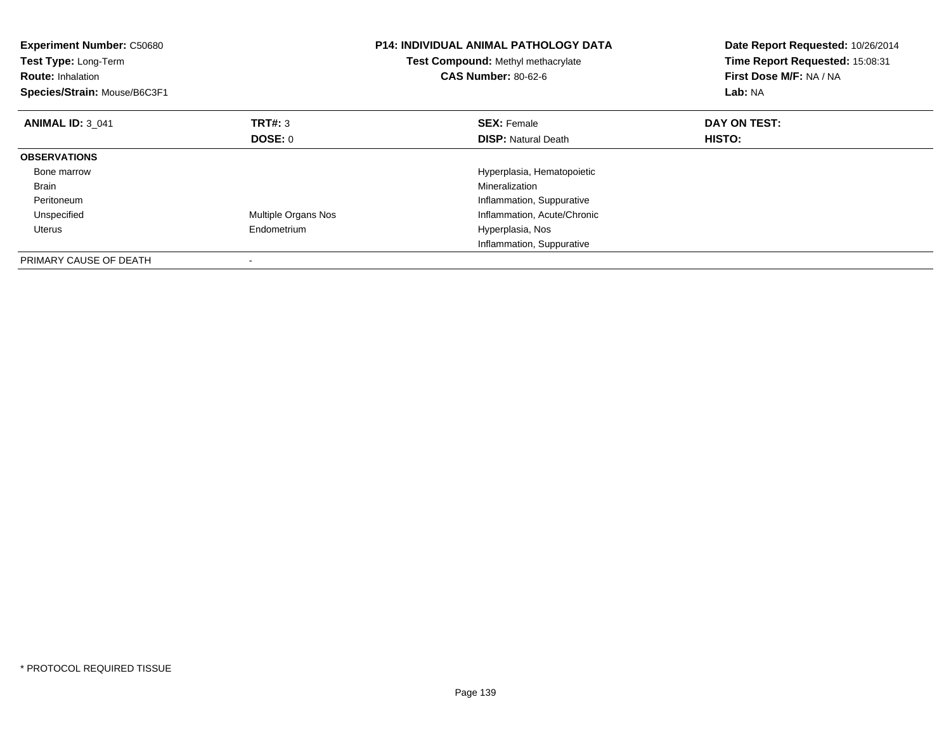| <b>Experiment Number: C50680</b><br>Test Type: Long-Term<br><b>Route: Inhalation</b><br>Species/Strain: Mouse/B6C3F1 |                     | <b>P14: INDIVIDUAL ANIMAL PATHOLOGY DATA</b><br><b>Test Compound: Methyl methacrylate</b><br><b>CAS Number: 80-62-6</b> | Date Report Requested: 10/26/2014<br>Time Report Requested: 15:08:31<br>First Dose M/F: NA / NA<br>Lab: NA |
|----------------------------------------------------------------------------------------------------------------------|---------------------|-------------------------------------------------------------------------------------------------------------------------|------------------------------------------------------------------------------------------------------------|
| <b>ANIMAL ID: 3 041</b>                                                                                              | TRT#: 3             | <b>SEX: Female</b>                                                                                                      | DAY ON TEST:                                                                                               |
|                                                                                                                      | DOSE: 0             | <b>DISP:</b> Natural Death                                                                                              | HISTO:                                                                                                     |
| <b>OBSERVATIONS</b>                                                                                                  |                     |                                                                                                                         |                                                                                                            |
| Bone marrow                                                                                                          |                     | Hyperplasia, Hematopoietic                                                                                              |                                                                                                            |
| <b>Brain</b>                                                                                                         |                     | Mineralization                                                                                                          |                                                                                                            |
| Peritoneum                                                                                                           |                     | Inflammation, Suppurative                                                                                               |                                                                                                            |
| Unspecified                                                                                                          | Multiple Organs Nos | Inflammation, Acute/Chronic                                                                                             |                                                                                                            |
| Uterus                                                                                                               | Endometrium         | Hyperplasia, Nos                                                                                                        |                                                                                                            |
|                                                                                                                      |                     | Inflammation, Suppurative                                                                                               |                                                                                                            |
| PRIMARY CAUSE OF DEATH                                                                                               |                     |                                                                                                                         |                                                                                                            |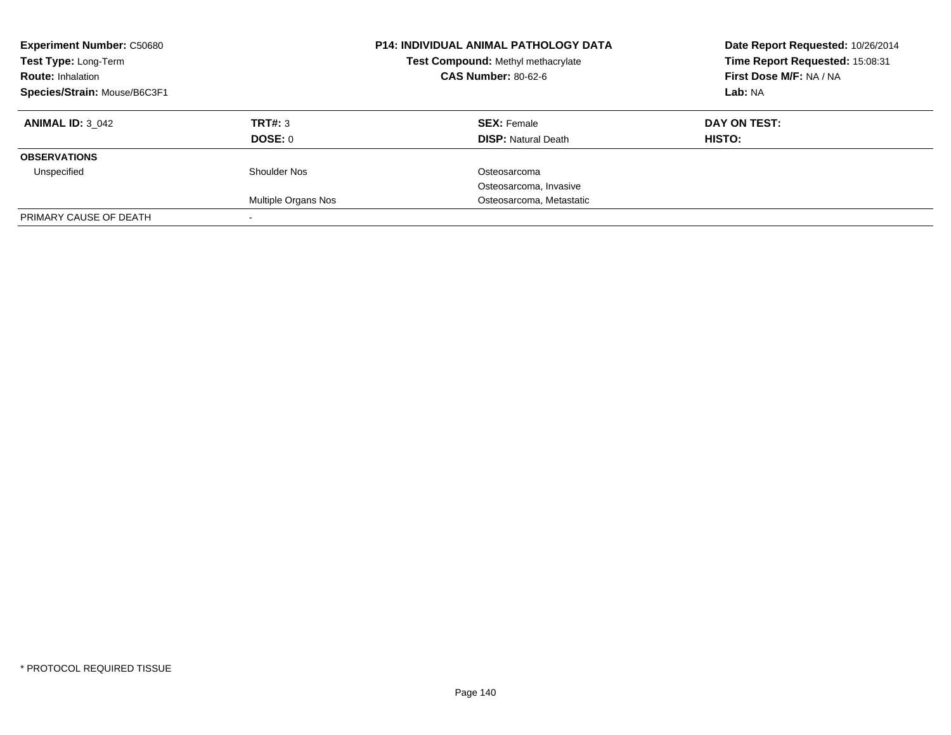| <b>Experiment Number: C50680</b><br>Test Type: Long-Term<br><b>Route: Inhalation</b><br>Species/Strain: Mouse/B6C3F1 |                            | <b>P14: INDIVIDUAL ANIMAL PATHOLOGY DATA</b><br>Test Compound: Methyl methacrylate<br><b>CAS Number: 80-62-6</b> | Date Report Requested: 10/26/2014<br>Time Report Requested: 15:08:31<br>First Dose M/F: NA / NA<br>Lab: NA |
|----------------------------------------------------------------------------------------------------------------------|----------------------------|------------------------------------------------------------------------------------------------------------------|------------------------------------------------------------------------------------------------------------|
| <b>ANIMAL ID: 3 042</b>                                                                                              | TRT#: 3<br>DOSE: 0         | <b>SEX: Female</b><br><b>DISP: Natural Death</b>                                                                 | DAY ON TEST:<br><b>HISTO:</b>                                                                              |
| <b>OBSERVATIONS</b>                                                                                                  |                            |                                                                                                                  |                                                                                                            |
| Unspecified                                                                                                          | Shoulder Nos               | Osteosarcoma                                                                                                     |                                                                                                            |
|                                                                                                                      |                            | Osteosarcoma, Invasive                                                                                           |                                                                                                            |
|                                                                                                                      | <b>Multiple Organs Nos</b> | Osteosarcoma, Metastatic                                                                                         |                                                                                                            |
| PRIMARY CAUSE OF DEATH                                                                                               |                            |                                                                                                                  |                                                                                                            |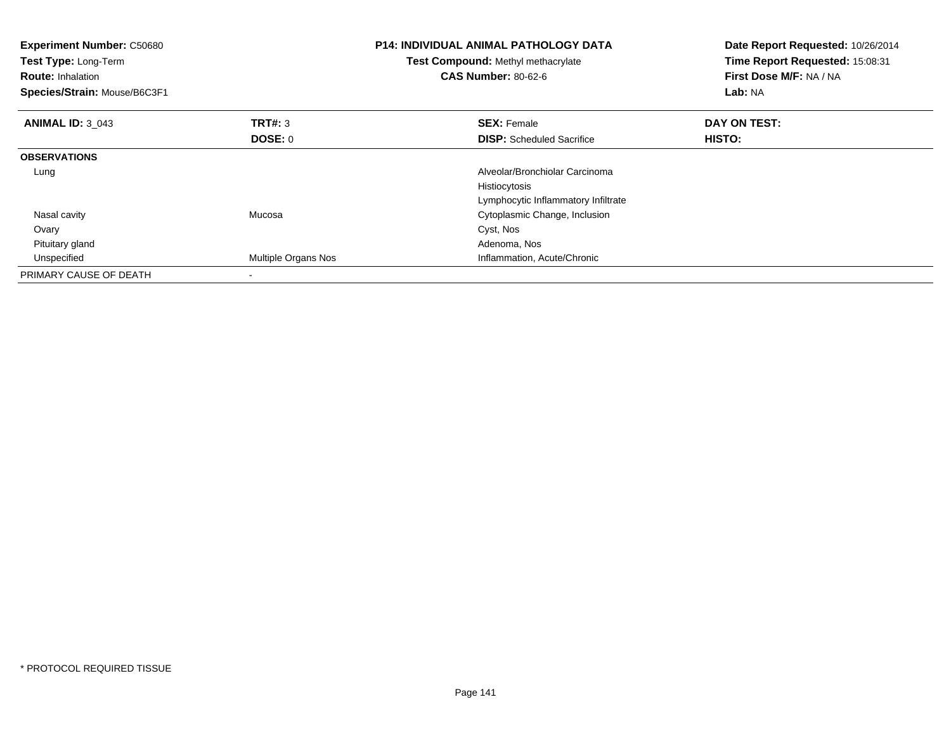| Experiment Number: C50680<br>Test Type: Long-Term<br><b>Route: Inhalation</b><br>Species/Strain: Mouse/B6C3F1 |                     | <b>P14: INDIVIDUAL ANIMAL PATHOLOGY DATA</b><br>Test Compound: Methyl methacrylate<br><b>CAS Number: 80-62-6</b> | Date Report Requested: 10/26/2014<br>Time Report Requested: 15:08:31<br>First Dose M/F: NA / NA<br>Lab: NA |
|---------------------------------------------------------------------------------------------------------------|---------------------|------------------------------------------------------------------------------------------------------------------|------------------------------------------------------------------------------------------------------------|
| <b>ANIMAL ID: 3 043</b>                                                                                       | <b>TRT#: 3</b>      | <b>SEX: Female</b>                                                                                               | DAY ON TEST:                                                                                               |
|                                                                                                               | DOSE: 0             | <b>DISP:</b> Scheduled Sacrifice                                                                                 | <b>HISTO:</b>                                                                                              |
| <b>OBSERVATIONS</b>                                                                                           |                     |                                                                                                                  |                                                                                                            |
| Lung                                                                                                          |                     | Alveolar/Bronchiolar Carcinoma                                                                                   |                                                                                                            |
|                                                                                                               |                     | Histiocytosis                                                                                                    |                                                                                                            |
|                                                                                                               |                     | Lymphocytic Inflammatory Infiltrate                                                                              |                                                                                                            |
| Nasal cavity                                                                                                  | Mucosa              | Cytoplasmic Change, Inclusion                                                                                    |                                                                                                            |
| Ovary                                                                                                         |                     | Cyst, Nos                                                                                                        |                                                                                                            |
| Pituitary gland                                                                                               |                     | Adenoma, Nos                                                                                                     |                                                                                                            |
| Unspecified                                                                                                   | Multiple Organs Nos | Inflammation, Acute/Chronic                                                                                      |                                                                                                            |
| PRIMARY CAUSE OF DEATH                                                                                        |                     |                                                                                                                  |                                                                                                            |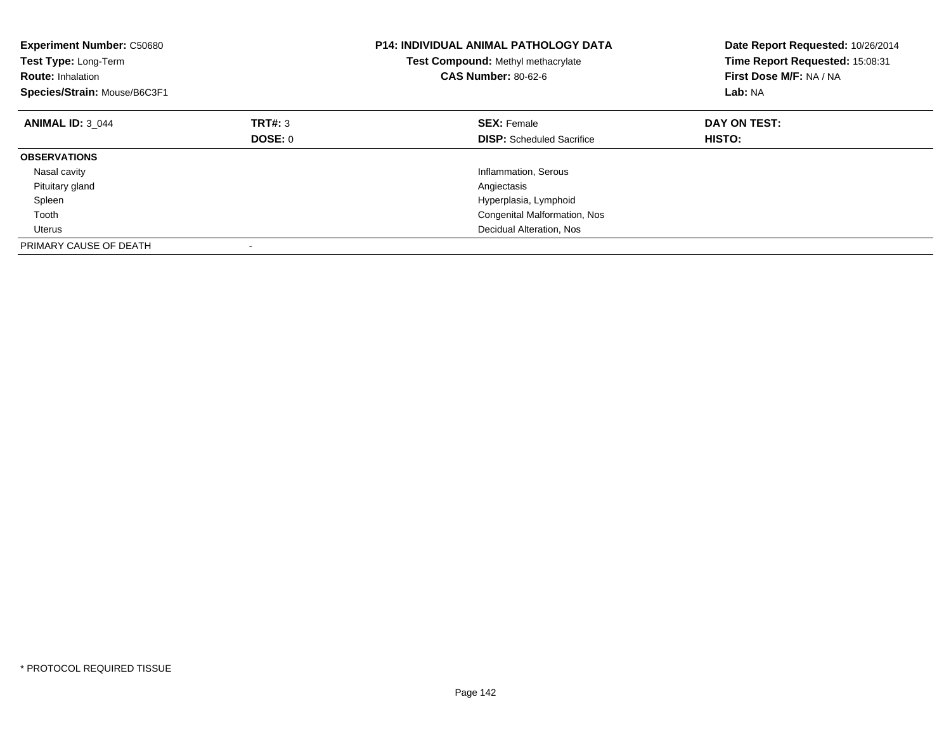| <b>Experiment Number: C50680</b><br>Test Type: Long-Term<br><b>Route: Inhalation</b><br>Species/Strain: Mouse/B6C3F1 |         | <b>P14: INDIVIDUAL ANIMAL PATHOLOGY DATA</b><br><b>Test Compound: Methyl methacrylate</b><br><b>CAS Number: 80-62-6</b> | Date Report Requested: 10/26/2014<br>Time Report Requested: 15:08:31<br>First Dose M/F: NA / NA<br>Lab: NA |
|----------------------------------------------------------------------------------------------------------------------|---------|-------------------------------------------------------------------------------------------------------------------------|------------------------------------------------------------------------------------------------------------|
| <b>ANIMAL ID: 3 044</b>                                                                                              | TRT#: 3 | <b>SEX: Female</b>                                                                                                      | DAY ON TEST:                                                                                               |
|                                                                                                                      | DOSE: 0 | <b>DISP:</b> Scheduled Sacrifice                                                                                        | HISTO:                                                                                                     |
| <b>OBSERVATIONS</b>                                                                                                  |         |                                                                                                                         |                                                                                                            |
| Nasal cavity                                                                                                         |         | Inflammation, Serous                                                                                                    |                                                                                                            |
| Pituitary gland                                                                                                      |         | Angiectasis                                                                                                             |                                                                                                            |
| Spleen                                                                                                               |         | Hyperplasia, Lymphoid                                                                                                   |                                                                                                            |
| Tooth                                                                                                                |         | Congenital Malformation, Nos                                                                                            |                                                                                                            |
| Uterus                                                                                                               |         | Decidual Alteration, Nos                                                                                                |                                                                                                            |
| PRIMARY CAUSE OF DEATH                                                                                               |         |                                                                                                                         |                                                                                                            |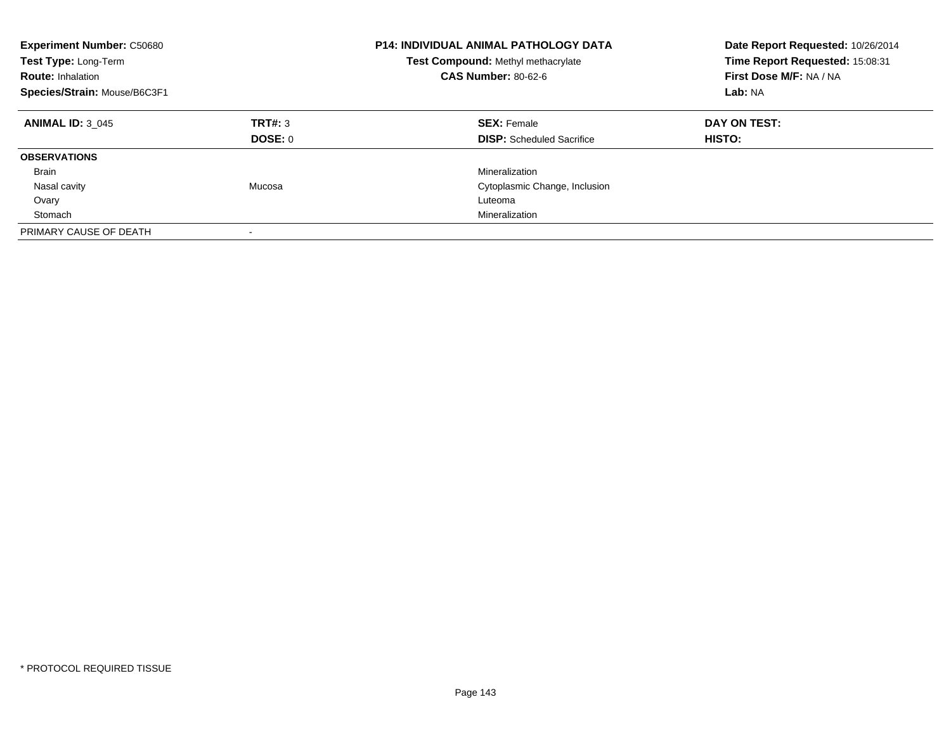| <b>Experiment Number: C50680</b><br>Test Type: Long-Term<br><b>Route: Inhalation</b><br>Species/Strain: Mouse/B6C3F1 |                    | <b>P14: INDIVIDUAL ANIMAL PATHOLOGY DATA</b><br>Test Compound: Methyl methacrylate<br><b>CAS Number: 80-62-6</b> | Date Report Requested: 10/26/2014<br>Time Report Requested: 15:08:31<br>First Dose M/F: NA / NA<br>Lab: NA |
|----------------------------------------------------------------------------------------------------------------------|--------------------|------------------------------------------------------------------------------------------------------------------|------------------------------------------------------------------------------------------------------------|
| <b>ANIMAL ID: 3 045</b>                                                                                              | TRT#: 3<br>DOSE: 0 | <b>SEX: Female</b><br><b>DISP:</b> Scheduled Sacrifice                                                           | DAY ON TEST:<br><b>HISTO:</b>                                                                              |
| <b>OBSERVATIONS</b>                                                                                                  |                    |                                                                                                                  |                                                                                                            |
| Brain                                                                                                                |                    | Mineralization                                                                                                   |                                                                                                            |
| Nasal cavity                                                                                                         | Mucosa             | Cytoplasmic Change, Inclusion                                                                                    |                                                                                                            |
| Ovary                                                                                                                |                    | Luteoma                                                                                                          |                                                                                                            |
| Stomach                                                                                                              |                    | Mineralization                                                                                                   |                                                                                                            |
| PRIMARY CAUSE OF DEATH                                                                                               |                    |                                                                                                                  |                                                                                                            |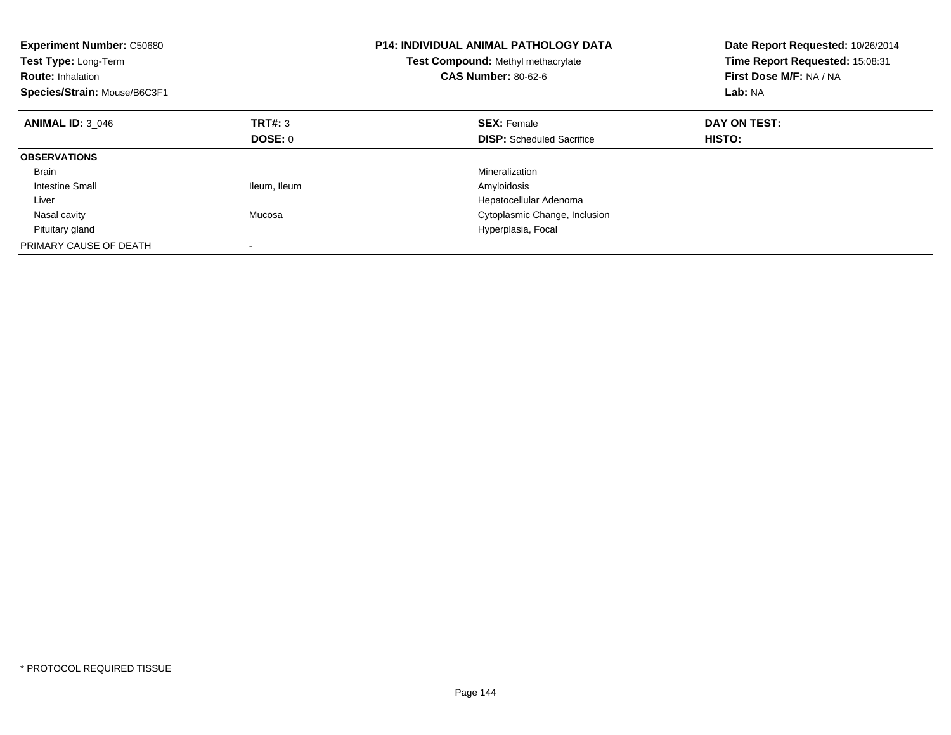| <b>Experiment Number: C50680</b><br><b>Test Type: Long-Term</b><br><b>Route: Inhalation</b><br>Species/Strain: Mouse/B6C3F1 |              | <b>P14: INDIVIDUAL ANIMAL PATHOLOGY DATA</b><br>Test Compound: Methyl methacrylate<br><b>CAS Number: 80-62-6</b> | Date Report Requested: 10/26/2014<br>Time Report Requested: 15:08:31<br>First Dose M/F: NA / NA<br>Lab: NA |
|-----------------------------------------------------------------------------------------------------------------------------|--------------|------------------------------------------------------------------------------------------------------------------|------------------------------------------------------------------------------------------------------------|
| <b>ANIMAL ID: 3 046</b>                                                                                                     | TRT#: 3      | <b>SEX: Female</b>                                                                                               | DAY ON TEST:                                                                                               |
|                                                                                                                             | DOSE: 0      | <b>DISP:</b> Scheduled Sacrifice                                                                                 | HISTO:                                                                                                     |
| <b>OBSERVATIONS</b>                                                                                                         |              |                                                                                                                  |                                                                                                            |
| <b>Brain</b>                                                                                                                |              | Mineralization                                                                                                   |                                                                                                            |
| <b>Intestine Small</b>                                                                                                      | Ileum, Ileum | Amyloidosis                                                                                                      |                                                                                                            |
| Liver                                                                                                                       |              | Hepatocellular Adenoma                                                                                           |                                                                                                            |
| Nasal cavity                                                                                                                | Mucosa       | Cytoplasmic Change, Inclusion                                                                                    |                                                                                                            |
| Pituitary gland                                                                                                             |              | Hyperplasia, Focal                                                                                               |                                                                                                            |
| PRIMARY CAUSE OF DEATH                                                                                                      |              |                                                                                                                  |                                                                                                            |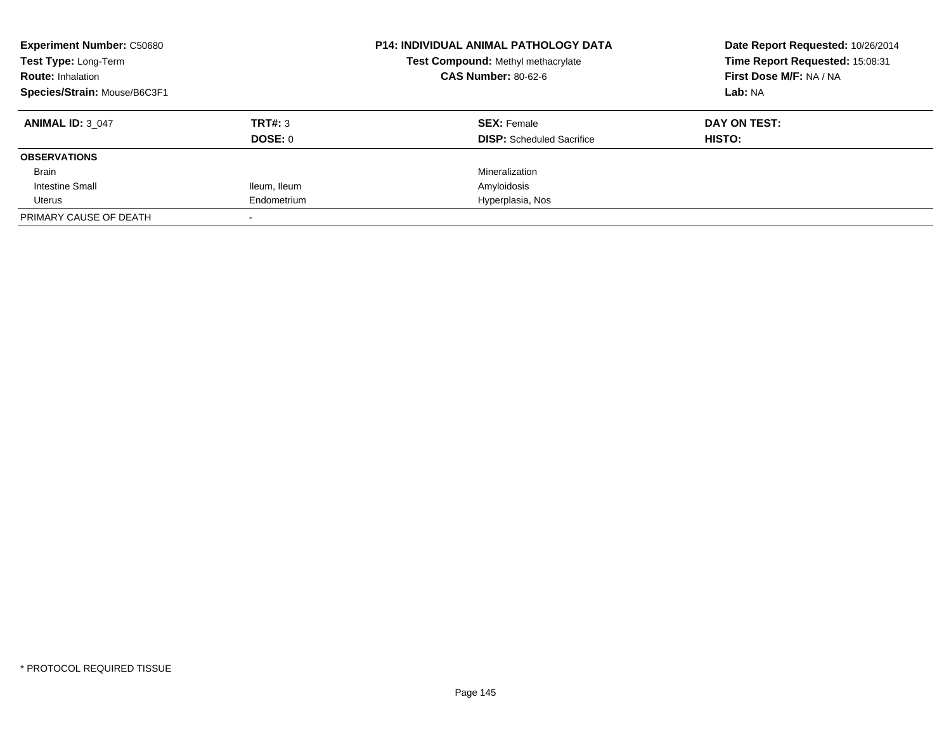| <b>Experiment Number: C50680</b><br>Test Type: Long-Term<br><b>Route: Inhalation</b> |              | <b>P14: INDIVIDUAL ANIMAL PATHOLOGY DATA</b><br>Test Compound: Methyl methacrylate<br><b>CAS Number: 80-62-6</b> | Date Report Requested: 10/26/2014<br>Time Report Requested: 15:08:31<br>First Dose M/F: NA / NA |
|--------------------------------------------------------------------------------------|--------------|------------------------------------------------------------------------------------------------------------------|-------------------------------------------------------------------------------------------------|
| Species/Strain: Mouse/B6C3F1                                                         |              |                                                                                                                  | Lab: NA                                                                                         |
| <b>ANIMAL ID: 3 047</b>                                                              | TRT#: 3      | <b>SEX: Female</b>                                                                                               | DAY ON TEST:                                                                                    |
|                                                                                      | DOSE: 0      | <b>DISP:</b> Scheduled Sacrifice                                                                                 | HISTO:                                                                                          |
| <b>OBSERVATIONS</b>                                                                  |              |                                                                                                                  |                                                                                                 |
| Brain                                                                                |              | Mineralization                                                                                                   |                                                                                                 |
| Intestine Small                                                                      | Ileum, Ileum | Amyloidosis                                                                                                      |                                                                                                 |
| Uterus                                                                               | Endometrium  | Hyperplasia, Nos                                                                                                 |                                                                                                 |
| PRIMARY CAUSE OF DEATH                                                               |              |                                                                                                                  |                                                                                                 |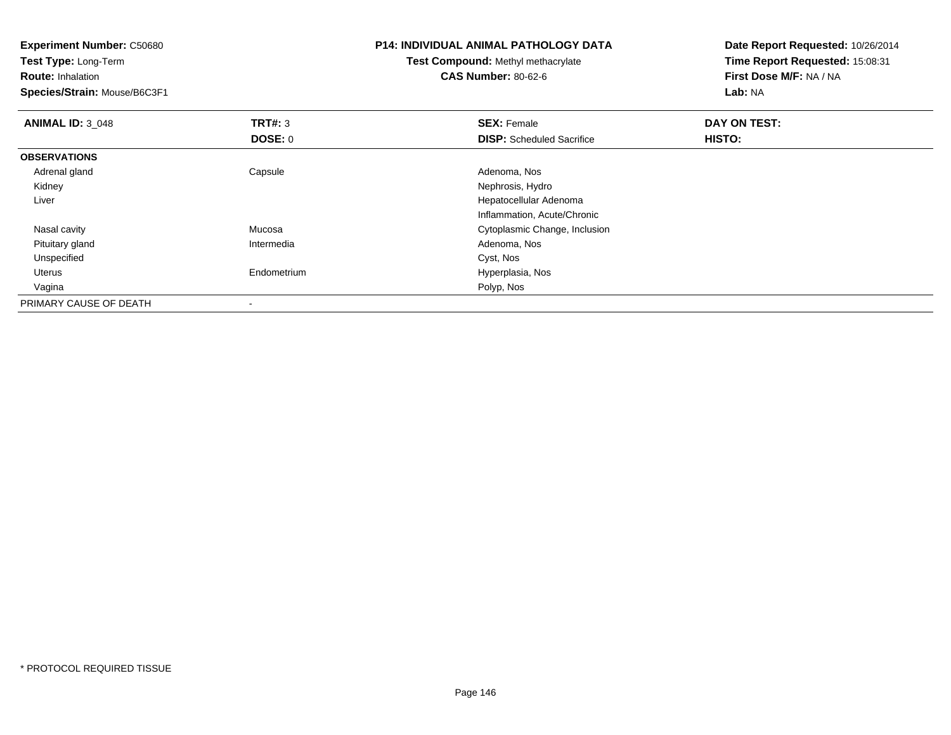| <b>Experiment Number: C50680</b> |             | <b>P14: INDIVIDUAL ANIMAL PATHOLOGY DATA</b> | Date Report Requested: 10/26/2014<br>Time Report Requested: 15:08:31 |
|----------------------------------|-------------|----------------------------------------------|----------------------------------------------------------------------|
| Test Type: Long-Term             |             | <b>Test Compound: Methyl methacrylate</b>    |                                                                      |
| <b>Route: Inhalation</b>         |             | <b>CAS Number: 80-62-6</b>                   | First Dose M/F: NA / NA                                              |
| Species/Strain: Mouse/B6C3F1     |             |                                              | Lab: NA                                                              |
| <b>ANIMAL ID: 3 048</b>          | TRT#: 3     | <b>SEX: Female</b>                           | DAY ON TEST:                                                         |
|                                  | DOSE: 0     | <b>DISP:</b> Scheduled Sacrifice             | <b>HISTO:</b>                                                        |
| <b>OBSERVATIONS</b>              |             |                                              |                                                                      |
| Adrenal gland                    | Capsule     | Adenoma, Nos                                 |                                                                      |
| Kidney                           |             | Nephrosis, Hydro                             |                                                                      |
| Liver                            |             | Hepatocellular Adenoma                       |                                                                      |
|                                  |             | Inflammation, Acute/Chronic                  |                                                                      |
| Nasal cavity                     | Mucosa      | Cytoplasmic Change, Inclusion                |                                                                      |
| Pituitary gland                  | Intermedia  | Adenoma, Nos                                 |                                                                      |
| Unspecified                      |             | Cyst, Nos                                    |                                                                      |
| Uterus                           | Endometrium | Hyperplasia, Nos                             |                                                                      |
| Vagina                           |             | Polyp, Nos                                   |                                                                      |
| PRIMARY CAUSE OF DEATH           |             |                                              |                                                                      |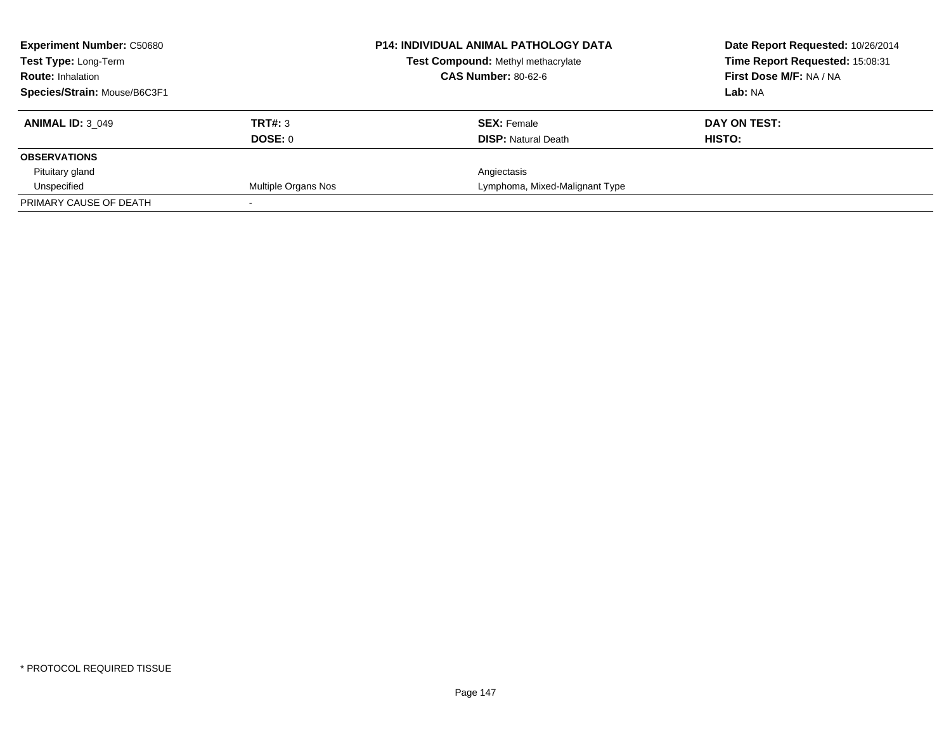| <b>Experiment Number: C50680</b> | <b>P14: INDIVIDUAL ANIMAL PATHOLOGY DATA</b> | Date Report Requested: 10/26/2014  |                                 |
|----------------------------------|----------------------------------------------|------------------------------------|---------------------------------|
| Test Type: Long-Term             |                                              | Test Compound: Methyl methacrylate | Time Report Requested: 15:08:31 |
| <b>Route: Inhalation</b>         |                                              | <b>CAS Number: 80-62-6</b>         | <b>First Dose M/F: NA / NA</b>  |
| Species/Strain: Mouse/B6C3F1     |                                              |                                    | Lab: NA                         |
| <b>ANIMAL ID: 3 049</b>          | TRT#: 3                                      | <b>SEX: Female</b>                 | DAY ON TEST:                    |
|                                  | DOSE: 0                                      | <b>DISP:</b> Natural Death         | HISTO:                          |
| <b>OBSERVATIONS</b>              |                                              |                                    |                                 |
| Pituitary gland                  |                                              | Angiectasis                        |                                 |
| Unspecified                      | Multiple Organs Nos                          | Lymphoma, Mixed-Malignant Type     |                                 |
| PRIMARY CAUSE OF DEATH           |                                              |                                    |                                 |